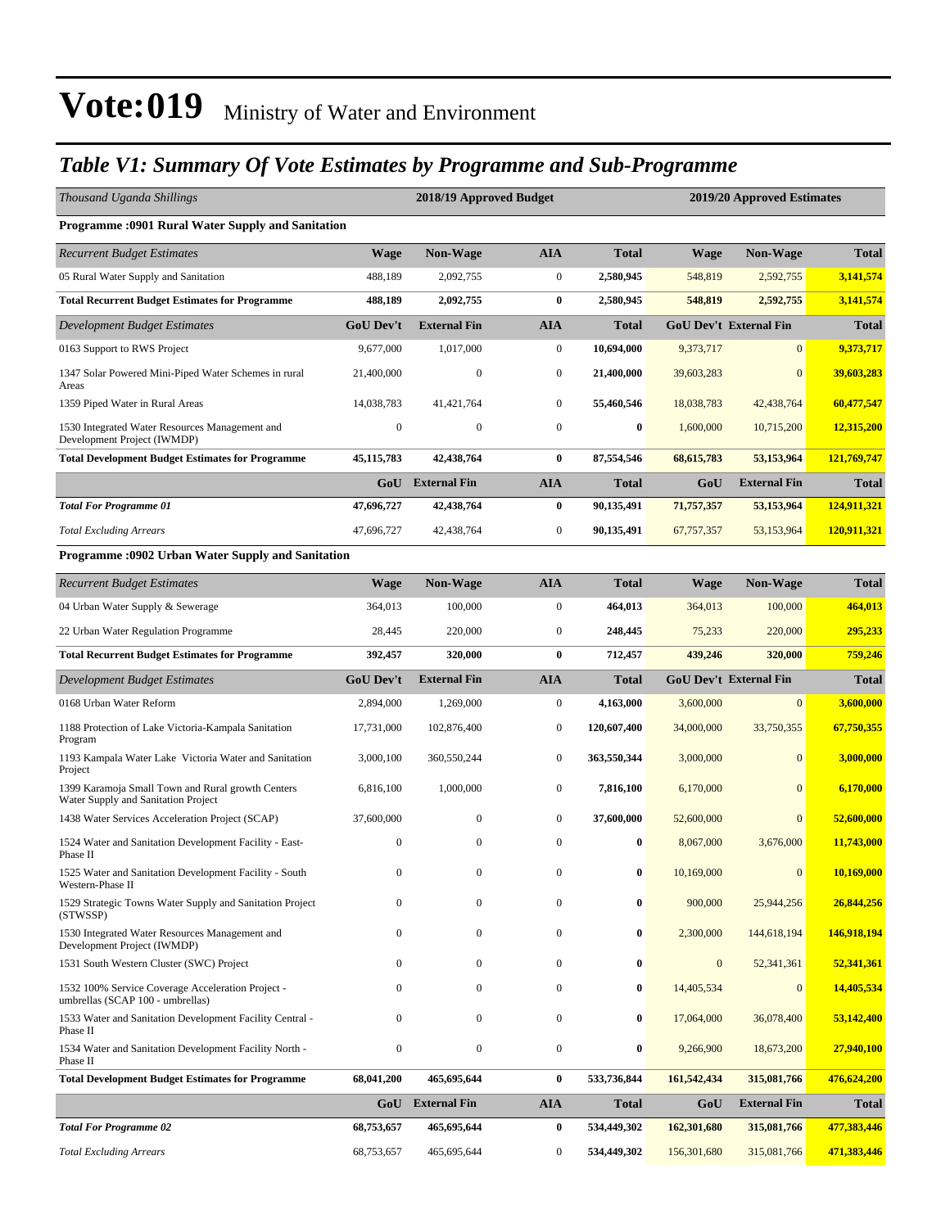### *Table V1: Summary Of Vote Estimates by Programme and Sub-Programme*

| Thousand Uganda Shillings                                                                |                  | 2018/19 Approved Budget |                  | 2019/20 Approved Estimates |              |                               |              |
|------------------------------------------------------------------------------------------|------------------|-------------------------|------------------|----------------------------|--------------|-------------------------------|--------------|
| Programme : 0901 Rural Water Supply and Sanitation                                       |                  |                         |                  |                            |              |                               |              |
| <b>Recurrent Budget Estimates</b>                                                        | <b>Wage</b>      | Non-Wage                | <b>AIA</b>       | <b>Total</b>               | <b>Wage</b>  | <b>Non-Wage</b>               | <b>Total</b> |
| 05 Rural Water Supply and Sanitation                                                     | 488,189          | 2,092,755               | $\boldsymbol{0}$ | 2,580,945                  | 548,819      | 2,592,755                     | 3,141,574    |
| <b>Total Recurrent Budget Estimates for Programme</b>                                    | 488,189          | 2,092,755               | $\bf{0}$         | 2,580,945                  | 548,819      | 2,592,755                     | 3,141,574    |
| Development Budget Estimates                                                             | <b>GoU Dev't</b> | <b>External Fin</b>     | <b>AIA</b>       | <b>Total</b>               |              | <b>GoU Dev't External Fin</b> | <b>Total</b> |
| 0163 Support to RWS Project                                                              | 9,677,000        | 1,017,000               | $\boldsymbol{0}$ | 10,694,000                 | 9,373,717    | $\mathbf{0}$                  | 9,373,717    |
| 1347 Solar Powered Mini-Piped Water Schemes in rural<br>Areas                            | 21,400,000       | $\mathbf{0}$            | $\boldsymbol{0}$ | 21,400,000                 | 39,603,283   | $\mathbf{0}$                  | 39,603,283   |
| 1359 Piped Water in Rural Areas                                                          | 14,038,783       | 41.421.764              | $\boldsymbol{0}$ | 55,460,546                 | 18,038,783   | 42,438,764                    | 60,477,547   |
| 1530 Integrated Water Resources Management and<br>Development Project (IWMDP)            | $\mathbf{0}$     | $\boldsymbol{0}$        | $\mathbf{0}$     | $\bf{0}$                   | 1,600,000    | 10,715,200                    | 12,315,200   |
| <b>Total Development Budget Estimates for Programme</b>                                  | 45, 115, 783     | 42,438,764              | $\bf{0}$         | 87,554,546                 | 68, 615, 783 | 53,153,964                    | 121,769,747  |
|                                                                                          | GoU              | <b>External Fin</b>     | <b>AIA</b>       | <b>Total</b>               | GoU          | <b>External Fin</b>           | <b>Total</b> |
| <b>Total For Programme 01</b>                                                            | 47,696,727       | 42,438,764              | $\bf{0}$         | 90,135,491                 | 71,757,357   | 53,153,964                    | 124,911,321  |
| <b>Total Excluding Arrears</b>                                                           | 47,696,727       | 42,438,764              | $\boldsymbol{0}$ | 90,135,491                 | 67, 757, 357 | 53,153,964                    | 120,911,321  |
| <b>Programme: 0902 Urban Water Supply and Sanitation</b>                                 |                  |                         |                  |                            |              |                               |              |
| <b>Recurrent Budget Estimates</b>                                                        | <b>Wage</b>      | <b>Non-Wage</b>         | <b>AIA</b>       | <b>Total</b>               | <b>Wage</b>  | <b>Non-Wage</b>               | <b>Total</b> |
| 04 Urban Water Supply & Sewerage                                                         | 364,013          | 100,000                 | $\boldsymbol{0}$ | 464,013                    | 364,013      | 100,000                       | 464,013      |
| 22 Urban Water Regulation Programme                                                      | 28,445           | 220,000                 | $\mathbf{0}$     | 248,445                    | 75,233       | 220,000                       | 295,233      |
| <b>Total Recurrent Budget Estimates for Programme</b>                                    | 392,457          | 320,000                 | $\bf{0}$         | 712,457                    | 439,246      | 320,000                       | 759,246      |
| Development Budget Estimates                                                             | <b>GoU</b> Dev't | <b>External Fin</b>     | <b>AIA</b>       | Total                      |              | <b>GoU Dev't External Fin</b> | <b>Total</b> |
| 0168 Urban Water Reform                                                                  | 2,894,000        | 1,269,000               | $\boldsymbol{0}$ | 4,163,000                  | 3,600,000    | $\mathbf{0}$                  | 3,600,000    |
| 1188 Protection of Lake Victoria-Kampala Sanitation<br>Program                           | 17,731,000       | 102,876,400             | $\boldsymbol{0}$ | 120,607,400                | 34,000,000   | 33,750,355                    | 67,750,355   |
| 1193 Kampala Water Lake Victoria Water and Sanitation<br>Project                         | 3,000,100        | 360,550,244             | $\mathbf{0}$     | 363,550,344                | 3,000,000    | $\mathbf{0}$                  | 3,000,000    |
| 1399 Karamoja Small Town and Rural growth Centers<br>Water Supply and Sanitation Project | 6,816,100        | 1,000,000               | $\mathbf{0}$     | 7,816,100                  | 6,170,000    | $\mathbf{0}$                  | 6,170,000    |
| 1438 Water Services Acceleration Project (SCAP)                                          |                  |                         |                  |                            |              |                               |              |
|                                                                                          | 37,600,000       | $\mathbf{0}$            | $\mathbf{0}$     | 37,600,000                 | 52,600,000   | $\mathbf{0}$                  | 52,600,000   |
| 1524 Water and Sanitation Development Facility - East-<br>Phase II                       | $\Omega$         | $\mathbf{0}$            | $\mathbf{0}$     | 0                          | 8,067,000    | 3,676,000                     | 11,743,000   |
| 1525 Water and Sanitation Development Facility - South<br>Western-Phase II               |                  | $\Omega$                | $\Omega$         | 0                          | 10,169,000   | $\mathbf{0}$                  | 10,169,000   |
| 1529 Strategic Towns Water Supply and Sanitation Project<br>(STWSSP)                     | $\mathbf{0}$     | $\mathbf{0}$            | $\boldsymbol{0}$ | $\bf{0}$                   | 900,000      | 25,944,256                    | 26,844,256   |
| 1530 Integrated Water Resources Management and<br>Development Project (IWMDP)            | $\mathbf{0}$     | $\mathbf{0}$            | $\boldsymbol{0}$ | 0                          | 2,300,000    | 144,618,194                   | 146,918,194  |
| 1531 South Western Cluster (SWC) Project                                                 | $\Omega$         | $\mathbf{0}$            | $\mathbf{0}$     | 0                          | $\mathbf{0}$ | 52,341,361                    | 52,341,361   |
| 1532 100% Service Coverage Acceleration Project -<br>umbrellas (SCAP 100 - umbrellas)    | 0                | $\mathbf{0}$            | $\mathbf{0}$     | 0                          | 14,405,534   | $\mathbf{0}$                  | 14,405,534   |
| 1533 Water and Sanitation Development Facility Central -<br>Phase II                     | $\Omega$         | $\boldsymbol{0}$        | $\boldsymbol{0}$ | 0                          | 17,064,000   | 36,078,400                    | 53,142,400   |
| 1534 Water and Sanitation Development Facility North -<br>Phase II                       | $\mathbf{0}$     | $\boldsymbol{0}$        | $\boldsymbol{0}$ | $\boldsymbol{0}$           | 9,266,900    | 18,673,200                    | 27,940,100   |
| <b>Total Development Budget Estimates for Programme</b>                                  | 68,041,200       | 465,695,644             | $\bf{0}$         | 533,736,844                | 161,542,434  | 315,081,766                   | 476,624,200  |
|                                                                                          | GoU              | <b>External Fin</b>     | AIA              | <b>Total</b>               | GoU          | <b>External Fin</b>           | <b>Total</b> |
| <b>Total For Programme 02</b>                                                            | 68,753,657       | 465,695,644             | 0                | 534,449,302                | 162,301,680  | 315,081,766                   | 477,383,446  |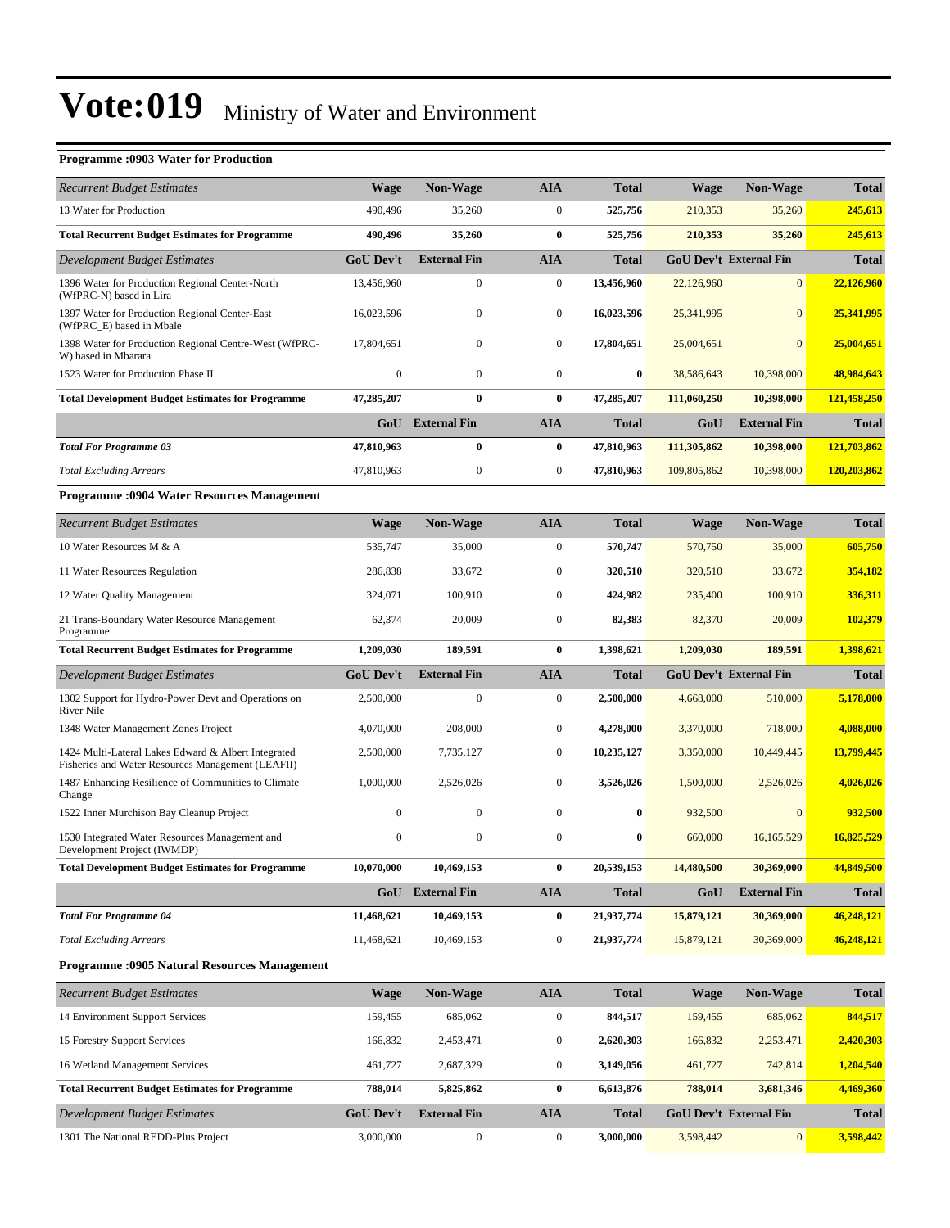#### **Programme :0903 Water for Production** *Recurrent Budget Estimates* **Wage Non-Wage AIA Total Wage Non-Wage Total** 13 Water for Production 490,496 35,260 0 **525,756** 210,353 35,260 **245,613 Total Recurrent Budget Estimates for Programme 490,496 35,260 0 525,756 210,353 35,260 245,613** *Development Budget Estimates* **GoU Dev't External Fin AIA Total GoU Dev't External Fin Total** 1396 Water for Production Regional Center-North (WfPRC-N) based in Lira 13,456,960 0 0 **13,456,960** 22,126,960 0 **22,126,960** 1397 Water for Production Regional Center-East (WfPRC\_E) based in Mbale 16,023,596 0 0 **16,023,596** 25,341,995 0 **25,341,995** 1398 Water for Production Regional Centre-West (WfPRC-W) based in Mbarara 17,804,651 0 0 **17,804,651** 25,004,651 0 **25,004,651** 1523 Water for Production Phase II 0 0 0 **0** 38,586,643 10,398,000 **48,984,643 Total Development Budget Estimates for Programme 47,285,207 0 0 47,285,207 111,060,250 10,398,000 121,458,250 GoU External Fin AIA Total GoU External Fin Total** *Total For Programme 03* **47,810,963 0 0 47,810,963 111,305,862 10,398,000 121,703,862** *Total Excluding Arrears* 47,810,963 0 0 **47,810,963** 109,805,862 10,398,000 **120,203,862 Programme :0904 Water Resources Management** *Recurrent Budget Estimates* **Wage Non-Wage AIA Total Wage Non-Wage Total** 10 Water Resources M & A 535,750 **605,750** 535,747 550,000 570,747 570,750 35,000 570,750 505,750 505,750 505,750 11 Water Resources Regulation 286,838 33,672 0 **320,510** 320,510 33,672 **354,182** 12 Water Quality Management 324,071 100,910 0 **424,982** 235,400 100,910 **336,311** 21 Trans-Boundary Water Resource Management Programme 62,374 20,009 0 **82,383** 82,370 20,009 **102,379 Total Recurrent Budget Estimates for Programme 1,209,030 189,591 0 1,398,621 1,209,030 189,591 1,398,621** *Development Budget Estimates* **GoU Dev't External Fin AIA Total GoU Dev't External Fin Total** 1302 Support for Hydro-Power Devt and Operations on River Nile 2,500,000 0 0 **2,500,000** 4,668,000 510,000 **5,178,000** 1348 Water Management Zones Project 4,070,000 208,000 0 **4,278,000** 3,370,000 718,000 **4,088,000** 1424 Multi-Lateral Lakes Edward & Albert Integrated Fisheries and Water Resources Management (LEAFII) 2,500,000 7,735,127 0 **10,235,127** 3,350,000 10,449,445 **13,799,445** 1487 Enhancing Resilience of Communities to Climate Change 1,000,000 2,526,026 0 **3,526,026** 1,500,000 2,526,026 **4,026,026** 1522 Inner Murchison Bay Cleanup Project 0 0 0 **0** 932,500 0 **932,500** 1530 Integrated Water Resources Management and Development Project (IWMDP) 0 0 0 **0** 660,000 16,165,529 **16,825,529 Total Development Budget Estimates for Programme 10,070,000 10,469,153 0 20,539,153 14,480,500 30,369,000 44,849,500 GoU External Fin AIA Total GoU External Fin Total** *Total For Programme 04* **11,468,621 10,469,153 0 21,937,774 15,879,121 30,369,000 46,248,121** *Total Excluding Arrears* 11,468,621 10,469,153 0 **21,937,774** 15,879,121 30,369,000 **46,248,121**

#### **Programme :0905 Natural Resources Management**

| <b>Recurrent Budget Estimates</b>                     | <b>Wage</b>      | <b>Non-Wage</b>     | <b>AIA</b>   | <b>Total</b> | <b>Wage</b>                   | <b>Non-Wage</b> | <b>Total</b> |
|-------------------------------------------------------|------------------|---------------------|--------------|--------------|-------------------------------|-----------------|--------------|
| 14 Environment Support Services                       | 159,455          | 685,062             | $\mathbf{0}$ | 844,517      | 159,455                       | 685,062         | 844,517      |
| 15 Forestry Support Services                          | 166,832          | 2,453,471           | $\mathbf{0}$ | 2,620,303    | 166,832                       | 2,253,471       | 2,420,303    |
| 16 Wetland Management Services                        | 461.727          | 2.687.329           | $\mathbf{0}$ | 3,149,056    | 461,727                       | 742,814         | 1,204,540    |
| <b>Total Recurrent Budget Estimates for Programme</b> | 788,014          | 5,825,862           | $\bf{0}$     | 6,613,876    | 788,014                       | 3,681,346       | 4,469,360    |
| Development Budget Estimates                          | <b>GoU</b> Dev't | <b>External Fin</b> | <b>AIA</b>   | <b>Total</b> | <b>GoU Dev't External Fin</b> |                 | <b>Total</b> |
| 1301 The National REDD-Plus Project                   | 3,000,000        | $\mathbf{0}$        | $\mathbf{0}$ | 3,000,000    | 3.598.442                     | $\Omega$        | 3,598,442    |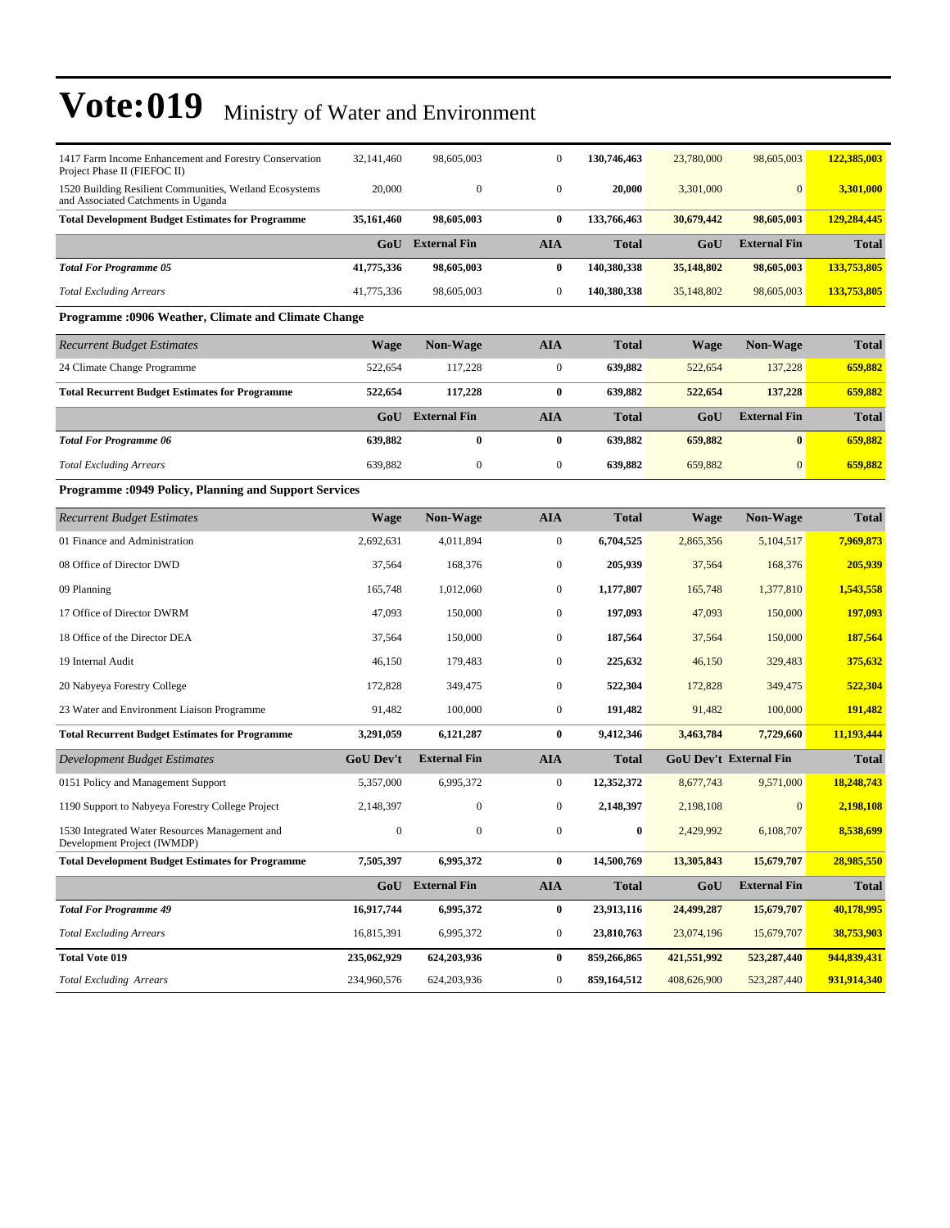| 1417 Farm Income Enhancement and Forestry Conservation<br>Project Phase II (FIEFOC II)         | 32,141,460       | 98,605,003          | $\mathbf{0}$     | 130,746,463      | 23,780,000  | 98,605,003                    | 122,385,003  |
|------------------------------------------------------------------------------------------------|------------------|---------------------|------------------|------------------|-------------|-------------------------------|--------------|
| 1520 Building Resilient Communities, Wetland Ecosystems<br>and Associated Catchments in Uganda | 20,000           | $\boldsymbol{0}$    | $\boldsymbol{0}$ | 20,000           | 3,301,000   | $\overline{0}$                | 3,301,000    |
| <b>Total Development Budget Estimates for Programme</b>                                        | 35,161,460       | 98,605,003          | $\bf{0}$         | 133,766,463      | 30,679,442  | 98,605,003                    | 129,284,445  |
|                                                                                                | GoU              | <b>External Fin</b> | <b>AIA</b>       | <b>Total</b>     | GoU         | <b>External Fin</b>           | <b>Total</b> |
| <b>Total For Programme 05</b>                                                                  | 41,775,336       | 98,605,003          | $\bf{0}$         | 140,380,338      | 35,148,802  | 98,605,003                    | 133,753,805  |
| <b>Total Excluding Arrears</b>                                                                 | 41,775,336       | 98,605,003          | $\boldsymbol{0}$ | 140,380,338      | 35,148,802  | 98,605,003                    | 133,753,805  |
| <b>Programme: 0906 Weather, Climate and Climate Change</b>                                     |                  |                     |                  |                  |             |                               |              |
| <b>Recurrent Budget Estimates</b>                                                              | <b>Wage</b>      | <b>Non-Wage</b>     | <b>AIA</b>       | <b>Total</b>     | <b>Wage</b> | <b>Non-Wage</b>               | <b>Total</b> |
| 24 Climate Change Programme                                                                    | 522,654          | 117,228             | $\boldsymbol{0}$ | 639,882          | 522,654     | 137,228                       | 659,882      |
| <b>Total Recurrent Budget Estimates for Programme</b>                                          | 522,654          | 117,228             | $\bf{0}$         | 639,882          | 522,654     | 137,228                       | 659,882      |
|                                                                                                | GoU              | <b>External Fin</b> | <b>AIA</b>       | <b>Total</b>     | GoU         | <b>External Fin</b>           | <b>Total</b> |
| <b>Total For Programme 06</b>                                                                  | 639,882          | $\bf{0}$            | $\bf{0}$         | 639,882          | 659,882     | $\bf{0}$                      | 659,882      |
| <b>Total Excluding Arrears</b>                                                                 | 639,882          | $\boldsymbol{0}$    | $\boldsymbol{0}$ | 639,882          | 659,882     | $\mathbf{0}$                  | 659,882      |
| <b>Programme: 0949 Policy, Planning and Support Services</b>                                   |                  |                     |                  |                  |             |                               |              |
| <b>Recurrent Budget Estimates</b>                                                              | <b>Wage</b>      | Non-Wage            | <b>AIA</b>       | <b>Total</b>     | <b>Wage</b> | <b>Non-Wage</b>               | <b>Total</b> |
| 01 Finance and Administration                                                                  | 2,692,631        | 4,011,894           | $\boldsymbol{0}$ | 6,704,525        | 2,865,356   | 5,104,517                     | 7,969,873    |
| 08 Office of Director DWD                                                                      | 37,564           | 168,376             | $\boldsymbol{0}$ | 205,939          | 37,564      | 168,376                       | 205,939      |
| 09 Planning                                                                                    | 165,748          | 1,012,060           | $\boldsymbol{0}$ | 1,177,807        | 165,748     | 1,377,810                     | 1,543,558    |
| 17 Office of Director DWRM                                                                     | 47,093           | 150,000             | $\boldsymbol{0}$ | 197,093          | 47,093      | 150,000                       | 197,093      |
| 18 Office of the Director DEA                                                                  | 37,564           | 150,000             | $\boldsymbol{0}$ | 187,564          | 37,564      | 150,000                       | 187,564      |
| 19 Internal Audit                                                                              | 46,150           | 179,483             | $\boldsymbol{0}$ | 225,632          | 46,150      | 329,483                       | 375,632      |
| 20 Nabyeya Forestry College                                                                    | 172,828          | 349,475             | $\boldsymbol{0}$ | 522,304          | 172,828     | 349,475                       | 522,304      |
| 23 Water and Environment Liaison Programme                                                     | 91,482           | 100,000             | $\boldsymbol{0}$ | 191,482          | 91,482      | 100,000                       | 191,482      |
| <b>Total Recurrent Budget Estimates for Programme</b>                                          | 3,291,059        | 6,121,287           | $\bf{0}$         | 9,412,346        | 3,463,784   | 7,729,660                     | 11,193,444   |
| Development Budget Estimates                                                                   | <b>GoU Dev't</b> | <b>External Fin</b> | <b>AIA</b>       | <b>Total</b>     |             | <b>GoU Dev't External Fin</b> | <b>Total</b> |
| 0151 Policy and Management Support                                                             | 5,357,000        | 6,995,372           | $\boldsymbol{0}$ | 12,352,372       | 8,677,743   | 9,571,000                     | 18,248,743   |
| 1190 Support to Nabyeya Forestry College Project                                               | 2,148,397        | $\boldsymbol{0}$    | $\boldsymbol{0}$ | 2,148,397        | 2,198,108   | $\mathbf{0}$                  | 2,198,108    |
| 1530 Integrated Water Resources Management and<br>Development Project (IWMDP)                  | $\boldsymbol{0}$ | $\boldsymbol{0}$    | $\boldsymbol{0}$ | $\boldsymbol{0}$ | 2,429,992   | 6,108,707                     | 8,538,699    |
| <b>Total Development Budget Estimates for Programme</b>                                        | 7,505,397        | 6,995,372           | $\bf{0}$         | 14,500,769       | 13,305,843  | 15,679,707                    | 28,985,550   |
|                                                                                                |                  | GoU External Fin    | <b>AIA</b>       | <b>Total</b>     | GoU         | <b>External Fin</b>           | <b>Total</b> |
| <b>Total For Programme 49</b>                                                                  | 16,917,744       | 6,995,372           | $\bf{0}$         | 23,913,116       | 24,499,287  | 15,679,707                    | 40,178,995   |
| <b>Total Excluding Arrears</b>                                                                 | 16,815,391       | 6,995,372           | $\boldsymbol{0}$ | 23,810,763       | 23,074,196  | 15,679,707                    | 38,753,903   |
| <b>Total Vote 019</b>                                                                          | 235,062,929      | 624,203,936         | $\bf{0}$         | 859,266,865      | 421,551,992 | 523,287,440                   | 944,839,431  |
| <b>Total Excluding Arrears</b>                                                                 | 234,960,576      | 624,203,936         | $\boldsymbol{0}$ | 859,164,512      | 408,626,900 | 523, 287, 440                 | 931,914,340  |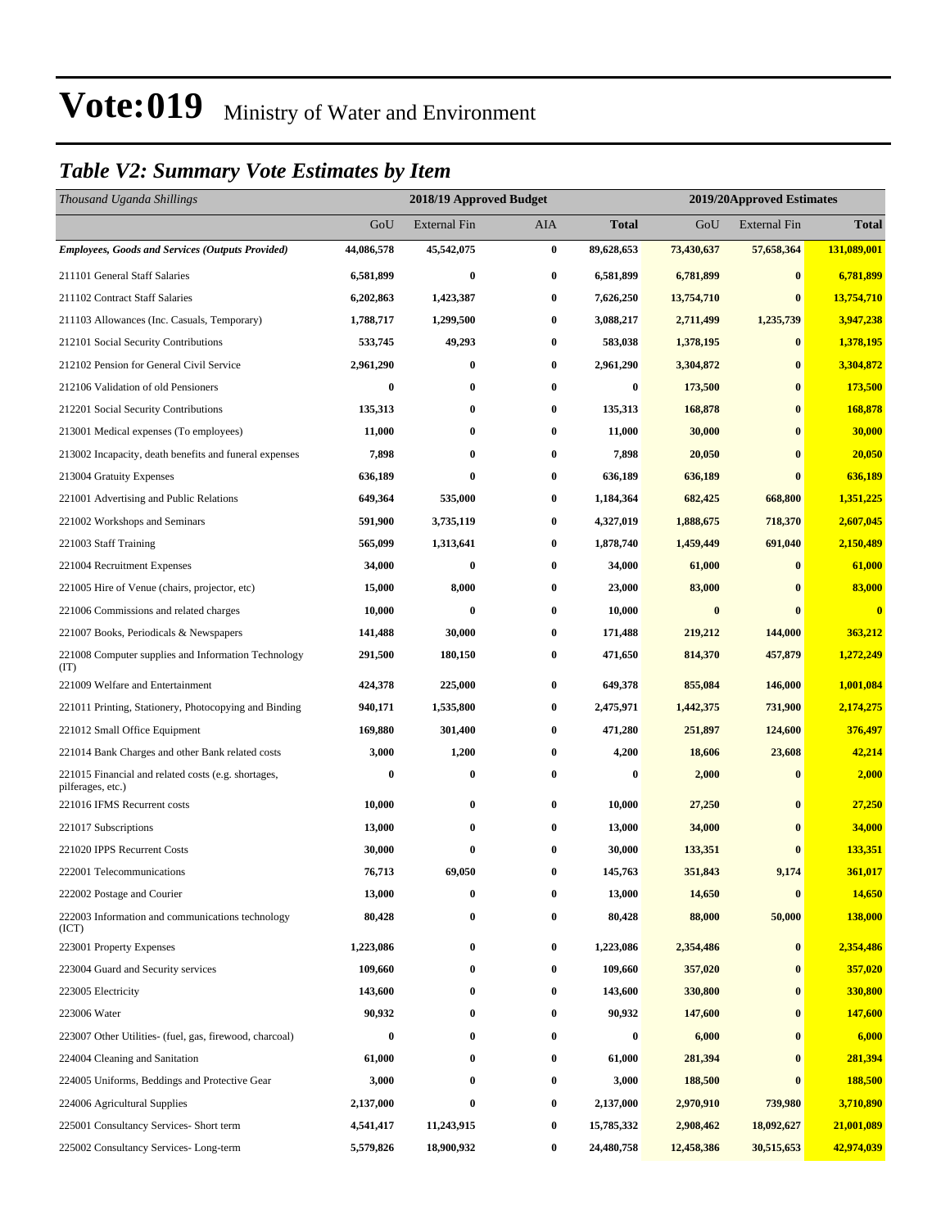### *Table V2: Summary Vote Estimates by Item*

| Thousand Uganda Shillings                                                |            | 2018/19 Approved Budget |            |            | 2019/20Approved Estimates |                     |              |  |
|--------------------------------------------------------------------------|------------|-------------------------|------------|------------|---------------------------|---------------------|--------------|--|
|                                                                          | GoU        | <b>External Fin</b>     | <b>AIA</b> | Total      | GoU                       | <b>External Fin</b> | <b>Total</b> |  |
| <b>Employees, Goods and Services (Outputs Provided)</b>                  | 44,086,578 | 45,542,075              | $\bf{0}$   | 89,628,653 | 73,430,637                | 57,658,364          | 131,089,001  |  |
| 211101 General Staff Salaries                                            | 6,581,899  | $\bf{0}$                | $\bf{0}$   | 6,581,899  | 6,781,899                 | $\bf{0}$            | 6,781,899    |  |
| 211102 Contract Staff Salaries                                           | 6,202,863  | 1,423,387               | $\bf{0}$   | 7,626,250  | 13,754,710                | $\bf{0}$            | 13,754,710   |  |
| 211103 Allowances (Inc. Casuals, Temporary)                              | 1,788,717  | 1,299,500               | $\bf{0}$   | 3,088,217  | 2,711,499                 | 1,235,739           | 3,947,238    |  |
| 212101 Social Security Contributions                                     | 533,745    | 49,293                  | $\bf{0}$   | 583,038    | 1,378,195                 | $\bf{0}$            | 1,378,195    |  |
| 212102 Pension for General Civil Service                                 | 2,961,290  | 0                       | $\bf{0}$   | 2,961,290  | 3,304,872                 | $\bf{0}$            | 3,304,872    |  |
| 212106 Validation of old Pensioners                                      | $\bf{0}$   | 0                       | $\bf{0}$   | $\bf{0}$   | 173,500                   | $\bf{0}$            | 173,500      |  |
| 212201 Social Security Contributions                                     | 135,313    | 0                       | $\bf{0}$   | 135,313    | 168,878                   | $\bf{0}$            | 168,878      |  |
| 213001 Medical expenses (To employees)                                   | 11,000     | 0                       | $\bf{0}$   | 11,000     | 30,000                    | $\bf{0}$            | 30,000       |  |
| 213002 Incapacity, death benefits and funeral expenses                   | 7,898      | $\bf{0}$                | $\bf{0}$   | 7,898      | 20,050                    | $\bf{0}$            | 20,050       |  |
| 213004 Gratuity Expenses                                                 | 636,189    | $\bf{0}$                | $\bf{0}$   | 636,189    | 636,189                   | $\bf{0}$            | 636,189      |  |
| 221001 Advertising and Public Relations                                  | 649,364    | 535,000                 | $\bf{0}$   | 1,184,364  | 682,425                   | 668,800             | 1,351,225    |  |
| 221002 Workshops and Seminars                                            | 591,900    | 3,735,119               | $\bf{0}$   | 4,327,019  | 1,888,675                 | 718,370             | 2,607,045    |  |
| 221003 Staff Training                                                    | 565,099    | 1,313,641               | $\bf{0}$   | 1,878,740  | 1,459,449                 | 691,040             | 2,150,489    |  |
| 221004 Recruitment Expenses                                              | 34,000     | $\bf{0}$                | $\bf{0}$   | 34,000     | 61,000                    | $\bf{0}$            | 61,000       |  |
| 221005 Hire of Venue (chairs, projector, etc)                            | 15,000     | 8,000                   | $\bf{0}$   | 23,000     | 83,000                    | $\mathbf{0}$        | 83,000       |  |
| 221006 Commissions and related charges                                   | 10,000     | 0                       | $\bf{0}$   | 10,000     | $\bf{0}$                  | $\bf{0}$            | $\bf{0}$     |  |
| 221007 Books, Periodicals & Newspapers                                   | 141,488    | 30,000                  | $\bf{0}$   | 171,488    | 219,212                   | 144,000             | 363,212      |  |
| 221008 Computer supplies and Information Technology<br>(TT)              | 291,500    | 180,150                 | $\bf{0}$   | 471,650    | 814,370                   | 457,879             | 1,272,249    |  |
| 221009 Welfare and Entertainment                                         | 424,378    | 225,000                 | $\bf{0}$   | 649,378    | 855,084                   | 146,000             | 1,001,084    |  |
| 221011 Printing, Stationery, Photocopying and Binding                    | 940,171    | 1,535,800               | $\bf{0}$   | 2,475,971  | 1,442,375                 | 731,900             | 2,174,275    |  |
| 221012 Small Office Equipment                                            | 169,880    | 301,400                 | $\bf{0}$   | 471,280    | 251,897                   | 124,600             | 376,497      |  |
| 221014 Bank Charges and other Bank related costs                         | 3,000      | 1,200                   | $\bf{0}$   | 4,200      | 18,606                    | 23,608              | 42,214       |  |
| 221015 Financial and related costs (e.g. shortages,<br>pilferages, etc.) | 0          | 0                       | $\bf{0}$   | 0          | 2,000                     | $\bf{0}$            | 2,000        |  |
| 221016 IFMS Recurrent costs                                              | 10,000     | 0                       | $\bf{0}$   | 10,000     | 27,250                    | $\bf{0}$            | 27,250       |  |
| 221017 Subscriptions                                                     | 13,000     | $\bf{0}$                | $\bf{0}$   | 13,000     | 34,000                    | $\bf{0}$            | 34,000       |  |
| 221020 IPPS Recurrent Costs                                              | 30,000     | $\bf{0}$                | $\bf{0}$   | 30,000     | 133,351                   | $\mathbf{0}$        | 133,351      |  |
| 222001 Telecommunications                                                | 76,713     | 69,050                  | $\bf{0}$   | 145,763    | 351,843                   | 9,174               | 361,017      |  |
| 222002 Postage and Courier                                               | 13,000     | 0                       | $\bf{0}$   | 13,000     | 14,650                    | $\bf{0}$            | 14,650       |  |
| 222003 Information and communications technology<br>(ICT)                | 80,428     | 0                       | $\bf{0}$   | 80,428     | 88,000                    | 50,000              | 138,000      |  |
| 223001 Property Expenses                                                 | 1,223,086  | $\boldsymbol{0}$        | $\bf{0}$   | 1,223,086  | 2,354,486                 | $\bf{0}$            | 2,354,486    |  |
| 223004 Guard and Security services                                       | 109,660    | $\bf{0}$                | $\bf{0}$   | 109,660    | 357,020                   | $\bf{0}$            | 357,020      |  |
| 223005 Electricity                                                       | 143,600    | 0                       | $\bf{0}$   | 143,600    | 330,800                   | $\bf{0}$            | 330,800      |  |
| 223006 Water                                                             | 90,932     | 0                       | $\bf{0}$   | 90,932     | 147,600                   | $\bf{0}$            | 147,600      |  |
| 223007 Other Utilities- (fuel, gas, firewood, charcoal)                  | $\bf{0}$   | 0                       | $\bf{0}$   | $\bf{0}$   | 6,000                     | $\bf{0}$            | 6,000        |  |
| 224004 Cleaning and Sanitation                                           | 61,000     | $\bf{0}$                | $\bf{0}$   | 61,000     | 281,394                   | $\bf{0}$            | 281,394      |  |
| 224005 Uniforms, Beddings and Protective Gear                            | 3,000      | $\bf{0}$                | $\bf{0}$   | 3,000      | 188,500                   | $\bf{0}$            | 188,500      |  |
| 224006 Agricultural Supplies                                             | 2,137,000  | $\bf{0}$                | $\bf{0}$   | 2,137,000  | 2,970,910                 | 739,980             | 3,710,890    |  |
| 225001 Consultancy Services- Short term                                  | 4,541,417  | 11,243,915              | $\bf{0}$   | 15,785,332 | 2,908,462                 | 18,092,627          | 21,001,089   |  |
| 225002 Consultancy Services-Long-term                                    | 5,579,826  | 18,900,932              | $\bf{0}$   | 24,480,758 | 12,458,386                | 30,515,653          | 42,974,039   |  |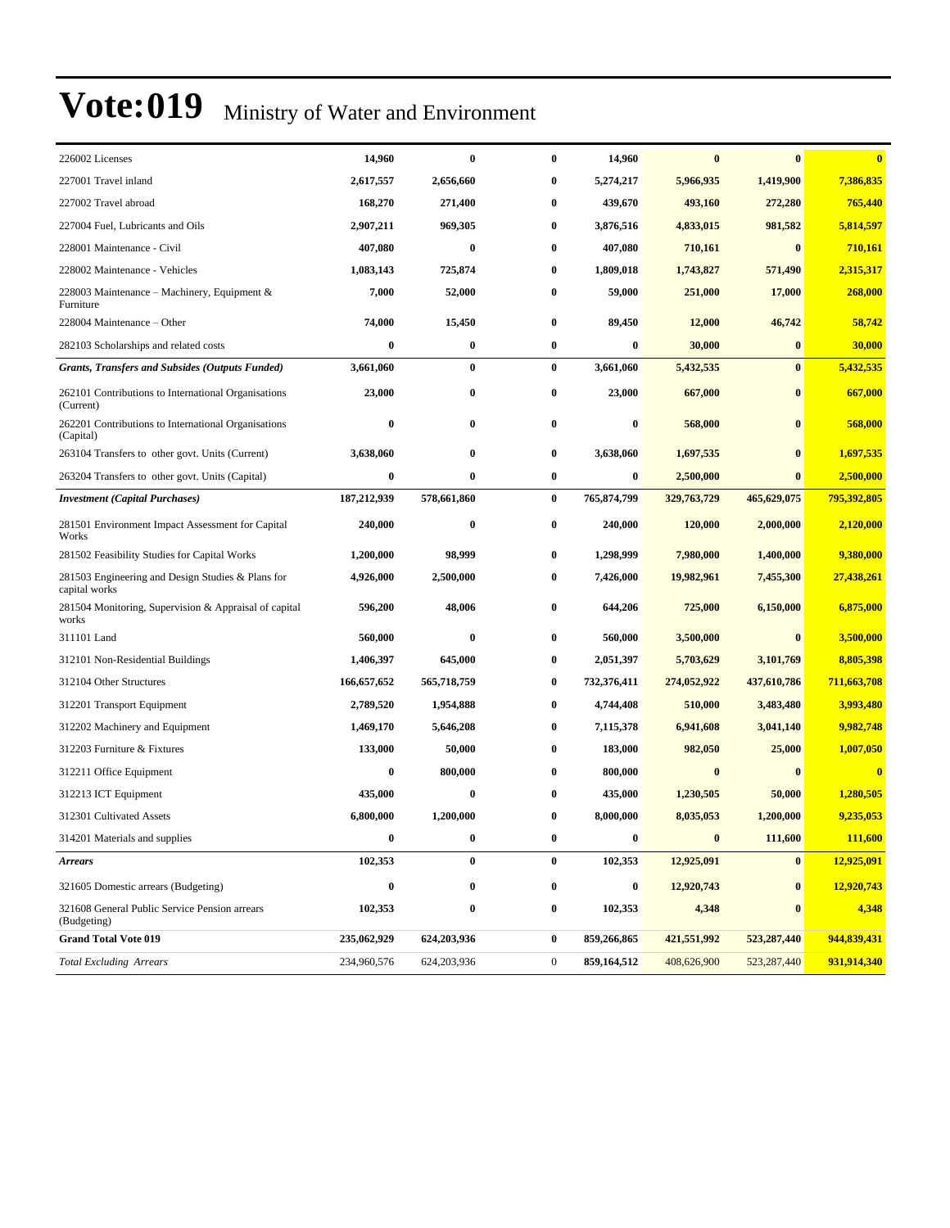| 226002 Licenses                                                    | 14,960           | $\bf{0}$    | $\bf{0}$         | 14,960           | $\bf{0}$    | $\mathbf{0}$  | $\bf{0}$    |
|--------------------------------------------------------------------|------------------|-------------|------------------|------------------|-------------|---------------|-------------|
| 227001 Travel inland                                               | 2,617,557        | 2,656,660   | 0                | 5,274,217        | 5,966,935   | 1,419,900     | 7,386,835   |
| 227002 Travel abroad                                               | 168,270          | 271,400     | $\bf{0}$         | 439,670          | 493,160     | 272,280       | 765,440     |
| 227004 Fuel, Lubricants and Oils                                   | 2,907,211        | 969,305     | $\bf{0}$         | 3,876,516        | 4,833,015   | 981,582       | 5,814,597   |
| 228001 Maintenance - Civil                                         | 407.080          | $\bf{0}$    | $\bf{0}$         | 407,080          | 710,161     | $\bf{0}$      | 710,161     |
| 228002 Maintenance - Vehicles                                      | 1,083,143        | 725,874     | $\bf{0}$         | 1,809,018        | 1,743,827   | 571,490       | 2,315,317   |
| 228003 Maintenance – Machinery, Equipment $\&$<br>Furniture        | 7,000            | 52,000      | 0                | 59,000           | 251,000     | 17,000        | 268,000     |
| 228004 Maintenance – Other                                         | 74,000           | 15,450      | $\bf{0}$         | 89,450           | 12,000      | 46,742        | 58,742      |
| 282103 Scholarships and related costs                              | $\bf{0}$         | $\bf{0}$    | $\bf{0}$         | 0                | 30,000      | $\bf{0}$      | 30,000      |
| <b>Grants, Transfers and Subsides (Outputs Funded)</b>             | 3,661,060        | $\bf{0}$    | $\bf{0}$         | 3,661,060        | 5,432,535   | $\bf{0}$      | 5,432,535   |
| 262101 Contributions to International Organisations<br>(Current)   | 23,000           | $\bf{0}$    | $\bf{0}$         | 23,000           | 667,000     | $\bf{0}$      | 667,000     |
| 262201 Contributions to International Organisations<br>(Capital)   | $\bf{0}$         | $\bf{0}$    | 0                | $\boldsymbol{0}$ | 568,000     | $\bf{0}$      | 568,000     |
| 263104 Transfers to other govt. Units (Current)                    | 3,638,060        | $\bf{0}$    | 0                | 3,638,060        | 1,697,535   | $\bf{0}$      | 1,697,535   |
| 263204 Transfers to other govt. Units (Capital)                    | $\bf{0}$         | $\bf{0}$    | $\bf{0}$         | 0                | 2,500,000   | $\bf{0}$      | 2,500,000   |
| <b>Investment</b> (Capital Purchases)                              | 187,212,939      | 578,661,860 | $\bf{0}$         | 765,874,799      | 329,763,729 | 465,629,075   | 795,392,805 |
| 281501 Environment Impact Assessment for Capital<br>Works          | 240,000          | $\bf{0}$    | $\bf{0}$         | 240,000          | 120,000     | 2,000,000     | 2,120,000   |
| 281502 Feasibility Studies for Capital Works                       | 1,200,000        | 98,999      | 0                | 1,298,999        | 7,980,000   | 1,400,000     | 9,380,000   |
| 281503 Engineering and Design Studies & Plans for<br>capital works | 4,926,000        | 2,500,000   | $\bf{0}$         | 7,426,000        | 19,982,961  | 7,455,300     | 27,438,261  |
| 281504 Monitoring, Supervision & Appraisal of capital<br>works     | 596,200          | 48,006      | 0                | 644,206          | 725,000     | 6,150,000     | 6,875,000   |
| 311101 Land                                                        | 560,000          | $\bf{0}$    | 0                | 560,000          | 3,500,000   | $\bf{0}$      | 3,500,000   |
| 312101 Non-Residential Buildings                                   | 1,406,397        | 645,000     | $\bf{0}$         | 2,051,397        | 5,703,629   | 3,101,769     | 8,805,398   |
| 312104 Other Structures                                            | 166,657,652      | 565,718,759 | 0                | 732,376,411      | 274,052,922 | 437,610,786   | 711,663,708 |
| 312201 Transport Equipment                                         | 2,789,520        | 1,954,888   | $\bf{0}$         | 4,744,408        | 510,000     | 3,483,480     | 3,993,480   |
| 312202 Machinery and Equipment                                     | 1,469,170        | 5,646,208   | $\bf{0}$         | 7,115,378        | 6,941,608   | 3,041,140     | 9,982,748   |
| 312203 Furniture & Fixtures                                        | 133,000          | 50,000      | 0                | 183,000          | 982,050     | 25,000        | 1,007,050   |
| 312211 Office Equipment                                            | $\bf{0}$         | 800,000     | $\bf{0}$         | 800,000          | $\bf{0}$    |               | $\bf{0}$    |
| 312213 ICT Equipment                                               | 435,000          | $\bf{0}$    | 0                | 435,000          | 1,230,505   | 50,000        | 1,280,505   |
| 312301 Cultivated Assets                                           | 6,800,000        | 1,200,000   | 0                | 8,000,000        | 8,035,053   | 1,200,000     | 9,235,053   |
| 314201 Materials and supplies                                      | $\bf{0}$         | $\bf{0}$    | $\bf{0}$         | $\bf{0}$         | $\bf{0}$    | 111,600       | 111,600     |
| <b>Arrears</b>                                                     | 102,353          | $\bf{0}$    | $\bf{0}$         | 102,353          | 12,925,091  | $\bf{0}$      | 12,925,091  |
| 321605 Domestic arrears (Budgeting)                                | $\boldsymbol{0}$ | $\bf{0}$    | $\bf{0}$         | 0                | 12,920,743  | $\bf{0}$      | 12,920,743  |
| 321608 General Public Service Pension arrears<br>(Budgeting)       | 102,353          | $\pmb{0}$   | $\bf{0}$         | 102,353          | 4,348       |               | 4,348       |
| <b>Grand Total Vote 019</b>                                        | 235,062,929      | 624,203,936 | $\bf{0}$         | 859,266,865      | 421,551,992 | 523, 287, 440 | 944,839,431 |
| <b>Total Excluding Arrears</b>                                     | 234,960,576      | 624,203,936 | $\boldsymbol{0}$ | 859,164,512      | 408,626,900 | 523, 287, 440 | 931,914,340 |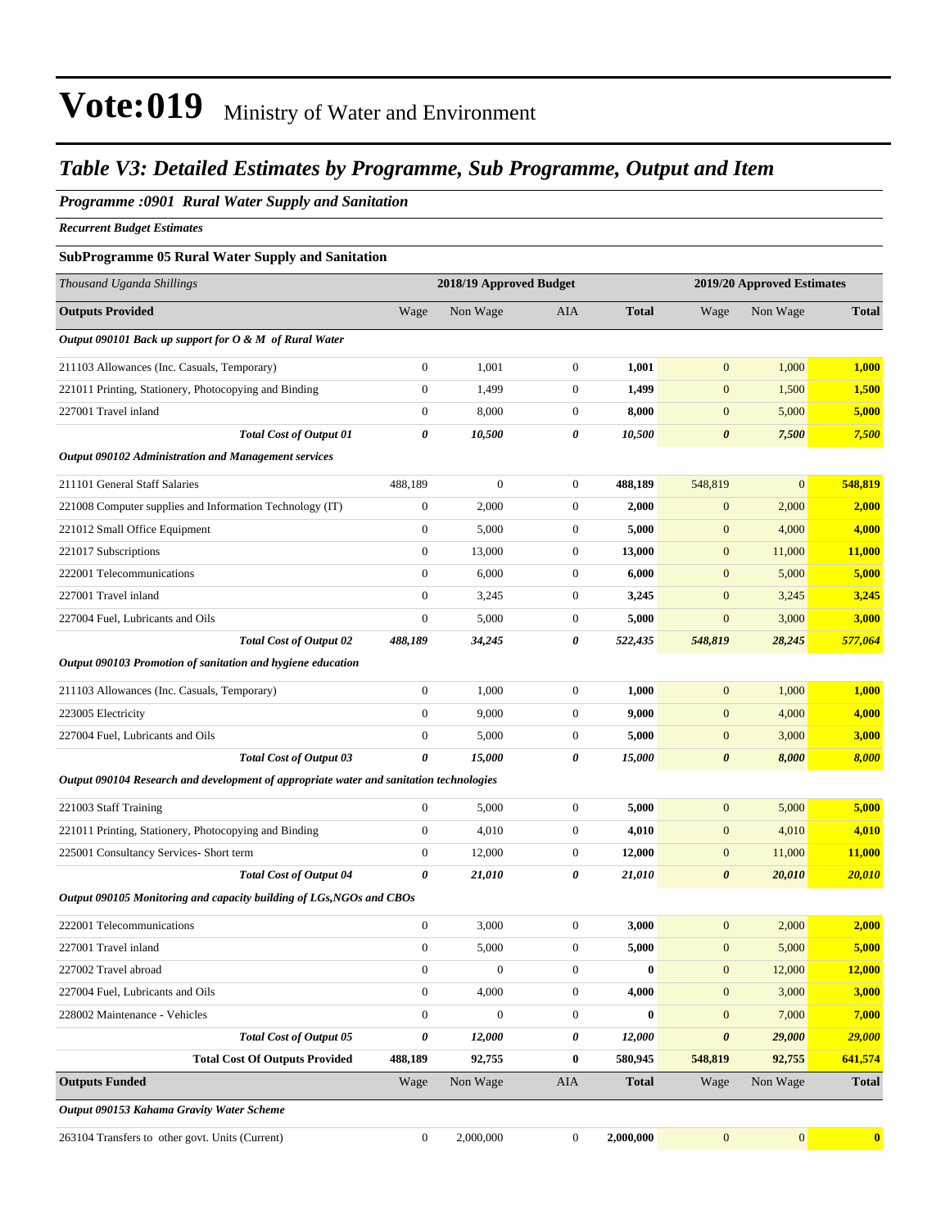### *Table V3: Detailed Estimates by Programme, Sub Programme, Output and Item*

#### *Programme :0901 Rural Water Supply and Sanitation*

*Recurrent Budget Estimates*

#### **SubProgramme 05 Rural Water Supply and Sanitation**

| Thousand Uganda Shillings                                                               |                       | 2018/19 Approved Budget |                  |              |                       | 2019/20 Approved Estimates |               |
|-----------------------------------------------------------------------------------------|-----------------------|-------------------------|------------------|--------------|-----------------------|----------------------------|---------------|
| <b>Outputs Provided</b>                                                                 | Wage                  | Non Wage                | AIA              | <b>Total</b> | Wage                  | Non Wage                   | <b>Total</b>  |
| Output 090101 Back up support for O & M of Rural Water                                  |                       |                         |                  |              |                       |                            |               |
| 211103 Allowances (Inc. Casuals, Temporary)                                             | $\boldsymbol{0}$      | 1,001                   | $\boldsymbol{0}$ | 1,001        | $\mathbf{0}$          | 1,000                      | 1,000         |
| 221011 Printing, Stationery, Photocopying and Binding                                   | $\mathbf{0}$          | 1,499                   | $\boldsymbol{0}$ | 1,499        | $\mathbf{0}$          | 1,500                      | 1,500         |
| 227001 Travel inland                                                                    | $\boldsymbol{0}$      | 8,000                   | $\boldsymbol{0}$ | 8,000        | $\mathbf{0}$          | 5,000                      | 5,000         |
| <b>Total Cost of Output 01</b>                                                          | $\boldsymbol{\theta}$ | 10,500                  | 0                | 10,500       | $\boldsymbol{\theta}$ | 7,500                      | 7,500         |
| Output 090102 Administration and Management services                                    |                       |                         |                  |              |                       |                            |               |
| 211101 General Staff Salaries                                                           | 488,189               | $\boldsymbol{0}$        | $\boldsymbol{0}$ | 488,189      | 548,819               | $\boldsymbol{0}$           | 548,819       |
| 221008 Computer supplies and Information Technology (IT)                                | $\boldsymbol{0}$      | 2,000                   | $\boldsymbol{0}$ | 2,000        | $\mathbf{0}$          | 2,000                      | 2,000         |
| 221012 Small Office Equipment                                                           | $\boldsymbol{0}$      | 5,000                   | $\boldsymbol{0}$ | 5,000        | $\mathbf{0}$          | 4,000                      | 4,000         |
| 221017 Subscriptions                                                                    | $\boldsymbol{0}$      | 13,000                  | $\boldsymbol{0}$ | 13,000       | $\mathbf{0}$          | 11,000                     | 11,000        |
| 222001 Telecommunications                                                               | $\mathbf{0}$          | 6,000                   | $\boldsymbol{0}$ | 6,000        | $\mathbf{0}$          | 5,000                      | 5,000         |
| 227001 Travel inland                                                                    | $\theta$              | 3,245                   | $\boldsymbol{0}$ | 3,245        | $\mathbf{0}$          | 3,245                      | 3,245         |
| 227004 Fuel, Lubricants and Oils                                                        | $\boldsymbol{0}$      | 5,000                   | $\boldsymbol{0}$ | 5,000        | $\mathbf{0}$          | 3,000                      | 3,000         |
| <b>Total Cost of Output 02</b>                                                          | 488,189               | 34,245                  | 0                | 522,435      | 548,819               | 28,245                     | 577,064       |
| Output 090103 Promotion of sanitation and hygiene education                             |                       |                         |                  |              |                       |                            |               |
| 211103 Allowances (Inc. Casuals, Temporary)                                             | $\boldsymbol{0}$      | 1,000                   | $\boldsymbol{0}$ | 1,000        | $\mathbf{0}$          | 1,000                      | 1,000         |
| 223005 Electricity                                                                      | $\boldsymbol{0}$      | 9,000                   | $\boldsymbol{0}$ | 9,000        | $\mathbf{0}$          | 4,000                      | 4,000         |
| 227004 Fuel, Lubricants and Oils                                                        | $\mathbf{0}$          | 5,000                   | $\boldsymbol{0}$ | 5,000        | $\mathbf{0}$          | 3,000                      | 3,000         |
| <b>Total Cost of Output 03</b>                                                          | 0                     | 15,000                  | 0                | 15,000       | $\boldsymbol{\theta}$ | 8,000                      | 8,000         |
| Output 090104 Research and development of appropriate water and sanitation technologies |                       |                         |                  |              |                       |                            |               |
| 221003 Staff Training                                                                   | $\boldsymbol{0}$      | 5,000                   | $\boldsymbol{0}$ | 5,000        | $\mathbf{0}$          | 5,000                      | 5,000         |
| 221011 Printing, Stationery, Photocopying and Binding                                   | $\boldsymbol{0}$      | 4,010                   | $\boldsymbol{0}$ | 4,010        | $\mathbf{0}$          | 4,010                      | 4,010         |
| 225001 Consultancy Services- Short term                                                 | $\boldsymbol{0}$      | 12,000                  | $\boldsymbol{0}$ | 12,000       | $\mathbf{0}$          | 11,000                     | <b>11,000</b> |
| <b>Total Cost of Output 04</b>                                                          | $\boldsymbol{\theta}$ | 21,010                  | 0                | 21,010       | $\boldsymbol{\theta}$ | 20,010                     | 20,010        |
| Output 090105 Monitoring and capacity building of LGs, NGOs and CBOs                    |                       |                         |                  |              |                       |                            |               |
| 222001 Telecommunications                                                               | $\boldsymbol{0}$      | 3,000                   | $\boldsymbol{0}$ | 3,000        | $\mathbf{0}$          | 2,000                      | 2,000         |
| 227001 Travel inland                                                                    | $\boldsymbol{0}$      | 5,000                   | $\boldsymbol{0}$ | 5,000        | $\mathbf{0}$          | 5,000                      | 5,000         |
| 227002 Travel abroad                                                                    | $\boldsymbol{0}$      | $\boldsymbol{0}$        | $\boldsymbol{0}$ | $\bf{0}$     | $\boldsymbol{0}$      | 12,000                     | 12,000        |
| 227004 Fuel, Lubricants and Oils                                                        | $\mathbf{0}$          | 4,000                   | $\boldsymbol{0}$ | 4,000        | $\boldsymbol{0}$      | 3,000                      | 3,000         |
| 228002 Maintenance - Vehicles                                                           | $\boldsymbol{0}$      | $\boldsymbol{0}$        | $\boldsymbol{0}$ | $\bf{0}$     | $\boldsymbol{0}$      | 7,000                      | 7,000         |
| <b>Total Cost of Output 05</b>                                                          | $\boldsymbol{\theta}$ | 12,000                  | 0                | 12,000       | $\boldsymbol{\theta}$ | 29,000                     | 29,000        |
| <b>Total Cost Of Outputs Provided</b>                                                   | 488,189               | 92,755                  | 0                | 580,945      | 548,819               | 92,755                     | 641,574       |
| <b>Outputs Funded</b>                                                                   | Wage                  | Non Wage                | AIA              | <b>Total</b> | Wage                  | Non Wage                   | <b>Total</b>  |
| Output 090153 Kahama Gravity Water Scheme                                               |                       |                         |                  |              |                       |                            |               |

263104 Transfers to other govt. Units (Current) 0 2,000,000 0 **2,000,000** 0 0 **0**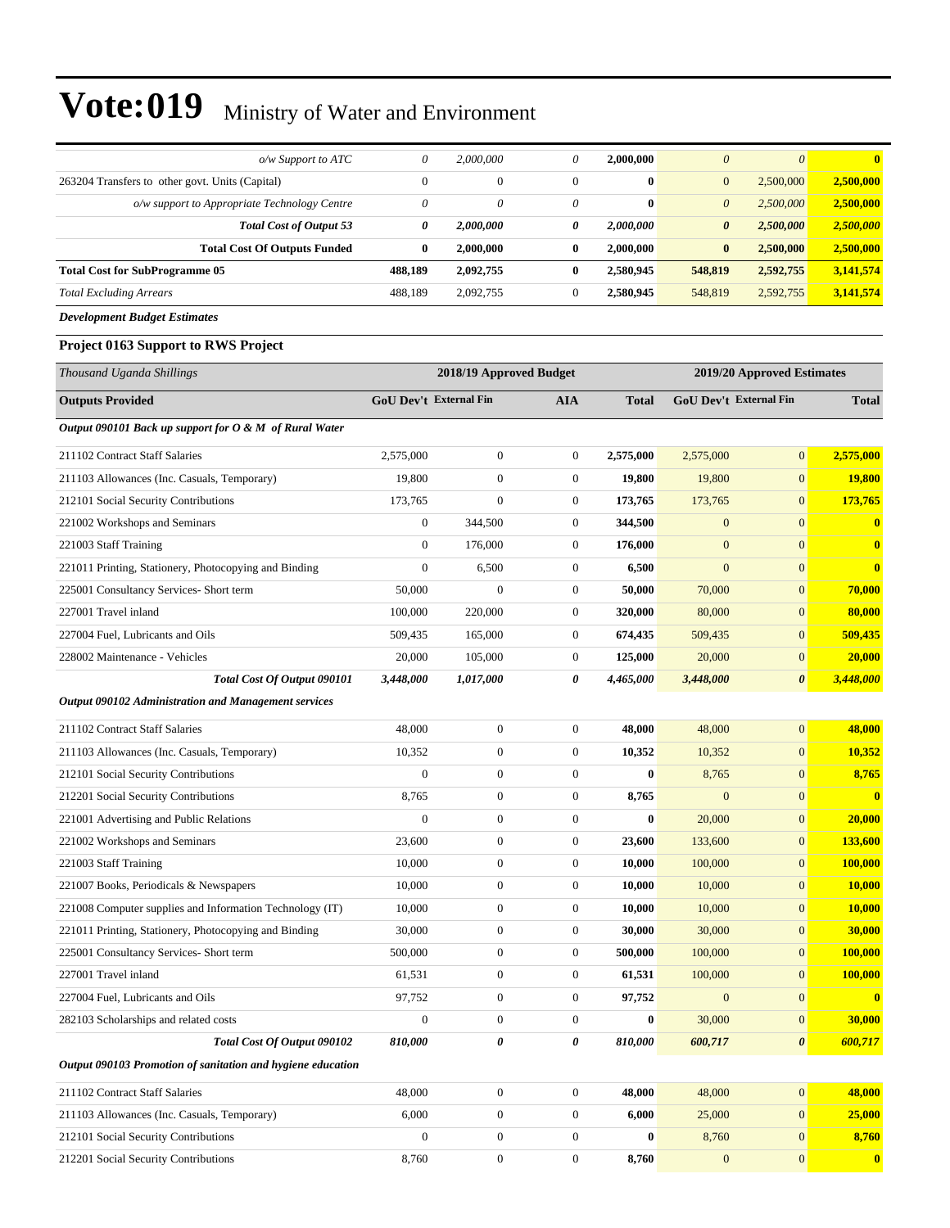| o/w Support to ATC                                          | $\theta$               | 2,000,000               | 0                | 2,000,000    | $\boldsymbol{0}$      | $\boldsymbol{\theta}$      | $\bf{0}$       |
|-------------------------------------------------------------|------------------------|-------------------------|------------------|--------------|-----------------------|----------------------------|----------------|
| 263204 Transfers to other govt. Units (Capital)             | $\mathbf{0}$           | $\boldsymbol{0}$        | $\boldsymbol{0}$ | $\bf{0}$     | $\mathbf{0}$          | 2,500,000                  | 2,500,000      |
| o/w support to Appropriate Technology Centre                | $\theta$               | 0                       | 0                | $\bf{0}$     | $\boldsymbol{\theta}$ | 2,500,000                  | 2,500,000      |
| <b>Total Cost of Output 53</b>                              | 0                      | 2,000,000               | 0                | 2,000,000    | $\boldsymbol{\theta}$ | 2,500,000                  | 2,500,000      |
| <b>Total Cost Of Outputs Funded</b>                         | $\bf{0}$               | 2,000,000               | $\bf{0}$         | 2,000,000    | $\bf{0}$              | 2,500,000                  | 2,500,000      |
| <b>Total Cost for SubProgramme 05</b>                       | 488,189                | 2,092,755               | $\bf{0}$         | 2,580,945    | 548,819               | 2,592,755                  | 3,141,574      |
| <b>Total Excluding Arrears</b>                              | 488,189                | 2,092,755               | $\boldsymbol{0}$ | 2,580,945    | 548,819               | 2,592,755                  | 3,141,574      |
| <b>Development Budget Estimates</b>                         |                        |                         |                  |              |                       |                            |                |
| Project 0163 Support to RWS Project                         |                        |                         |                  |              |                       |                            |                |
| Thousand Uganda Shillings                                   |                        | 2018/19 Approved Budget |                  |              |                       | 2019/20 Approved Estimates |                |
| <b>Outputs Provided</b>                                     | GoU Dev't External Fin |                         | <b>AIA</b>       | <b>Total</b> |                       | GoU Dev't External Fin     | <b>Total</b>   |
| Output 090101 Back up support for O & M of Rural Water      |                        |                         |                  |              |                       |                            |                |
| 211102 Contract Staff Salaries                              | 2,575,000              | $\boldsymbol{0}$        | $\boldsymbol{0}$ | 2,575,000    | 2,575,000             | $\boldsymbol{0}$           | 2,575,000      |
| 211103 Allowances (Inc. Casuals, Temporary)                 | 19,800                 | $\boldsymbol{0}$        | 0                | 19,800       | 19,800                | $\mathbf{0}$               | <b>19,800</b>  |
| 212101 Social Security Contributions                        | 173,765                | $\boldsymbol{0}$        | $\boldsymbol{0}$ | 173,765      | 173,765               | $\mathbf{0}$               | 173,765        |
| 221002 Workshops and Seminars                               | $\boldsymbol{0}$       | 344,500                 | $\boldsymbol{0}$ | 344,500      | $\mathbf{0}$          | $\overline{0}$             | $\bf{0}$       |
| 221003 Staff Training                                       | $\theta$               | 176,000                 | 0                | 176,000      | $\mathbf{0}$          | $\mathbf{0}$               | $\mathbf{0}$   |
| 221011 Printing, Stationery, Photocopying and Binding       | $\mathbf{0}$           | 6,500                   | $\boldsymbol{0}$ | 6,500        | $\mathbf{0}$          | $\overline{0}$             | $\mathbf{0}$   |
| 225001 Consultancy Services- Short term                     | 50,000                 | $\boldsymbol{0}$        | $\boldsymbol{0}$ | 50,000       | 70,000                | $\mathbf{0}$               | 70,000         |
| 227001 Travel inland                                        | 100,000                | 220,000                 | $\boldsymbol{0}$ | 320,000      | 80,000                | $\mathbf{0}$               | 80,000         |
| 227004 Fuel, Lubricants and Oils                            | 509,435                | 165,000                 | $\boldsymbol{0}$ | 674,435      | 509,435               | $\boldsymbol{0}$           | 509,435        |
| 228002 Maintenance - Vehicles                               | 20,000                 | 105,000                 | 0                | 125,000      | 20,000                | $\mathbf{0}$               | 20,000         |
| Total Cost Of Output 090101                                 | 3,448,000              | 1,017,000               | 0                | 4,465,000    | 3,448,000             | $\boldsymbol{\theta}$      | 3,448,000      |
| Output 090102 Administration and Management services        |                        |                         |                  |              |                       |                            |                |
| 211102 Contract Staff Salaries                              | 48,000                 | $\boldsymbol{0}$        | $\boldsymbol{0}$ | 48,000       | 48,000                | $\boldsymbol{0}$           | 48,000         |
| 211103 Allowances (Inc. Casuals, Temporary)                 | 10,352                 | $\boldsymbol{0}$        | $\boldsymbol{0}$ | 10,352       | 10,352                | $\mathbf{0}$               | 10,352         |
| 212101 Social Security Contributions                        | $\mathbf{0}$           | $\boldsymbol{0}$        | $\boldsymbol{0}$ | $\bf{0}$     | 8,765                 | $\overline{0}$             | 8,765          |
| 212201 Social Security Contributions                        | 8,765                  | $\boldsymbol{0}$        | $\boldsymbol{0}$ | 8,765        | $\mathbf{0}$          | $\mathbf{0}$               | $\mathbf{0}$   |
| 221001 Advertising and Public Relations                     | $\boldsymbol{0}$       | $\boldsymbol{0}$        | $\boldsymbol{0}$ | $\bf{0}$     | 20,000                | $\boldsymbol{0}$           | 20,000         |
| 221002 Workshops and Seminars                               | 23,600                 | $\boldsymbol{0}$        | $\boldsymbol{0}$ | 23,600       | 133,600               | $\boldsymbol{0}$           | <b>133,600</b> |
| 221003 Staff Training                                       | 10,000                 | $\boldsymbol{0}$        | $\boldsymbol{0}$ | 10,000       | 100,000               | $\mathbf{0}$               | 100,000        |
| 221007 Books, Periodicals & Newspapers                      | 10,000                 | $\boldsymbol{0}$        | $\boldsymbol{0}$ | 10,000       | 10,000                | $\mathbf{0}$               | <b>10,000</b>  |
| 221008 Computer supplies and Information Technology (IT)    | 10,000                 | $\boldsymbol{0}$        | $\boldsymbol{0}$ | 10,000       | 10,000                | $\mathbf{0}$               | <b>10,000</b>  |
| 221011 Printing, Stationery, Photocopying and Binding       | 30,000                 | $\boldsymbol{0}$        | $\boldsymbol{0}$ | 30,000       | 30,000                | $\mathbf{0}$               | 30,000         |
| 225001 Consultancy Services- Short term                     | 500,000                | $\boldsymbol{0}$        | $\boldsymbol{0}$ | 500,000      | 100,000               | $\mathbf{0}$               | <b>100,000</b> |
| 227001 Travel inland                                        | 61,531                 | $\boldsymbol{0}$        | 0                | 61,531       | 100,000               | $\mathbf{0}$               | 100,000        |
| 227004 Fuel, Lubricants and Oils                            | 97,752                 | $\boldsymbol{0}$        | $\boldsymbol{0}$ | 97,752       | $\mathbf{0}$          | $\mathbf{0}$               | $\bf{0}$       |
| 282103 Scholarships and related costs                       | $\boldsymbol{0}$       | $\boldsymbol{0}$        | $\boldsymbol{0}$ | $\bf{0}$     | 30,000                | $\mathbf{0}$               | 30,000         |
| Total Cost Of Output 090102                                 | 810,000                | 0                       | 0                | 810,000      | 600,717               | $\boldsymbol{\theta}$      | 600,717        |
| Output 090103 Promotion of sanitation and hygiene education |                        |                         |                  |              |                       |                            |                |
| 211102 Contract Staff Salaries                              | 48,000                 | $\boldsymbol{0}$        | $\boldsymbol{0}$ | 48,000       | 48,000                | $\mathbf{0}$               | 48,000         |
| 211103 Allowances (Inc. Casuals, Temporary)                 | 6,000                  | $\boldsymbol{0}$        | $\boldsymbol{0}$ | 6,000        | 25,000                | $\mathbf{0}$               | 25,000         |
| 212101 Social Security Contributions                        | $\boldsymbol{0}$       | $\boldsymbol{0}$        | $\boldsymbol{0}$ | $\bf{0}$     | 8,760                 | $\boldsymbol{0}$           | 8,760          |
| 212201 Social Security Contributions                        | 8,760                  | $\boldsymbol{0}$        | $\boldsymbol{0}$ | 8,760        | $\mathbf{0}$          | $\boldsymbol{0}$           | $\mathbf{0}$   |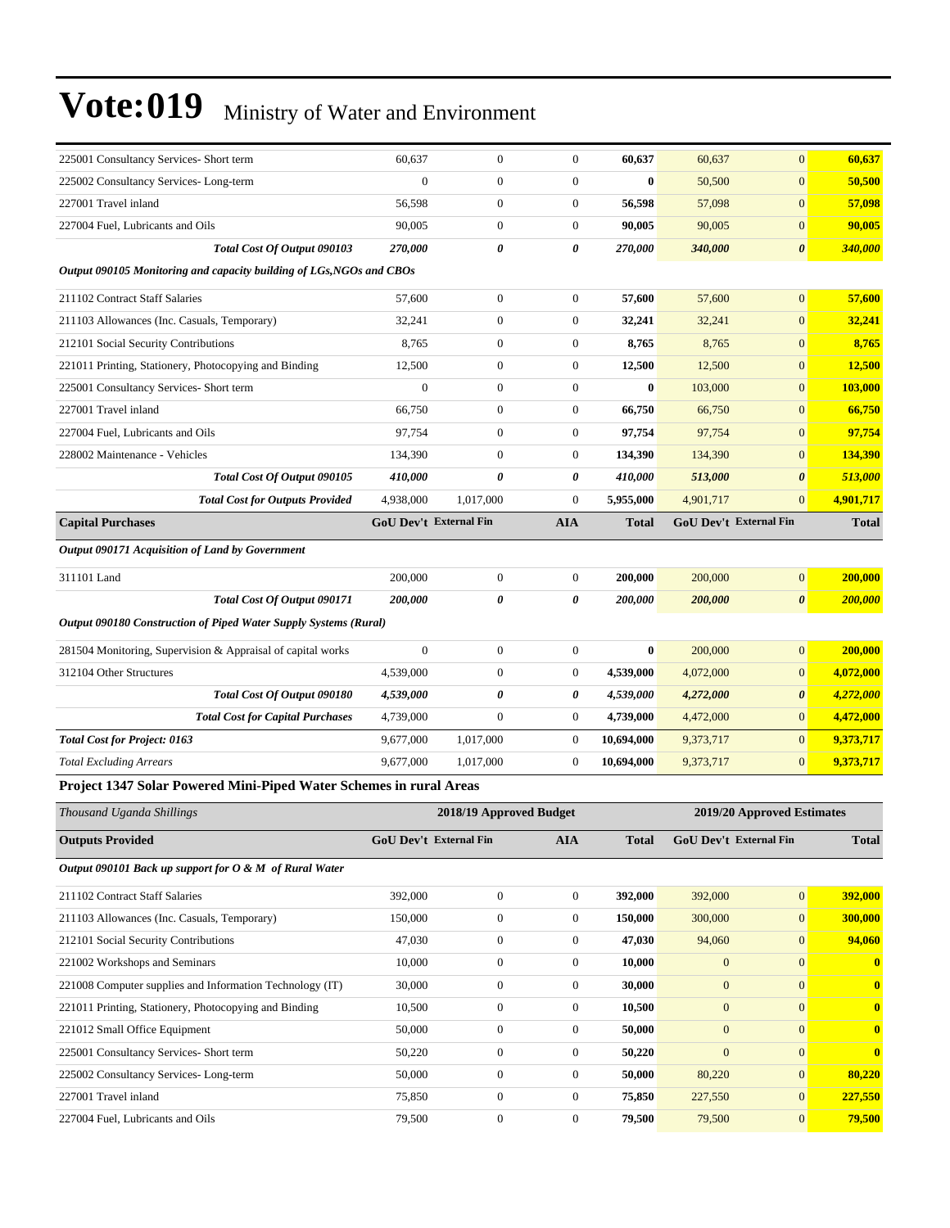| 225001 Consultancy Services- Short term                              | 60,637                        | $\boldsymbol{0}$        | 0                | 60,637       | 60,637       | $\overline{0}$                | 60,637         |
|----------------------------------------------------------------------|-------------------------------|-------------------------|------------------|--------------|--------------|-------------------------------|----------------|
| 225002 Consultancy Services-Long-term                                | $\overline{0}$                | $\boldsymbol{0}$        | $\boldsymbol{0}$ | $\bf{0}$     | 50,500       | $\overline{0}$                | 50,500         |
| 227001 Travel inland                                                 | 56,598                        | $\boldsymbol{0}$        | $\boldsymbol{0}$ | 56,598       | 57,098       | $\boldsymbol{0}$              | 57,098         |
| 227004 Fuel, Lubricants and Oils                                     | 90,005                        | $\boldsymbol{0}$        | $\boldsymbol{0}$ | 90,005       | 90,005       | $\overline{0}$                | 90,005         |
| Total Cost Of Output 090103                                          | 270,000                       | 0                       | 0                | 270,000      | 340,000      | $\boldsymbol{\theta}$         | 340,000        |
| Output 090105 Monitoring and capacity building of LGs, NGOs and CBOs |                               |                         |                  |              |              |                               |                |
| 211102 Contract Staff Salaries                                       | 57,600                        | $\boldsymbol{0}$        | 0                | 57,600       | 57,600       | $\boldsymbol{0}$              | 57,600         |
| 211103 Allowances (Inc. Casuals, Temporary)                          | 32,241                        | $\boldsymbol{0}$        | $\boldsymbol{0}$ | 32,241       | 32,241       | $\boldsymbol{0}$              | 32,241         |
| 212101 Social Security Contributions                                 | 8,765                         | $\boldsymbol{0}$        | $\boldsymbol{0}$ | 8,765        | 8,765        | $\mathbf{0}$                  | 8,765          |
| 221011 Printing, Stationery, Photocopying and Binding                | 12,500                        | $\boldsymbol{0}$        | 0                | 12,500       | 12,500       | $\overline{0}$                | 12,500         |
| 225001 Consultancy Services- Short term                              | $\theta$                      | $\boldsymbol{0}$        | $\boldsymbol{0}$ | $\bf{0}$     | 103,000      | $\boldsymbol{0}$              | 103,000        |
| 227001 Travel inland                                                 | 66,750                        | $\boldsymbol{0}$        | 0                | 66,750       | 66,750       | $\mathbf{0}$                  | 66,750         |
| 227004 Fuel, Lubricants and Oils                                     | 97,754                        | $\boldsymbol{0}$        | $\boldsymbol{0}$ | 97,754       | 97,754       | $\overline{0}$                | 97,754         |
| 228002 Maintenance - Vehicles                                        | 134,390                       | $\boldsymbol{0}$        | $\boldsymbol{0}$ | 134,390      | 134,390      | $\mathbf{0}$                  | 134,390        |
| Total Cost Of Output 090105                                          | <i><b>410,000</b></i>         | 0                       | 0                | 410,000      | 513,000      | $\boldsymbol{\theta}$         | 513,000        |
| <b>Total Cost for Outputs Provided</b>                               | 4,938,000                     | 1,017,000               | $\boldsymbol{0}$ | 5,955,000    | 4,901,717    | $\overline{0}$                | 4,901,717      |
| <b>Capital Purchases</b>                                             | GoU Dev't External Fin        |                         | <b>AIA</b>       | <b>Total</b> |              | <b>GoU Dev't External Fin</b> | <b>Total</b>   |
| Output 090171 Acquisition of Land by Government                      |                               |                         |                  |              |              |                               |                |
| 311101 Land                                                          | 200,000                       | $\boldsymbol{0}$        | $\boldsymbol{0}$ | 200,000      | 200,000      | $\mathbf{0}$                  | 200,000        |
| Total Cost Of Output 090171                                          | <i><b>200,000</b></i>         | 0                       | 0                | 200,000      | 200,000      | $\boldsymbol{\theta}$         | 200,000        |
| Output 090180 Construction of Piped Water Supply Systems (Rural)     |                               |                         |                  |              |              |                               |                |
| 281504 Monitoring, Supervision & Appraisal of capital works          | $\boldsymbol{0}$              | $\boldsymbol{0}$        | $\boldsymbol{0}$ | $\bf{0}$     | 200,000      | $\mathbf{0}$                  | 200,000        |
| 312104 Other Structures                                              | 4,539,000                     | $\boldsymbol{0}$        | 0                | 4,539,000    | 4,072,000    | $\overline{0}$                | 4,072,000      |
| Total Cost Of Output 090180                                          | 4,539,000                     | 0                       | 0                | 4,539,000    | 4,272,000    | 0                             | 4,272,000      |
| <b>Total Cost for Capital Purchases</b>                              | 4,739,000                     | $\boldsymbol{0}$        | 0                | 4,739,000    | 4,472,000    | $\overline{0}$                | 4,472,000      |
| <b>Total Cost for Project: 0163</b>                                  | 9,677,000                     | 1,017,000               | 0                | 10,694,000   | 9,373,717    | $\mathbf{0}$                  | 9,373,717      |
| <b>Total Excluding Arrears</b>                                       | 9,677,000                     | 1,017,000               | 0                | 10,694,000   | 9,373,717    | $\overline{0}$                | 9,373,717      |
| Project 1347 Solar Powered Mini-Piped Water Schemes in rural Areas   |                               |                         |                  |              |              |                               |                |
|                                                                      |                               |                         |                  |              |              |                               |                |
| Thousand Uganda Shillings                                            |                               | 2018/19 Approved Budget |                  |              |              | 2019/20 Approved Estimates    |                |
| <b>Outputs Provided</b>                                              | <b>GoU Dev't External Fin</b> |                         | AIA              | <b>Total</b> |              | GoU Dev't External Fin        | Total          |
| Output 090101 Back up support for $O \& M$ of Rural Water            |                               |                         |                  |              |              |                               |                |
| 211102 Contract Staff Salaries                                       | 392,000                       | $\boldsymbol{0}$        | $\boldsymbol{0}$ | 392,000      | 392,000      | $\overline{0}$                | 392,000        |
| 211103 Allowances (Inc. Casuals, Temporary)                          | 150,000                       | $\boldsymbol{0}$        | $\boldsymbol{0}$ | 150,000      | 300,000      | $\boldsymbol{0}$              | 300,000        |
| 212101 Social Security Contributions                                 | 47,030                        | $\boldsymbol{0}$        | 0                | 47,030       | 94,060       | $\mathbf{0}$                  | 94,060         |
| 221002 Workshops and Seminars                                        | 10,000                        | $\boldsymbol{0}$        | $\boldsymbol{0}$ | 10,000       | $\mathbf{0}$ | $\boldsymbol{0}$              | $\bf{0}$       |
| 221008 Computer supplies and Information Technology (IT)             | 30,000                        | $\boldsymbol{0}$        | $\boldsymbol{0}$ | 30,000       | $\mathbf{0}$ | $\mathbf{0}$                  | $\bf{0}$       |
| 221011 Printing, Stationery, Photocopying and Binding                | 10,500                        | $\boldsymbol{0}$        | 0                | 10,500       | $\mathbf{0}$ | $\overline{0}$                | $\bf{0}$       |
| 221012 Small Office Equipment                                        | 50,000                        | $\boldsymbol{0}$        | $\boldsymbol{0}$ | 50,000       | $\mathbf{0}$ | $\mathbf{0}$                  | $\bf{0}$       |
| 225001 Consultancy Services- Short term                              | 50,220                        | $\boldsymbol{0}$        | $\boldsymbol{0}$ | 50,220       | $\mathbf{0}$ | $\mathbf{0}$                  | $\bf{0}$       |
| 225002 Consultancy Services-Long-term                                | 50,000                        | $\boldsymbol{0}$        | $\boldsymbol{0}$ | 50,000       | 80,220       | $\mathbf{0}$                  | 80,220         |
| 227001 Travel inland                                                 | 75,850                        | $\boldsymbol{0}$        | $\boldsymbol{0}$ | 75,850       | 227,550      | $\boldsymbol{0}$              | <b>227,550</b> |
| 227004 Fuel, Lubricants and Oils                                     | 79,500                        | $\boldsymbol{0}$        | $\boldsymbol{0}$ | 79,500       | 79,500       | $\mathbf{0}$                  | 79,500         |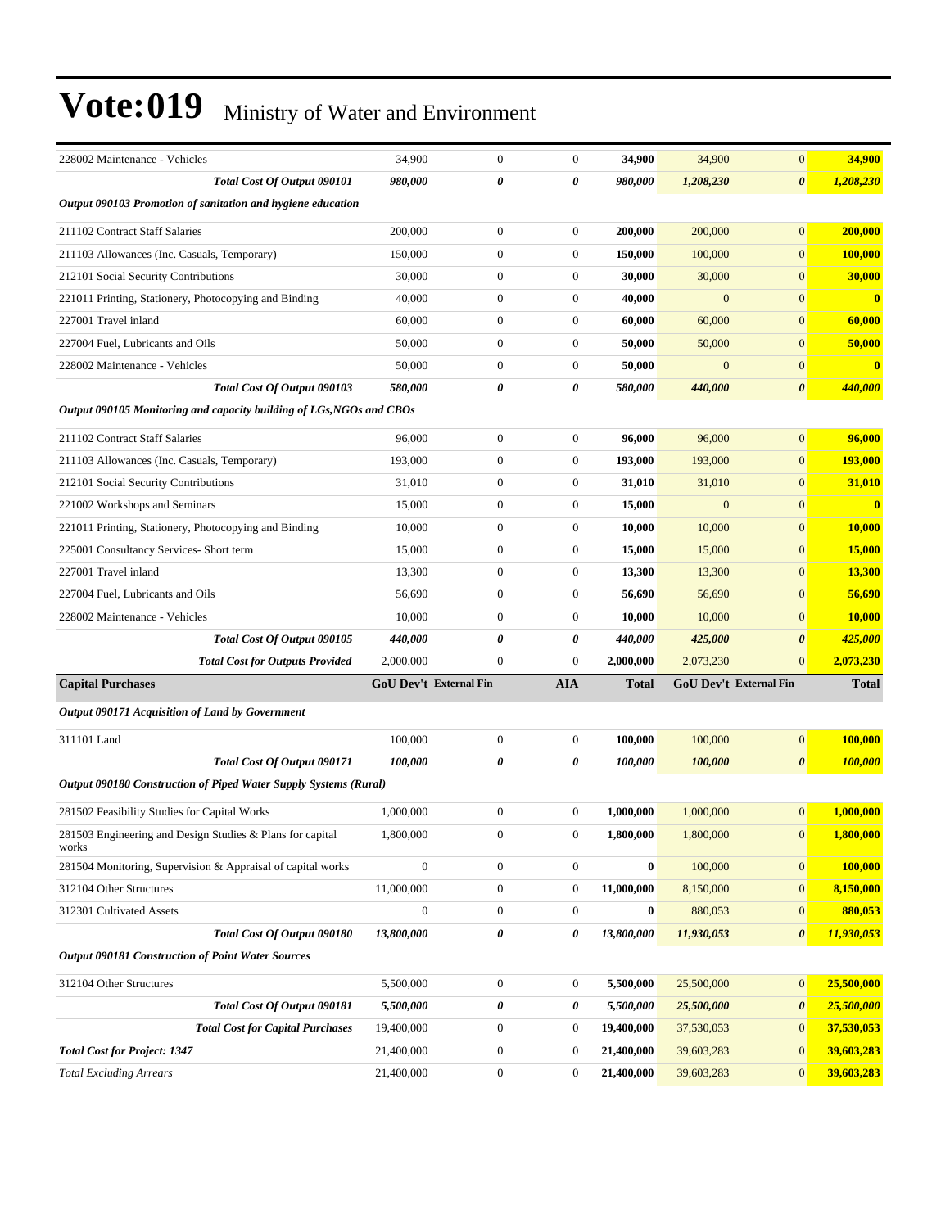| 228002 Maintenance - Vehicles                                        | 34,900           | $\boldsymbol{0}$       | $\boldsymbol{0}$ | 34,900       | 34,900       | $\overline{0}$         | 34,900         |
|----------------------------------------------------------------------|------------------|------------------------|------------------|--------------|--------------|------------------------|----------------|
| Total Cost Of Output 090101                                          | 980,000          | 0                      | 0                | 980,000      | 1,208,230    | 0                      | 1,208,230      |
| Output 090103 Promotion of sanitation and hygiene education          |                  |                        |                  |              |              |                        |                |
| 211102 Contract Staff Salaries                                       | 200,000          | $\boldsymbol{0}$       | $\boldsymbol{0}$ | 200,000      | 200,000      | $\boldsymbol{0}$       | 200,000        |
| 211103 Allowances (Inc. Casuals, Temporary)                          | 150,000          | $\boldsymbol{0}$       | $\boldsymbol{0}$ | 150,000      | 100,000      | $\boldsymbol{0}$       | 100,000        |
| 212101 Social Security Contributions                                 | 30,000           | $\boldsymbol{0}$       | $\boldsymbol{0}$ | 30,000       | 30,000       | $\boldsymbol{0}$       | 30,000         |
| 221011 Printing, Stationery, Photocopying and Binding                | 40,000           | $\boldsymbol{0}$       | $\boldsymbol{0}$ | 40,000       | $\mathbf{0}$ | $\boldsymbol{0}$       | $\bf{0}$       |
| 227001 Travel inland                                                 | 60,000           | $\boldsymbol{0}$       | $\boldsymbol{0}$ | 60,000       | 60,000       | $\boldsymbol{0}$       | 60,000         |
| 227004 Fuel, Lubricants and Oils                                     | 50,000           | $\boldsymbol{0}$       | $\boldsymbol{0}$ | 50,000       | 50,000       | $\mathbf{0}$           | 50,000         |
| 228002 Maintenance - Vehicles                                        | 50,000           | $\boldsymbol{0}$       | $\boldsymbol{0}$ | 50,000       | $\mathbf{0}$ | $\boldsymbol{0}$       | $\bf{0}$       |
| Total Cost Of Output 090103                                          | 580,000          | 0                      | 0                | 580,000      | 440,000      | $\pmb{\theta}$         | 440,000        |
| Output 090105 Monitoring and capacity building of LGs, NGOs and CBOs |                  |                        |                  |              |              |                        |                |
| 211102 Contract Staff Salaries                                       | 96,000           | $\boldsymbol{0}$       | $\boldsymbol{0}$ | 96,000       | 96,000       | $\boldsymbol{0}$       | 96,000         |
| 211103 Allowances (Inc. Casuals, Temporary)                          | 193,000          | $\boldsymbol{0}$       | $\boldsymbol{0}$ | 193,000      | 193,000      | $\boldsymbol{0}$       | 193,000        |
| 212101 Social Security Contributions                                 | 31,010           | $\boldsymbol{0}$       | $\boldsymbol{0}$ | 31,010       | 31,010       | $\mathbf{0}$           | 31,010         |
| 221002 Workshops and Seminars                                        | 15,000           | $\boldsymbol{0}$       | $\boldsymbol{0}$ | 15,000       | $\mathbf{0}$ | $\boldsymbol{0}$       | $\bf{0}$       |
| 221011 Printing, Stationery, Photocopying and Binding                | 10,000           | $\boldsymbol{0}$       | $\boldsymbol{0}$ | 10,000       | 10,000       | $\boldsymbol{0}$       | 10,000         |
| 225001 Consultancy Services- Short term                              | 15,000           | $\boldsymbol{0}$       | $\boldsymbol{0}$ | 15,000       | 15,000       | $\boldsymbol{0}$       | 15,000         |
| 227001 Travel inland                                                 | 13,300           | $\boldsymbol{0}$       | $\boldsymbol{0}$ | 13,300       | 13,300       | $\boldsymbol{0}$       | 13,300         |
| 227004 Fuel, Lubricants and Oils                                     | 56,690           | $\boldsymbol{0}$       | $\boldsymbol{0}$ | 56,690       | 56,690       | $\mathbf{0}$           | 56,690         |
| 228002 Maintenance - Vehicles                                        | 10,000           | $\boldsymbol{0}$       | $\boldsymbol{0}$ | 10,000       | 10,000       | $\mathbf{0}$           | <b>10,000</b>  |
| Total Cost Of Output 090105                                          | 440,000          | 0                      | 0                | 440,000      | 425,000      | $\boldsymbol{\theta}$  | 425,000        |
| <b>Total Cost for Outputs Provided</b>                               | 2,000,000        | $\boldsymbol{0}$       | $\theta$         | 2,000,000    | 2,073,230    | $\boldsymbol{0}$       | 2,073,230      |
| <b>Capital Purchases</b>                                             |                  | GoU Dev't External Fin | <b>AIA</b>       | <b>Total</b> |              | GoU Dev't External Fin | <b>Total</b>   |
| Output 090171 Acquisition of Land by Government                      |                  |                        |                  |              |              |                        |                |
| 311101 Land                                                          | 100,000          | $\boldsymbol{0}$       | $\boldsymbol{0}$ | 100,000      | 100,000      | $\mathbf{0}$           | 100,000        |
| Total Cost Of Output 090171                                          | 100,000          | 0                      | 0                | 100,000      | 100,000      | $\boldsymbol{\theta}$  | <b>100,000</b> |
| Output 090180 Construction of Piped Water Supply Systems (Rural)     |                  |                        |                  |              |              |                        |                |
| 281502 Feasibility Studies for Capital Works                         | 1,000,000        | $\boldsymbol{0}$       | $\boldsymbol{0}$ | 1,000,000    | 1,000,000    | $\boldsymbol{0}$       | 1,000,000      |
| 281503 Engineering and Design Studies & Plans for capital            | 1,800,000        | $\overline{0}$         | $\mathbf{0}$     | 1,800,000    | 1,800,000    | $\overline{0}$         | 1,800,000      |
| works                                                                |                  |                        |                  |              |              |                        |                |
| 281504 Monitoring, Supervision & Appraisal of capital works          | $\boldsymbol{0}$ | $\boldsymbol{0}$       | $\boldsymbol{0}$ | $\bf{0}$     | 100,000      | $\boldsymbol{0}$       | 100,000        |
| 312104 Other Structures                                              | 11,000,000       | $\boldsymbol{0}$       | $\boldsymbol{0}$ | 11,000,000   | 8,150,000    | $\boldsymbol{0}$       | 8,150,000      |
| 312301 Cultivated Assets                                             | $\boldsymbol{0}$ | $\boldsymbol{0}$       | $\boldsymbol{0}$ | $\bf{0}$     | 880,053      | $\boldsymbol{0}$       | 880,053        |
| Total Cost Of Output 090180                                          | 13,800,000       | 0                      | 0                | 13,800,000   | 11,930,053   | 0                      | 11,930,053     |
| <b>Output 090181 Construction of Point Water Sources</b>             |                  |                        |                  |              |              |                        |                |
| 312104 Other Structures                                              | 5,500,000        | $\boldsymbol{0}$       | $\boldsymbol{0}$ | 5,500,000    | 25,500,000   | $\boldsymbol{0}$       | 25,500,000     |
| Total Cost Of Output 090181                                          | 5,500,000        | 0                      | 0                | 5,500,000    | 25,500,000   | 0                      | 25,500,000     |
| <b>Total Cost for Capital Purchases</b>                              | 19,400,000       | $\boldsymbol{0}$       | $\boldsymbol{0}$ | 19,400,000   | 37,530,053   | $\boldsymbol{0}$       | 37,530,053     |
| <b>Total Cost for Project: 1347</b>                                  | 21,400,000       | $\boldsymbol{0}$       | $\boldsymbol{0}$ | 21,400,000   | 39,603,283   | $\boldsymbol{0}$       | 39,603,283     |
| <b>Total Excluding Arrears</b>                                       | 21,400,000       | $\boldsymbol{0}$       | $\boldsymbol{0}$ | 21,400,000   | 39,603,283   | $\mathbf{0}$           | 39,603,283     |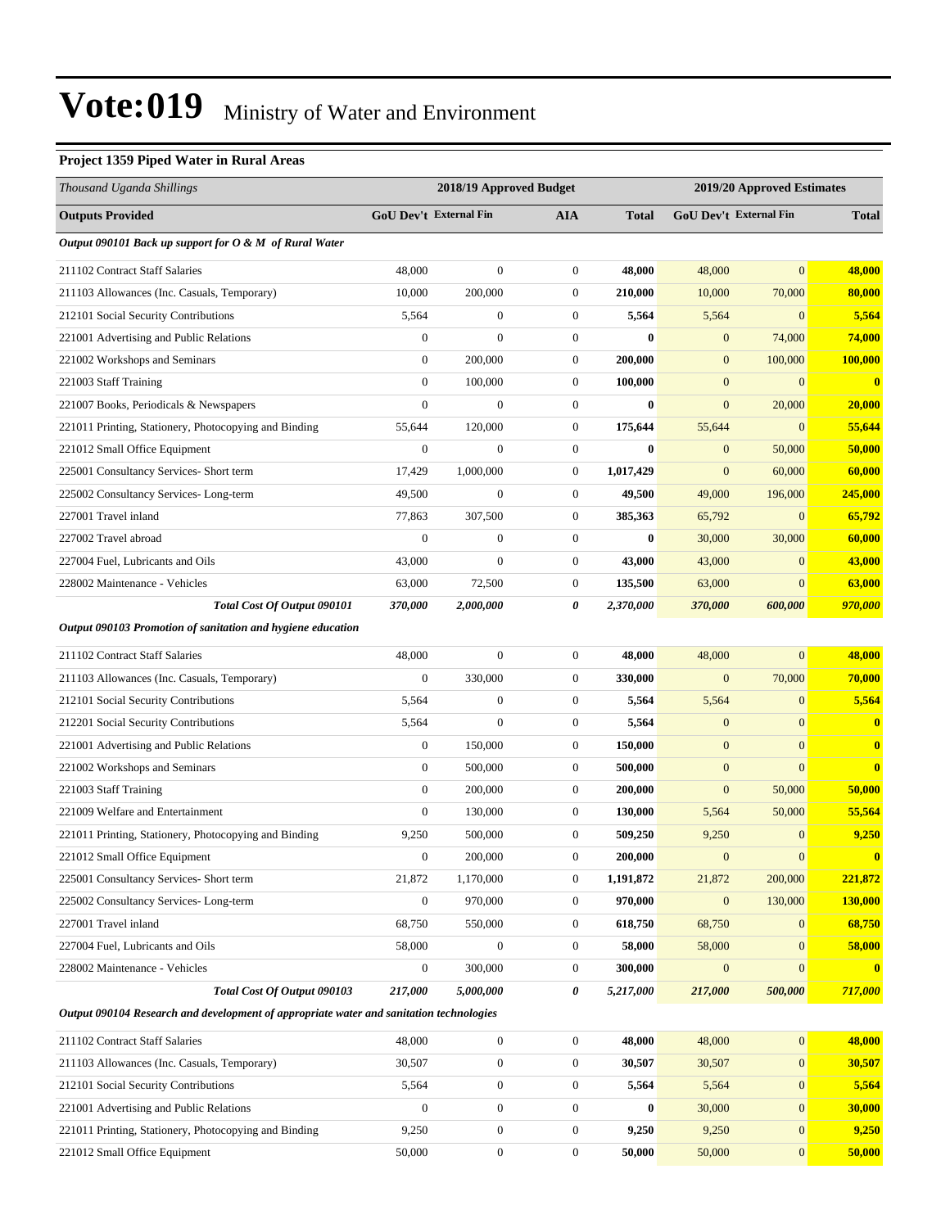#### **Project 1359 Piped Water in Rural Areas**

| Thousand Uganda Shillings                                                               |                  | 2018/19 Approved Budget |                  |              |                  | 2019/20 Approved Estimates    |                |
|-----------------------------------------------------------------------------------------|------------------|-------------------------|------------------|--------------|------------------|-------------------------------|----------------|
| <b>Outputs Provided</b>                                                                 |                  | GoU Dev't External Fin  | <b>AIA</b>       | <b>Total</b> |                  | <b>GoU Dev't External Fin</b> | <b>Total</b>   |
| Output 090101 Back up support for O & M of Rural Water                                  |                  |                         |                  |              |                  |                               |                |
| 211102 Contract Staff Salaries                                                          | 48,000           | $\boldsymbol{0}$        | $\boldsymbol{0}$ | 48,000       | 48,000           | $\overline{0}$                | 48,000         |
| 211103 Allowances (Inc. Casuals, Temporary)                                             | 10,000           | 200,000                 | $\boldsymbol{0}$ | 210,000      | 10,000           | 70,000                        | 80,000         |
| 212101 Social Security Contributions                                                    | 5,564            | $\boldsymbol{0}$        | $\boldsymbol{0}$ | 5,564        | 5,564            | $\mathbf{0}$                  | 5,564          |
| 221001 Advertising and Public Relations                                                 | $\mathbf{0}$     | $\boldsymbol{0}$        | $\boldsymbol{0}$ | $\bf{0}$     | $\boldsymbol{0}$ | 74,000                        | 74,000         |
| 221002 Workshops and Seminars                                                           | $\boldsymbol{0}$ | 200,000                 | $\boldsymbol{0}$ | 200,000      | $\mathbf{0}$     | 100,000                       | 100,000        |
| 221003 Staff Training                                                                   | $\theta$         | 100,000                 | $\boldsymbol{0}$ | 100,000      | $\mathbf{0}$     | $\mathbf{0}$                  | $\mathbf{0}$   |
| 221007 Books, Periodicals & Newspapers                                                  | $\mathbf{0}$     | $\mathbf{0}$            | $\boldsymbol{0}$ | $\bf{0}$     | $\mathbf{0}$     | 20,000                        | 20,000         |
| 221011 Printing, Stationery, Photocopying and Binding                                   | 55,644           | 120,000                 | $\boldsymbol{0}$ | 175,644      | 55,644           | $\mathbf{0}$                  | 55,644         |
| 221012 Small Office Equipment                                                           | $\boldsymbol{0}$ | $\boldsymbol{0}$        | $\boldsymbol{0}$ | $\bf{0}$     | $\boldsymbol{0}$ | 50,000                        | 50,000         |
| 225001 Consultancy Services- Short term                                                 | 17,429           | 1,000,000               | $\boldsymbol{0}$ | 1,017,429    | $\mathbf{0}$     | 60,000                        | 60,000         |
| 225002 Consultancy Services-Long-term                                                   | 49,500           | $\boldsymbol{0}$        | $\boldsymbol{0}$ | 49,500       | 49,000           | 196,000                       | 245,000        |
| 227001 Travel inland                                                                    | 77,863           | 307,500                 | $\boldsymbol{0}$ | 385,363      | 65,792           | $\mathbf{0}$                  | 65,792         |
| 227002 Travel abroad                                                                    | $\mathbf{0}$     | $\boldsymbol{0}$        | $\boldsymbol{0}$ | $\bf{0}$     | 30,000           | 30,000                        | 60,000         |
| 227004 Fuel, Lubricants and Oils                                                        | 43,000           | $\boldsymbol{0}$        | $\boldsymbol{0}$ | 43,000       | 43,000           | $\mathbf{0}$                  | 43,000         |
| 228002 Maintenance - Vehicles                                                           | 63,000           | 72,500                  | $\boldsymbol{0}$ | 135,500      | 63,000           | $\overline{0}$                | 63,000         |
| Total Cost Of Output 090101                                                             | 370,000          | 2,000,000               | 0                | 2,370,000    | 370,000          | 600,000                       | 970,000        |
| Output 090103 Promotion of sanitation and hygiene education                             |                  |                         |                  |              |                  |                               |                |
| 211102 Contract Staff Salaries                                                          | 48,000           | $\boldsymbol{0}$        | $\boldsymbol{0}$ | 48,000       | 48,000           | $\overline{0}$                | 48,000         |
| 211103 Allowances (Inc. Casuals, Temporary)                                             | $\theta$         | 330,000                 | $\boldsymbol{0}$ | 330,000      | $\mathbf{0}$     | 70,000                        | 70,000         |
| 212101 Social Security Contributions                                                    | 5,564            | $\mathbf{0}$            | $\boldsymbol{0}$ | 5,564        | 5,564            | $\mathbf{0}$                  | 5,564          |
| 212201 Social Security Contributions                                                    | 5,564            | $\boldsymbol{0}$        | $\boldsymbol{0}$ | 5,564        | $\mathbf{0}$     | $\boldsymbol{0}$              | $\mathbf{0}$   |
| 221001 Advertising and Public Relations                                                 | $\mathbf{0}$     | 150,000                 | $\boldsymbol{0}$ | 150,000      | $\boldsymbol{0}$ | $\mathbf{0}$                  | $\mathbf{0}$   |
| 221002 Workshops and Seminars                                                           | $\boldsymbol{0}$ | 500,000                 | $\boldsymbol{0}$ | 500,000      | $\boldsymbol{0}$ | $\overline{0}$                | $\bf{0}$       |
| 221003 Staff Training                                                                   | $\mathbf{0}$     | 200,000                 | $\boldsymbol{0}$ | 200,000      | $\mathbf{0}$     | 50,000                        | 50,000         |
| 221009 Welfare and Entertainment                                                        | $\mathbf{0}$     | 130,000                 | $\boldsymbol{0}$ | 130,000      | 5,564            | 50,000                        | 55,564         |
| 221011 Printing, Stationery, Photocopying and Binding                                   | 9,250            | 500,000                 | $\boldsymbol{0}$ | 509,250      | 9,250            | $\mathbf{0}$                  | 9,250          |
| 221012 Small Office Equipment                                                           | $\theta$         | 200,000                 | $\overline{0}$   | 200,000      | $\mathbf{0}$     | $\mathbf{0}$                  | $\mathbf{0}$   |
| 225001 Consultancy Services- Short term                                                 | 21,872           | 1,170,000               | $\boldsymbol{0}$ | 1,191,872    | 21,872           | 200,000                       | 221,872        |
| 225002 Consultancy Services-Long-term                                                   | $\boldsymbol{0}$ | 970,000                 | $\boldsymbol{0}$ | 970,000      | $\boldsymbol{0}$ | 130,000                       | <b>130,000</b> |
| 227001 Travel inland                                                                    | 68,750           | 550,000                 | $\boldsymbol{0}$ | 618,750      | 68,750           | $\mathbf{0}$                  | 68,750         |
| 227004 Fuel, Lubricants and Oils                                                        | 58,000           | $\boldsymbol{0}$        | $\boldsymbol{0}$ | 58,000       | 58,000           | $\mathbf{0}$                  | 58,000         |
| 228002 Maintenance - Vehicles                                                           | $\boldsymbol{0}$ | 300,000                 | 0                | 300,000      | $\mathbf{0}$     | $\mathbf{0}$                  | $\mathbf{0}$   |
| Total Cost Of Output 090103                                                             | 217,000          | 5,000,000               | 0                | 5,217,000    | 217,000          | 500,000                       | 717,000        |
| Output 090104 Research and development of appropriate water and sanitation technologies |                  |                         |                  |              |                  |                               |                |
| 211102 Contract Staff Salaries                                                          | 48,000           | $\boldsymbol{0}$        | $\boldsymbol{0}$ | 48,000       | 48,000           | $\boldsymbol{0}$              | 48,000         |
| 211103 Allowances (Inc. Casuals, Temporary)                                             | 30.507           | $\Omega$                | $\Omega$         | 30.507       | 30.507           | $\Omega$                      | 30.507         |

| 211103 Allowances (Inc. Casuals, Temporary)           | 30,507 |  | 30.507       | 30,507 |          | 30.507 |
|-------------------------------------------------------|--------|--|--------------|--------|----------|--------|
| 212101 Social Security Contributions                  | 5.564  |  | 5.564        | 5,564  | 0        | 5.564  |
| 221001 Advertising and Public Relations               |        |  | $\mathbf{0}$ | 30,000 | $\Omega$ | 30,000 |
| 221011 Printing, Stationery, Photocopying and Binding | 9.250  |  | 9.250        | 9.250  | $\Omega$ | 9.250  |
| 221012 Small Office Equipment                         | 50,000 |  | 50,000       | 50,000 | 0        | 50,000 |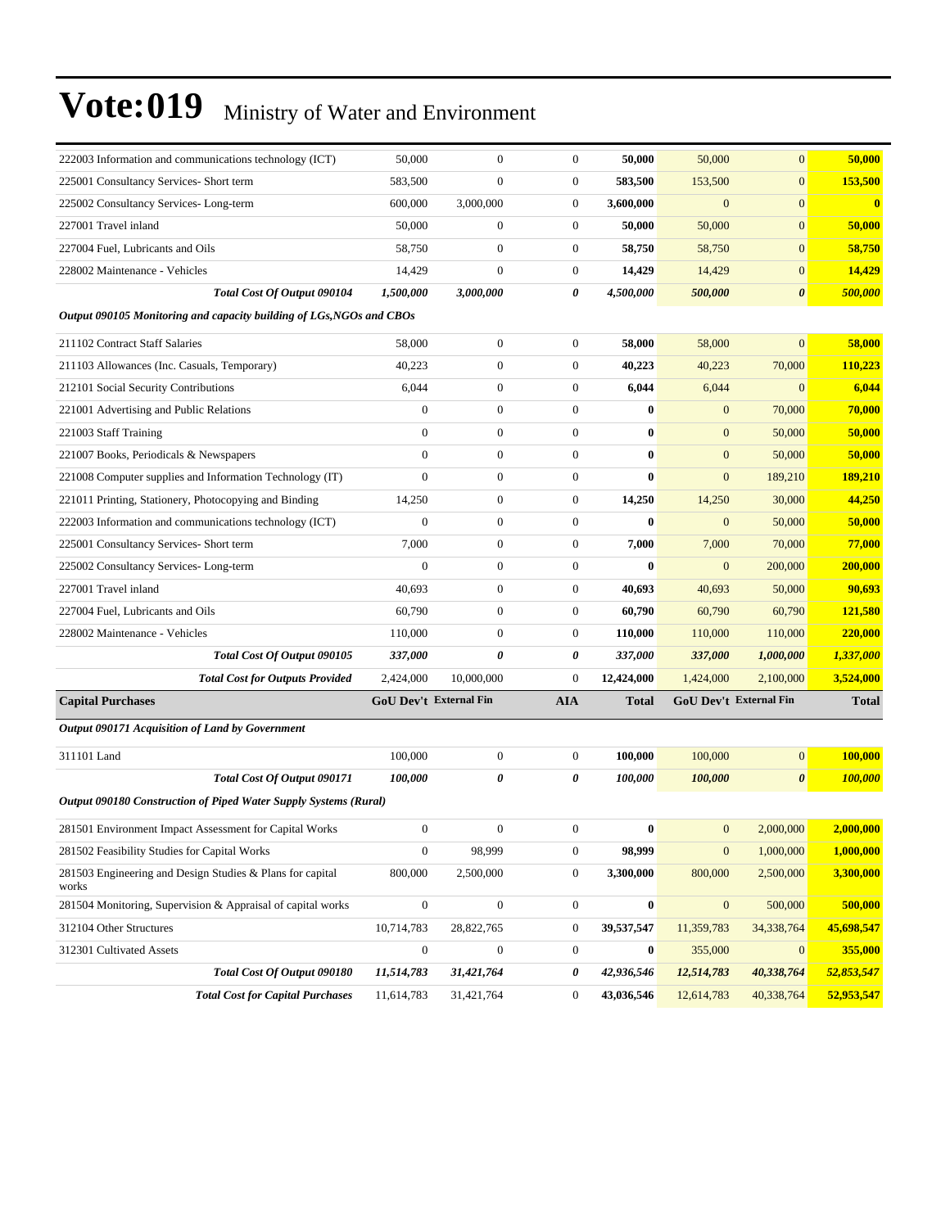| 222003 Information and communications technology (ICT)               | 50,000                        | $\mathbf{0}$     | $\mathbf{0}$     | 50,000           | 50,000           | $\overline{0}$                | 50,000         |
|----------------------------------------------------------------------|-------------------------------|------------------|------------------|------------------|------------------|-------------------------------|----------------|
| 225001 Consultancy Services- Short term                              | 583,500                       | $\overline{0}$   | $\boldsymbol{0}$ | 583,500          | 153,500          | $\mathbf{0}$                  | 153,500        |
| 225002 Consultancy Services-Long-term                                | 600,000                       | 3,000,000        | $\boldsymbol{0}$ | 3,600,000        | $\boldsymbol{0}$ | $\mathbf{0}$                  | $\bf{0}$       |
| 227001 Travel inland                                                 | 50,000                        | $\boldsymbol{0}$ | $\boldsymbol{0}$ | 50,000           | 50,000           | $\mathbf{0}$                  | 50,000         |
| 227004 Fuel, Lubricants and Oils                                     | 58,750                        | $\boldsymbol{0}$ | $\boldsymbol{0}$ | 58,750           | 58,750           | $\mathbf{0}$                  | 58,750         |
| 228002 Maintenance - Vehicles                                        | 14,429                        | $\boldsymbol{0}$ | 0                | 14,429           | 14,429           | $\mathbf{0}$                  | 14,429         |
| Total Cost Of Output 090104                                          | 1,500,000                     | 3,000,000        | 0                | 4,500,000        | 500,000          | $\boldsymbol{\theta}$         | 500,000        |
| Output 090105 Monitoring and capacity building of LGs, NGOs and CBOs |                               |                  |                  |                  |                  |                               |                |
| 211102 Contract Staff Salaries                                       | 58,000                        | $\boldsymbol{0}$ | $\mathbf{0}$     | 58,000           | 58,000           | $\mathbf{0}$                  | 58,000         |
| 211103 Allowances (Inc. Casuals, Temporary)                          | 40,223                        | $\boldsymbol{0}$ | $\boldsymbol{0}$ | 40,223           | 40,223           | 70,000                        | 110,223        |
| 212101 Social Security Contributions                                 | 6,044                         | $\boldsymbol{0}$ | $\boldsymbol{0}$ | 6,044            | 6,044            | $\mathbf{0}$                  | 6,044          |
| 221001 Advertising and Public Relations                              | $\mathbf{0}$                  | $\boldsymbol{0}$ | $\boldsymbol{0}$ | $\bf{0}$         | $\boldsymbol{0}$ | 70,000                        | 70,000         |
| 221003 Staff Training                                                | $\mathbf{0}$                  | $\boldsymbol{0}$ | $\boldsymbol{0}$ | $\bf{0}$         | $\mathbf{0}$     | 50,000                        | 50,000         |
| 221007 Books, Periodicals & Newspapers                               | $\mathbf{0}$                  | $\boldsymbol{0}$ | $\boldsymbol{0}$ | $\bf{0}$         | $\mathbf{0}$     | 50,000                        | 50,000         |
| 221008 Computer supplies and Information Technology (IT)             | $\mathbf{0}$                  | $\boldsymbol{0}$ | $\boldsymbol{0}$ | $\bf{0}$         | $\mathbf{0}$     | 189,210                       | 189,210        |
| 221011 Printing, Stationery, Photocopying and Binding                | 14,250                        | $\boldsymbol{0}$ | $\boldsymbol{0}$ | 14,250           | 14,250           | 30,000                        | 44,250         |
| 222003 Information and communications technology (ICT)               | $\boldsymbol{0}$              | $\boldsymbol{0}$ | $\mathbf{0}$     | $\bf{0}$         | $\boldsymbol{0}$ | 50,000                        | 50,000         |
| 225001 Consultancy Services- Short term                              | 7,000                         | $\boldsymbol{0}$ | $\boldsymbol{0}$ | 7,000            | 7,000            | 70,000                        | 77,000         |
| 225002 Consultancy Services-Long-term                                | $\mathbf{0}$                  | $\boldsymbol{0}$ | $\boldsymbol{0}$ | $\bf{0}$         | $\mathbf{0}$     | 200,000                       | 200,000        |
| 227001 Travel inland                                                 | 40,693                        | $\boldsymbol{0}$ | $\boldsymbol{0}$ | 40,693           | 40,693           | 50,000                        | 90,693         |
| 227004 Fuel, Lubricants and Oils                                     | 60,790                        | $\boldsymbol{0}$ | $\boldsymbol{0}$ | 60,790           | 60,790           | 60,790                        | <b>121,580</b> |
| 228002 Maintenance - Vehicles                                        | 110,000                       | $\boldsymbol{0}$ | $\mathbf{0}$     | 110,000          | 110,000          | 110,000                       | 220,000        |
| Total Cost Of Output 090105                                          | 337,000                       | 0                | 0                | 337,000          | 337,000          | 1,000,000                     | 1,337,000      |
| <b>Total Cost for Outputs Provided</b>                               | 2,424,000                     | 10,000,000       | $\boldsymbol{0}$ | 12,424,000       | 1,424,000        | 2,100,000                     | 3,524,000      |
| <b>Capital Purchases</b>                                             | <b>GoU Dev't External Fin</b> |                  | <b>AIA</b>       | <b>Total</b>     |                  | <b>GoU Dev't External Fin</b> | <b>Total</b>   |
| Output 090171 Acquisition of Land by Government                      |                               |                  |                  |                  |                  |                               |                |
| 311101 Land                                                          | 100,000                       | 0                | $\boldsymbol{0}$ | 100,000          | 100,000          | $\mathbf{0}$                  | 100,000        |
| Total Cost Of Output 090171                                          | 100,000                       | 0                | 0                | 100,000          | 100,000          | $\boldsymbol{\theta}$         | <b>100,000</b> |
| Output 090180 Construction of Piped Water Supply Systems (Rural)     |                               |                  |                  |                  |                  |                               |                |
| 281501 Environment Impact Assessment for Capital Works               | $\mathbf{0}$                  | $\boldsymbol{0}$ | $\mathbf{0}$     | $\bf{0}$         | $\mathbf{0}$     | 2,000,000                     | 2,000,000      |
| 281502 Feasibility Studies for Capital Works                         | $\boldsymbol{0}$              | 98,999           | $\boldsymbol{0}$ | 98,999           | $\mathbf{0}$     | 1,000,000                     | 1,000,000      |
| 281503 Engineering and Design Studies & Plans for capital<br>works   | 800,000                       | 2,500,000        | $\boldsymbol{0}$ | 3,300,000        | 800,000          | 2,500,000                     | 3,300,000      |
| 281504 Monitoring, Supervision & Appraisal of capital works          | $\boldsymbol{0}$              | $\boldsymbol{0}$ | $\boldsymbol{0}$ | $\boldsymbol{0}$ | $\boldsymbol{0}$ | 500,000                       | 500,000        |
| 312104 Other Structures                                              | 10,714,783                    | 28,822,765       | 0                | 39,537,547       | 11,359,783       | 34,338,764                    | 45,698,547     |
| 312301 Cultivated Assets                                             | $\boldsymbol{0}$              | $\boldsymbol{0}$ | $\boldsymbol{0}$ | $\bf{0}$         | 355,000          | $\mathbf{0}$                  | 355,000        |
| Total Cost Of Output 090180                                          | 11,514,783                    | 31,421,764       | 0                | 42,936,546       | 12,514,783       | 40,338,764                    | 52,853,547     |
| <b>Total Cost for Capital Purchases</b>                              | 11,614,783                    | 31,421,764       | $\boldsymbol{0}$ | 43,036,546       | 12,614,783       | 40,338,764                    | 52,953,547     |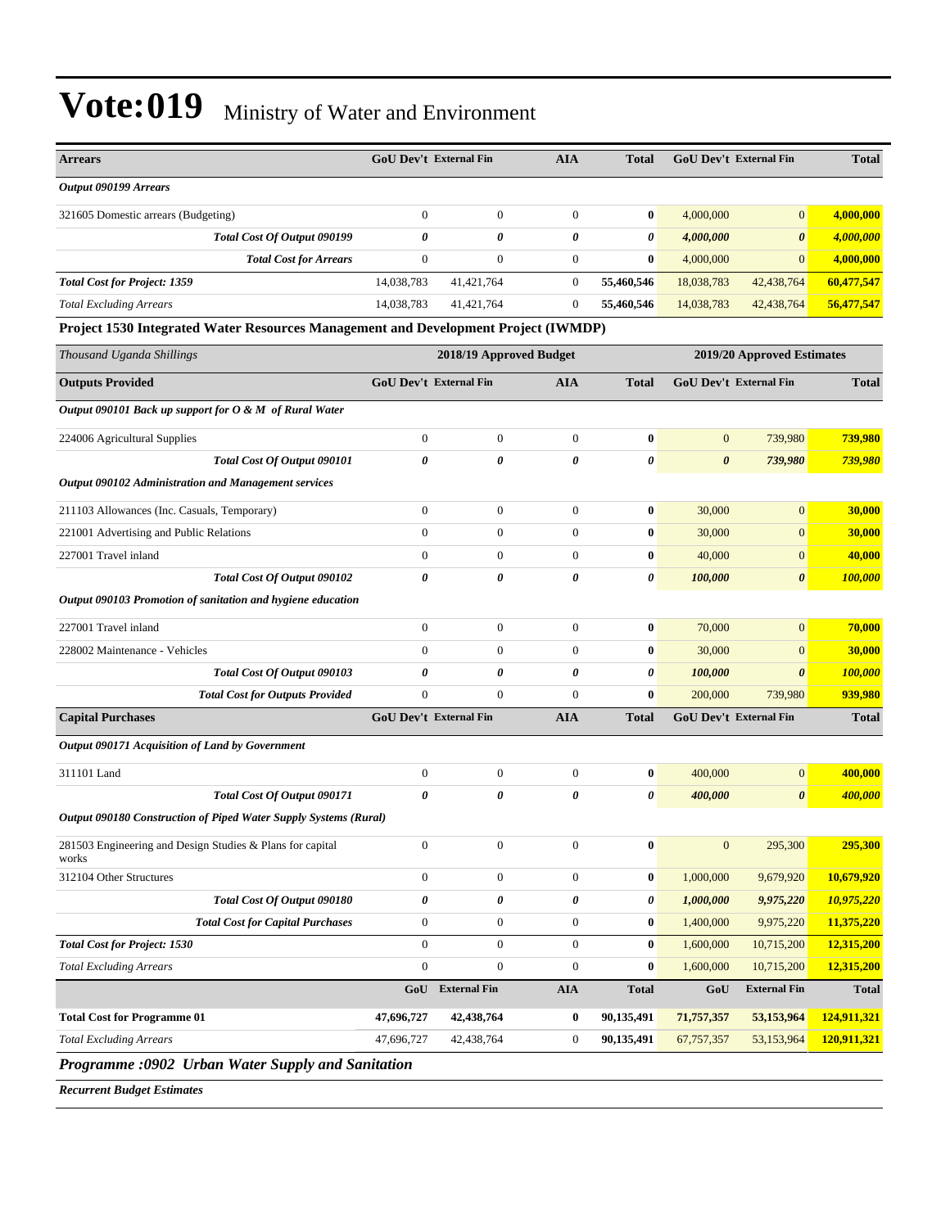| <b>Arrears</b>                                                                     | <b>GoU Dev't External Fin</b> |                         | <b>AIA</b>            | <b>Total</b>          |                  | GoU Dev't External Fin        | <b>Total</b>   |
|------------------------------------------------------------------------------------|-------------------------------|-------------------------|-----------------------|-----------------------|------------------|-------------------------------|----------------|
| Output 090199 Arrears                                                              |                               |                         |                       |                       |                  |                               |                |
| 321605 Domestic arrears (Budgeting)                                                | $\boldsymbol{0}$              | $\mathbf{0}$            | $\boldsymbol{0}$      | $\bf{0}$              | 4,000,000        | $\mathbf{0}$                  | 4,000,000      |
| Total Cost Of Output 090199                                                        | 0                             | $\theta$                | $\boldsymbol{\theta}$ | $\boldsymbol{\theta}$ | 4,000,000        | $\boldsymbol{\theta}$         | 4,000,000      |
| <b>Total Cost for Arrears</b>                                                      | $\mathbf{0}$                  | $\mathbf{0}$            | $\mathbf{0}$          | $\mathbf{0}$          | 4,000,000        | $\mathbf{0}$                  | 4,000,000      |
| <b>Total Cost for Project: 1359</b>                                                | 14,038,783                    | 41,421,764              | $\boldsymbol{0}$      | 55,460,546            | 18,038,783       | 42,438,764                    | 60,477,547     |
| <b>Total Excluding Arrears</b>                                                     | 14,038,783                    | 41,421,764              | $\mathbf{0}$          | 55,460,546            | 14,038,783       | 42,438,764                    | 56,477,547     |
| Project 1530 Integrated Water Resources Management and Development Project (IWMDP) |                               |                         |                       |                       |                  |                               |                |
| Thousand Uganda Shillings                                                          |                               | 2018/19 Approved Budget |                       |                       |                  | 2019/20 Approved Estimates    |                |
| <b>Outputs Provided</b>                                                            | <b>GoU Dev't External Fin</b> |                         | <b>AIA</b>            | <b>Total</b>          |                  | <b>GoU Dev't External Fin</b> | <b>Total</b>   |
| Output 090101 Back up support for O & M of Rural Water                             |                               |                         |                       |                       |                  |                               |                |
| 224006 Agricultural Supplies                                                       | $\boldsymbol{0}$              | $\mathbf{0}$            | $\boldsymbol{0}$      | $\bf{0}$              | $\mathbf{0}$     | 739,980                       | 739,980        |
| Total Cost Of Output 090101                                                        | $\theta$                      | $\theta$                | $\boldsymbol{\theta}$ | $\boldsymbol{\theta}$ | $\theta$         | 739,980                       | <b>739,980</b> |
| Output 090102 Administration and Management services                               |                               |                         |                       |                       |                  |                               |                |
| 211103 Allowances (Inc. Casuals, Temporary)                                        | $\boldsymbol{0}$              | $\mathbf{0}$            | $\boldsymbol{0}$      | $\bf{0}$              | 30,000           | $\mathbf{0}$                  | 30,000         |
| 221001 Advertising and Public Relations                                            | $\overline{0}$                | $\mathbf{0}$            | $\mathbf{0}$          | $\bf{0}$              | 30,000           | $\mathbf{0}$                  | 30,000         |
| 227001 Travel inland                                                               | $\mathbf{0}$                  | $\mathbf{0}$            | $\theta$              | $\bf{0}$              | 40,000           | $\mathbf{0}$                  | 40,000         |
| Total Cost Of Output 090102                                                        | 0                             | 0                       | $\boldsymbol{\theta}$ | 0                     | 100,000          | $\boldsymbol{\theta}$         | 100,000        |
| Output 090103 Promotion of sanitation and hygiene education                        |                               |                         |                       |                       |                  |                               |                |
| 227001 Travel inland                                                               | $\mathbf{0}$                  | $\mathbf{0}$            | $\overline{0}$        | $\bf{0}$              | 70,000           | $\mathbf{0}$                  | 70,000         |
| 228002 Maintenance - Vehicles                                                      | $\mathbf{0}$                  | $\Omega$                | $\theta$              | $\bf{0}$              | 30,000           | $\mathbf{0}$                  | 30,000         |
| Total Cost Of Output 090103                                                        | $\boldsymbol{\theta}$         | 0                       | 0                     | $\boldsymbol{\theta}$ | 100,000          | $\boldsymbol{\theta}$         | 100,000        |
| <b>Total Cost for Outputs Provided</b>                                             | $\boldsymbol{0}$              | $\mathbf{0}$            | $\mathbf{0}$          | $\bf{0}$              | 200,000          | 739,980                       | 939,980        |
| <b>Capital Purchases</b>                                                           | <b>GoU Dev't External Fin</b> |                         | <b>AIA</b>            | <b>Total</b>          |                  | GoU Dev't External Fin        | <b>Total</b>   |
| Output 090171 Acquisition of Land by Government                                    |                               |                         |                       |                       |                  |                               |                |
| 311101 Land                                                                        | $\boldsymbol{0}$              | $\mathbf{0}$            | $\boldsymbol{0}$      | $\bf{0}$              | 400,000          | $\mathbf{0}$                  | 400,000        |
| Total Cost Of Output 090171                                                        | 0                             | 0                       | $\theta$              | 0                     | 400,000          | $\theta$                      | <u>400,000</u> |
| Output 090180 Construction of Piped Water Supply Systems (Rural)                   |                               |                         |                       |                       |                  |                               |                |
| 281503 Engineering and Design Studies & Plans for capital<br>works                 | $\mathbf{0}$                  | $\boldsymbol{0}$        | $\mathbf{0}$          | $\bf{0}$              | $\boldsymbol{0}$ | 295,300                       | 295,300        |
| 312104 Other Structures                                                            | $\boldsymbol{0}$              | $\boldsymbol{0}$        | $\boldsymbol{0}$      | $\bf{0}$              | 1,000,000        | 9,679,920                     | 10,679,920     |
| Total Cost Of Output 090180                                                        | 0                             | 0                       | 0                     | 0                     | 1,000,000        | 9,975,220                     | 10,975,220     |
| <b>Total Cost for Capital Purchases</b>                                            | $\boldsymbol{0}$              | $\mathbf{0}$            | $\boldsymbol{0}$      | $\bf{0}$              | 1,400,000        | 9,975,220                     | 11,375,220     |
| <b>Total Cost for Project: 1530</b>                                                | $\boldsymbol{0}$              | $\boldsymbol{0}$        | $\boldsymbol{0}$      | $\bf{0}$              | 1,600,000        | 10,715,200                    | 12,315,200     |
| <b>Total Excluding Arrears</b>                                                     | $\boldsymbol{0}$              | $\boldsymbol{0}$        | $\boldsymbol{0}$      | $\bf{0}$              | 1,600,000        | 10,715,200                    | 12,315,200     |
|                                                                                    |                               | GoU External Fin        | ${\bf A I A}$         | <b>Total</b>          | GoU              | <b>External Fin</b>           | <b>Total</b>   |
| <b>Total Cost for Programme 01</b>                                                 | 47,696,727                    | 42,438,764              | $\bf{0}$              | 90,135,491            | 71,757,357       | 53,153,964                    | 124,911,321    |
| <b>Total Excluding Arrears</b>                                                     | 47,696,727                    | 42,438,764              | $\boldsymbol{0}$      | 90,135,491            | 67,757,357       | 53,153,964                    | 120,911,321    |
| Programme :0902 Urban Water Supply and Sanitation                                  |                               |                         |                       |                       |                  |                               |                |

*Recurrent Budget Estimates*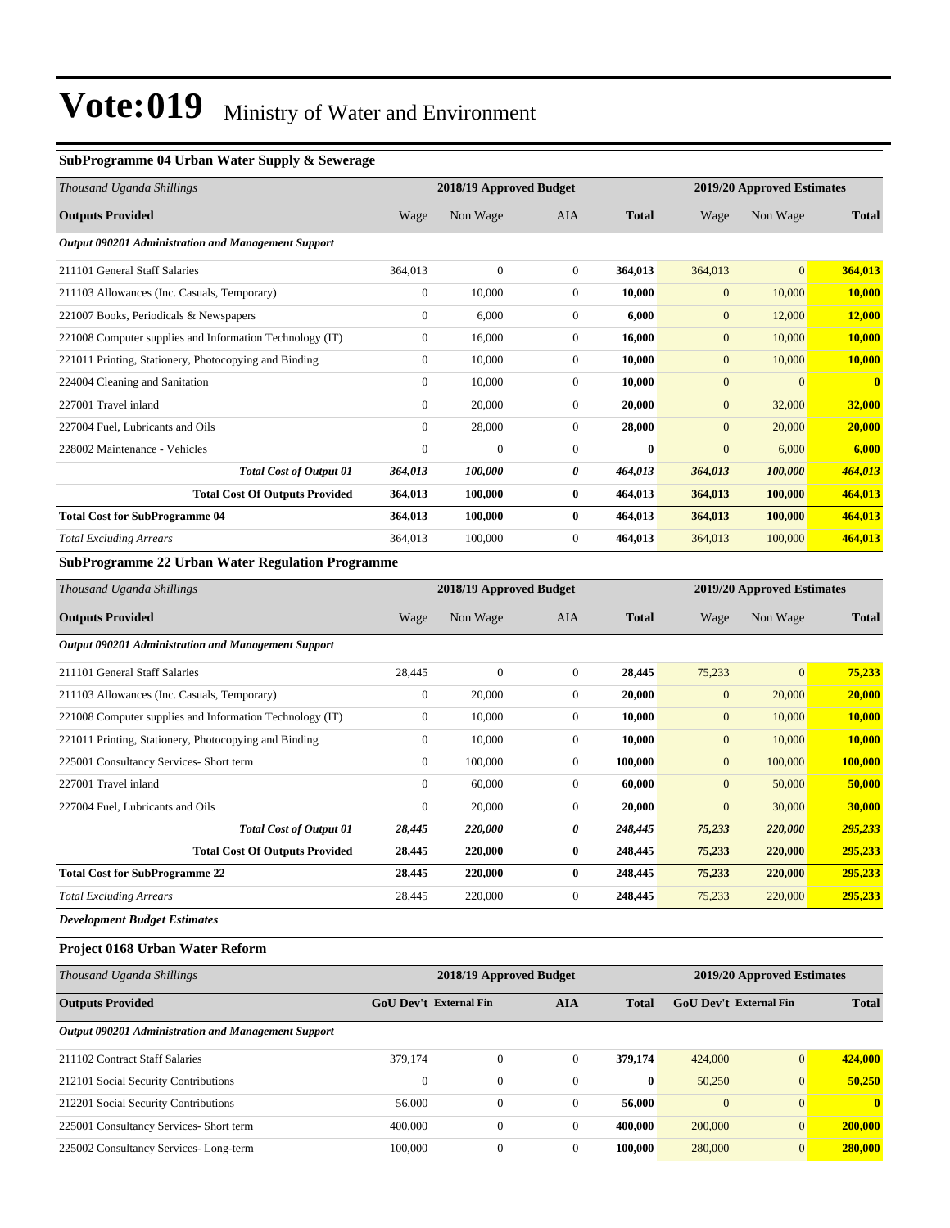#### **SubProgramme 04 Urban Water Supply & Sewerage**

| Thousand Uganda Shillings                                |                  | 2018/19 Approved Budget |              |              |              | 2019/20 Approved Estimates |                         |  |
|----------------------------------------------------------|------------------|-------------------------|--------------|--------------|--------------|----------------------------|-------------------------|--|
| <b>Outputs Provided</b>                                  | Wage             | Non Wage                | <b>AIA</b>   | <b>Total</b> | Wage         | Non Wage                   | <b>Total</b>            |  |
| Output 090201 Administration and Management Support      |                  |                         |              |              |              |                            |                         |  |
| 211101 General Staff Salaries                            | 364,013          | $\overline{0}$          | $\Omega$     | 364,013      | 364,013      | $\overline{0}$             | 364,013                 |  |
| 211103 Allowances (Inc. Casuals, Temporary)              | $\mathbf{0}$     | 10,000                  | 0            | 10,000       | $\mathbf{0}$ | 10,000                     | 10,000                  |  |
| 221007 Books, Periodicals & Newspapers                   | $\boldsymbol{0}$ | 6,000                   | $\mathbf{0}$ | 6,000        | $\mathbf{0}$ | 12,000                     | 12,000                  |  |
| 221008 Computer supplies and Information Technology (IT) | $\mathbf{0}$     | 16,000                  | $\mathbf{0}$ | 16,000       | $\mathbf{0}$ | 10,000                     | 10,000                  |  |
| 221011 Printing, Stationery, Photocopying and Binding    | $\mathbf{0}$     | 10,000                  | $\mathbf{0}$ | 10,000       | $\mathbf{0}$ | 10,000                     | 10,000                  |  |
| 224004 Cleaning and Sanitation                           | $\Omega$         | 10,000                  | $\mathbf{0}$ | 10,000       | $\mathbf{0}$ | $\overline{0}$             | $\overline{\mathbf{0}}$ |  |
| 227001 Travel inland                                     | $\mathbf{0}$     | 20,000                  | $\Omega$     | 20,000       | $\mathbf{0}$ | 32,000                     | 32,000                  |  |
| 227004 Fuel, Lubricants and Oils                         | $\mathbf{0}$     | 28,000                  | $\mathbf{0}$ | 28,000       | $\mathbf{0}$ | 20,000                     | 20,000                  |  |
| 228002 Maintenance - Vehicles                            | $\mathbf{0}$     | $\boldsymbol{0}$        | $\mathbf{0}$ | $\mathbf{0}$ | $\mathbf{0}$ | 6,000                      | 6,000                   |  |
| <b>Total Cost of Output 01</b>                           | 364,013          | 100,000                 | 0            | 464,013      | 364,013      | 100,000                    | 464,013                 |  |
| <b>Total Cost Of Outputs Provided</b>                    | 364,013          | 100,000                 | $\bf{0}$     | 464,013      | 364,013      | 100,000                    | 464,013                 |  |
| <b>Total Cost for SubProgramme 04</b>                    | 364,013          | 100,000                 | 0            | 464,013      | 364,013      | 100,000                    | 464,013                 |  |
| <b>Total Excluding Arrears</b>                           | 364,013          | 100,000                 | $\mathbf{0}$ | 464,013      | 364,013      | 100,000                    | 464,013                 |  |
| $\sim$ $\sim$                                            |                  |                         |              |              |              |                            |                         |  |

#### **SubProgramme 22 Urban Water Regulation Programme**

| Thousand Uganda Shillings                                |                  | 2018/19 Approved Budget |              |              |                | 2019/20 Approved Estimates |              |  |
|----------------------------------------------------------|------------------|-------------------------|--------------|--------------|----------------|----------------------------|--------------|--|
| <b>Outputs Provided</b>                                  | Wage             | Non Wage                | <b>AIA</b>   | <b>Total</b> | Wage           | Non Wage                   | <b>Total</b> |  |
| Output 090201 Administration and Management Support      |                  |                         |              |              |                |                            |              |  |
| 211101 General Staff Salaries                            | 28,445           | $\overline{0}$          | $\mathbf{0}$ | 28,445       | 75,233         | $\mathbf{0}$               | 75,233       |  |
| 211103 Allowances (Inc. Casuals, Temporary)              | $\mathbf{0}$     | 20,000                  | $\mathbf{0}$ | 20,000       | $\mathbf{0}$   | 20,000                     | 20,000       |  |
| 221008 Computer supplies and Information Technology (IT) | $\boldsymbol{0}$ | 10,000                  | $\mathbf{0}$ | 10,000       | $\mathbf{0}$   | 10,000                     | 10,000       |  |
| 221011 Printing, Stationery, Photocopying and Binding    | $\mathbf{0}$     | 10,000                  | $\Omega$     | 10,000       | $\overline{0}$ | 10,000                     | 10,000       |  |
| 225001 Consultancy Services- Short term                  | $\mathbf{0}$     | 100,000                 | $\mathbf{0}$ | 100,000      | $\mathbf{0}$   | 100,000                    | 100,000      |  |
| 227001 Travel inland                                     | $\Omega$         | 60,000                  | $\Omega$     | 60,000       | $\overline{0}$ | 50,000                     | 50,000       |  |
| 227004 Fuel, Lubricants and Oils                         | $\mathbf{0}$     | 20,000                  | $\mathbf{0}$ | 20,000       | $\mathbf{0}$   | 30,000                     | 30,000       |  |
| <b>Total Cost of Output 01</b>                           | 28,445           | 220,000                 | 0            | 248,445      | 75,233         | 220,000                    | 295,233      |  |
| <b>Total Cost Of Outputs Provided</b>                    | 28,445           | 220,000                 | $\bf{0}$     | 248,445      | 75,233         | 220,000                    | 295,233      |  |
| <b>Total Cost for SubProgramme 22</b>                    | 28,445           | 220,000                 | $\bf{0}$     | 248,445      | 75,233         | 220,000                    | 295,233      |  |
| <b>Total Excluding Arrears</b>                           | 28,445           | 220,000                 | $\theta$     | 248,445      | 75,233         | 220,000                    | 295,233      |  |
| Douglassmant Dudget Estimates                            |                  |                         |              |              |                |                            |              |  |

*Development Budget Estimates*

#### **Project 0168 Urban Water Reform**

| Thousand Uganda Shillings                           |                               | 2018/19 Approved Budget |          |              |                        | 2019/20 Approved Estimates |              |  |  |
|-----------------------------------------------------|-------------------------------|-------------------------|----------|--------------|------------------------|----------------------------|--------------|--|--|
| <b>Outputs Provided</b>                             | <b>GoU</b> Dev't External Fin |                         | AIA      | <b>Total</b> | GoU Dev't External Fin |                            | <b>Total</b> |  |  |
| Output 090201 Administration and Management Support |                               |                         |          |              |                        |                            |              |  |  |
| 211102 Contract Staff Salaries                      | 379,174                       | $\overline{0}$          | $\Omega$ | 379,174      | 424,000                | $\overline{0}$             | 424,000      |  |  |
| 212101 Social Security Contributions                | $\Omega$                      | $\overline{0}$          | $\Omega$ | $\bf{0}$     | 50,250                 | $\overline{0}$             | 50,250       |  |  |
| 212201 Social Security Contributions                | 56,000                        | $\overline{0}$          | $\Omega$ | 56,000       | $\mathbf{0}$           | $\Omega$                   | $\mathbf{0}$ |  |  |
| 225001 Consultancy Services- Short term             | 400,000                       | $\boldsymbol{0}$        | $\Omega$ | 400,000      | 200,000                | $\overline{0}$             | 200,000      |  |  |
| 225002 Consultancy Services-Long-term               | 100,000                       | $\overline{0}$          | $\Omega$ | 100.000      | 280,000                | $\overline{0}$             | 280,000      |  |  |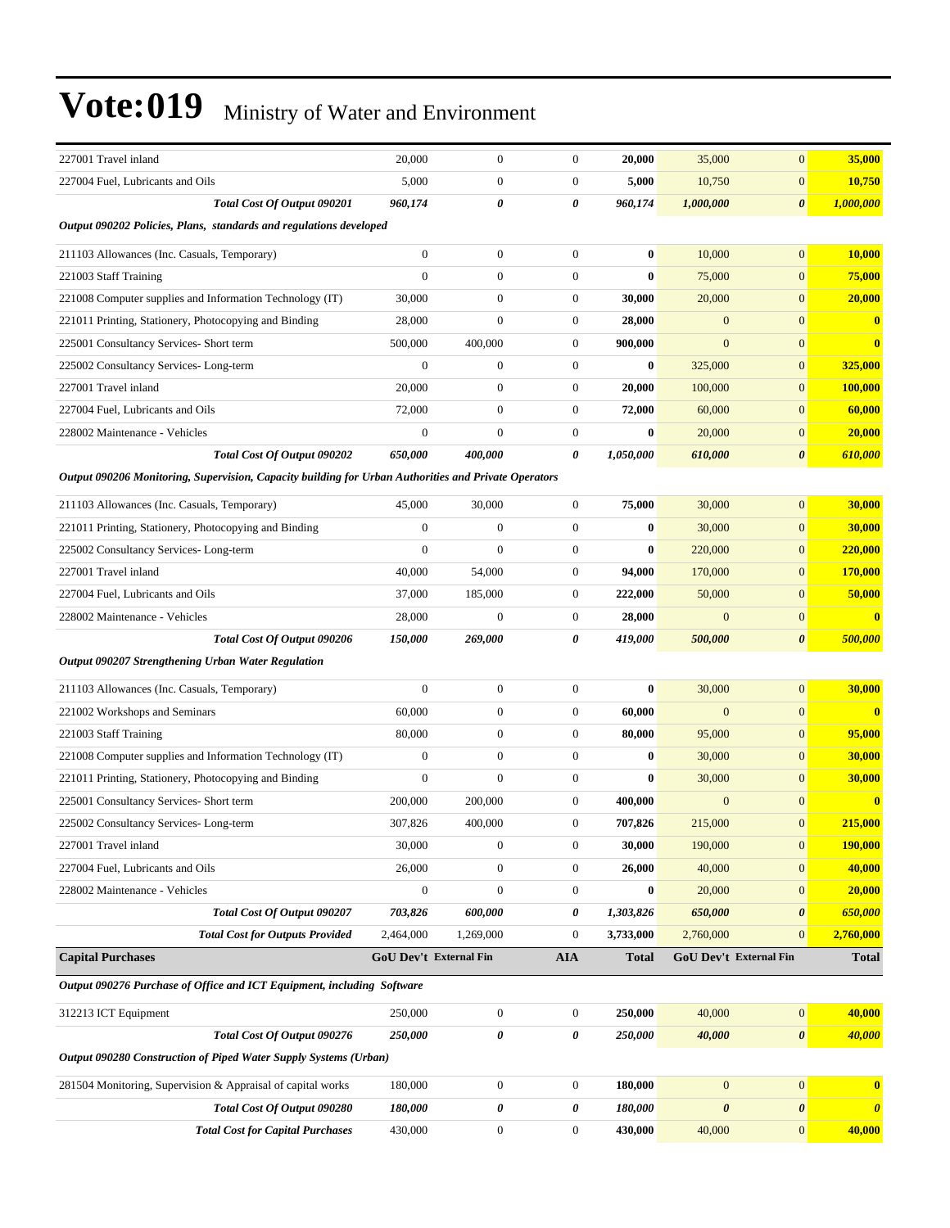| 227001 Travel inland                                                                                 | 20,000           | $\boldsymbol{0}$       | $\mathbf{0}$     | 20,000       | 35,000                | $\mathbf{0}$           | 35,000                |
|------------------------------------------------------------------------------------------------------|------------------|------------------------|------------------|--------------|-----------------------|------------------------|-----------------------|
| 227004 Fuel, Lubricants and Oils                                                                     | 5,000            | $\boldsymbol{0}$       | $\boldsymbol{0}$ | 5,000        | 10,750                | $\mathbf{0}$           | 10,750                |
| Total Cost Of Output 090201                                                                          | 960,174          | 0                      | 0                | 960,174      | 1,000,000             | $\boldsymbol{\theta}$  | 1,000,000             |
| Output 090202 Policies, Plans, standards and regulations developed                                   |                  |                        |                  |              |                       |                        |                       |
| 211103 Allowances (Inc. Casuals, Temporary)                                                          | $\boldsymbol{0}$ | $\boldsymbol{0}$       | $\mathbf{0}$     | $\bf{0}$     | 10,000                | $\mathbf{0}$           | 10,000                |
| 221003 Staff Training                                                                                | $\overline{0}$   | $\boldsymbol{0}$       | $\boldsymbol{0}$ | $\bf{0}$     | 75,000                | $\boldsymbol{0}$       | 75,000                |
| 221008 Computer supplies and Information Technology (IT)                                             | 30,000           | $\boldsymbol{0}$       | $\mathbf{0}$     | 30,000       | 20,000                | $\mathbf{0}$           | 20,000                |
| 221011 Printing, Stationery, Photocopying and Binding                                                | 28,000           | $\boldsymbol{0}$       | $\mathbf{0}$     | 28,000       | $\mathbf{0}$          | $\mathbf{0}$           | $\bf{0}$              |
| 225001 Consultancy Services- Short term                                                              | 500,000          | 400,000                | $\mathbf{0}$     | 900,000      | $\overline{0}$        | $\mathbf{0}$           | $\mathbf{0}$          |
| 225002 Consultancy Services-Long-term                                                                | $\mathbf{0}$     | $\boldsymbol{0}$       | $\mathbf{0}$     | $\bf{0}$     | 325,000               | $\mathbf{0}$           | 325,000               |
| 227001 Travel inland                                                                                 | 20,000           | $\boldsymbol{0}$       | $\boldsymbol{0}$ | 20,000       | 100,000               | $\boldsymbol{0}$       | <b>100,000</b>        |
| 227004 Fuel, Lubricants and Oils                                                                     | 72,000           | $\boldsymbol{0}$       | $\mathbf{0}$     | 72,000       | 60,000                | $\mathbf{0}$           | 60,000                |
| 228002 Maintenance - Vehicles                                                                        | $\boldsymbol{0}$ | $\boldsymbol{0}$       | $\boldsymbol{0}$ | $\bf{0}$     | 20,000                | $\mathbf{0}$           | 20,000                |
| Total Cost Of Output 090202                                                                          | 650,000          | 400,000                | 0                | 1,050,000    | 610,000               | $\boldsymbol{\theta}$  | 610,000               |
| Output 090206 Monitoring, Supervision, Capacity building for Urban Authorities and Private Operators |                  |                        |                  |              |                       |                        |                       |
| 211103 Allowances (Inc. Casuals, Temporary)                                                          | 45,000           | 30,000                 | $\mathbf{0}$     | 75,000       | 30,000                | $\mathbf{0}$           | 30,000                |
| 221011 Printing, Stationery, Photocopying and Binding                                                | $\mathbf{0}$     | $\mathbf{0}$           | $\mathbf{0}$     | $\bf{0}$     | 30,000                | $\mathbf{0}$           | 30,000                |
| 225002 Consultancy Services-Long-term                                                                | $\mathbf{0}$     | $\mathbf{0}$           | $\mathbf{0}$     | $\bf{0}$     | 220,000               | $\mathbf{0}$           | 220,000               |
| 227001 Travel inland                                                                                 | 40,000           | 54,000                 | $\boldsymbol{0}$ | 94,000       | 170,000               | $\mathbf{0}$           | 170,000               |
| 227004 Fuel, Lubricants and Oils                                                                     | 37,000           | 185,000                | $\mathbf{0}$     | 222,000      | 50,000                | $\boldsymbol{0}$       | 50,000                |
| 228002 Maintenance - Vehicles                                                                        | 28,000           | $\boldsymbol{0}$       | $\boldsymbol{0}$ | 28,000       | $\mathbf{0}$          | $\mathbf{0}$           | $\bf{0}$              |
| Total Cost Of Output 090206                                                                          | 150,000          | 269,000                | 0                | 419,000      | 500,000               | $\boldsymbol{\theta}$  | 500,000               |
| Output 090207 Strengthening Urban Water Regulation                                                   |                  |                        |                  |              |                       |                        |                       |
| 211103 Allowances (Inc. Casuals, Temporary)                                                          | $\boldsymbol{0}$ | $\boldsymbol{0}$       | $\mathbf{0}$     | $\bf{0}$     | 30,000                | $\boldsymbol{0}$       | 30,000                |
| 221002 Workshops and Seminars                                                                        | 60,000           | $\boldsymbol{0}$       | $\mathbf{0}$     | 60,000       | $\overline{0}$        | $\mathbf{0}$           | $\bf{0}$              |
| 221003 Staff Training                                                                                | 80,000           | $\boldsymbol{0}$       | $\boldsymbol{0}$ | 80,000       | 95,000                | $\mathbf{0}$           | 95,000                |
| 221008 Computer supplies and Information Technology (IT)                                             | $\boldsymbol{0}$ | $\boldsymbol{0}$       | $\boldsymbol{0}$ | $\bf{0}$     | 30,000                | $\mathbf{0}$           | 30,000                |
| 221011 Printing, Stationery, Photocopying and Binding                                                | $\boldsymbol{0}$ | $\boldsymbol{0}$       | $\boldsymbol{0}$ | $\bf{0}$     | 30,000                | $\mathbf{0}$           | 30,000                |
| 225001 Consultancy Services- Short term                                                              | 200,000          | 200,000                | $\boldsymbol{0}$ | 400,000      | $\mathbf{0}$          | $\mathbf{0}$           | $\mathbf{0}$          |
| 225002 Consultancy Services-Long-term                                                                | 307,826          | 400,000                | $\boldsymbol{0}$ | 707,826      | 215,000               | $\mathbf{0}$           | 215,000               |
| 227001 Travel inland                                                                                 | 30,000           | 0                      | $\boldsymbol{0}$ | 30,000       | 190,000               | $\boldsymbol{0}$       | <u>190,000</u>        |
| 227004 Fuel, Lubricants and Oils                                                                     | 26,000           | $\boldsymbol{0}$       | $\boldsymbol{0}$ | 26,000       | 40,000                | $\mathbf{0}$           | 40,000                |
| 228002 Maintenance - Vehicles                                                                        | $\boldsymbol{0}$ | $\boldsymbol{0}$       | $\boldsymbol{0}$ | $\bf{0}$     | 20,000                | $\boldsymbol{0}$       | 20,000                |
| Total Cost Of Output 090207                                                                          | 703,826          | 600,000                | 0                | 1,303,826    | 650,000               | $\pmb{\theta}$         | 650,000               |
| <b>Total Cost for Outputs Provided</b>                                                               | 2,464,000        | 1,269,000              | $\boldsymbol{0}$ | 3,733,000    | 2,760,000             | $\mathbf{0}$           | 2,760,000             |
| <b>Capital Purchases</b>                                                                             |                  | GoU Dev't External Fin | <b>AIA</b>       | <b>Total</b> |                       | GoU Dev't External Fin | <b>Total</b>          |
| Output 090276 Purchase of Office and ICT Equipment, including Software                               |                  |                        |                  |              |                       |                        |                       |
| 312213 ICT Equipment                                                                                 | 250,000          | $\boldsymbol{0}$       | $\boldsymbol{0}$ | 250,000      | 40,000                | $\boldsymbol{0}$       | 40,000                |
| <b>Total Cost Of Output 090276</b>                                                                   | 250,000          | 0                      | 0                | 250,000      | 40,000                | $\boldsymbol{\theta}$  | 40,000                |
| Output 090280 Construction of Piped Water Supply Systems (Urban)                                     |                  |                        |                  |              |                       |                        |                       |
| 281504 Monitoring, Supervision & Appraisal of capital works                                          | 180,000          | $\boldsymbol{0}$       | $\boldsymbol{0}$ | 180,000      | $\boldsymbol{0}$      | $\boldsymbol{0}$       | $\mathbf{0}$          |
| Total Cost Of Output 090280                                                                          | 180,000          | 0                      | 0                | 180,000      | $\boldsymbol{\theta}$ | $\pmb{\theta}$         | $\boldsymbol{\theta}$ |
| <b>Total Cost for Capital Purchases</b>                                                              | 430,000          | $\boldsymbol{0}$       | $\boldsymbol{0}$ | 430,000      | 40,000                | $\boldsymbol{0}$       | 40,000                |
|                                                                                                      |                  |                        |                  |              |                       |                        |                       |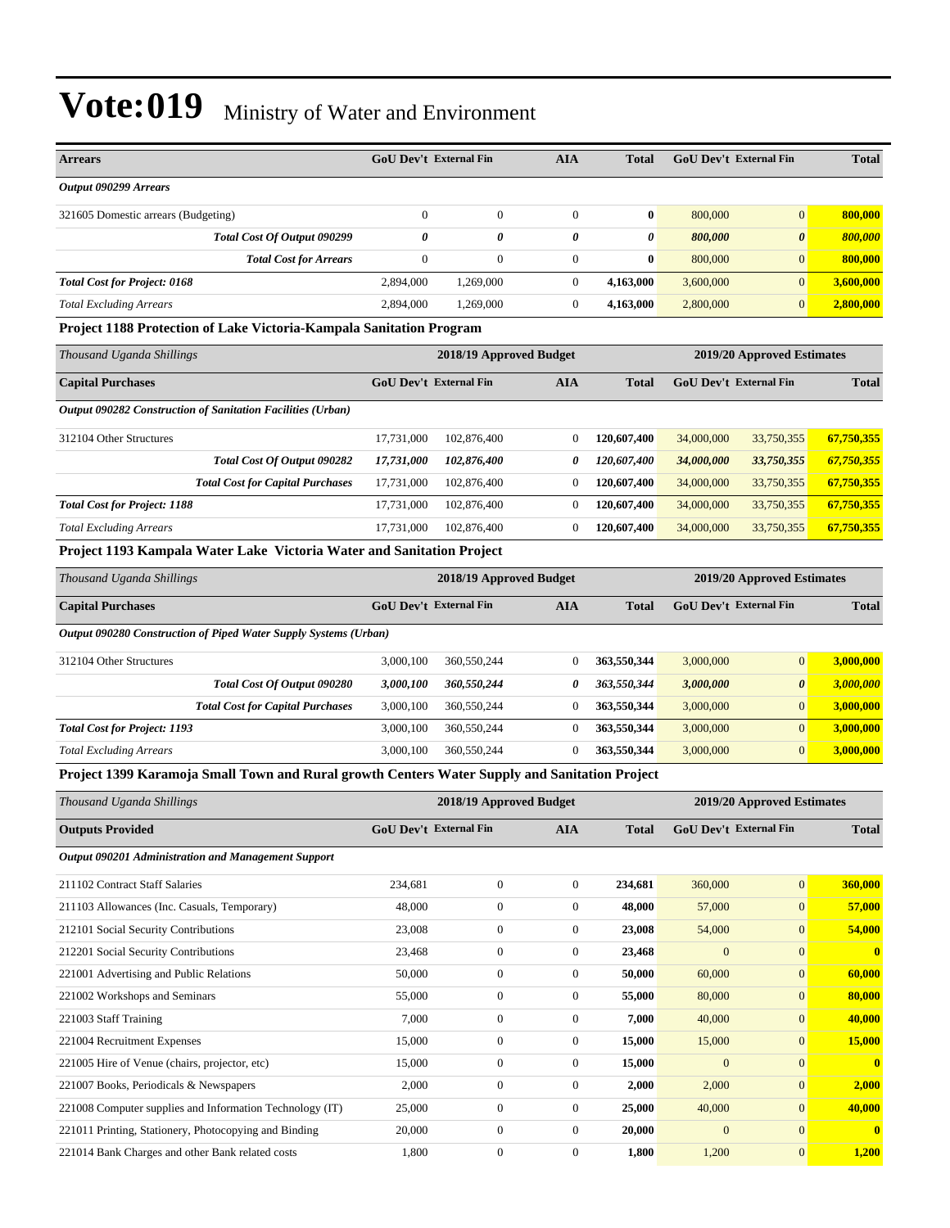| <b>Arrears</b>                                                              | <b>GoU Dev't External Fin</b> |              | <b>AIA</b> | <b>Total</b> | <b>GoU Dev't External Fin</b> |                       | <b>Total</b> |
|-----------------------------------------------------------------------------|-------------------------------|--------------|------------|--------------|-------------------------------|-----------------------|--------------|
| Output 090299 Arrears                                                       |                               |              |            |              |                               |                       |              |
| 321605 Domestic arrears (Budgeting)                                         |                               | $\mathbf{0}$ | $\Omega$   | $\bf{0}$     | 800,000                       | $\overline{0}$        | 800,000      |
| Total Cost Of Output 090299                                                 | 0                             | 0            | 0          | 0            | 800,000                       | $\boldsymbol{\theta}$ | 800,000      |
| <b>Total Cost for Arrears</b>                                               |                               | $\mathbf{0}$ | $\Omega$   | $\bf{0}$     | 800,000                       | $\overline{0}$        | 800,000      |
| <b>Total Cost for Project: 0168</b>                                         | 2,894,000                     | 1,269,000    | 0          | 4.163.000    | 3,600,000                     | $\Omega$              | 3,600,000    |
| <b>Total Excluding Arrears</b>                                              | 2.894,000                     | 1,269,000    | 0          | 4,163,000    | 2,800,000                     | $\overline{0}$        | 2,800,000    |
| <b>Draiget 1100 Dratestian of Lake Victoria Kampala Capitation Dragmann</b> |                               |              |            |              |                               |                       |              |

#### **Project 1188 Protection of Lake Victoria-Kampala Sanitation Program**

| Thousand Uganda Shillings                                          |                        | 2018/19 Approved Budget |            |              |                        | 2019/20 Approved Estimates |              |  |
|--------------------------------------------------------------------|------------------------|-------------------------|------------|--------------|------------------------|----------------------------|--------------|--|
| <b>Capital Purchases</b>                                           | GoU Dev't External Fin |                         | <b>AIA</b> | <b>Total</b> | GoU Dev't External Fin |                            | <b>Total</b> |  |
| <b>Output 090282 Construction of Sanitation Facilities (Urban)</b> |                        |                         |            |              |                        |                            |              |  |
| 312104 Other Structures                                            | 17.731.000             | 102,876,400             | $\theta$   | 120,607,400  | 34,000,000             | 33,750,355                 | 67,750,355   |  |
| Total Cost Of Output 090282                                        | 17,731,000             | 102,876,400             | 0          | 120,607,400  | 34,000,000             | 33,750,355                 | 67,750,355   |  |
| <b>Total Cost for Capital Purchases</b>                            | 17.731.000             | 102,876,400             |            | 120,607,400  | 34,000,000             | 33,750,355                 | 67,750,355   |  |
| <b>Total Cost for Project: 1188</b>                                | 17.731.000             | 102,876,400             |            | 120,607,400  | 34,000,000             | 33,750,355                 | 67,750,355   |  |
| <b>Total Excluding Arrears</b>                                     | 17.731.000             | 102,876,400             |            | 120,607,400  | 34,000,000             | 33,750,355                 | 67,750,355   |  |

#### **Project 1193 Kampala Water Lake Victoria Water and Sanitation Project**

| Thousand Uganda Shillings                                                                            |                                             | 2018/19 Approved Budget |              |                        | 2019/20 Approved Estimates |                       |           |  |
|------------------------------------------------------------------------------------------------------|---------------------------------------------|-------------------------|--------------|------------------------|----------------------------|-----------------------|-----------|--|
| <b>Capital Purchases</b>                                                                             | <b>GoU</b> Dev't External Fin<br><b>AIA</b> |                         | <b>Total</b> | GoU Dev't External Fin |                            | <b>Total</b>          |           |  |
| Output 090280 Construction of Piped Water Supply Systems (Urban)                                     |                                             |                         |              |                        |                            |                       |           |  |
| 312104 Other Structures                                                                              | 3,000,100                                   | 360,550,244             | $\theta$     | 363,550,344            | 3,000,000                  | $\overline{0}$        | 3.000.000 |  |
| Total Cost Of Output 090280                                                                          | 3,000,100                                   | 360,550,244             | 0            | 363,550,344            | 3,000,000                  | $\boldsymbol{\theta}$ | 3,000,000 |  |
| <b>Total Cost for Capital Purchases</b>                                                              | 3,000,100                                   | 360,550,244             | $\theta$     | 363,550,344            | 3,000,000                  | $\mathbf{0}$          | 3,000,000 |  |
| <b>Total Cost for Project: 1193</b>                                                                  | 3,000,100                                   | 360,550,244             | $\Omega$     | 363,550,344            | 3,000,000                  | $\overline{0}$        | 3,000,000 |  |
| <b>Total Excluding Arrears</b>                                                                       | 3,000,100                                   | 360,550,244             | $\theta$     | 363,550,344            | 3,000,000                  | $\mathbf{0}$          | 3,000,000 |  |
| <u>Droiget 1300 Karamoia Small Town and Rural growth Conters Water Sunnly and Sanitation Project</u> |                                             |                         |              |                        |                            |                       |           |  |

#### **Project 1399 Karamoja Small Town and Rural growth Centers Water Supply and Sanitation Project**

| Thousand Uganda Shillings                                |                               | 2018/19 Approved Budget |                |              | 2019/20 Approved Estimates    |                  |                |  |
|----------------------------------------------------------|-------------------------------|-------------------------|----------------|--------------|-------------------------------|------------------|----------------|--|
| <b>Outputs Provided</b>                                  | <b>GoU Dev't External Fin</b> |                         | <b>AIA</b>     | <b>Total</b> | <b>GoU</b> Dev't External Fin |                  | <b>Total</b>   |  |
| Output 090201 Administration and Management Support      |                               |                         |                |              |                               |                  |                |  |
| 211102 Contract Staff Salaries                           | 234,681                       | $\mathbf{0}$            | $\overline{0}$ | 234,681      | 360,000                       | $\overline{0}$   | 360,000        |  |
| 211103 Allowances (Inc. Casuals, Temporary)              | 48,000                        | $\mathbf{0}$            | $\overline{0}$ | 48,000       | 57,000                        | $\overline{0}$   | 57,000         |  |
| 212101 Social Security Contributions                     | 23,008                        | $\bf{0}$                | $\overline{0}$ | 23,008       | 54,000                        | $\boldsymbol{0}$ | 54,000         |  |
| 212201 Social Security Contributions                     | 23,468                        | $\mathbf{0}$            | $\overline{0}$ | 23,468       | $\overline{0}$                | $\mathbf{0}$     | $\mathbf{0}$   |  |
| 221001 Advertising and Public Relations                  | 50,000                        | $\boldsymbol{0}$        | $\overline{0}$ | 50,000       | 60,000                        | $\overline{0}$   | 60,000         |  |
| 221002 Workshops and Seminars                            | 55,000                        | $\mathbf{0}$            | $\overline{0}$ | 55,000       | 80,000                        | $\mathbf{0}$     | 80,000         |  |
| 221003 Staff Training                                    | 7,000                         | $\bf{0}$                | $\overline{0}$ | 7,000        | 40,000                        | $\overline{0}$   | 40,000         |  |
| 221004 Recruitment Expenses                              | 15,000                        | $\mathbf{0}$            | $\overline{0}$ | 15,000       | 15,000                        | $\mathbf{0}$     | 15,000         |  |
| 221005 Hire of Venue (chairs, projector, etc)            | 15,000                        | $\mathbf{0}$            | $\overline{0}$ | 15,000       | $\Omega$                      | $\overline{0}$   | $\overline{0}$ |  |
| 221007 Books, Periodicals & Newspapers                   | 2,000                         | $\mathbf{0}$            | $\overline{0}$ | 2,000        | 2,000                         | $\mathbf{0}$     | 2,000          |  |
| 221008 Computer supplies and Information Technology (IT) | 25,000                        | $\bf{0}$                | $\overline{0}$ | 25,000       | 40,000                        | $\mathbf{0}$     | 40,000         |  |
| 221011 Printing, Stationery, Photocopying and Binding    | 20,000                        | $\bf{0}$                | $\overline{0}$ | 20,000       | $\overline{0}$                | $\mathbf{0}$     | $\mathbf 0$    |  |
| 221014 Bank Charges and other Bank related costs         | 1,800                         | $\mathbf{0}$            | $\overline{0}$ | 1,800        | 1,200                         | $\mathbf{0}$     | 1,200          |  |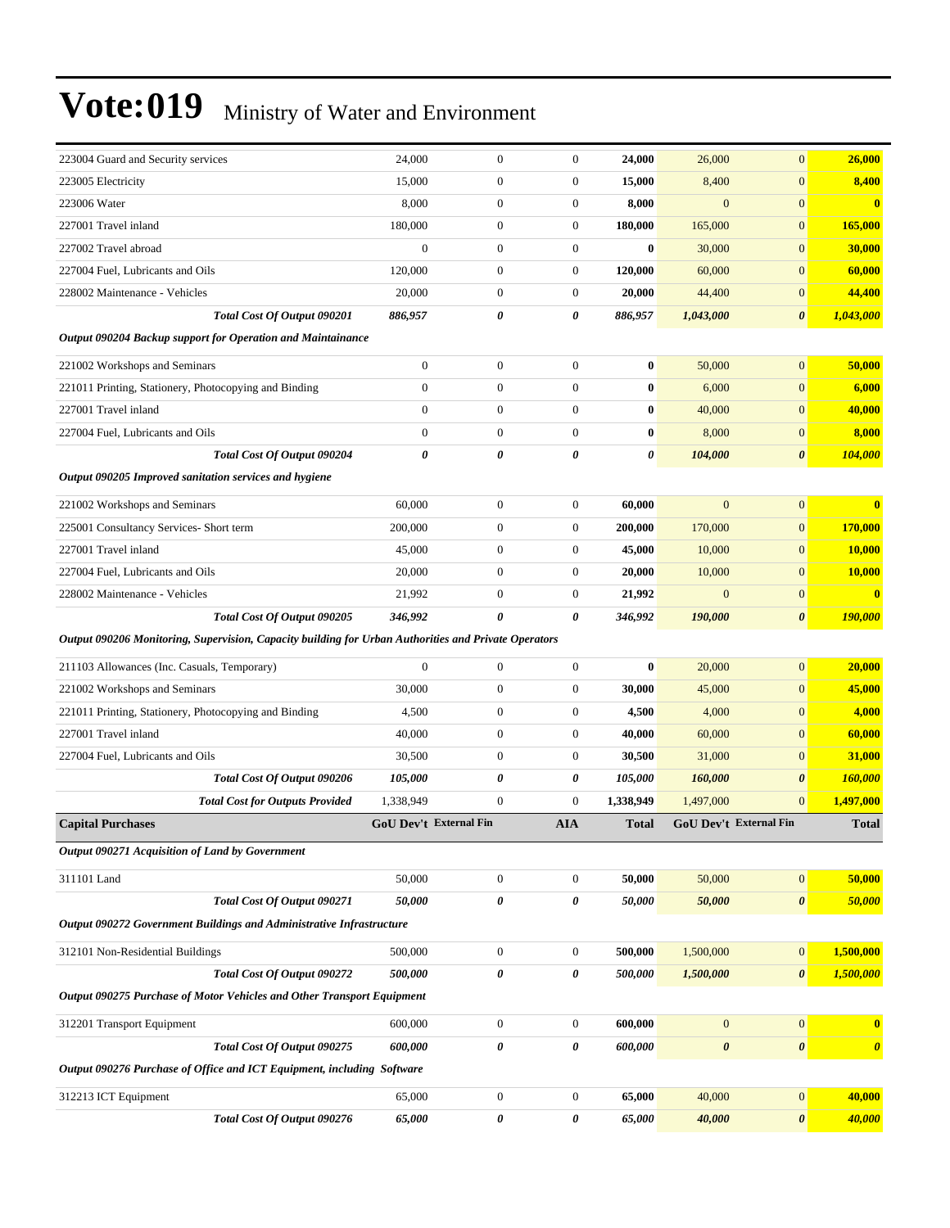| 223004 Guard and Security services                                                                   | 24,000                 | $\boldsymbol{0}$ | $\mathbf{0}$     | 24,000       | 26,000                        | $\mathbf{0}$          | 26,000                |
|------------------------------------------------------------------------------------------------------|------------------------|------------------|------------------|--------------|-------------------------------|-----------------------|-----------------------|
| 223005 Electricity                                                                                   | 15,000                 | $\boldsymbol{0}$ | $\mathbf{0}$     | 15,000       | 8,400                         | $\boldsymbol{0}$      | 8,400                 |
| 223006 Water                                                                                         | 8,000                  | $\boldsymbol{0}$ | $\boldsymbol{0}$ | 8,000        | $\mathbf{0}$                  | $\overline{0}$        | $\bf{0}$              |
| 227001 Travel inland                                                                                 | 180,000                | $\boldsymbol{0}$ | $\mathbf{0}$     | 180,000      | 165,000                       | $\overline{0}$        | 165,000               |
| 227002 Travel abroad                                                                                 | $\overline{0}$         | $\boldsymbol{0}$ | $\mathbf{0}$     | $\bf{0}$     | 30,000                        | $\overline{0}$        | 30,000                |
| 227004 Fuel, Lubricants and Oils                                                                     | 120,000                | $\boldsymbol{0}$ | $\mathbf{0}$     | 120,000      | 60,000                        | $\overline{0}$        | 60,000                |
| 228002 Maintenance - Vehicles                                                                        | 20,000                 | $\boldsymbol{0}$ | $\mathbf{0}$     | 20,000       | 44,400                        | $\boldsymbol{0}$      | 44,400                |
| Total Cost Of Output 090201                                                                          | 886,957                | 0                | 0                | 886,957      | 1,043,000                     | $\boldsymbol{\theta}$ | 1,043,000             |
| Output 090204 Backup support for Operation and Maintainance                                          |                        |                  |                  |              |                               |                       |                       |
| 221002 Workshops and Seminars                                                                        | $\boldsymbol{0}$       | $\boldsymbol{0}$ | $\boldsymbol{0}$ | $\bf{0}$     | 50,000                        | $\overline{0}$        | 50,000                |
| 221011 Printing, Stationery, Photocopying and Binding                                                | $\boldsymbol{0}$       | $\boldsymbol{0}$ | $\mathbf{0}$     | $\bf{0}$     | 6,000                         | $\overline{0}$        | 6,000                 |
| 227001 Travel inland                                                                                 | $\boldsymbol{0}$       | $\boldsymbol{0}$ | $\mathbf{0}$     | $\bf{0}$     | 40,000                        | $\overline{0}$        | 40,000                |
| 227004 Fuel, Lubricants and Oils                                                                     | $\boldsymbol{0}$       | $\boldsymbol{0}$ | $\mathbf{0}$     | $\bf{0}$     | 8,000                         | $\boldsymbol{0}$      | 8,000                 |
| Total Cost Of Output 090204                                                                          | 0                      | $\theta$         | 0                | 0            | 104,000                       | $\pmb{\theta}$        | 104,000               |
| Output 090205 Improved sanitation services and hygiene                                               |                        |                  |                  |              |                               |                       |                       |
| 221002 Workshops and Seminars                                                                        | 60,000                 | $\boldsymbol{0}$ | $\mathbf{0}$     | 60,000       | $\overline{0}$                | $\overline{0}$        | $\bf{0}$              |
| 225001 Consultancy Services- Short term                                                              | 200,000                | $\boldsymbol{0}$ | $\mathbf{0}$     | 200,000      | 170,000                       | $\overline{0}$        | 170,000               |
| 227001 Travel inland                                                                                 | 45,000                 | $\boldsymbol{0}$ | $\mathbf{0}$     | 45,000       | 10,000                        | $\overline{0}$        | 10,000                |
| 227004 Fuel, Lubricants and Oils                                                                     | 20,000                 | $\boldsymbol{0}$ | $\mathbf{0}$     | 20,000       | 10,000                        | $\boldsymbol{0}$      | <b>10,000</b>         |
| 228002 Maintenance - Vehicles                                                                        | 21,992                 | $\boldsymbol{0}$ | $\mathbf{0}$     | 21,992       | $\mathbf{0}$                  | $\mathbf{0}$          | $\bf{0}$              |
| Total Cost Of Output 090205                                                                          | 346,992                | 0                | 0                | 346,992      | 190,000                       | $\boldsymbol{\theta}$ | <b>190,000</b>        |
| Output 090206 Monitoring, Supervision, Capacity building for Urban Authorities and Private Operators |                        |                  |                  |              |                               |                       |                       |
| 211103 Allowances (Inc. Casuals, Temporary)                                                          | $\mathbf{0}$           | $\boldsymbol{0}$ | $\mathbf{0}$     | $\bf{0}$     | 20,000                        | $\overline{0}$        | 20,000                |
| 221002 Workshops and Seminars                                                                        | 30,000                 | 0                | $\mathbf{0}$     | 30,000       | 45,000                        | $\overline{0}$        | 45,000                |
| 221011 Printing, Stationery, Photocopying and Binding                                                | 4,500                  | $\boldsymbol{0}$ | $\mathbf{0}$     | 4,500        | 4,000                         | $\overline{0}$        | 4,000                 |
| 227001 Travel inland                                                                                 | 40,000                 | $\boldsymbol{0}$ | $\mathbf{0}$     | 40,000       | 60,000                        | $\overline{0}$        | 60,000                |
| 227004 Fuel, Lubricants and Oils                                                                     | 30,500                 | $\boldsymbol{0}$ | $\mathbf{0}$     | 30,500       | 31,000                        | $\overline{0}$        | 31,000                |
| Total Cost Of Output 090206                                                                          | 105,000                | 0                | 0                | 105,000      | 160,000                       | 0                     | 160,000               |
| <b>Total Cost for Outputs Provided</b>                                                               | 1,338,949              | 0                | $\mathbf{0}$     | 1,338,949    | 1,497,000                     | $\overline{0}$        | 1,497,000             |
| <b>Capital Purchases</b>                                                                             | GoU Dev't External Fin |                  | <b>AIA</b>       | <b>Total</b> | <b>GoU Dev't External Fin</b> |                       | <b>Total</b>          |
| Output 090271 Acquisition of Land by Government                                                      |                        |                  |                  |              |                               |                       |                       |
| 311101 Land                                                                                          | 50,000                 | $\boldsymbol{0}$ | $\boldsymbol{0}$ | 50,000       | 50,000                        | $\boldsymbol{0}$      | 50,000                |
| Total Cost Of Output 090271                                                                          | 50,000                 | 0                | 0                | 50,000       | 50,000                        | $\boldsymbol{\theta}$ | 50,000                |
| Output 090272 Government Buildings and Administrative Infrastructure                                 |                        |                  |                  |              |                               |                       |                       |
| 312101 Non-Residential Buildings                                                                     | 500,000                | $\boldsymbol{0}$ | $\boldsymbol{0}$ | 500,000      | 1,500,000                     | $\boldsymbol{0}$      | 1,500,000             |
| Total Cost Of Output 090272                                                                          | 500,000                | 0                | 0                | 500,000      | 1,500,000                     | $\boldsymbol{\theta}$ | 1,500,000             |
| Output 090275 Purchase of Motor Vehicles and Other Transport Equipment                               |                        |                  |                  |              |                               |                       |                       |
| 312201 Transport Equipment                                                                           | 600,000                | $\boldsymbol{0}$ | $\boldsymbol{0}$ | 600,000      | $\mathbf{0}$                  | $\mathbf{0}$          | $\bf{0}$              |
| Total Cost Of Output 090275                                                                          | 600,000                | 0                | 0                | 600,000      | $\boldsymbol{\theta}$         | $\pmb{\theta}$        | $\boldsymbol{\theta}$ |
| Output 090276 Purchase of Office and ICT Equipment, including Software                               |                        |                  |                  |              |                               |                       |                       |
|                                                                                                      |                        |                  |                  |              |                               |                       |                       |
| 312213 ICT Equipment                                                                                 | 65,000                 | $\boldsymbol{0}$ | $\boldsymbol{0}$ | 65,000       | 40,000                        | $\mathbf{0}$          | 40,000                |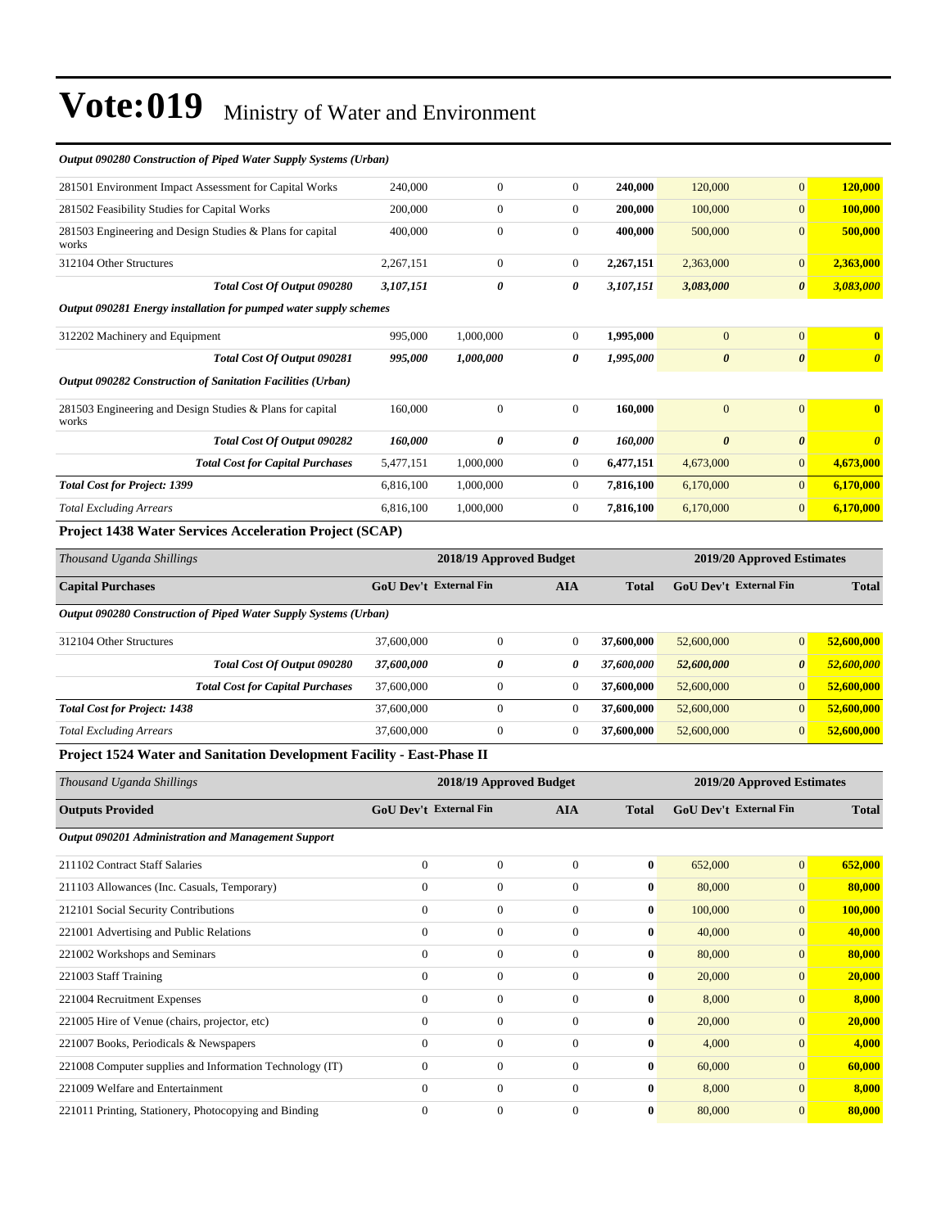| <b>Outputs Provided</b>                                                | <b>GoU Dev't External Fin</b> |                         | <b>AIA</b>       | <b>Total</b> | <b>GoU Dev't External Fin</b> |                            | <b>Total</b>            |
|------------------------------------------------------------------------|-------------------------------|-------------------------|------------------|--------------|-------------------------------|----------------------------|-------------------------|
| Thousand Uganda Shillings                                              |                               | 2018/19 Approved Budget |                  |              |                               | 2019/20 Approved Estimates |                         |
| Project 1524 Water and Sanitation Development Facility - East-Phase II |                               |                         |                  |              |                               |                            |                         |
| <b>Total Excluding Arrears</b>                                         | 37,600,000                    | $\boldsymbol{0}$        | 0                | 37,600,000   | 52,600,000                    | $\overline{0}$             | 52,600,000              |
| <b>Total Cost for Project: 1438</b>                                    | 37,600,000                    | $\boldsymbol{0}$        | $\mathbf{0}$     | 37,600,000   | 52,600,000                    | $\overline{0}$             | 52,600,000              |
| <b>Total Cost for Capital Purchases</b>                                | 37,600,000                    | $\boldsymbol{0}$        | 0                | 37,600,000   | 52,600,000                    | $\boldsymbol{0}$           | 52,600,000              |
| Total Cost Of Output 090280                                            | 37,600,000                    | 0                       | 0                | 37,600,000   | 52,600,000                    | $\boldsymbol{\theta}$      | 52,600,000              |
| 312104 Other Structures                                                | 37,600,000                    | $\overline{0}$          | $\mathbf{0}$     | 37,600,000   | 52,600,000                    | $\overline{0}$             | 52,600,000              |
| Output 090280 Construction of Piped Water Supply Systems (Urban)       |                               |                         |                  |              |                               |                            |                         |
| <b>Capital Purchases</b>                                               | <b>GoU Dev't External Fin</b> |                         | <b>AIA</b>       | <b>Total</b> | <b>GoU Dev't External Fin</b> |                            | <b>Total</b>            |
| Thousand Uganda Shillings                                              |                               | 2018/19 Approved Budget |                  |              |                               | 2019/20 Approved Estimates |                         |
| <b>Project 1438 Water Services Acceleration Project (SCAP)</b>         |                               |                         |                  |              |                               |                            |                         |
| <b>Total Excluding Arrears</b>                                         | 6,816,100                     | 1,000,000               | $\overline{0}$   | 7,816,100    | 6,170,000                     | $\overline{0}$             | 6,170,000               |
| <b>Total Cost for Project: 1399</b>                                    | 6,816,100                     | 1,000,000               | $\overline{0}$   | 7,816,100    | 6,170,000                     | $\overline{0}$             | 6,170,000               |
| <b>Total Cost for Capital Purchases</b>                                | 5,477,151                     | 1,000,000               | $\overline{0}$   | 6,477,151    | 4,673,000                     | $\overline{0}$             | 4,673,000               |
| Total Cost Of Output 090282                                            | 160,000                       | 0                       | 0                | 160,000      | $\boldsymbol{\theta}$         | 0                          | $\boldsymbol{\theta}$   |
| 281503 Engineering and Design Studies & Plans for capital<br>works     | 160,000                       | $\boldsymbol{0}$        | $\mathbf{0}$     | 160,000      | $\mathbf{0}$                  | $\overline{0}$             | $\overline{\mathbf{0}}$ |
| Output 090282 Construction of Sanitation Facilities (Urban)            |                               |                         |                  |              |                               |                            |                         |
| Total Cost Of Output 090281                                            | 995,000                       | 1,000,000               | 0                | 1,995,000    | $\boldsymbol{\theta}$         | $\boldsymbol{\theta}$      | $\boldsymbol{\theta}$   |
| 312202 Machinery and Equipment                                         | 995,000                       | 1,000,000               | $\boldsymbol{0}$ | 1,995,000    | $\mathbf{0}$                  | $\overline{0}$             | $\bf{0}$                |
| Output 090281 Energy installation for pumped water supply schemes      |                               |                         |                  |              |                               |                            |                         |
| Total Cost Of Output 090280                                            | 3,107,151                     | 0                       | 0                | 3,107,151    | 3,083,000                     | $\boldsymbol{\theta}$      | 3,083,000               |
| 312104 Other Structures                                                | 2,267,151                     | $\boldsymbol{0}$        | 0                | 2,267,151    | 2,363,000                     | $\overline{0}$             | 2,363,000               |
| 281503 Engineering and Design Studies & Plans for capital<br>works     | 400,000                       | $\boldsymbol{0}$        | $\mathbf{0}$     | 400,000      | 500,000                       | $\overline{0}$             | 500,000                 |
| 281502 Feasibility Studies for Capital Works                           | 200,000                       | $\overline{0}$          | $\overline{0}$   | 200,000      | 100,000                       | $\overline{0}$             | 100,000                 |
| 281501 Environment Impact Assessment for Capital Works                 | 240,000                       | $\overline{0}$          | $\overline{0}$   | 240,000      | 120,000                       | $\overline{0}$             | 120,000                 |
| Output 090280 Construction of Pipea water Supply Systems (Urban)       |                               |                         |                  |              |                               |                            |                         |

#### *Output 090280 Construction of Piped Water Supply Systems (Urban)*

|                |              | AIA                    | Total        |         |                | Total                  |
|----------------|--------------|------------------------|--------------|---------|----------------|------------------------|
|                |              |                        |              |         |                |                        |
| $\overline{0}$ | $\Omega$     | $\Omega$               | $\bf{0}$     | 652,000 | $\mathbf{0}$   | 652,000                |
| $\mathbf{0}$   | $\mathbf{0}$ | $\mathbf{0}$           | $\bf{0}$     | 80,000  | $\overline{0}$ | 80,000                 |
| $\mathbf{0}$   | $\mathbf{0}$ | $\overline{0}$         | $\bf{0}$     | 100,000 | $\overline{0}$ | 100,000                |
| $\Omega$       | $\Omega$     | $\Omega$               | 0            | 40,000  | $\overline{0}$ | 40,000                 |
| $\mathbf{0}$   | $\Omega$     | $\mathbf{0}$           | 0            | 80,000  | $\overline{0}$ | 80,000                 |
| $\mathbf{0}$   | $\Omega$     | $\Omega$               | $\bf{0}$     | 20,000  | $\mathbf{0}$   | 20,000                 |
| $\Omega$       | $\Omega$     | $\Omega$               | $\bf{0}$     | 8,000   | $\overline{0}$ | 8,000                  |
| $\mathbf{0}$   | $\mathbf{0}$ | $\overline{0}$         | $\bf{0}$     | 20,000  | $\overline{0}$ | 20,000                 |
| $\mathbf{0}$   | $\Omega$     | $\mathbf{0}$           | 0            | 4,000   | $\mathbf{0}$   | 4,000                  |
| $\mathbf{0}$   | $\mathbf{0}$ | $\theta$               | $\bf{0}$     | 60,000  | $\mathbf{0}$   | 60,000                 |
| $\Omega$       | $\Omega$     | $\theta$               | $\mathbf{0}$ | 8,000   | $\overline{0}$ | 8,000                  |
| $\mathbf{0}$   | $\Omega$     | $\mathbf{0}$           | 0            | 80,000  | $\mathbf{0}$   | 80,000                 |
|                |              | GOU Dev't External Fin |              |         |                | GOU Dev't External Fin |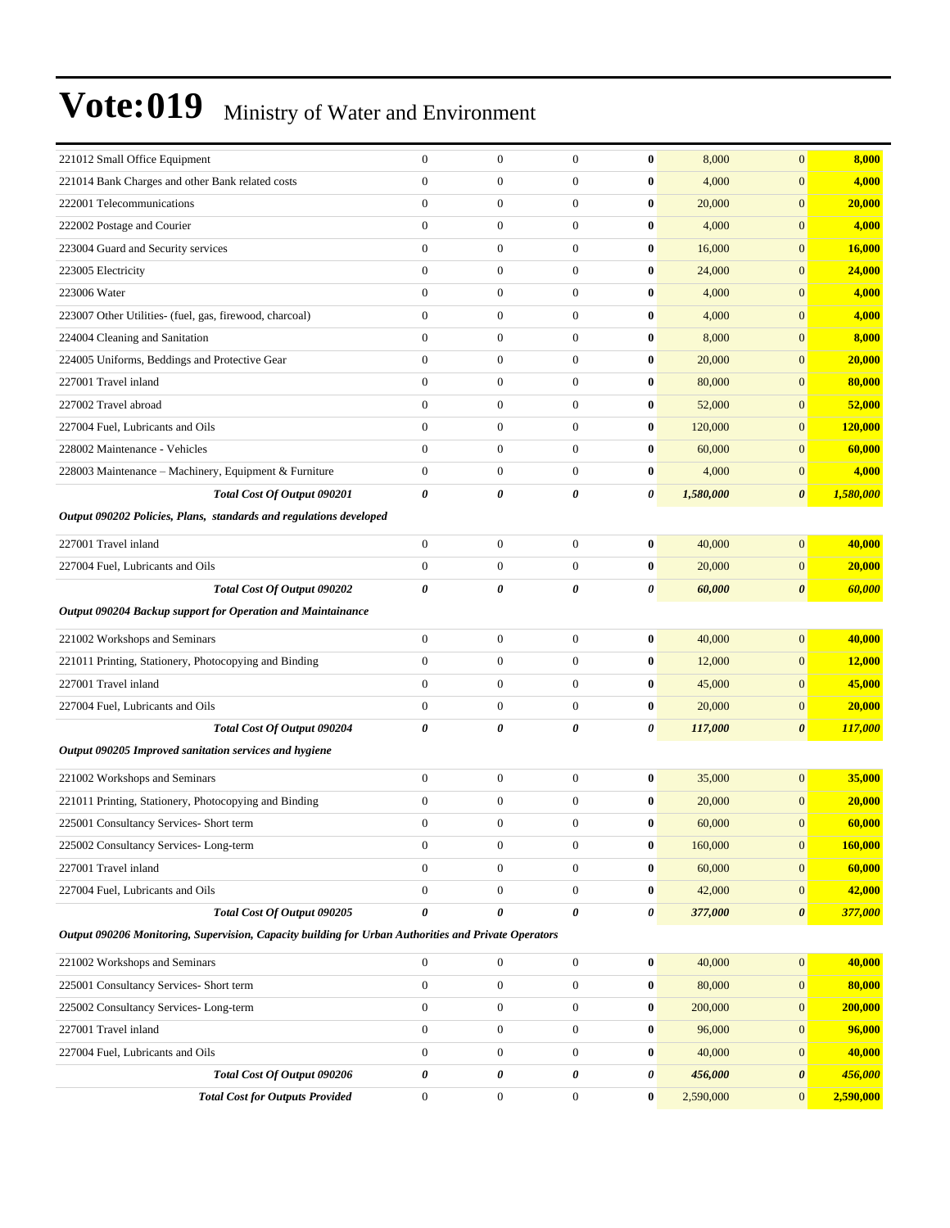| 221012 Small Office Equipment                                                                        | $\mathbf{0}$          | $\mathbf{0}$     | $\mathbf{0}$          | $\bf{0}$ | 8,000     | $\mathbf{0}$          | 8,000          |
|------------------------------------------------------------------------------------------------------|-----------------------|------------------|-----------------------|----------|-----------|-----------------------|----------------|
| 221014 Bank Charges and other Bank related costs                                                     | $\mathbf{0}$          | $\boldsymbol{0}$ | $\boldsymbol{0}$      | $\bf{0}$ | 4,000     | $\mathbf{0}$          | 4,000          |
| 222001 Telecommunications                                                                            | $\mathbf{0}$          | $\boldsymbol{0}$ | $\mathbf{0}$          | $\bf{0}$ | 20,000    | $\mathbf{0}$          | 20,000         |
| 222002 Postage and Courier                                                                           | $\overline{0}$        | $\boldsymbol{0}$ | $\mathbf{0}$          | $\bf{0}$ | 4,000     | $\mathbf{0}$          | 4,000          |
| 223004 Guard and Security services                                                                   | $\overline{0}$        | $\boldsymbol{0}$ | $\mathbf{0}$          | $\bf{0}$ | 16,000    | $\mathbf{0}$          | <b>16,000</b>  |
| 223005 Electricity                                                                                   | $\overline{0}$        | $\boldsymbol{0}$ | $\mathbf{0}$          | $\bf{0}$ | 24,000    | $\mathbf{0}$          | 24,000         |
| 223006 Water                                                                                         | $\mathbf{0}$          | $\boldsymbol{0}$ | $\boldsymbol{0}$      | $\bf{0}$ | 4,000     | $\mathbf{0}$          | 4,000          |
| 223007 Other Utilities- (fuel, gas, firewood, charcoal)                                              | $\mathbf{0}$          | $\boldsymbol{0}$ | $\mathbf{0}$          | $\bf{0}$ | 4,000     | $\mathbf{0}$          | 4,000          |
| 224004 Cleaning and Sanitation                                                                       | $\mathbf{0}$          | $\boldsymbol{0}$ | $\mathbf{0}$          | $\bf{0}$ | 8,000     | $\mathbf{0}$          | 8,000          |
| 224005 Uniforms, Beddings and Protective Gear                                                        | $\overline{0}$        | $\boldsymbol{0}$ | $\mathbf{0}$          | $\bf{0}$ | 20,000    | $\mathbf{0}$          | 20,000         |
| 227001 Travel inland                                                                                 | $\overline{0}$        | $\boldsymbol{0}$ | $\mathbf{0}$          | $\bf{0}$ | 80,000    | $\mathbf{0}$          | 80,000         |
| 227002 Travel abroad                                                                                 | $\mathbf{0}$          | $\boldsymbol{0}$ | $\boldsymbol{0}$      | $\bf{0}$ | 52,000    | $\mathbf{0}$          | 52,000         |
| 227004 Fuel, Lubricants and Oils                                                                     | $\mathbf{0}$          | $\boldsymbol{0}$ | $\mathbf{0}$          | $\bf{0}$ | 120,000   | $\mathbf{0}$          | 120,000        |
| 228002 Maintenance - Vehicles                                                                        | $\mathbf{0}$          | $\boldsymbol{0}$ | $\mathbf{0}$          | $\bf{0}$ | 60,000    | $\mathbf{0}$          | 60,000         |
| 228003 Maintenance – Machinery, Equipment & Furniture                                                | $\overline{0}$        | $\boldsymbol{0}$ | $\mathbf{0}$          | $\bf{0}$ | 4,000     | $\mathbf{0}$          | 4,000          |
| Total Cost Of Output 090201                                                                          | $\boldsymbol{\theta}$ | 0                | $\boldsymbol{\theta}$ | 0        | 1,580,000 | $\pmb{\theta}$        | 1,580,000      |
| Output 090202 Policies, Plans, standards and regulations developed                                   |                       |                  |                       |          |           |                       |                |
| 227001 Travel inland                                                                                 | $\boldsymbol{0}$      | $\boldsymbol{0}$ | $\boldsymbol{0}$      | $\bf{0}$ | 40,000    | $\mathbf{0}$          | 40,000         |
| 227004 Fuel, Lubricants and Oils                                                                     | $\boldsymbol{0}$      | $\boldsymbol{0}$ | $\mathbf{0}$          | $\bf{0}$ | 20,000    | $\mathbf{0}$          | 20,000         |
| Total Cost Of Output 090202                                                                          | $\boldsymbol{\theta}$ | 0                | 0                     | 0        | 60,000    | $\boldsymbol{\theta}$ | 60,000         |
| Output 090204 Backup support for Operation and Maintainance                                          |                       |                  |                       |          |           |                       |                |
| 221002 Workshops and Seminars                                                                        | $\overline{0}$        | $\boldsymbol{0}$ | $\mathbf{0}$          | $\bf{0}$ | 40,000    | $\mathbf{0}$          | 40,000         |
| 221011 Printing, Stationery, Photocopying and Binding                                                | $\overline{0}$        | $\boldsymbol{0}$ | $\mathbf{0}$          | $\bf{0}$ | 12,000    | $\mathbf{0}$          | 12,000         |
| 227001 Travel inland                                                                                 | $\mathbf{0}$          | $\boldsymbol{0}$ | $\boldsymbol{0}$      | $\bf{0}$ | 45,000    | $\mathbf{0}$          | 45,000         |
| 227004 Fuel, Lubricants and Oils                                                                     | $\boldsymbol{0}$      | $\boldsymbol{0}$ | $\mathbf{0}$          | $\bf{0}$ | 20,000    | $\mathbf{0}$          | 20,000         |
| Total Cost Of Output 090204                                                                          | 0                     | 0                | 0                     | 0        | 117,000   | $\boldsymbol{\theta}$ | 117,000        |
| Output 090205 Improved sanitation services and hygiene                                               |                       |                  |                       |          |           |                       |                |
|                                                                                                      |                       |                  |                       |          |           |                       |                |
| 221002 Workshops and Seminars                                                                        | $\overline{0}$        | $\boldsymbol{0}$ | $\mathbf{0}$          | $\bf{0}$ | 35,000    | $\mathbf{0}$          | 35,000         |
| 221011 Printing, Stationery, Photocopying and Binding                                                | $\boldsymbol{0}$      | $\boldsymbol{0}$ | $\mathbf{0}$          | $\bf{0}$ | 20,000    | $\mathbf{0}$          | 20,000         |
| 225001 Consultancy Services- Short term                                                              | $\mathbf{0}$          | $\boldsymbol{0}$ | $\boldsymbol{0}$      | $\bf{0}$ | 60,000    | $\mathbf{0}$          | 60,000         |
| 225002 Consultancy Services- Long-term                                                               | $\bf{0}$              | $\bf{0}$         | $\bf{0}$              | $\bf{0}$ | 160,000   | $\mathbf{0}$          | <b>160,000</b> |
| 227001 Travel inland                                                                                 | $\boldsymbol{0}$      | $\boldsymbol{0}$ | $\boldsymbol{0}$      | $\bf{0}$ | 60,000    | $\boldsymbol{0}$      | 60,000         |
| 227004 Fuel, Lubricants and Oils                                                                     | $\boldsymbol{0}$      | $\boldsymbol{0}$ | $\boldsymbol{0}$      | $\bf{0}$ | 42,000    | $\boldsymbol{0}$      | 42,000         |
| Total Cost Of Output 090205                                                                          | $\boldsymbol{\theta}$ | 0                | 0                     | 0        | 377,000   | $\pmb{\theta}$        | 377,000        |
| Output 090206 Monitoring, Supervision, Capacity building for Urban Authorities and Private Operators |                       |                  |                       |          |           |                       |                |
| 221002 Workshops and Seminars                                                                        | $\mathbf{0}$          | $\boldsymbol{0}$ | $\boldsymbol{0}$      | $\bf{0}$ | 40,000    | $\boldsymbol{0}$      | 40,000         |
| 225001 Consultancy Services- Short term                                                              | $\boldsymbol{0}$      | $\boldsymbol{0}$ | $\boldsymbol{0}$      | $\bf{0}$ | 80,000    | $\boldsymbol{0}$      | 80,000         |
| 225002 Consultancy Services-Long-term                                                                | $\boldsymbol{0}$      | $\boldsymbol{0}$ | $\boldsymbol{0}$      | $\bf{0}$ | 200,000   | $\mathbf{0}$          | 200,000        |
| 227001 Travel inland                                                                                 | $\boldsymbol{0}$      | $\boldsymbol{0}$ | $\boldsymbol{0}$      | $\bf{0}$ | 96,000    | $\mathbf{0}$          | 96,000         |
| 227004 Fuel, Lubricants and Oils                                                                     | $\mathbf{0}$          | $\boldsymbol{0}$ | $\boldsymbol{0}$      | $\bf{0}$ | 40,000    | $\boldsymbol{0}$      | 40,000         |
| Total Cost Of Output 090206                                                                          | $\pmb{\theta}$        | 0                | $\pmb{\theta}$        | 0        | 456,000   | $\pmb{\theta}$        | 456,000        |
| <b>Total Cost for Outputs Provided</b>                                                               | $\boldsymbol{0}$      | $\boldsymbol{0}$ | $\boldsymbol{0}$      | $\bf{0}$ | 2,590,000 | $\mathbf{0}$          | 2,590,000      |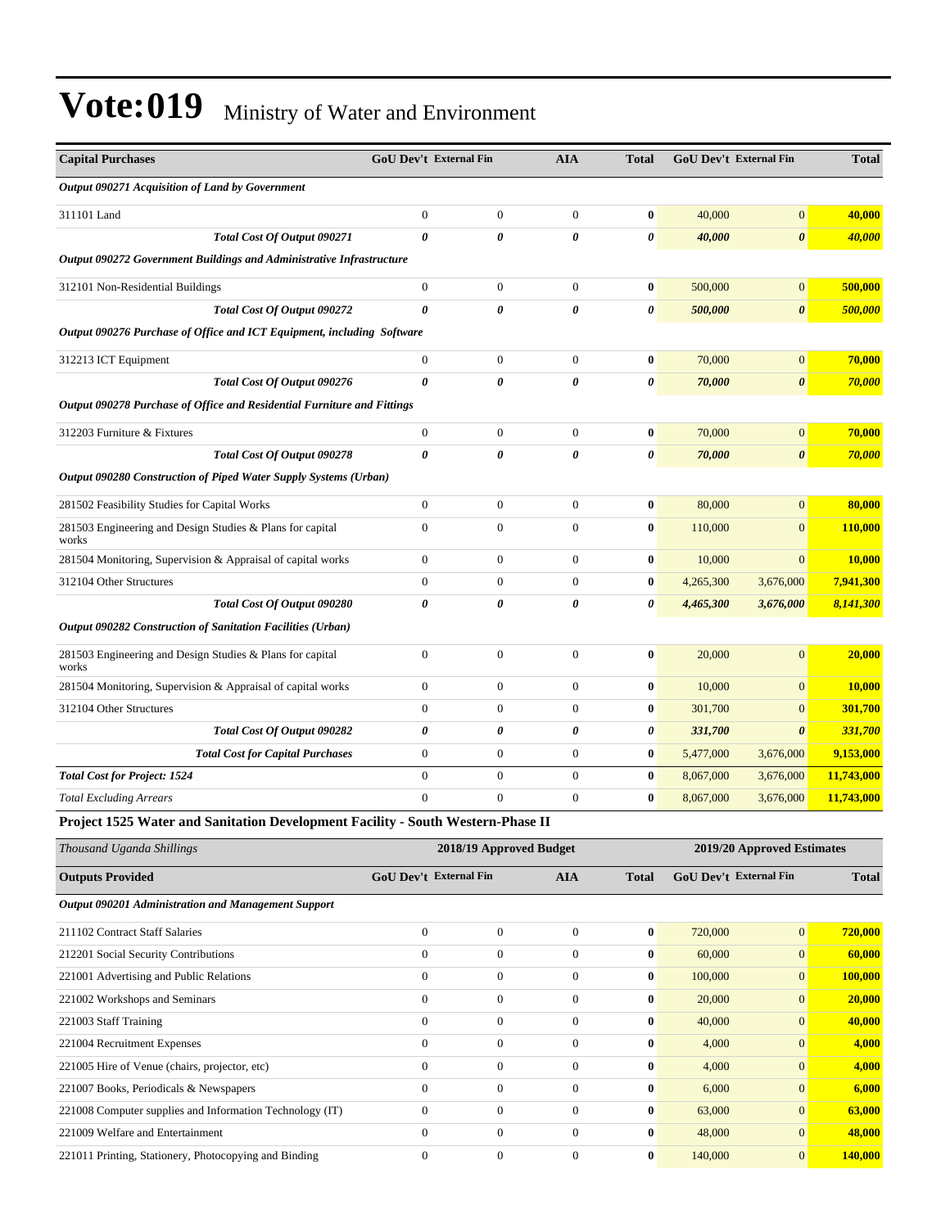| <b>Capital Purchases</b>                                                        | <b>GoU Dev't External Fin</b> |                       | <b>AIA</b>       | <b>Total</b>          | <b>GoU Dev't External Fin</b> |                       | <b>Total</b> |
|---------------------------------------------------------------------------------|-------------------------------|-----------------------|------------------|-----------------------|-------------------------------|-----------------------|--------------|
| Output 090271 Acquisition of Land by Government                                 |                               |                       |                  |                       |                               |                       |              |
| 311101 Land                                                                     | $\mathbf{0}$                  | $\mathbf{0}$          | $\overline{0}$   | $\bf{0}$              | 40,000                        | $\overline{0}$        | 40,000       |
| Total Cost Of Output 090271                                                     | $\boldsymbol{\theta}$         | 0                     | 0                | $\pmb{\theta}$        | 40,000                        | $\boldsymbol{\theta}$ | 40,000       |
| Output 090272 Government Buildings and Administrative Infrastructure            |                               |                       |                  |                       |                               |                       |              |
| 312101 Non-Residential Buildings                                                | $\mathbf{0}$                  | $\mathbf{0}$          | $\overline{0}$   | $\bf{0}$              | 500,000                       | $\overline{0}$        | 500,000      |
| Total Cost Of Output 090272                                                     | $\theta$                      | $\theta$              | 0                | $\pmb{\theta}$        | 500,000                       | $\boldsymbol{\theta}$ | 500,000      |
| Output 090276 Purchase of Office and ICT Equipment, including Software          |                               |                       |                  |                       |                               |                       |              |
| 312213 ICT Equipment                                                            | $\mathbf{0}$                  | $\boldsymbol{0}$      | $\overline{0}$   | $\bf{0}$              | 70,000                        | $\boldsymbol{0}$      | 70,000       |
| Total Cost Of Output 090276                                                     | $\boldsymbol{\theta}$         | $\theta$              | 0                | $\pmb{\theta}$        | 70,000                        | $\boldsymbol{\theta}$ | 70,000       |
| Output 090278 Purchase of Office and Residential Furniture and Fittings         |                               |                       |                  |                       |                               |                       |              |
| 312203 Furniture & Fixtures                                                     | $\mathbf{0}$                  | $\mathbf{0}$          | $\overline{0}$   | $\bf{0}$              | 70,000                        | $\overline{0}$        | 70,000       |
| Total Cost Of Output 090278                                                     | $\boldsymbol{\theta}$         | $\boldsymbol{\theta}$ | 0                | $\boldsymbol{\theta}$ | 70,000                        | $\boldsymbol{\theta}$ | 70,000       |
| Output 090280 Construction of Piped Water Supply Systems (Urban)                |                               |                       |                  |                       |                               |                       |              |
| 281502 Feasibility Studies for Capital Works                                    | $\boldsymbol{0}$              | $\boldsymbol{0}$      | $\boldsymbol{0}$ | $\bf{0}$              | 80,000                        | $\overline{0}$        | 80,000       |
| 281503 Engineering and Design Studies & Plans for capital<br>works              | $\overline{0}$                | $\mathbf{0}$          | $\overline{0}$   | $\bf{0}$              | 110,000                       | $\overline{0}$        | 110,000      |
| 281504 Monitoring, Supervision & Appraisal of capital works                     | $\Omega$                      | $\mathbf{0}$          | $\overline{0}$   | $\bf{0}$              | 10,000                        | $\Omega$              | 10,000       |
| 312104 Other Structures                                                         | $\theta$                      | $\overline{0}$        | $\Omega$         | $\bf{0}$              | 4,265,300                     | 3,676,000             | 7,941,300    |
| Total Cost Of Output 090280                                                     | $\boldsymbol{\theta}$         | $\theta$              | 0                | $\boldsymbol{\theta}$ | 4,465,300                     | 3,676,000             | 8,141,300    |
| Output 090282 Construction of Sanitation Facilities (Urban)                     |                               |                       |                  |                       |                               |                       |              |
| 281503 Engineering and Design Studies & Plans for capital<br>works              | $\boldsymbol{0}$              | $\boldsymbol{0}$      | $\overline{0}$   | $\bf{0}$              | 20,000                        | $\overline{0}$        | 20,000       |
| 281504 Monitoring, Supervision & Appraisal of capital works                     | $\mathbf{0}$                  | $\boldsymbol{0}$      | $\overline{0}$   | $\bf{0}$              | 10,000                        | $\overline{0}$        | 10,000       |
| 312104 Other Structures                                                         | $\Omega$                      | $\overline{0}$        | $\overline{0}$   | $\bf{0}$              | 301,700                       | $\overline{0}$        | 301,700      |
| Total Cost Of Output 090282                                                     | $\boldsymbol{\theta}$         | 0                     | 0                | 0                     | 331,700                       | $\boldsymbol{\theta}$ | 331,700      |
| <b>Total Cost for Capital Purchases</b>                                         | $\boldsymbol{0}$              | $\boldsymbol{0}$      | $\boldsymbol{0}$ | $\bf{0}$              | 5,477,000                     | 3,676,000             | 9,153,000    |
| <b>Total Cost for Project: 1524</b>                                             | $\mathbf{0}$                  | $\boldsymbol{0}$      | $\overline{0}$   | $\bf{0}$              | 8,067,000                     | 3,676,000             | 11,743,000   |
| <b>Total Excluding Arrears</b>                                                  | $\mathbf{0}$                  | $\overline{0}$        | $\overline{0}$   | $\bf{0}$              | 8,067,000                     | 3,676,000             | 11,743,000   |
| Project 1525 Water and Sanitation Development Facility - South Western-Phase II |                               |                       |                  |                       |                               |                       |              |

| Thousand Uganda Shillings                                | 2018/19 Approved Budget       |                |              |              | 2019/20 Approved Estimates    |                |              |  |
|----------------------------------------------------------|-------------------------------|----------------|--------------|--------------|-------------------------------|----------------|--------------|--|
| <b>Outputs Provided</b>                                  | <b>GoU Dev't External Fin</b> |                | <b>AIA</b>   | <b>Total</b> | <b>GoU Dev't External Fin</b> |                | <b>Total</b> |  |
| Output 090201 Administration and Management Support      |                               |                |              |              |                               |                |              |  |
| 211102 Contract Staff Salaries                           | $\Omega$                      | $\mathbf{0}$   | $\Omega$     | $\bf{0}$     | 720,000                       | $\mathbf{0}$   | 720,000      |  |
| 212201 Social Security Contributions                     | $\Omega$                      | $\mathbf{0}$   | $\Omega$     | $\bf{0}$     | 60,000                        | $\overline{0}$ | 60,000       |  |
| 221001 Advertising and Public Relations                  | $\Omega$                      | $\mathbf{0}$   | $\mathbf{0}$ | $\bf{0}$     | 100,000                       | $\mathbf{0}$   | 100,000      |  |
| 221002 Workshops and Seminars                            | $\Omega$                      | $\mathbf{0}$   | $\Omega$     | $\bf{0}$     | 20,000                        | $\overline{0}$ | 20,000       |  |
| 221003 Staff Training                                    | $\Omega$                      | $\mathbf{0}$   | $\Omega$     | $\bf{0}$     | 40,000                        | $\overline{0}$ | 40,000       |  |
| 221004 Recruitment Expenses                              | $\Omega$                      | $\mathbf{0}$   | $\Omega$     | $\bf{0}$     | 4,000                         | $\overline{0}$ | 4,000        |  |
| 221005 Hire of Venue (chairs, projector, etc)            | $\Omega$                      | $\mathbf{0}$   | $\Omega$     | $\mathbf{0}$ | 4,000                         | $\overline{0}$ | 4,000        |  |
| 221007 Books, Periodicals & Newspapers                   | $\mathbf{0}$                  | $\overline{0}$ | $\Omega$     | $\bf{0}$     | 6,000                         | $\mathbf{0}$   | 6,000        |  |
| 221008 Computer supplies and Information Technology (IT) | $\mathbf{0}$                  | $\mathbf{0}$   | $\Omega$     | $\bf{0}$     | 63,000                        | $\mathbf{0}$   | 63,000       |  |
| 221009 Welfare and Entertainment                         | $\Omega$                      | $\mathbf{0}$   | $\Omega$     | $\bf{0}$     | 48,000                        | $\overline{0}$ | 48,000       |  |
| 221011 Printing, Stationery, Photocopying and Binding    | $\Omega$                      | $\mathbf{0}$   | $\Omega$     | $\bf{0}$     | 140,000                       | $\mathbf{0}$   | 140,000      |  |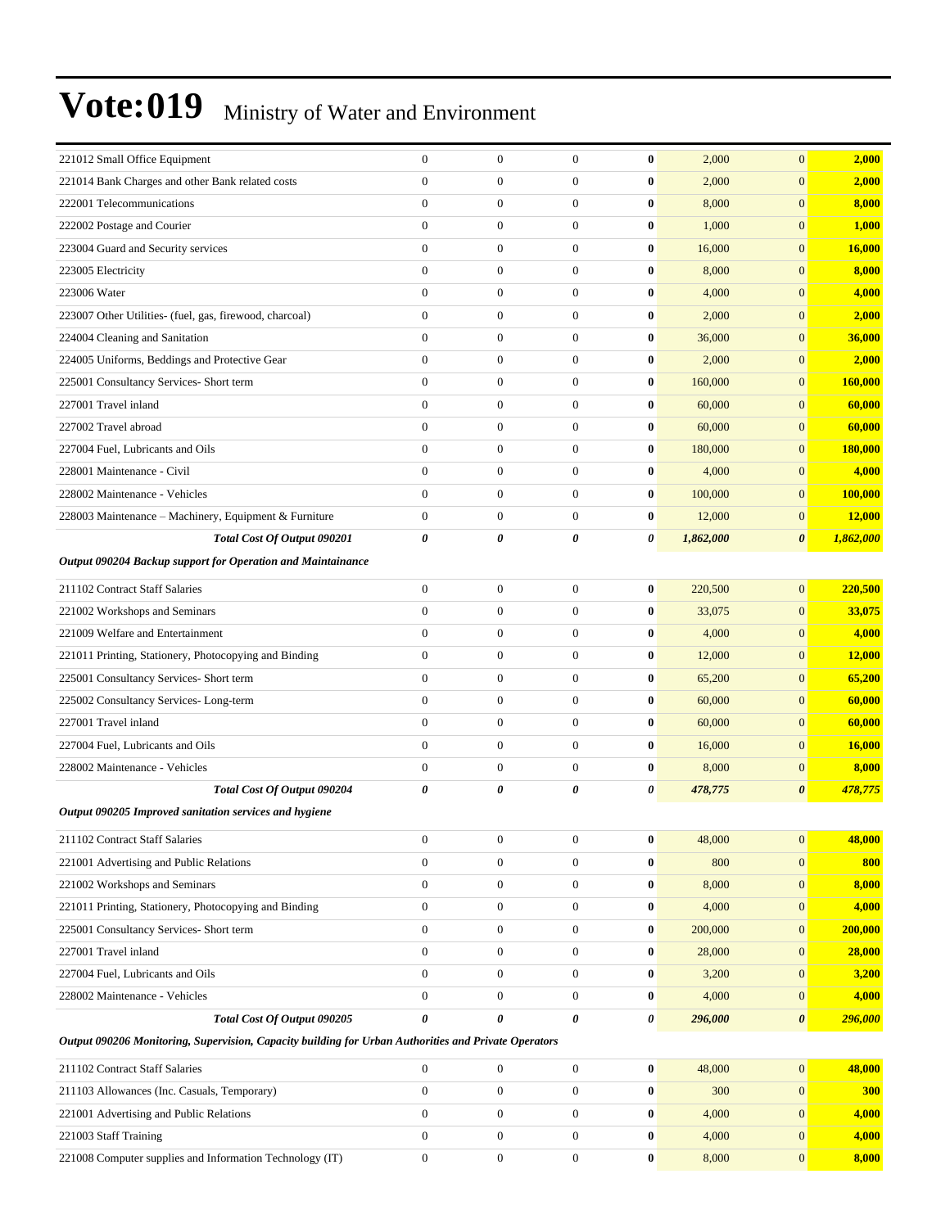| 221012 Small Office Equipment                                                                        | $\boldsymbol{0}$      | $\boldsymbol{0}$ | $\boldsymbol{0}$ | $\bf{0}$         | 2,000     | $\overline{0}$        | 2,000     |
|------------------------------------------------------------------------------------------------------|-----------------------|------------------|------------------|------------------|-----------|-----------------------|-----------|
| 221014 Bank Charges and other Bank related costs                                                     | $\overline{0}$        | $\boldsymbol{0}$ | $\boldsymbol{0}$ | $\bf{0}$         | 2,000     | $\overline{0}$        | 2,000     |
| 222001 Telecommunications                                                                            | $\overline{0}$        | $\boldsymbol{0}$ | $\boldsymbol{0}$ | $\bf{0}$         | 8,000     | $\overline{0}$        | 8,000     |
| 222002 Postage and Courier                                                                           | $\overline{0}$        | $\boldsymbol{0}$ | $\mathbf{0}$     | $\bf{0}$         | 1,000     | $\overline{0}$        | 1,000     |
| 223004 Guard and Security services                                                                   | $\overline{0}$        | $\boldsymbol{0}$ | $\boldsymbol{0}$ | $\bf{0}$         | 16,000    | $\overline{0}$        | 16,000    |
| 223005 Electricity                                                                                   | $\overline{0}$        | $\boldsymbol{0}$ | $\boldsymbol{0}$ | $\bf{0}$         | 8,000     | $\overline{0}$        | 8,000     |
| 223006 Water                                                                                         | $\overline{0}$        | $\boldsymbol{0}$ | $\boldsymbol{0}$ | $\bf{0}$         | 4,000     | $\overline{0}$        | 4,000     |
| 223007 Other Utilities- (fuel, gas, firewood, charcoal)                                              | $\mathbf{0}$          | $\boldsymbol{0}$ | $\boldsymbol{0}$ | $\bf{0}$         | 2,000     | $\overline{0}$        | 2,000     |
| 224004 Cleaning and Sanitation                                                                       | $\overline{0}$        | $\boldsymbol{0}$ | $\mathbf{0}$     | $\bf{0}$         | 36,000    | $\overline{0}$        | 36,000    |
| 224005 Uniforms, Beddings and Protective Gear                                                        | $\overline{0}$        | $\boldsymbol{0}$ | $\boldsymbol{0}$ | $\bf{0}$         | 2,000     | $\overline{0}$        | 2,000     |
| 225001 Consultancy Services- Short term                                                              | $\mathbf{0}$          | $\boldsymbol{0}$ | $\boldsymbol{0}$ | $\bf{0}$         | 160,000   | $\overline{0}$        | 160,000   |
| 227001 Travel inland                                                                                 | $\overline{0}$        | $\boldsymbol{0}$ | $\boldsymbol{0}$ | $\bf{0}$         | 60,000    | $\overline{0}$        | 60,000    |
| 227002 Travel abroad                                                                                 | $\overline{0}$        | $\boldsymbol{0}$ | $\boldsymbol{0}$ | $\bf{0}$         | 60,000    | $\overline{0}$        | 60,000    |
| 227004 Fuel, Lubricants and Oils                                                                     | $\overline{0}$        | $\boldsymbol{0}$ | $\mathbf{0}$     | $\bf{0}$         | 180,000   | $\overline{0}$        | 180,000   |
| 228001 Maintenance - Civil                                                                           | $\overline{0}$        | $\boldsymbol{0}$ | $\boldsymbol{0}$ | $\bf{0}$         | 4,000     | $\overline{0}$        | 4,000     |
| 228002 Maintenance - Vehicles                                                                        | $\mathbf{0}$          | $\boldsymbol{0}$ | $\boldsymbol{0}$ | $\bf{0}$         | 100,000   | $\overline{0}$        | 100,000   |
| 228003 Maintenance - Machinery, Equipment & Furniture                                                | $\boldsymbol{0}$      | $\boldsymbol{0}$ | $\boldsymbol{0}$ | $\bf{0}$         | 12,000    | $\mathbf{0}$          | 12,000    |
| Total Cost Of Output 090201                                                                          | 0                     | 0                | 0                | 0                | 1,862,000 | $\boldsymbol{\theta}$ | 1,862,000 |
| Output 090204 Backup support for Operation and Maintainance                                          |                       |                  |                  |                  |           |                       |           |
| 211102 Contract Staff Salaries                                                                       | $\overline{0}$        | $\boldsymbol{0}$ | $\boldsymbol{0}$ | $\bf{0}$         | 220,500   | $\overline{0}$        | 220,500   |
| 221002 Workshops and Seminars                                                                        | $\overline{0}$        | $\boldsymbol{0}$ | $\boldsymbol{0}$ | $\bf{0}$         | 33,075    | $\overline{0}$        | 33,075    |
| 221009 Welfare and Entertainment                                                                     | $\overline{0}$        | $\boldsymbol{0}$ | $\boldsymbol{0}$ | $\bf{0}$         | 4,000     | $\overline{0}$        | 4,000     |
| 221011 Printing, Stationery, Photocopying and Binding                                                | $\overline{0}$        | $\boldsymbol{0}$ | $\boldsymbol{0}$ | $\bf{0}$         | 12,000    | $\overline{0}$        | 12,000    |
| 225001 Consultancy Services- Short term                                                              | $\mathbf{0}$          | $\boldsymbol{0}$ | $\boldsymbol{0}$ | $\bf{0}$         | 65,200    | $\overline{0}$        | 65,200    |
| 225002 Consultancy Services-Long-term                                                                | $\overline{0}$        | $\boldsymbol{0}$ | $\boldsymbol{0}$ | $\bf{0}$         | 60,000    | $\overline{0}$        | 60,000    |
| 227001 Travel inland                                                                                 | $\overline{0}$        | $\boldsymbol{0}$ | $\boldsymbol{0}$ | $\bf{0}$         | 60,000    | $\overline{0}$        | 60,000    |
| 227004 Fuel, Lubricants and Oils                                                                     | $\mathbf{0}$          | $\boldsymbol{0}$ | $\boldsymbol{0}$ | $\bf{0}$         | 16,000    | $\overline{0}$        | 16,000    |
| 228002 Maintenance - Vehicles                                                                        | $\mathbf{0}$          | $\boldsymbol{0}$ | $\boldsymbol{0}$ | $\bf{0}$         | 8,000     | $\overline{0}$        | 8,000     |
| Total Cost Of Output 090204                                                                          | 0                     | 0                | 0                | 0                | 478,775   | 0                     | 478,775   |
| Output 090205 Improved sanitation services and hygiene                                               |                       |                  |                  |                  |           |                       |           |
| 211102 Contract Staff Salaries                                                                       | $\boldsymbol{0}$      | $\boldsymbol{0}$ | $\boldsymbol{0}$ | $\mathbf{0}$     | 48,000    | 0                     | 48,000    |
| 221001 Advertising and Public Relations                                                              | $\boldsymbol{0}$      | $\boldsymbol{0}$ | $\boldsymbol{0}$ | $\bf{0}$         | 800       | $\mathbf{0}$          | 800       |
| 221002 Workshops and Seminars                                                                        | $\boldsymbol{0}$      | $\boldsymbol{0}$ | $\boldsymbol{0}$ | $\bf{0}$         | 8,000     | $\mathbf{0}$          | 8,000     |
| 221011 Printing, Stationery, Photocopying and Binding                                                | $\mathbf{0}$          | $\boldsymbol{0}$ | $\boldsymbol{0}$ | $\bf{0}$         | 4,000     | $\mathbf{0}$          | 4,000     |
| 225001 Consultancy Services- Short term                                                              | $\boldsymbol{0}$      | $\boldsymbol{0}$ | $\boldsymbol{0}$ | $\bf{0}$         | 200,000   | $\overline{0}$        | 200,000   |
| 227001 Travel inland                                                                                 | $\overline{0}$        | $\boldsymbol{0}$ | $\boldsymbol{0}$ | $\boldsymbol{0}$ | 28,000    | $\mathbf{0}$          | 28,000    |
| 227004 Fuel, Lubricants and Oils                                                                     | $\boldsymbol{0}$      | $\boldsymbol{0}$ | $\boldsymbol{0}$ | $\bf{0}$         | 3,200     | $\mathbf{0}$          | 3,200     |
| 228002 Maintenance - Vehicles                                                                        | $\boldsymbol{0}$      | $\boldsymbol{0}$ | $\boldsymbol{0}$ | $\bf{0}$         | 4,000     | $\mathbf{0}$          | 4,000     |
| Total Cost Of Output 090205                                                                          | $\boldsymbol{\theta}$ | 0                | 0                | 0                | 296,000   | 0                     | 296,000   |
| Output 090206 Monitoring, Supervision, Capacity building for Urban Authorities and Private Operators |                       |                  |                  |                  |           |                       |           |
| 211102 Contract Staff Salaries                                                                       | $\mathbf{0}$          | $\boldsymbol{0}$ | $\boldsymbol{0}$ | $\bf{0}$         | 48,000    | $\mathbf{0}$          | 48,000    |
| 211103 Allowances (Inc. Casuals, Temporary)                                                          | $\boldsymbol{0}$      | $\boldsymbol{0}$ | $\boldsymbol{0}$ | $\bf{0}$         | 300       | $\mathbf{0}$          | 300       |
| 221001 Advertising and Public Relations                                                              | $\boldsymbol{0}$      | $\boldsymbol{0}$ | $\boldsymbol{0}$ | $\bf{0}$         | 4,000     | $\mathbf{0}$          | 4,000     |
| 221003 Staff Training                                                                                | $\mathbf{0}$          | $\boldsymbol{0}$ | $\boldsymbol{0}$ | $\bf{0}$         | 4,000     | $\mathbf{0}$          | 4,000     |

221008 Computer supplies and Information Technology (IT) 0 0 0 0 0 0 8,000 0 8,000 0 8,000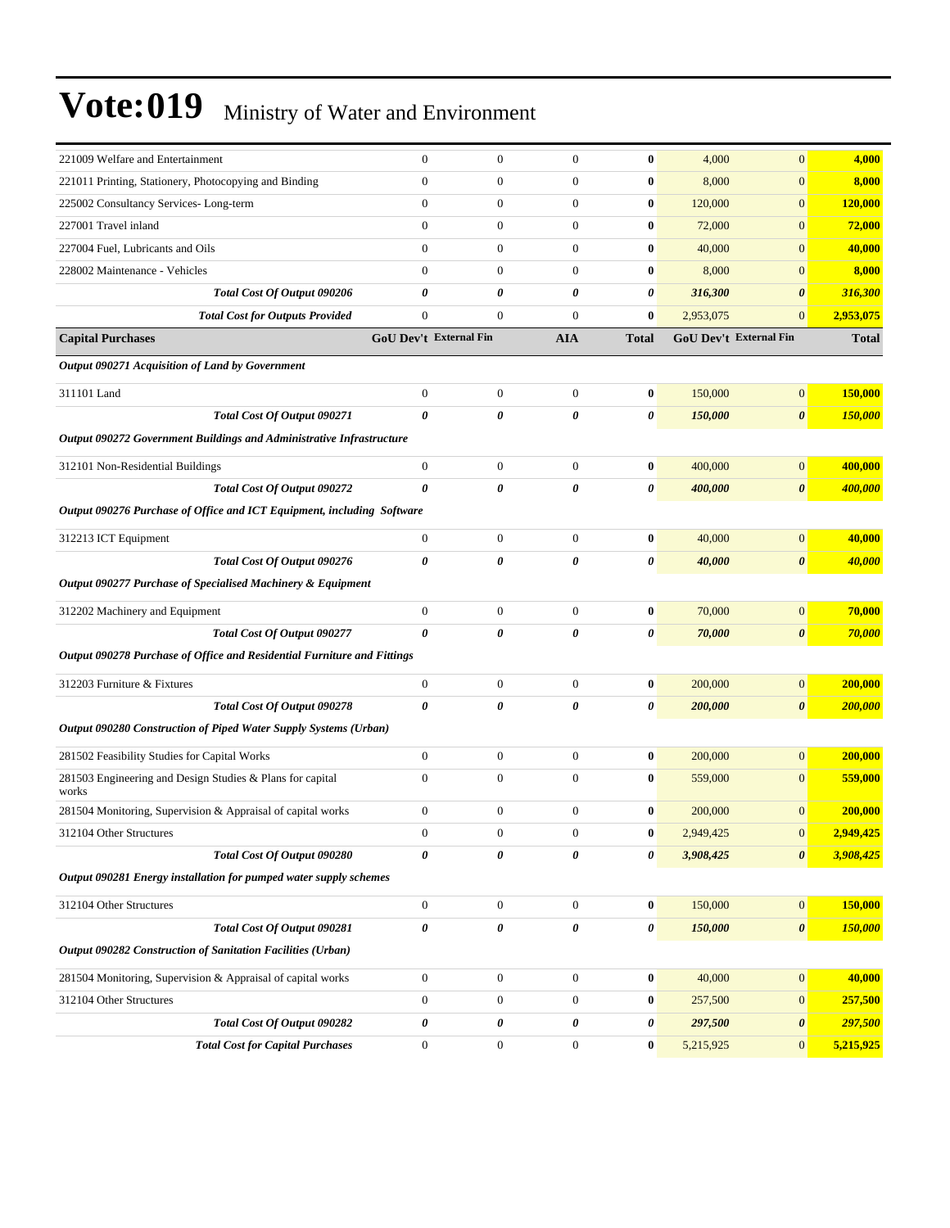| 221009 Welfare and Entertainment                                            | $\boldsymbol{0}$              | $\mathbf{0}$     | $\boldsymbol{0}$      | $\bf{0}$              | 4,000                         | $\mathbf{0}$          | 4,000          |
|-----------------------------------------------------------------------------|-------------------------------|------------------|-----------------------|-----------------------|-------------------------------|-----------------------|----------------|
| 221011 Printing, Stationery, Photocopying and Binding                       | $\boldsymbol{0}$              | $\boldsymbol{0}$ | $\mathbf{0}$          | $\bf{0}$              | 8,000                         | $\mathbf{0}$          | 8,000          |
| 225002 Consultancy Services-Long-term                                       | $\boldsymbol{0}$              | $\boldsymbol{0}$ | $\boldsymbol{0}$      | $\bf{0}$              | 120,000                       | $\mathbf{0}$          | <b>120,000</b> |
| 227001 Travel inland                                                        | $\overline{0}$                | $\boldsymbol{0}$ | $\boldsymbol{0}$      | $\bf{0}$              | 72,000                        | $\mathbf{0}$          | <b>72,000</b>  |
| 227004 Fuel. Lubricants and Oils                                            | $\overline{0}$                | $\boldsymbol{0}$ | $\mathbf{0}$          | $\bf{0}$              | 40,000                        | $\mathbf{0}$          | 40,000         |
| 228002 Maintenance - Vehicles                                               | $\overline{0}$                | $\boldsymbol{0}$ | $\mathbf{0}$          | $\bf{0}$              | 8,000                         | $\overline{0}$        | 8,000          |
| Total Cost Of Output 090206                                                 | 0                             | 0                | 0                     | 0                     | 316,300                       | $\boldsymbol{\theta}$ | 316,300        |
| <b>Total Cost for Outputs Provided</b>                                      | $\boldsymbol{0}$              | $\boldsymbol{0}$ | $\boldsymbol{0}$      | $\bf{0}$              | 2,953,075                     | $\mathbf{0}$          | 2,953,075      |
| <b>Capital Purchases</b>                                                    | <b>GoU Dev't External Fin</b> |                  | <b>AIA</b>            | <b>Total</b>          | <b>GoU Dev't External Fin</b> |                       | <b>Total</b>   |
| Output 090271 Acquisition of Land by Government                             |                               |                  |                       |                       |                               |                       |                |
| 311101 Land                                                                 | $\boldsymbol{0}$              | $\boldsymbol{0}$ | $\boldsymbol{0}$      | $\bf{0}$              | 150,000                       | $\boldsymbol{0}$      | 150,000        |
| Total Cost Of Output 090271                                                 | 0                             | 0                | 0                     | $\boldsymbol{\theta}$ | 150,000                       | $\boldsymbol{\theta}$ | 150,000        |
| <b>Output 090272 Government Buildings and Administrative Infrastructure</b> |                               |                  |                       |                       |                               |                       |                |
| 312101 Non-Residential Buildings                                            | $\boldsymbol{0}$              | $\mathbf{0}$     | $\mathbf{0}$          | $\bf{0}$              | 400,000                       | $\mathbf{0}$          | 400,000        |
| Total Cost Of Output 090272                                                 | 0                             | 0                | 0                     | 0                     | 400,000                       | $\boldsymbol{\theta}$ | 400,000        |
| Output 090276 Purchase of Office and ICT Equipment, including Software      |                               |                  |                       |                       |                               |                       |                |
| 312213 ICT Equipment                                                        | $\boldsymbol{0}$              | $\mathbf{0}$     | $\boldsymbol{0}$      | $\bf{0}$              | 40,000                        | $\boldsymbol{0}$      | 40,000         |
| Total Cost Of Output 090276                                                 | 0                             | $\theta$         | $\boldsymbol{\theta}$ | 0                     | 40,000                        | $\boldsymbol{\theta}$ | 40,000         |
| Output 090277 Purchase of Specialised Machinery & Equipment                 |                               |                  |                       |                       |                               |                       |                |
|                                                                             |                               |                  |                       |                       |                               |                       |                |
| 312202 Machinery and Equipment                                              | $\boldsymbol{0}$              | $\mathbf{0}$     | $\mathbf{0}$          | $\bf{0}$              | 70,000                        | $\boldsymbol{0}$      | 70,000         |
| Total Cost Of Output 090277                                                 | 0                             | 0                | 0                     | 0                     | 70,000                        | $\boldsymbol{\theta}$ | 70,000         |
| Output 090278 Purchase of Office and Residential Furniture and Fittings     |                               |                  |                       |                       |                               |                       |                |
| 312203 Furniture & Fixtures                                                 | $\boldsymbol{0}$              | $\boldsymbol{0}$ | $\mathbf{0}$          | $\bf{0}$              | 200,000                       | $\boldsymbol{0}$      | 200,000        |
| Total Cost Of Output 090278                                                 | 0                             | 0                | 0                     | 0                     | 200,000                       | $\boldsymbol{\theta}$ | 200,000        |
| Output 090280 Construction of Piped Water Supply Systems (Urban)            |                               |                  |                       |                       |                               |                       |                |
| 281502 Feasibility Studies for Capital Works                                | $\boldsymbol{0}$              | $\boldsymbol{0}$ | $\boldsymbol{0}$      | $\bf{0}$              | 200,000                       | $\mathbf{0}$          | 200,000        |
| 281503 Engineering and Design Studies & Plans for capital<br>works          | $\boldsymbol{0}$              | $\boldsymbol{0}$ | $\boldsymbol{0}$      | $\bf{0}$              | 559,000                       | $\mathbf{0}$          | 559,000        |
| 281504 Monitoring, Supervision & Appraisal of capital works                 | $\boldsymbol{0}$              | $\boldsymbol{0}$ | $\mathbf{0}$          | $\bf{0}$              | 200,000                       | $\mathbf{0}$          | 200,000        |
| 312104 Other Structures                                                     | $\boldsymbol{0}$              | $\mathbf{0}$     | $\boldsymbol{0}$      | $\bf{0}$              | 2,949,425                     | $\mathbf{0}$          | 2,949,425      |
| Total Cost Of Output 090280                                                 | 0                             | 0                | 0                     | 0                     | 3,908,425                     | $\boldsymbol{\theta}$ | 3,908,425      |
| Output 090281 Energy installation for pumped water supply schemes           |                               |                  |                       |                       |                               |                       |                |
| 312104 Other Structures                                                     | $\boldsymbol{0}$              | $\boldsymbol{0}$ | $\boldsymbol{0}$      | $\bf{0}$              | 150,000                       | 0                     | 150,000        |
| Total Cost Of Output 090281                                                 | 0                             | 0                | $\pmb{\theta}$        | 0                     | 150,000                       | $\boldsymbol{\theta}$ | 150,000        |
| Output 090282 Construction of Sanitation Facilities (Urban)                 |                               |                  |                       |                       |                               |                       |                |
| 281504 Monitoring, Supervision & Appraisal of capital works                 | $\boldsymbol{0}$              | $\boldsymbol{0}$ | $\boldsymbol{0}$      | $\boldsymbol{0}$      | 40,000                        | 0                     | 40,000         |
| 312104 Other Structures                                                     | $\boldsymbol{0}$              | $\boldsymbol{0}$ | $\boldsymbol{0}$      | $\bf{0}$              | 257,500                       | $\mathbf{0}$          | 257,500        |
| Total Cost Of Output 090282                                                 | 0                             | 0                | 0                     | 0                     | 297,500                       | $\pmb{\theta}$        | 297,500        |
| <b>Total Cost for Capital Purchases</b>                                     | $\boldsymbol{0}$              | $\boldsymbol{0}$ | $\boldsymbol{0}$      | $\bf{0}$              | 5,215,925                     | $\mathbf{0}$          | 5,215,925      |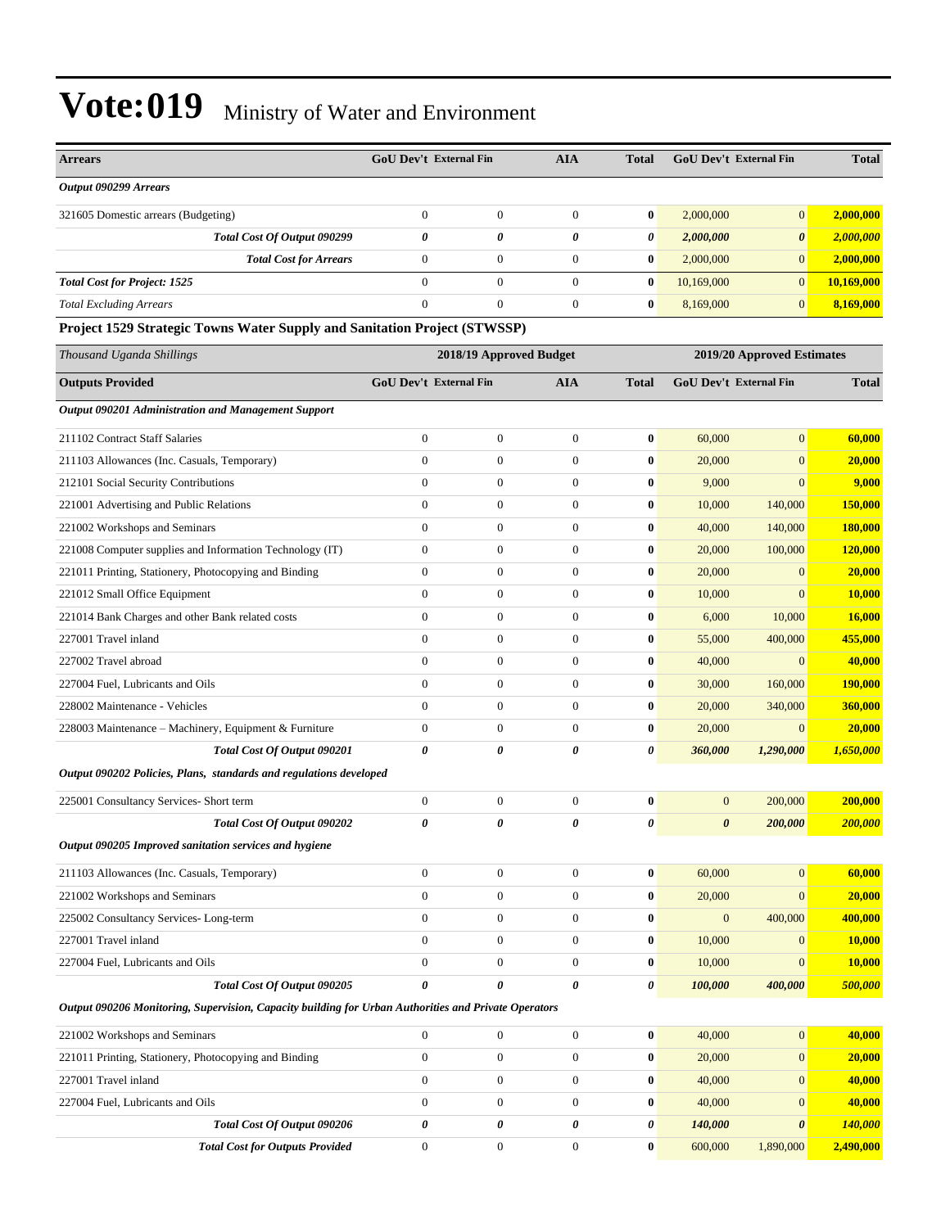| <b>Arrears</b>                                                                                       | <b>GoU Dev't External Fin</b> |                         | <b>AIA</b>            | <b>Total</b> | GoU Dev't External Fin |                            | <b>Total</b>   |
|------------------------------------------------------------------------------------------------------|-------------------------------|-------------------------|-----------------------|--------------|------------------------|----------------------------|----------------|
| Output 090299 Arrears                                                                                |                               |                         |                       |              |                        |                            |                |
| 321605 Domestic arrears (Budgeting)                                                                  | $\overline{0}$                | $\boldsymbol{0}$        | $\mathbf{0}$          | $\bf{0}$     | 2,000,000              | $\mathbf{0}$               | 2,000,000      |
| Total Cost Of Output 090299                                                                          | 0                             | 0                       | $\boldsymbol{\theta}$ | 0            | 2,000,000              | $\boldsymbol{\theta}$      | 2,000,000      |
| <b>Total Cost for Arrears</b>                                                                        | $\overline{0}$                | $\boldsymbol{0}$        | $\boldsymbol{0}$      | $\bf{0}$     | 2,000,000              | $\mathbf{0}$               | 2,000,000      |
| <b>Total Cost for Project: 1525</b>                                                                  | $\overline{0}$                | $\mathbf{0}$            | $\mathbf{0}$          | $\bf{0}$     | 10,169,000             | $\mathbf{0}$               | 10,169,000     |
| <b>Total Excluding Arrears</b>                                                                       | $\Omega$                      | $\overline{0}$          | $\mathbf{0}$          | $\bf{0}$     | 8,169,000              | $\mathbf{0}$               | 8,169,000      |
| Project 1529 Strategic Towns Water Supply and Sanitation Project (STWSSP)                            |                               |                         |                       |              |                        |                            |                |
| Thousand Uganda Shillings                                                                            |                               | 2018/19 Approved Budget |                       |              |                        | 2019/20 Approved Estimates |                |
| <b>Outputs Provided</b>                                                                              | GoU Dev't External Fin        |                         | <b>AIA</b>            | <b>Total</b> | GoU Dev't External Fin |                            | <b>Total</b>   |
| Output 090201 Administration and Management Support                                                  |                               |                         |                       |              |                        |                            |                |
| 211102 Contract Staff Salaries                                                                       | $\boldsymbol{0}$              | $\boldsymbol{0}$        | $\mathbf{0}$          | $\bf{0}$     | 60,000                 | $\overline{0}$             | 60,000         |
| 211103 Allowances (Inc. Casuals, Temporary)                                                          | $\overline{0}$                | $\overline{0}$          | $\mathbf{0}$          | $\bf{0}$     | 20,000                 | $\overline{0}$             | 20,000         |
| 212101 Social Security Contributions                                                                 | $\overline{0}$                | $\boldsymbol{0}$        | $\boldsymbol{0}$      | $\bf{0}$     | 9,000                  | $\overline{0}$             | 9,000          |
| 221001 Advertising and Public Relations                                                              | $\overline{0}$                | $\boldsymbol{0}$        | $\boldsymbol{0}$      | $\bf{0}$     | 10,000                 | 140,000                    | 150,000        |
| 221002 Workshops and Seminars                                                                        | $\overline{0}$                | $\boldsymbol{0}$        | $\mathbf{0}$          | $\bf{0}$     | 40,000                 | 140,000                    | 180,000        |
| 221008 Computer supplies and Information Technology (IT)                                             | $\boldsymbol{0}$              | $\boldsymbol{0}$        | $\mathbf{0}$          | $\bf{0}$     | 20,000                 | 100,000                    | <b>120,000</b> |
| 221011 Printing, Stationery, Photocopying and Binding                                                | $\overline{0}$                | $\boldsymbol{0}$        | $\mathbf{0}$          | $\bf{0}$     | 20,000                 | $\overline{0}$             | 20,000         |
| 221012 Small Office Equipment                                                                        | $\overline{0}$                | $\boldsymbol{0}$        | $\mathbf{0}$          | $\bf{0}$     | 10,000                 | $\overline{0}$             | 10,000         |
| 221014 Bank Charges and other Bank related costs                                                     | $\overline{0}$                | $\boldsymbol{0}$        | $\boldsymbol{0}$      | $\bf{0}$     | 6,000                  | 10,000                     | 16,000         |
| 227001 Travel inland                                                                                 | $\overline{0}$                | $\boldsymbol{0}$        | $\mathbf{0}$          | $\bf{0}$     | 55,000                 | 400,000                    | 455,000        |
| 227002 Travel abroad                                                                                 | $\overline{0}$                | $\boldsymbol{0}$        | $\mathbf{0}$          | $\bf{0}$     | 40,000                 | $\mathbf{0}$               | 40,000         |
| 227004 Fuel, Lubricants and Oils                                                                     | $\overline{0}$                | $\boldsymbol{0}$        | $\mathbf{0}$          | $\bf{0}$     | 30,000                 | 160,000                    | 190,000        |
| 228002 Maintenance - Vehicles                                                                        | $\overline{0}$                | $\boldsymbol{0}$        | $\boldsymbol{0}$      | $\bf{0}$     | 20,000                 | 340,000                    | 360,000        |
| 228003 Maintenance - Machinery, Equipment & Furniture                                                | $\boldsymbol{0}$              | $\boldsymbol{0}$        | $\mathbf{0}$          | $\bf{0}$     | 20,000                 | $\mathbf{0}$               | 20,000         |
| Total Cost Of Output 090201                                                                          | 0                             | 0                       | 0                     | 0            | 360,000                | 1,290,000                  | 1,650,000      |
| Output 090202 Policies, Plans, standards and regulations developed                                   |                               |                         |                       |              |                        |                            |                |
| 225001 Consultancy Services- Short term                                                              | $\boldsymbol{0}$              | $\boldsymbol{0}$        | $\mathbf{0}$          | $\bf{0}$     | $\mathbf{0}$           | 200,000                    | 200,000        |
| Total Cost Of Output 090202                                                                          | 0                             | 0                       | 0                     | $\theta$     | $\boldsymbol{\theta}$  | 200,000                    | 200,000        |
| Output 090205 Improved sanitation services and hygiene                                               |                               |                         |                       |              |                        |                            |                |
| 211103 Allowances (Inc. Casuals, Temporary)                                                          | $\boldsymbol{0}$              | $\boldsymbol{0}$        | $\mathbf{0}$          | $\bf{0}$     | 60,000                 | $\boldsymbol{0}$           | 60,000         |
| 221002 Workshops and Seminars                                                                        | $\boldsymbol{0}$              | $\boldsymbol{0}$        | $\boldsymbol{0}$      | $\bf{0}$     | 20,000                 | $\boldsymbol{0}$           | 20,000         |
| 225002 Consultancy Services-Long-term                                                                | $\boldsymbol{0}$              | $\boldsymbol{0}$        | $\boldsymbol{0}$      | $\bf{0}$     | $\boldsymbol{0}$       | 400,000                    | 400,000        |
| 227001 Travel inland                                                                                 | $\boldsymbol{0}$              | $\boldsymbol{0}$        | $\boldsymbol{0}$      | $\bf{0}$     | 10,000                 | $\mathbf{0}$               | <b>10,000</b>  |
| 227004 Fuel, Lubricants and Oils                                                                     | $\boldsymbol{0}$              | $\boldsymbol{0}$        | $\mathbf{0}$          | $\bf{0}$     | 10,000                 | $\overline{0}$             | 10,000         |
| Total Cost Of Output 090205                                                                          | $\boldsymbol{\theta}$         | 0                       | 0                     | 0            | 100,000                | 400,000                    | 500,000        |
| Output 090206 Monitoring, Supervision, Capacity building for Urban Authorities and Private Operators |                               |                         |                       |              |                        |                            |                |
| 221002 Workshops and Seminars                                                                        | $\overline{0}$                | $\boldsymbol{0}$        | $\boldsymbol{0}$      | $\bf{0}$     | 40,000                 | $\mathbf{0}$               | 40,000         |
| 221011 Printing, Stationery, Photocopying and Binding                                                | $\boldsymbol{0}$              | $\boldsymbol{0}$        | $\boldsymbol{0}$      | $\bf{0}$     | 20,000                 | $\mathbf{0}$               | 20,000         |
| 227001 Travel inland                                                                                 | $\boldsymbol{0}$              | $\boldsymbol{0}$        | $\boldsymbol{0}$      | $\bf{0}$     | 40,000                 | $\mathbf{0}$               | 40,000         |
| 227004 Fuel, Lubricants and Oils                                                                     | $\boldsymbol{0}$              | $\boldsymbol{0}$        | $\mathbf{0}$          | $\bf{0}$     | 40,000                 | $\overline{0}$             | 40,000         |
| Total Cost Of Output 090206                                                                          | 0                             | 0                       | 0                     | 0            | 140,000                | 0                          | 140,000        |
| <b>Total Cost for Outputs Provided</b>                                                               | $\mathbf{0}$                  | $\boldsymbol{0}$        | $\mathbf{0}$          | $\bf{0}$     | 600,000                | 1,890,000                  | 2,490,000      |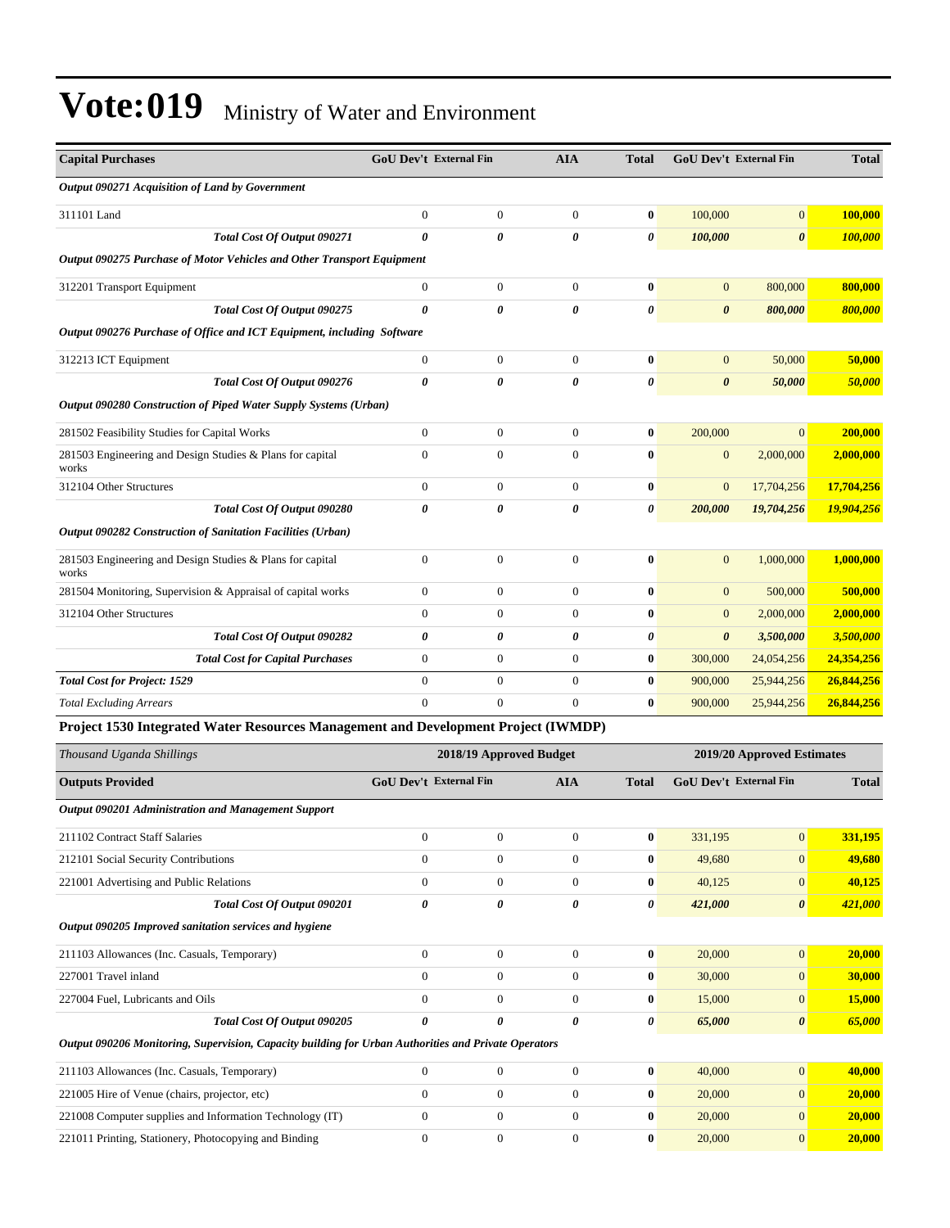| <b>Capital Purchases</b>                                               | <b>GoU</b> Dev't External Fin<br><b>AIA</b> |                | <b>Total</b>          | <b>GoU Dev't External Fin</b> | <b>Total</b>          |                |            |
|------------------------------------------------------------------------|---------------------------------------------|----------------|-----------------------|-------------------------------|-----------------------|----------------|------------|
| Output 090271 Acquisition of Land by Government                        |                                             |                |                       |                               |                       |                |            |
| 311101 Land                                                            | $\overline{0}$                              | $\overline{0}$ | $\overline{0}$        | $\bf{0}$                      | 100,000               | $\overline{0}$ | 100,000    |
| Total Cost Of Output 090271                                            | $\theta$                                    | 0              | $\theta$              | $\theta$                      | 100,000               | $\theta$       | 100,000    |
| Output 090275 Purchase of Motor Vehicles and Other Transport Equipment |                                             |                |                       |                               |                       |                |            |
| 312201 Transport Equipment                                             | $\overline{0}$                              | $\overline{0}$ | $\theta$              | $\bf{0}$                      | $\boldsymbol{0}$      | 800,000        | 800,000    |
| Total Cost Of Output 090275                                            | 0                                           | $\theta$       | $\boldsymbol{\theta}$ | $\boldsymbol{\theta}$         | $\boldsymbol{\theta}$ | 800,000        | 800,000    |
| Output 090276 Purchase of Office and ICT Equipment, including Software |                                             |                |                       |                               |                       |                |            |
| 312213 ICT Equipment                                                   | $\theta$                                    | $\Omega$       | $\Omega$              | $\bf{0}$                      | $\overline{0}$        | 50,000         | 50,000     |
| Total Cost Of Output 090276                                            | 0                                           | 0              | 0                     | 0                             | $\boldsymbol{\theta}$ | 50,000         | 50,000     |
| Output 090280 Construction of Piped Water Supply Systems (Urban)       |                                             |                |                       |                               |                       |                |            |
| 281502 Feasibility Studies for Capital Works                           | $\overline{0}$                              | $\Omega$       | $\overline{0}$        | $\bf{0}$                      | 200,000               | $\Omega$       | 200,000    |
| 281503 Engineering and Design Studies & Plans for capital<br>works     | $\theta$                                    | $\Omega$       | $\Omega$              | $\bf{0}$                      | $\overline{0}$        | 2,000,000      | 2,000,000  |
| 312104 Other Structures                                                | $\theta$                                    | $\Omega$       | $\overline{0}$        | $\bf{0}$                      | $\overline{0}$        | 17,704,256     | 17,704,256 |
| Total Cost Of Output 090280                                            | 0                                           | 0              | $\theta$              | 0                             | 200,000               | 19,704,256     | 19,904,256 |
| Output 090282 Construction of Sanitation Facilities (Urban)            |                                             |                |                       |                               |                       |                |            |
| 281503 Engineering and Design Studies & Plans for capital<br>works     | $\overline{0}$                              | $\mathbf{0}$   | $\theta$              | $\bf{0}$                      | $\overline{0}$        | 1,000,000      | 1,000,000  |
| 281504 Monitoring, Supervision & Appraisal of capital works            | $\overline{0}$                              | $\Omega$       | $\overline{0}$        | $\bf{0}$                      | $\overline{0}$        | 500,000        | 500,000    |
| 312104 Other Structures                                                | $\overline{0}$                              | $\mathbf{0}$   | $\theta$              | $\bf{0}$                      | $\overline{0}$        | 2,000,000      | 2,000,000  |
| Total Cost Of Output 090282                                            | 0                                           | 0              | $\boldsymbol{\theta}$ | 0                             | 0                     | 3,500,000      | 3,500,000  |
| <b>Total Cost for Capital Purchases</b>                                | 0                                           | $\overline{0}$ | $\overline{0}$        | $\bf{0}$                      | 300,000               | 24,054,256     | 24,354,256 |
| <b>Total Cost for Project: 1529</b>                                    | $\Omega$                                    | $\Omega$       | $\Omega$              | $\mathbf{0}$                  | 900,000               | 25,944,256     | 26,844,256 |
| <b>Total Excluding Arrears</b>                                         | $\theta$                                    | $\Omega$       | $\overline{0}$        | $\bf{0}$                      | 900,000               | 25,944,256     | 26,844,256 |

#### **Project 1530 Integrated Water Resources Management and Development Project (IWMDP)**

| Thousand Uganda Shillings                                                                            | 2018/19 Approved Budget                     |                  |              |                               | 2019/20 Approved Estimates |                       |         |  |
|------------------------------------------------------------------------------------------------------|---------------------------------------------|------------------|--------------|-------------------------------|----------------------------|-----------------------|---------|--|
| <b>Outputs Provided</b>                                                                              | <b>GoU Dev't External Fin</b><br><b>AIA</b> |                  | <b>Total</b> | <b>GoU Dev't External Fin</b> |                            | <b>Total</b>          |         |  |
| Output 090201 Administration and Management Support                                                  |                                             |                  |              |                               |                            |                       |         |  |
| 211102 Contract Staff Salaries                                                                       | $\overline{0}$                              | $\boldsymbol{0}$ | $\mathbf{0}$ | $\bf{0}$                      | 331,195                    | $\mathbf{0}$          | 331,195 |  |
| 212101 Social Security Contributions                                                                 | $\mathbf{0}$                                | $\boldsymbol{0}$ | $\theta$     | 0                             | 49,680                     | $\Omega$              | 49,680  |  |
| 221001 Advertising and Public Relations                                                              | $\theta$                                    | $\overline{0}$   | $\Omega$     | $\mathbf{0}$                  | 40,125                     | $\mathbf{0}$          | 40,125  |  |
| Total Cost Of Output 090201                                                                          | 0                                           | 0                | 0            | 0                             | 421,000                    | $\boldsymbol{\theta}$ | 421,000 |  |
| Output 090205 Improved sanitation services and hygiene                                               |                                             |                  |              |                               |                            |                       |         |  |
| 211103 Allowances (Inc. Casuals, Temporary)                                                          | $\mathbf{0}$                                | $\overline{0}$   | $\Omega$     | $\bf{0}$                      | 20,000                     | $\overline{0}$        | 20,000  |  |
| 227001 Travel inland                                                                                 | $\mathbf{0}$                                | $\overline{0}$   | $\Omega$     | $\mathbf{0}$                  | 30,000                     | $\mathbf{0}$          | 30,000  |  |
| 227004 Fuel, Lubricants and Oils                                                                     | $\mathbf{0}$                                | $\overline{0}$   | $\Omega$     | $\bf{0}$                      | 15,000                     | $\mathbf{0}$          | 15,000  |  |
| Total Cost Of Output 090205                                                                          | 0                                           | 0                | 0            | 0                             | 65,000                     | $\boldsymbol{\theta}$ | 65,000  |  |
| Output 090206 Monitoring, Supervision, Capacity building for Urban Authorities and Private Operators |                                             |                  |              |                               |                            |                       |         |  |
| 211103 Allowances (Inc. Casuals, Temporary)                                                          | $\mathbf{0}$                                | $\mathbf{0}$     | $\Omega$     | $\bf{0}$                      | 40,000                     | $\mathbf{0}$          | 40,000  |  |
| 221005 Hire of Venue (chairs, projector, etc)                                                        | $\theta$                                    | $\overline{0}$   | $\Omega$     | $\mathbf{0}$                  | 20,000                     | $\mathbf{0}$          | 20,000  |  |
| 221008 Computer supplies and Information Technology (IT)                                             | $\mathbf{0}$                                | $\overline{0}$   | $\Omega$     | $\bf{0}$                      | 20,000                     | $\mathbf{0}$          | 20,000  |  |
| 221011 Printing, Stationery, Photocopying and Binding                                                | $\theta$                                    | $\Omega$         | $\Omega$     | $\mathbf{0}$                  | 20,000                     | $\mathbf{0}$          | 20,000  |  |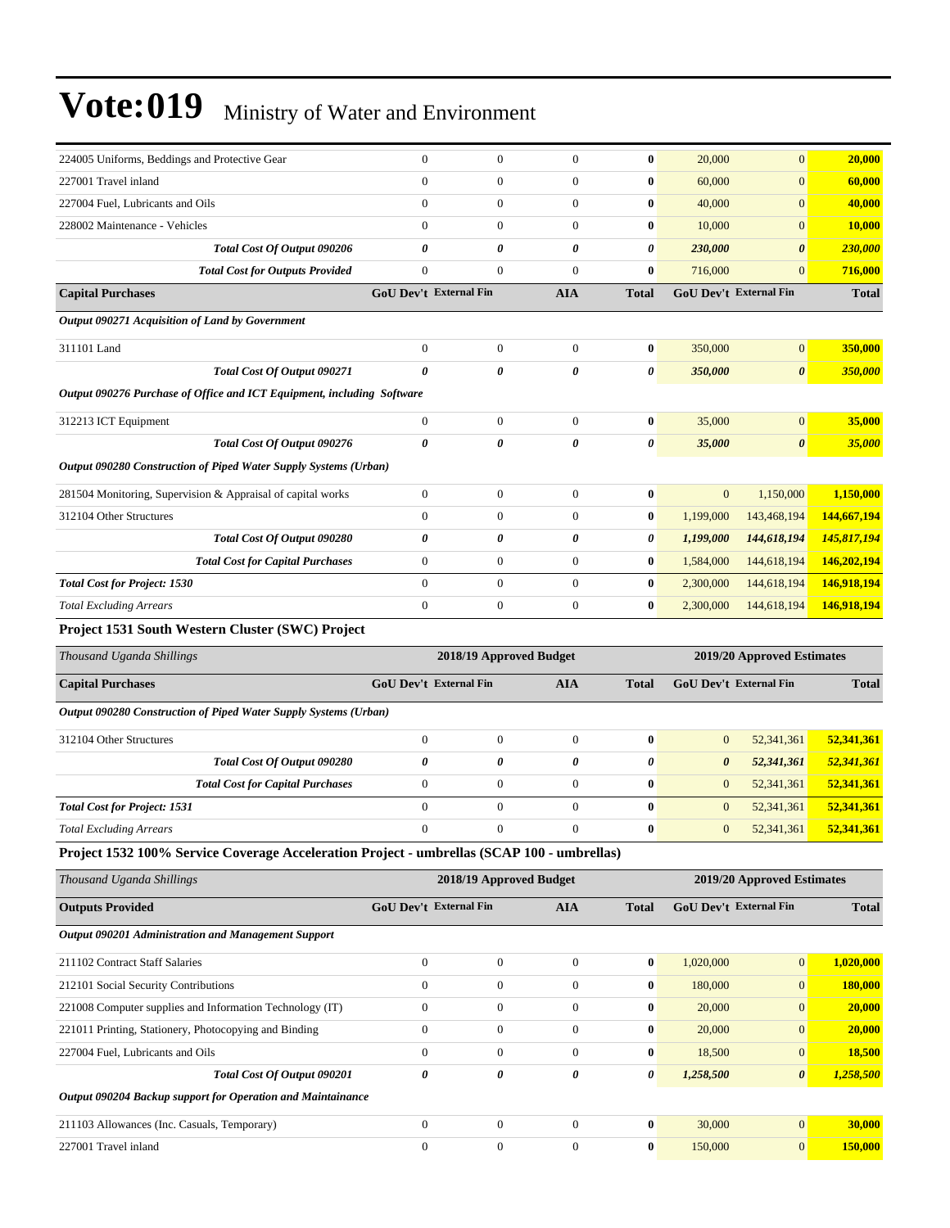| 224005 Uniforms, Beddings and Protective Gear                                              | $\boldsymbol{0}$              | $\boldsymbol{0}$        | $\overline{0}$        | $\bf{0}$              | 20,000                 | $\mathbf{0}$               | 20,000        |
|--------------------------------------------------------------------------------------------|-------------------------------|-------------------------|-----------------------|-----------------------|------------------------|----------------------------|---------------|
| 227001 Travel inland                                                                       | $\mathbf{0}$                  | $\boldsymbol{0}$        | $\boldsymbol{0}$      | $\bf{0}$              | 60,000                 | $\boldsymbol{0}$           | 60,000        |
| 227004 Fuel, Lubricants and Oils                                                           | $\boldsymbol{0}$              | $\mathbf{0}$            | $\boldsymbol{0}$      | $\bf{0}$              | 40,000                 | $\mathbf{0}$               | 40,000        |
| 228002 Maintenance - Vehicles                                                              | $\mathbf{0}$                  | $\mathbf{0}$            | $\overline{0}$        | $\bf{0}$              | 10,000                 | $\mathbf{0}$               | <b>10,000</b> |
| Total Cost Of Output 090206                                                                | 0                             | 0                       | $\boldsymbol{\theta}$ | $\boldsymbol{\theta}$ | 230,000                | $\boldsymbol{\theta}$      | 230,000       |
| <b>Total Cost for Outputs Provided</b>                                                     | $\mathbf{0}$                  | $\mathbf{0}$            | $\mathbf{0}$          | $\bf{0}$              | 716,000                | $\mathbf{0}$               | 716,000       |
| <b>Capital Purchases</b>                                                                   | <b>GoU Dev't External Fin</b> |                         | <b>AIA</b>            | <b>Total</b>          | GoU Dev't External Fin |                            | <b>Total</b>  |
| Output 090271 Acquisition of Land by Government                                            |                               |                         |                       |                       |                        |                            |               |
| 311101 Land                                                                                | $\boldsymbol{0}$              | $\mathbf{0}$            | $\boldsymbol{0}$      | $\boldsymbol{0}$      | 350,000                | $\mathbf{0}$               | 350,000       |
| Total Cost Of Output 090271                                                                | 0                             | 0                       | 0                     | 0                     | 350,000                | $\boldsymbol{\theta}$      | 350,000       |
| Output 090276 Purchase of Office and ICT Equipment, including Software                     |                               |                         |                       |                       |                        |                            |               |
| 312213 ICT Equipment                                                                       | $\boldsymbol{0}$              | $\boldsymbol{0}$        | $\boldsymbol{0}$      | $\bf{0}$              | 35,000                 | $\boldsymbol{0}$           | 35,000        |
| Total Cost Of Output 090276                                                                | 0                             | 0                       | $\boldsymbol{\theta}$ | 0                     | 35,000                 | $\boldsymbol{\theta}$      | 35,000        |
| Output 090280 Construction of Piped Water Supply Systems (Urban)                           |                               |                         |                       |                       |                        |                            |               |
| 281504 Monitoring, Supervision & Appraisal of capital works                                | $\boldsymbol{0}$              | $\boldsymbol{0}$        | $\boldsymbol{0}$      | $\bf{0}$              | $\mathbf{0}$           | 1,150,000                  | 1,150,000     |
| 312104 Other Structures                                                                    | $\boldsymbol{0}$              | $\boldsymbol{0}$        | $\boldsymbol{0}$      | $\boldsymbol{0}$      | 1,199,000              | 143,468,194                | 144,667,194   |
| Total Cost Of Output 090280                                                                | 0                             | 0                       | 0                     | 0                     | 1,199,000              | 144,618,194                | 145,817,194   |
| <b>Total Cost for Capital Purchases</b>                                                    | $\boldsymbol{0}$              | $\boldsymbol{0}$        | $\boldsymbol{0}$      | $\bf{0}$              | 1,584,000              | 144,618,194                | 146,202,194   |
| <b>Total Cost for Project: 1530</b>                                                        | $\mathbf{0}$                  | $\boldsymbol{0}$        | $\mathbf{0}$          | $\bf{0}$              | 2,300,000              | 144,618,194                | 146,918,194   |
| <b>Total Excluding Arrears</b>                                                             | $\mathbf{0}$                  | $\boldsymbol{0}$        | $\boldsymbol{0}$      | $\bf{0}$              | 2,300,000              | 144,618,194                | 146,918,194   |
| Project 1531 South Western Cluster (SWC) Project                                           |                               |                         |                       |                       |                        |                            |               |
|                                                                                            |                               |                         |                       |                       |                        |                            |               |
| Thousand Uganda Shillings                                                                  |                               | 2018/19 Approved Budget |                       |                       |                        | 2019/20 Approved Estimates |               |
| <b>Capital Purchases</b>                                                                   | GoU Dev't External Fin        |                         | <b>AIA</b>            | <b>Total</b>          | GoU Dev't External Fin |                            | <b>Total</b>  |
| Output 090280 Construction of Piped Water Supply Systems (Urban)                           |                               |                         |                       |                       |                        |                            |               |
| 312104 Other Structures                                                                    | $\boldsymbol{0}$              | $\mathbf{0}$            | $\boldsymbol{0}$      | $\bf{0}$              | $\mathbf{0}$           | 52,341,361                 | 52,341,361    |
| Total Cost Of Output 090280                                                                | 0                             | 0                       | 0                     | 0                     | 0                      | 52,341,361                 | 52,341,361    |
| <b>Total Cost for Capital Purchases</b>                                                    | $\boldsymbol{0}$              | $\boldsymbol{0}$        | $\boldsymbol{0}$      | $\bf{0}$              | $\mathbf{0}$           | 52,341,361                 | 52,341,361    |
| <b>Total Cost for Project: 1531</b>                                                        | $\mathbf{0}$                  | $\boldsymbol{0}$        | $\boldsymbol{0}$      | $\bf{0}$              | $\mathbf{0}$           | 52,341,361                 | 52,341,361    |
| <b>Total Excluding Arrears</b>                                                             | $\mathbf{0}$                  | $\overline{0}$          | $\mathbf{0}$          | $\bf{0}$              | $\mathbf{0}$           | 52,341,361                 | 52,341,361    |
| Project 1532 100% Service Coverage Acceleration Project - umbrellas (SCAP 100 - umbrellas) |                               |                         |                       |                       |                        |                            |               |
| Thousand Uganda Shillings                                                                  |                               | 2018/19 Approved Budget |                       |                       |                        | 2019/20 Approved Estimates |               |
| <b>Outputs Provided</b>                                                                    | GoU Dev't External Fin        |                         | <b>AIA</b>            | <b>Total</b>          | GoU Dev't External Fin |                            | <b>Total</b>  |
| Output 090201 Administration and Management Support                                        |                               |                         |                       |                       |                        |                            |               |
| 211102 Contract Staff Salaries                                                             | $\boldsymbol{0}$              | $\boldsymbol{0}$        | $\boldsymbol{0}$      | $\bf{0}$              | 1,020,000              | $\boldsymbol{0}$           | 1,020,000     |
| 212101 Social Security Contributions                                                       | $\boldsymbol{0}$              | $\mathbf{0}$            | $\mathbf{0}$          | $\bf{0}$              | 180,000                | $\mathbf{0}$               | 180,000       |
| 221008 Computer supplies and Information Technology (IT)                                   | $\boldsymbol{0}$              | $\boldsymbol{0}$        | $\boldsymbol{0}$      | $\boldsymbol{0}$      | 20,000                 | $\mathbf{0}$               | 20,000        |
| 221011 Printing, Stationery, Photocopying and Binding                                      | $\boldsymbol{0}$              | $\boldsymbol{0}$        | $\boldsymbol{0}$      | $\boldsymbol{0}$      | 20,000                 | $\mathbf{0}$               | 20,000        |
| 227004 Fuel, Lubricants and Oils                                                           | $\boldsymbol{0}$              | $\boldsymbol{0}$        | $\mathbf{0}$          | $\bf{0}$              | 18,500                 | $\mathbf{0}$               | 18,500        |
| Total Cost Of Output 090201                                                                | $\pmb{\theta}$                | $\pmb{\theta}$          | 0                     | 0                     | 1,258,500              | $\boldsymbol{\theta}$      | 1,258,500     |
| Output 090204 Backup support for Operation and Maintainance                                |                               |                         |                       |                       |                        |                            |               |
| 211103 Allowances (Inc. Casuals, Temporary)                                                | $\boldsymbol{0}$              | $\boldsymbol{0}$        | $\boldsymbol{0}$      | $\bf{0}$              | 30,000                 | $\mathbf{0}$               | 30,000        |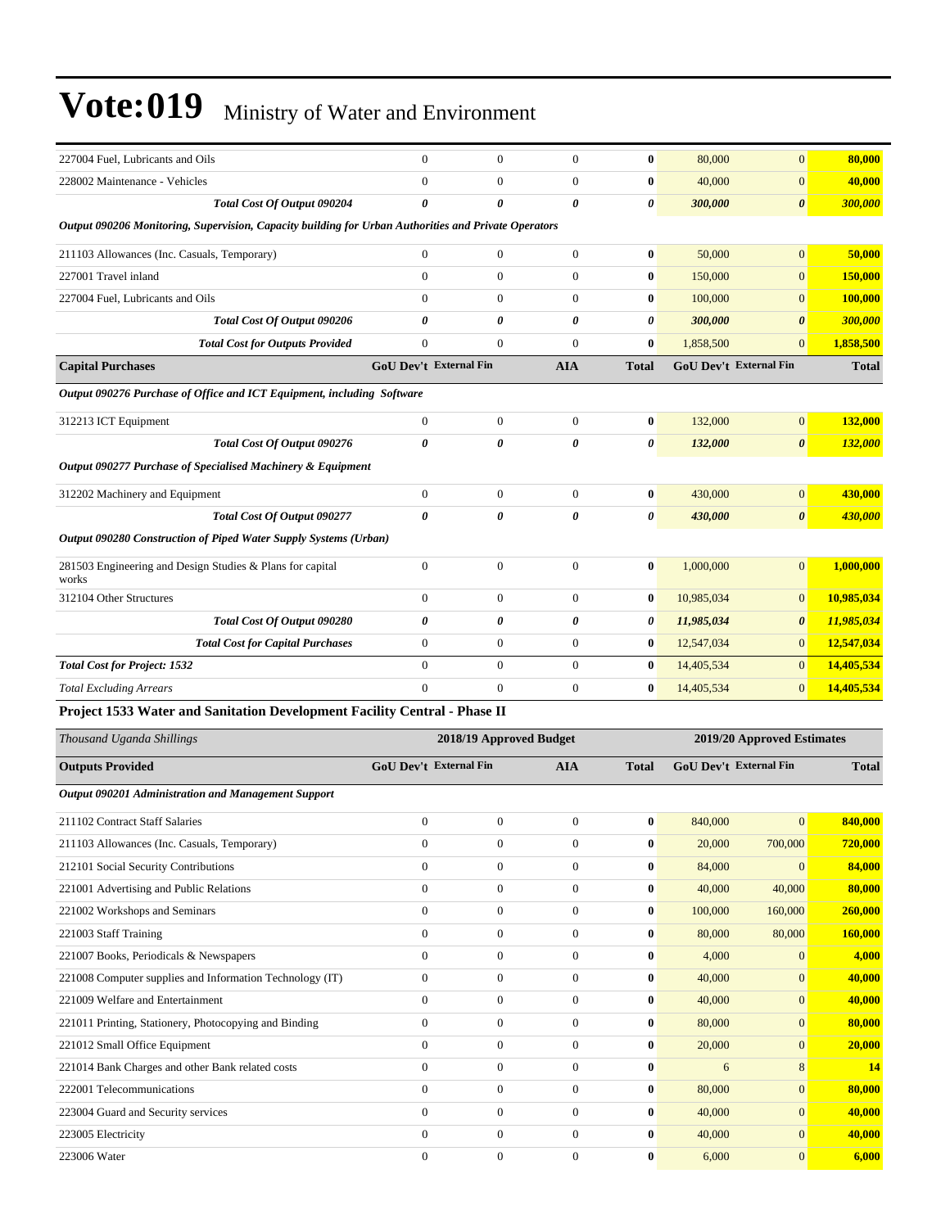| 227004 Fuel, Lubricants and Oils                                                                     | $\overline{0}$                | $\boldsymbol{0}$        | $\boldsymbol{0}$      | $\bf{0}$         | 80,000                        | $\mathbf{0}$               | 80,000         |
|------------------------------------------------------------------------------------------------------|-------------------------------|-------------------------|-----------------------|------------------|-------------------------------|----------------------------|----------------|
| 228002 Maintenance - Vehicles                                                                        | $\Omega$                      | $\overline{0}$          | $\mathbf{0}$          | $\bf{0}$         | 40,000                        | $\mathbf{0}$               | 40,000         |
| Total Cost Of Output 090204                                                                          | 0                             | 0                       | 0                     | 0                | 300,000                       | $\boldsymbol{\theta}$      | 300,000        |
| Output 090206 Monitoring, Supervision, Capacity building for Urban Authorities and Private Operators |                               |                         |                       |                  |                               |                            |                |
| 211103 Allowances (Inc. Casuals, Temporary)                                                          | $\boldsymbol{0}$              | $\boldsymbol{0}$        | $\boldsymbol{0}$      | $\bf{0}$         | 50,000                        | $\overline{0}$             | 50,000         |
| 227001 Travel inland                                                                                 | $\overline{0}$                | $\boldsymbol{0}$        | $\boldsymbol{0}$      | $\bf{0}$         | 150,000                       | $\mathbf{0}$               | <b>150,000</b> |
| 227004 Fuel. Lubricants and Oils                                                                     | $\overline{0}$                | $\mathbf{0}$            | $\mathbf{0}$          | $\bf{0}$         | 100,000                       | $\overline{0}$             | 100,000        |
| Total Cost Of Output 090206                                                                          | 0                             | $\boldsymbol{\theta}$   | $\boldsymbol{\theta}$ | 0                | 300,000                       | $\boldsymbol{\theta}$      | 300,000        |
| <b>Total Cost for Outputs Provided</b>                                                               | $\boldsymbol{0}$              | $\boldsymbol{0}$        | $\boldsymbol{0}$      | $\bf{0}$         | 1,858,500                     | $\mathbf{0}$               | 1,858,500      |
| <b>Capital Purchases</b>                                                                             | <b>GoU Dev't External Fin</b> |                         | <b>AIA</b>            | <b>Total</b>     | <b>GoU Dev't External Fin</b> |                            | <b>Total</b>   |
| Output 090276 Purchase of Office and ICT Equipment, including Software                               |                               |                         |                       |                  |                               |                            |                |
| 312213 ICT Equipment                                                                                 | $\boldsymbol{0}$              | $\boldsymbol{0}$        | $\boldsymbol{0}$      | $\bf{0}$         | 132,000                       | $\mathbf{0}$               | 132,000        |
| Total Cost Of Output 090276                                                                          | 0                             | 0                       | $\boldsymbol{\theta}$ | 0                | 132,000                       | $\boldsymbol{\theta}$      | 132,000        |
| Output 090277 Purchase of Specialised Machinery & Equipment                                          |                               |                         |                       |                  |                               |                            |                |
| 312202 Machinery and Equipment                                                                       | $\boldsymbol{0}$              | $\boldsymbol{0}$        | $\boldsymbol{0}$      | $\bf{0}$         | 430,000                       | $\mathbf{0}$               | 430,000        |
| Total Cost Of Output 090277                                                                          | 0                             | $\boldsymbol{\theta}$   | $\boldsymbol{\theta}$ | 0                | 430,000                       | $\boldsymbol{\theta}$      | <b>430,000</b> |
| Output 090280 Construction of Piped Water Supply Systems (Urban)                                     |                               |                         |                       |                  |                               |                            |                |
|                                                                                                      |                               |                         |                       |                  |                               |                            |                |
| 281503 Engineering and Design Studies & Plans for capital<br>works                                   | $\boldsymbol{0}$              | $\boldsymbol{0}$        | $\boldsymbol{0}$      | $\bf{0}$         | 1,000,000                     | $\mathbf{0}$               | 1,000,000      |
| 312104 Other Structures                                                                              | $\boldsymbol{0}$              | $\boldsymbol{0}$        | $\boldsymbol{0}$      | $\bf{0}$         | 10,985,034                    | $\mathbf{0}$               | 10,985,034     |
| Total Cost Of Output 090280                                                                          | 0                             | 0                       | 0                     | 0                | 11,985,034                    | $\boldsymbol{\theta}$      | 11,985,034     |
| <b>Total Cost for Capital Purchases</b>                                                              | $\boldsymbol{0}$              | $\boldsymbol{0}$        | $\boldsymbol{0}$      | $\bf{0}$         | 12,547,034                    | $\mathbf{0}$               | 12,547,034     |
| <b>Total Cost for Project: 1532</b>                                                                  | $\overline{0}$                | $\mathbf{0}$            | $\boldsymbol{0}$      | $\bf{0}$         | 14,405,534                    | $\mathbf{0}$               | 14,405,534     |
| <b>Total Excluding Arrears</b>                                                                       | $\Omega$                      | $\overline{0}$          | $\boldsymbol{0}$      | $\bf{0}$         | 14,405,534                    | $\mathbf{0}$               | 14,405,534     |
| Project 1533 Water and Sanitation Development Facility Central - Phase II                            |                               |                         |                       |                  |                               |                            |                |
| Thousand Uganda Shillings                                                                            |                               | 2018/19 Approved Budget |                       |                  |                               | 2019/20 Approved Estimates |                |
| <b>Outputs Provided</b>                                                                              | <b>GoU Dev't External Fin</b> |                         | <b>AIA</b>            | <b>Total</b>     | GoU Dev't External Fin        |                            | <b>Total</b>   |
| <b>Output 090201 Administration and Management Support</b>                                           |                               |                         |                       |                  |                               |                            |                |
| 211102 Contract Staff Salaries                                                                       | $\boldsymbol{0}$              | $\boldsymbol{0}$        | $\boldsymbol{0}$      | $\bf{0}$         | 840,000                       | $\mathbf{0}$               | 840,000        |
| 211103 Allowances (Inc. Casuals, Temporary)                                                          | $\boldsymbol{0}$              | $\boldsymbol{0}$        | $\boldsymbol{0}$      | $\boldsymbol{0}$ | 20,000                        | 700,000                    | 720,000        |
| 212101 Social Security Contributions                                                                 | $\overline{0}$                | $\boldsymbol{0}$        | $\boldsymbol{0}$      | $\bf{0}$         | 84,000                        | $\Omega$                   | 84,000         |
| 221001 Advertising and Public Relations                                                              | $\boldsymbol{0}$              | $\boldsymbol{0}$        | $\boldsymbol{0}$      | $\bf{0}$         | 40,000                        | 40,000                     | 80,000         |
| 221002 Workshops and Seminars                                                                        | $\boldsymbol{0}$              | $\boldsymbol{0}$        | $\boldsymbol{0}$      | $\bf{0}$         | 100,000                       | 160,000                    | 260,000        |
| 221003 Staff Training                                                                                | $\boldsymbol{0}$              | $\boldsymbol{0}$        | $\boldsymbol{0}$      | $\bf{0}$         | 80,000                        | 80,000                     | 160,000        |
| 221007 Books, Periodicals & Newspapers                                                               | $\boldsymbol{0}$              | $\boldsymbol{0}$        | $\boldsymbol{0}$      | $\bf{0}$         | 4,000                         | $\mathbf{0}$               | 4,000          |
| 221008 Computer supplies and Information Technology (IT)                                             | $\boldsymbol{0}$              | $\boldsymbol{0}$        | $\boldsymbol{0}$      | $\bf{0}$         | 40,000                        | $\mathbf{0}$               | 40,000         |
| 221009 Welfare and Entertainment                                                                     | $\boldsymbol{0}$              | $\boldsymbol{0}$        | $\boldsymbol{0}$      | $\bf{0}$         | 40,000                        | $\mathbf{0}$               | 40,000         |
| 221011 Printing, Stationery, Photocopying and Binding                                                | $\boldsymbol{0}$              | $\boldsymbol{0}$        | $\boldsymbol{0}$      | $\bf{0}$         | 80,000                        | $\mathbf{0}$               | 80,000         |
| 221012 Small Office Equipment                                                                        | $\boldsymbol{0}$              | $\boldsymbol{0}$        | $\boldsymbol{0}$      | $\bf{0}$         | 20,000                        | $\mathbf{0}$               | 20,000         |
| 221014 Bank Charges and other Bank related costs                                                     | $\boldsymbol{0}$              | $\boldsymbol{0}$        | $\boldsymbol{0}$      | $\bf{0}$         | 6                             | $\,8\,$                    | <b>14</b>      |
| 222001 Telecommunications                                                                            | $\boldsymbol{0}$              | $\boldsymbol{0}$        | $\boldsymbol{0}$      | $\bf{0}$         | 80,000                        | $\mathbf{0}$               | 80,000         |
| 223004 Guard and Security services                                                                   | $\overline{0}$                | $\boldsymbol{0}$        | $\boldsymbol{0}$      | $\bf{0}$         | 40,000                        | $\mathbf{0}$               | 40,000         |
| 223005 Electricity                                                                                   | $\boldsymbol{0}$              | $\boldsymbol{0}$        | $\boldsymbol{0}$      | $\bf{0}$         | 40,000                        | $\mathbf{0}$               | 40,000         |
| 223006 Water                                                                                         | $\overline{0}$                | $\boldsymbol{0}$        | $\boldsymbol{0}$      | $\bf{0}$         | 6,000                         | $\mathbf{0}$               | 6,000          |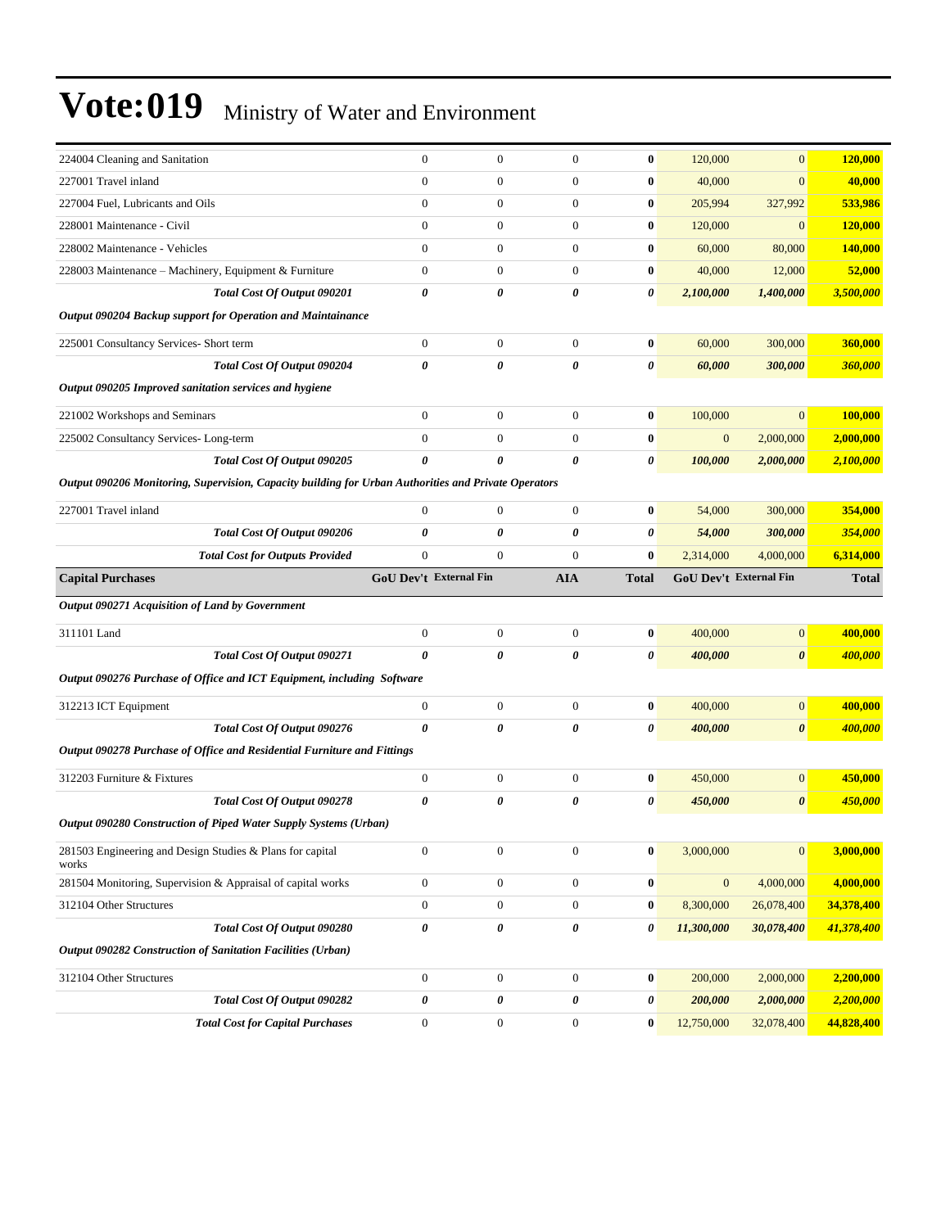| 224004 Cleaning and Sanitation                                                                       | $\boldsymbol{0}$       | $\mathbf{0}$     | $\mathbf{0}$     | $\bf{0}$     | 120,000          | $\mathbf{0}$           | 120,000      |
|------------------------------------------------------------------------------------------------------|------------------------|------------------|------------------|--------------|------------------|------------------------|--------------|
| 227001 Travel inland                                                                                 | $\boldsymbol{0}$       | $\boldsymbol{0}$ | $\mathbf{0}$     | $\bf{0}$     | 40,000           | $\overline{0}$         | 40,000       |
| 227004 Fuel, Lubricants and Oils                                                                     | $\boldsymbol{0}$       | $\boldsymbol{0}$ | $\mathbf{0}$     | $\bf{0}$     | 205,994          | 327,992                | 533,986      |
| 228001 Maintenance - Civil                                                                           | $\overline{0}$         | $\boldsymbol{0}$ | $\mathbf{0}$     | $\bf{0}$     | 120,000          | $\mathbf{0}$           | 120,000      |
| 228002 Maintenance - Vehicles                                                                        | $\boldsymbol{0}$       | $\boldsymbol{0}$ | $\mathbf{0}$     | $\bf{0}$     | 60,000           | 80,000                 | 140,000      |
| 228003 Maintenance - Machinery, Equipment & Furniture                                                | $\boldsymbol{0}$       | $\boldsymbol{0}$ | $\mathbf{0}$     | $\bf{0}$     | 40,000           | 12,000                 | 52,000       |
| Total Cost Of Output 090201                                                                          | 0                      | 0                | 0                | 0            | 2,100,000        | 1,400,000              | 3,500,000    |
| Output 090204 Backup support for Operation and Maintainance                                          |                        |                  |                  |              |                  |                        |              |
| 225001 Consultancy Services- Short term                                                              | $\boldsymbol{0}$       | $\boldsymbol{0}$ | $\mathbf{0}$     | $\bf{0}$     | 60,000           | 300,000                | 360,000      |
| <b>Total Cost Of Output 090204</b>                                                                   | 0                      | 0                | 0                | 0            | 60,000           | 300,000                | 360,000      |
| Output 090205 Improved sanitation services and hygiene                                               |                        |                  |                  |              |                  |                        |              |
| 221002 Workshops and Seminars                                                                        | $\boldsymbol{0}$       | $\boldsymbol{0}$ | $\mathbf{0}$     | $\bf{0}$     | 100,000          | $\overline{0}$         | 100,000      |
| 225002 Consultancy Services-Long-term                                                                | $\overline{0}$         | $\boldsymbol{0}$ | $\mathbf{0}$     | $\bf{0}$     | $\boldsymbol{0}$ | 2,000,000              | 2,000,000    |
| Total Cost Of Output 090205                                                                          | 0                      | 0                | 0                | 0            | 100,000          | 2,000,000              | 2,100,000    |
| Output 090206 Monitoring, Supervision, Capacity building for Urban Authorities and Private Operators |                        |                  |                  |              |                  |                        |              |
|                                                                                                      |                        |                  |                  |              |                  |                        |              |
| 227001 Travel inland                                                                                 | $\boldsymbol{0}$       | $\mathbf{0}$     | $\mathbf{0}$     | $\bf{0}$     | 54,000           | 300,000                | 354,000      |
| Total Cost Of Output 090206                                                                          | 0                      | $\theta$         | 0                | 0            | 54,000           | 300,000                | 354,000      |
| <b>Total Cost for Outputs Provided</b>                                                               | $\boldsymbol{0}$       | $\boldsymbol{0}$ | $\mathbf{0}$     | $\bf{0}$     | 2,314,000        | 4,000,000              | 6,314,000    |
| <b>Capital Purchases</b>                                                                             | GoU Dev't External Fin |                  | <b>AIA</b>       | <b>Total</b> |                  | GoU Dev't External Fin | <b>Total</b> |
| Output 090271 Acquisition of Land by Government                                                      |                        |                  |                  |              |                  |                        |              |
| 311101 Land                                                                                          | $\boldsymbol{0}$       | $\mathbf{0}$     | $\mathbf{0}$     | $\bf{0}$     | 400,000          | $\overline{0}$         | 400,000      |
| Total Cost Of Output 090271                                                                          | 0                      | 0                | 0                | 0            | 400,000          | 0                      | 400,000      |
| Output 090276 Purchase of Office and ICT Equipment, including Software                               |                        |                  |                  |              |                  |                        |              |
| 312213 ICT Equipment                                                                                 | $\boldsymbol{0}$       | $\mathbf{0}$     | $\boldsymbol{0}$ | $\bf{0}$     | 400,000          | $\mathbf{0}$           | 400,000      |
| Total Cost Of Output 090276                                                                          | 0                      | 0                | $\theta$         | 0            | 400,000          | $\boldsymbol{\theta}$  | 400,000      |
| Output 090278 Purchase of Office and Residential Furniture and Fittings                              |                        |                  |                  |              |                  |                        |              |
| 312203 Furniture & Fixtures                                                                          | $\boldsymbol{0}$       | $\boldsymbol{0}$ | $\boldsymbol{0}$ | $\bf{0}$     | 450,000          | $\mathbf{0}$           | 450,000      |
| Total Cost Of Output 090278                                                                          | 0                      | 0                | 0                | 0            | 450,000          | $\boldsymbol{\theta}$  | 450,000      |
| Output 090280 Construction of Piped Water Supply Systems (Urban)                                     |                        |                  |                  |              |                  |                        |              |
|                                                                                                      |                        |                  |                  |              |                  |                        |              |
| 281503 Engineering and Design Studies & Plans for capital<br>works                                   | $\boldsymbol{0}$       | $\boldsymbol{0}$ | $\boldsymbol{0}$ | $\bf{0}$     | 3,000,000        | $\mathbf{0}$           | 3,000,000    |
| 281504 Monitoring, Supervision & Appraisal of capital works                                          | $\boldsymbol{0}$       | $\boldsymbol{0}$ | $\boldsymbol{0}$ | $\bf{0}$     | $\boldsymbol{0}$ | 4,000,000              | 4,000,000    |
| 312104 Other Structures                                                                              | $\boldsymbol{0}$       | $\boldsymbol{0}$ | $\boldsymbol{0}$ | $\bf{0}$     | 8,300,000        | 26,078,400             | 34,378,400   |
| Total Cost Of Output 090280                                                                          | 0                      | 0                | 0                | 0            | 11,300,000       | 30,078,400             | 41,378,400   |
| Output 090282 Construction of Sanitation Facilities (Urban)                                          |                        |                  |                  |              |                  |                        |              |
|                                                                                                      |                        |                  |                  |              |                  |                        |              |
| 312104 Other Structures                                                                              | $\boldsymbol{0}$       | $\boldsymbol{0}$ | $\boldsymbol{0}$ | $\bf{0}$     | 200,000          | 2,000,000              | 2,200,000    |
| Total Cost Of Output 090282                                                                          | 0                      | 0                | 0                | 0            | 200,000          | 2,000,000              | 2,200,000    |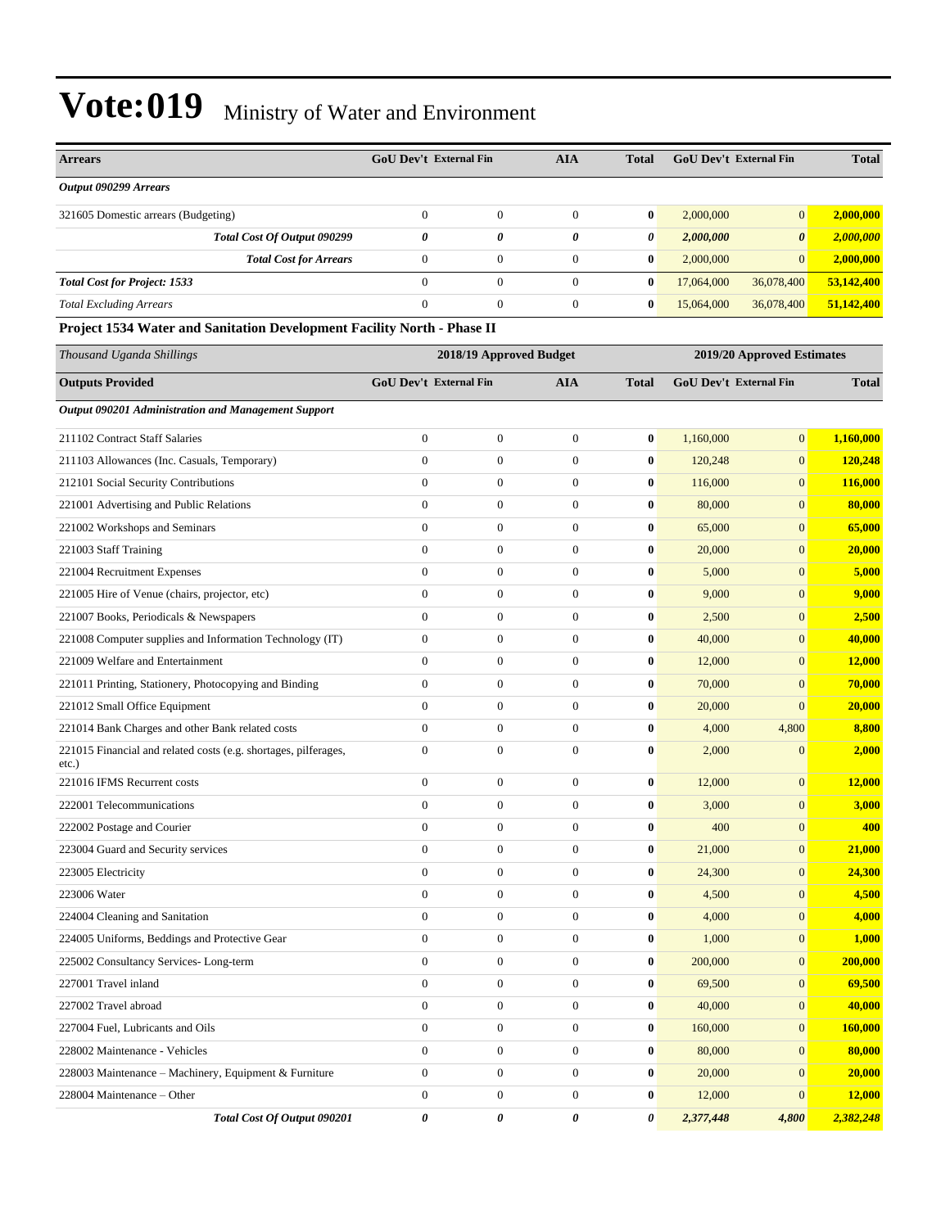| <b>Arrears</b>                                                              | <b>GoU Dev't External Fin</b> |                         | <b>AIA</b>       | <b>Total</b> | <b>GoU Dev't External Fin</b> |                            | <b>Total</b> |
|-----------------------------------------------------------------------------|-------------------------------|-------------------------|------------------|--------------|-------------------------------|----------------------------|--------------|
| Output 090299 Arrears                                                       |                               |                         |                  |              |                               |                            |              |
| 321605 Domestic arrears (Budgeting)                                         | $\boldsymbol{0}$              | $\boldsymbol{0}$        | $\boldsymbol{0}$ | $\bf{0}$     | 2,000,000                     | $\mathbf{0}$               | 2,000,000    |
| Total Cost Of Output 090299                                                 | 0                             | $\theta$                | 0                | 0            | 2,000,000                     | $\boldsymbol{\theta}$      | 2,000,000    |
| <b>Total Cost for Arrears</b>                                               | $\boldsymbol{0}$              | $\boldsymbol{0}$        | $\boldsymbol{0}$ | $\bf{0}$     | 2,000,000                     | $\mathbf{0}$               | 2,000,000    |
| <b>Total Cost for Project: 1533</b>                                         | $\mathbf{0}$                  | $\mathbf{0}$            | $\boldsymbol{0}$ | $\bf{0}$     | 17,064,000                    | 36,078,400                 | 53,142,400   |
| <b>Total Excluding Arrears</b>                                              | $\boldsymbol{0}$              | $\boldsymbol{0}$        | $\boldsymbol{0}$ | $\bf{0}$     | 15,064,000                    | 36,078,400                 | 51,142,400   |
| Project 1534 Water and Sanitation Development Facility North - Phase II     |                               |                         |                  |              |                               |                            |              |
| Thousand Uganda Shillings                                                   |                               | 2018/19 Approved Budget |                  |              |                               | 2019/20 Approved Estimates |              |
| <b>Outputs Provided</b>                                                     | <b>GoU Dev't External Fin</b> |                         | <b>AIA</b>       | <b>Total</b> | <b>GoU Dev't External Fin</b> |                            | <b>Total</b> |
| <b>Output 090201 Administration and Management Support</b>                  |                               |                         |                  |              |                               |                            |              |
| 211102 Contract Staff Salaries                                              | $\boldsymbol{0}$              | $\boldsymbol{0}$        | $\boldsymbol{0}$ | $\bf{0}$     | 1,160,000                     | $\mathbf{0}$               | 1,160,000    |
| 211103 Allowances (Inc. Casuals, Temporary)                                 | $\boldsymbol{0}$              | $\mathbf{0}$            | $\boldsymbol{0}$ | $\bf{0}$     | 120,248                       | $\mathbf{0}$               | 120,248      |
| 212101 Social Security Contributions                                        | $\overline{0}$                | $\mathbf{0}$            | $\boldsymbol{0}$ | $\bf{0}$     | 116,000                       | $\mathbf{0}$               | 116,000      |
| 221001 Advertising and Public Relations                                     | $\boldsymbol{0}$              | $\boldsymbol{0}$        | $\boldsymbol{0}$ | $\bf{0}$     | 80,000                        | $\mathbf{0}$               | 80,000       |
| 221002 Workshops and Seminars                                               | $\boldsymbol{0}$              | $\boldsymbol{0}$        | $\boldsymbol{0}$ | $\bf{0}$     | 65,000                        | $\mathbf{0}$               | 65,000       |
| 221003 Staff Training                                                       | $\mathbf{0}$                  | $\mathbf{0}$            | $\boldsymbol{0}$ | $\bf{0}$     | 20,000                        | $\mathbf{0}$               | 20,000       |
| 221004 Recruitment Expenses                                                 | $\boldsymbol{0}$              | $\mathbf{0}$            | $\boldsymbol{0}$ | $\bf{0}$     | 5,000                         | $\mathbf{0}$               | 5,000        |
| 221005 Hire of Venue (chairs, projector, etc)                               | $\mathbf{0}$                  | $\mathbf{0}$            | $\boldsymbol{0}$ | $\bf{0}$     | 9,000                         | $\mathbf{0}$               | 9,000        |
| 221007 Books, Periodicals & Newspapers                                      | $\boldsymbol{0}$              | $\boldsymbol{0}$        | $\boldsymbol{0}$ | $\bf{0}$     | 2,500                         | $\mathbf{0}$               | 2,500        |
| 221008 Computer supplies and Information Technology (IT)                    | $\boldsymbol{0}$              | $\boldsymbol{0}$        | $\boldsymbol{0}$ | $\bf{0}$     | 40,000                        | $\mathbf{0}$               | 40,000       |
| 221009 Welfare and Entertainment                                            | $\mathbf{0}$                  | $\mathbf{0}$            | $\boldsymbol{0}$ | $\bf{0}$     | 12,000                        | $\mathbf{0}$               | 12,000       |
| 221011 Printing, Stationery, Photocopying and Binding                       | $\boldsymbol{0}$              | $\mathbf{0}$            | $\boldsymbol{0}$ | $\bf{0}$     | 70,000                        | $\mathbf{0}$               | 70,000       |
| 221012 Small Office Equipment                                               | $\mathbf{0}$                  | $\mathbf{0}$            | $\boldsymbol{0}$ | $\bf{0}$     | 20,000                        | $\mathbf{0}$               | 20,000       |
| 221014 Bank Charges and other Bank related costs                            | $\boldsymbol{0}$              | $\mathbf{0}$            | $\boldsymbol{0}$ | $\bf{0}$     | 4,000                         | 4,800                      | 8,800        |
| 221015 Financial and related costs (e.g. shortages, pilferages,<br>$etc.$ ) | $\boldsymbol{0}$              | $\boldsymbol{0}$        | $\boldsymbol{0}$ | $\bf{0}$     | 2,000                         | $\mathbf{0}$               | 2,000        |
| 221016 IFMS Recurrent costs                                                 | $\boldsymbol{0}$              | $\boldsymbol{0}$        | $\boldsymbol{0}$ | $\bf{0}$     | 12,000                        | $\mathbf{0}$               | 12,000       |
| 222001 Telecommunications                                                   | $\mathbf{0}$                  | $\mathbf{0}$            | $\boldsymbol{0}$ | $\bf{0}$     | 3,000                         | $\mathbf{0}$               | 3,000        |
| 222002 Postage and Courier                                                  | $\Omega$                      | $\mathbf{0}$            | $\overline{0}$   | $\mathbf{0}$ | 400                           | $\mathbf{0}$               | 400          |
| 223004 Guard and Security services                                          | $\boldsymbol{0}$              | $\boldsymbol{0}$        | $\boldsymbol{0}$ | $\bf{0}$     | 21,000                        | $\mathbf{0}$               | 21,000       |
| 223005 Electricity                                                          | $\boldsymbol{0}$              | $\boldsymbol{0}$        | $\boldsymbol{0}$ | $\pmb{0}$    | 24,300                        | $\mathbf{0}$               | 24,300       |
| 223006 Water                                                                | $\boldsymbol{0}$              | $\boldsymbol{0}$        | $\boldsymbol{0}$ | $\bf{0}$     | 4,500                         | $\mathbf{0}$               | 4,500        |
| 224004 Cleaning and Sanitation                                              | $\boldsymbol{0}$              | $\boldsymbol{0}$        | $\boldsymbol{0}$ | $\bf{0}$     | 4,000                         | $\mathbf{0}$               | 4,000        |
| 224005 Uniforms, Beddings and Protective Gear                               | $\boldsymbol{0}$              | $\boldsymbol{0}$        | $\boldsymbol{0}$ | $\bf{0}$     | 1,000                         | $\mathbf{0}$               | <b>1,000</b> |
| 225002 Consultancy Services-Long-term                                       | $\boldsymbol{0}$              | $\boldsymbol{0}$        | $\boldsymbol{0}$ | $\bf{0}$     | 200,000                       | $\mathbf{0}$               | 200,000      |
| 227001 Travel inland                                                        | $\boldsymbol{0}$              | $\boldsymbol{0}$        | $\boldsymbol{0}$ | $\bf{0}$     | 69,500                        | $\mathbf{0}$               | 69,500       |
| 227002 Travel abroad                                                        | $\boldsymbol{0}$              | $\boldsymbol{0}$        | $\boldsymbol{0}$ | $\bf{0}$     | 40,000                        | $\mathbf{0}$               | 40,000       |
| 227004 Fuel, Lubricants and Oils                                            | $\boldsymbol{0}$              | $\boldsymbol{0}$        | $\boldsymbol{0}$ | $\bf{0}$     | 160,000                       | $\mathbf{0}$               | 160,000      |
| 228002 Maintenance - Vehicles                                               | $\boldsymbol{0}$              | $\boldsymbol{0}$        | $\boldsymbol{0}$ | $\bf{0}$     | 80,000                        | $\mathbf{0}$               | 80,000       |
| 228003 Maintenance - Machinery, Equipment & Furniture                       | $\boldsymbol{0}$              | $\boldsymbol{0}$        | $\boldsymbol{0}$ | $\bf{0}$     | 20,000                        | $\mathbf{0}$               | 20,000       |
| 228004 Maintenance – Other                                                  | $\boldsymbol{0}$              | $\boldsymbol{0}$        | $\boldsymbol{0}$ | $\bf{0}$     | 12,000                        | $\mathbf{0}$               | 12,000       |
| Total Cost Of Output 090201                                                 | 0                             | 0                       | 0                | 0            | 2,377,448                     | 4,800                      | 2,382,248    |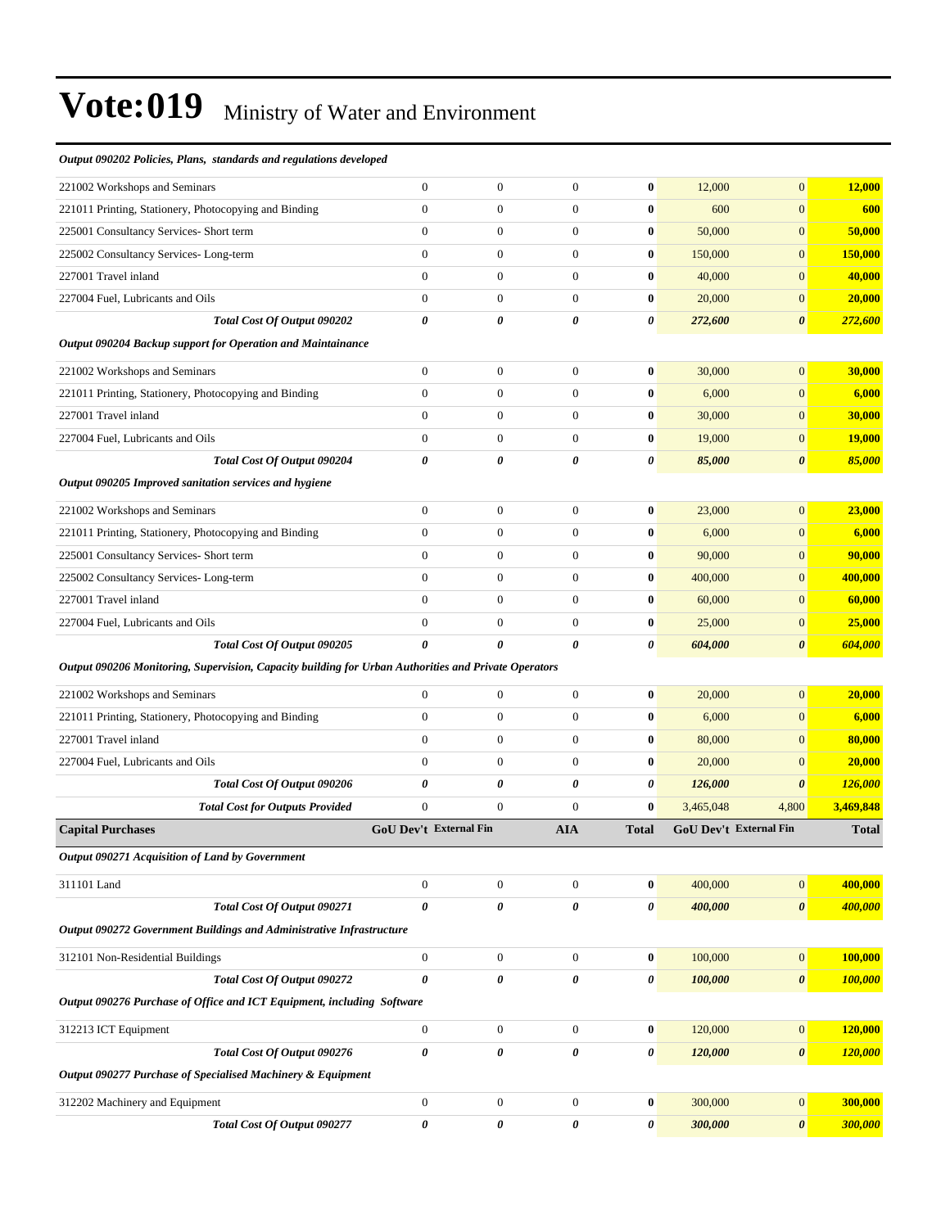| Output 090202 Policies, Plans, standards and regulations developed                                   |                               |                  |                  |                  |                        |                       |               |
|------------------------------------------------------------------------------------------------------|-------------------------------|------------------|------------------|------------------|------------------------|-----------------------|---------------|
| 221002 Workshops and Seminars                                                                        | $\boldsymbol{0}$              | $\boldsymbol{0}$ | $\boldsymbol{0}$ | $\bf{0}$         | 12,000                 | $\overline{0}$        | 12,000        |
| 221011 Printing, Stationery, Photocopying and Binding                                                | $\mathbf{0}$                  | $\boldsymbol{0}$ | $\overline{0}$   | $\bf{0}$         | 600                    | $\overline{0}$        | 600           |
| 225001 Consultancy Services- Short term                                                              | $\mathbf{0}$                  | $\boldsymbol{0}$ | $\boldsymbol{0}$ | $\bf{0}$         | 50,000                 | $\boldsymbol{0}$      | 50,000        |
| 225002 Consultancy Services-Long-term                                                                | $\boldsymbol{0}$              | $\boldsymbol{0}$ | $\boldsymbol{0}$ | $\bf{0}$         | 150,000                | $\boldsymbol{0}$      | 150,000       |
| 227001 Travel inland                                                                                 | $\overline{0}$                | $\boldsymbol{0}$ | $\overline{0}$   | $\bf{0}$         | 40,000                 | $\boldsymbol{0}$      | 40,000        |
| 227004 Fuel, Lubricants and Oils                                                                     | $\mathbf{0}$                  | $\boldsymbol{0}$ | $\boldsymbol{0}$ | $\bf{0}$         | 20,000                 | $\overline{0}$        | 20,000        |
| Total Cost Of Output 090202                                                                          | $\boldsymbol{\theta}$         | 0                | 0                | $\pmb{\theta}$   | 272,600                | $\boldsymbol{\theta}$ | 272,600       |
| Output 090204 Backup support for Operation and Maintainance                                          |                               |                  |                  |                  |                        |                       |               |
| 221002 Workshops and Seminars                                                                        | $\mathbf{0}$                  | $\boldsymbol{0}$ | $\boldsymbol{0}$ | $\bf{0}$         | 30,000                 | $\boldsymbol{0}$      | 30,000        |
| 221011 Printing, Stationery, Photocopying and Binding                                                | $\boldsymbol{0}$              | $\boldsymbol{0}$ | $\boldsymbol{0}$ | $\bf{0}$         | 6,000                  | $\boldsymbol{0}$      | 6,000         |
| 227001 Travel inland                                                                                 | $\mathbf{0}$                  | $\overline{0}$   | $\overline{0}$   | $\bf{0}$         | 30,000                 | $\overline{0}$        | 30,000        |
| 227004 Fuel, Lubricants and Oils                                                                     | $\mathbf{0}$                  | $\boldsymbol{0}$ | $\boldsymbol{0}$ | $\bf{0}$         | 19,000                 | $\overline{0}$        | <b>19,000</b> |
| Total Cost Of Output 090204                                                                          | $\boldsymbol{\theta}$         | 0                | 0                | 0                | 85,000                 | $\boldsymbol{\theta}$ | 85,000        |
| Output 090205 Improved sanitation services and hygiene                                               |                               |                  |                  |                  |                        |                       |               |
| 221002 Workshops and Seminars                                                                        | $\mathbf{0}$                  | $\boldsymbol{0}$ | $\boldsymbol{0}$ | $\bf{0}$         | 23,000                 | $\boldsymbol{0}$      | 23,000        |
| 221011 Printing, Stationery, Photocopying and Binding                                                | $\mathbf{0}$                  | $\boldsymbol{0}$ | $\boldsymbol{0}$ | $\bf{0}$         | 6,000                  | $\boldsymbol{0}$      | 6,000         |
| 225001 Consultancy Services- Short term                                                              | $\mathbf{0}$                  | $\boldsymbol{0}$ | $\overline{0}$   | $\bf{0}$         | 90,000                 | $\boldsymbol{0}$      | 90,000        |
| 225002 Consultancy Services-Long-term                                                                | $\mathbf{0}$                  | $\boldsymbol{0}$ | $\boldsymbol{0}$ | $\bf{0}$         | 400,000                | $\boldsymbol{0}$      | 400,000       |
| 227001 Travel inland                                                                                 | $\overline{0}$                | $\boldsymbol{0}$ | $\boldsymbol{0}$ | $\bf{0}$         | 60,000                 | $\boldsymbol{0}$      | 60,000        |
| 227004 Fuel, Lubricants and Oils                                                                     | $\mathbf{0}$                  | $\boldsymbol{0}$ | $\boldsymbol{0}$ | $\bf{0}$         | 25,000                 | $\boldsymbol{0}$      | 25,000        |
| Total Cost Of Output 090205                                                                          | $\theta$                      | 0                | 0                | 0                | 604,000                | $\boldsymbol{\theta}$ | 604,000       |
| Output 090206 Monitoring, Supervision, Capacity building for Urban Authorities and Private Operators |                               |                  |                  |                  |                        |                       |               |
| 221002 Workshops and Seminars                                                                        | $\mathbf{0}$                  | $\overline{0}$   | $\boldsymbol{0}$ | $\bf{0}$         | 20,000                 | $\boldsymbol{0}$      | 20,000        |
| 221011 Printing, Stationery, Photocopying and Binding                                                | $\mathbf{0}$                  | $\boldsymbol{0}$ | $\boldsymbol{0}$ | $\bf{0}$         | 6,000                  | $\overline{0}$        | 6,000         |
| 227001 Travel inland                                                                                 | $\mathbf{0}$                  | $\boldsymbol{0}$ | $\boldsymbol{0}$ | $\bf{0}$         | 80,000                 | $\boldsymbol{0}$      | 80,000        |
| 227004 Fuel, Lubricants and Oils                                                                     | $\mathbf{0}$                  | $\boldsymbol{0}$ | $\boldsymbol{0}$ | $\bf{0}$         | 20,000                 | $\overline{0}$        | 20,000        |
| Total Cost Of Output 090206                                                                          | 0                             | 0                | 0                | 0                | 126,000                | $\boldsymbol{\theta}$ | 126,000       |
| <b>Total Cost for Outputs Provided</b>                                                               | $\overline{0}$                | $\overline{0}$   | $\overline{0}$   | $\bf{0}$         | 3,465,048              | 4,800                 | 3,469,848     |
| <b>Capital Purchases</b>                                                                             | <b>GoU Dev't External Fin</b> |                  | AIA              | <b>Total</b>     | GoU Dev't External Fin |                       | <b>Total</b>  |
| Output 090271 Acquisition of Land by Government                                                      |                               |                  |                  |                  |                        |                       |               |
| 311101 Land                                                                                          | $\boldsymbol{0}$              | $\boldsymbol{0}$ | $\boldsymbol{0}$ | $\boldsymbol{0}$ | 400,000                | 0                     | 400,000       |
| Total Cost Of Output 090271                                                                          | $\pmb{\theta}$                | 0                | 0                | 0                | 400,000                | $\boldsymbol{\theta}$ | 400,000       |
| Output 090272 Government Buildings and Administrative Infrastructure                                 |                               |                  |                  |                  |                        |                       |               |
| 312101 Non-Residential Buildings                                                                     | $\mathbf{0}$                  | $\boldsymbol{0}$ | $\boldsymbol{0}$ | $\boldsymbol{0}$ | 100,000                | 0                     | 100,000       |
| Total Cost Of Output 090272                                                                          | $\boldsymbol{\theta}$         | 0                | 0                | 0                | 100,000                | $\boldsymbol{\theta}$ | 100,000       |
| Output 090276 Purchase of Office and ICT Equipment, including Software                               |                               |                  |                  |                  |                        |                       |               |
| 312213 ICT Equipment                                                                                 | $\boldsymbol{0}$              | $\boldsymbol{0}$ | $\overline{0}$   | $\pmb{0}$        | 120,000                | 0                     | 120,000       |
| Total Cost Of Output 090276                                                                          | $\pmb{\theta}$                | $\pmb{\theta}$   | 0                | 0                | 120,000                | $\boldsymbol{\theta}$ | 120,000       |
| Output 090277 Purchase of Specialised Machinery & Equipment                                          |                               |                  |                  |                  |                        |                       |               |
|                                                                                                      |                               |                  |                  |                  |                        |                       |               |
| 312202 Machinery and Equipment                                                                       | $\boldsymbol{0}$              | $\boldsymbol{0}$ | $\boldsymbol{0}$ | $\boldsymbol{0}$ | 300,000                | $\overline{0}$        | 300,000       |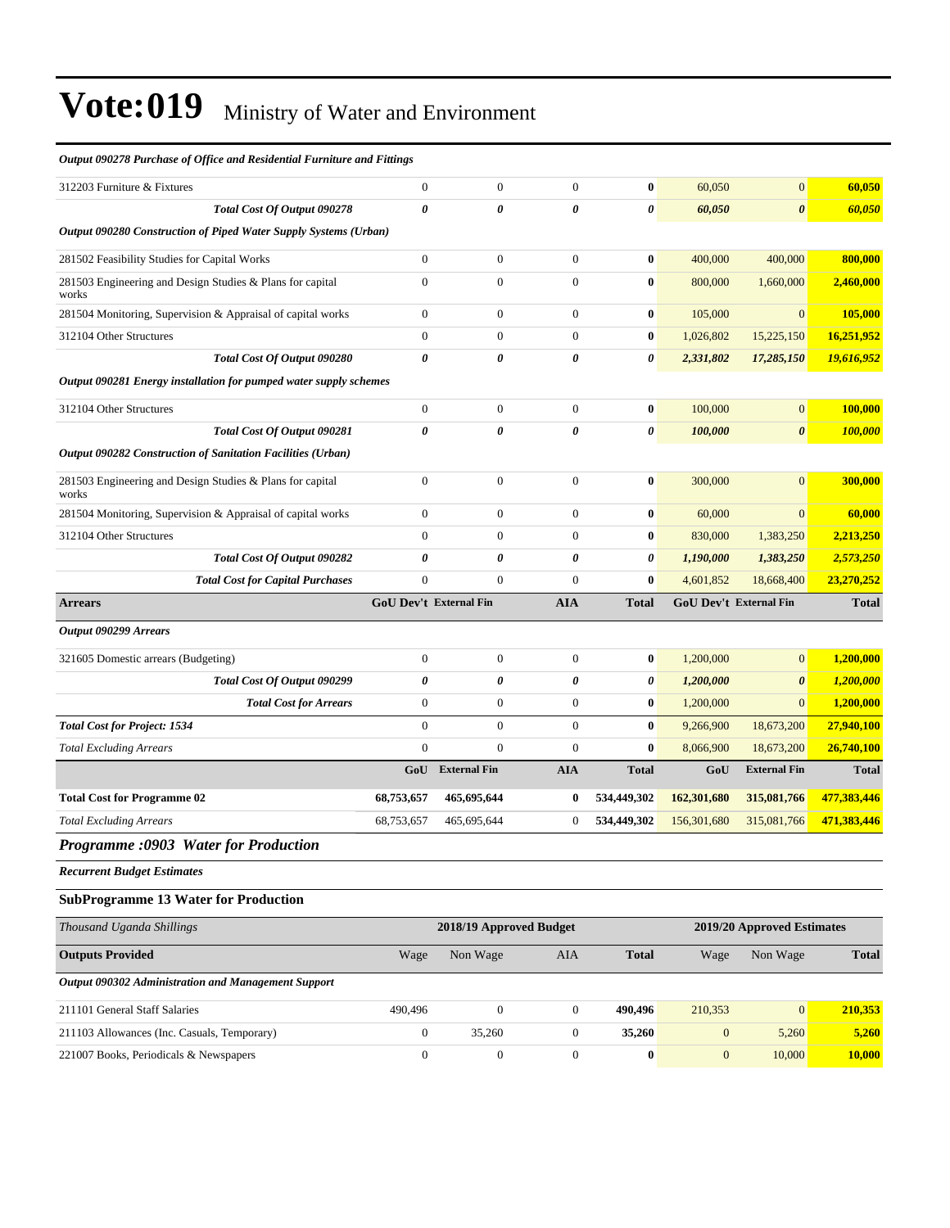| Output 090278 Purchase of Office and Residential Furniture and Fittings |                        |                         |                       |                       |                        |                            |              |
|-------------------------------------------------------------------------|------------------------|-------------------------|-----------------------|-----------------------|------------------------|----------------------------|--------------|
| 312203 Furniture & Fixtures                                             | $\boldsymbol{0}$       | $\boldsymbol{0}$        | $\boldsymbol{0}$      | $\bf{0}$              | 60,050                 | $\boldsymbol{0}$           | 60,050       |
| Total Cost Of Output 090278                                             | 0                      | 0                       | $\boldsymbol{\theta}$ | $\boldsymbol{\theta}$ | 60,050                 | $\boldsymbol{\theta}$      | 60,050       |
| Output 090280 Construction of Piped Water Supply Systems (Urban)        |                        |                         |                       |                       |                        |                            |              |
| 281502 Feasibility Studies for Capital Works                            | $\overline{0}$         | $\boldsymbol{0}$        | $\mathbf{0}$          | $\bf{0}$              | 400,000                | 400,000                    | 800,000      |
| 281503 Engineering and Design Studies & Plans for capital<br>works      | $\boldsymbol{0}$       | $\boldsymbol{0}$        | $\boldsymbol{0}$      | $\bf{0}$              | 800,000                | 1,660,000                  | 2,460,000    |
| 281504 Monitoring, Supervision & Appraisal of capital works             | $\boldsymbol{0}$       | $\boldsymbol{0}$        | $\boldsymbol{0}$      | $\bf{0}$              | 105,000                | $\mathbf{0}$               | 105,000      |
| 312104 Other Structures                                                 | $\boldsymbol{0}$       | $\boldsymbol{0}$        | $\boldsymbol{0}$      | $\bf{0}$              | 1,026,802              | 15,225,150                 | 16,251,952   |
| Total Cost Of Output 090280                                             | 0                      | 0                       | $\boldsymbol{\theta}$ | $\boldsymbol{\theta}$ | 2,331,802              | 17,285,150                 | 19,616,952   |
| Output 090281 Energy installation for pumped water supply schemes       |                        |                         |                       |                       |                        |                            |              |
| 312104 Other Structures                                                 | $\boldsymbol{0}$       | $\boldsymbol{0}$        | $\mathbf{0}$          | $\bf{0}$              | 100,000                | $\mathbf{0}$               | 100,000      |
| Total Cost Of Output 090281                                             | 0                      | 0                       | 0                     | $\boldsymbol{\theta}$ | 100,000                | $\boldsymbol{\theta}$      | 100,000      |
| Output 090282 Construction of Sanitation Facilities (Urban)             |                        |                         |                       |                       |                        |                            |              |
| 281503 Engineering and Design Studies & Plans for capital<br>works      | $\overline{0}$         | $\boldsymbol{0}$        | $\boldsymbol{0}$      | $\bf{0}$              | 300,000                | $\mathbf{0}$               | 300,000      |
| 281504 Monitoring, Supervision & Appraisal of capital works             | $\boldsymbol{0}$       | $\boldsymbol{0}$        | $\boldsymbol{0}$      | $\bf{0}$              | 60,000                 | $\mathbf{0}$               | 60,000       |
| 312104 Other Structures                                                 | $\overline{0}$         | $\mathbf{0}$            | $\boldsymbol{0}$      | $\bf{0}$              | 830,000                | 1,383,250                  | 2,213,250    |
| Total Cost Of Output 090282                                             | 0                      | 0                       | $\boldsymbol{\theta}$ | 0                     | 1,190,000              | 1,383,250                  | 2,573,250    |
| <b>Total Cost for Capital Purchases</b>                                 | $\boldsymbol{0}$       | $\mathbf{0}$            | $\boldsymbol{0}$      | $\bf{0}$              | 4,601,852              | 18,668,400                 | 23,270,252   |
| <b>Arrears</b>                                                          | GoU Dev't External Fin |                         | <b>AIA</b>            | <b>Total</b>          | GoU Dev't External Fin |                            | <b>Total</b> |
| Output 090299 Arrears                                                   |                        |                         |                       |                       |                        |                            |              |
| 321605 Domestic arrears (Budgeting)                                     | $\boldsymbol{0}$       | $\boldsymbol{0}$        | $\boldsymbol{0}$      | $\bf{0}$              | 1,200,000              | $\mathbf{0}$               | 1,200,000    |
| Total Cost Of Output 090299                                             | 0                      | 0                       | 0                     | 0                     | 1,200,000              | $\boldsymbol{\theta}$      | 1,200,000    |
| <b>Total Cost for Arrears</b>                                           | $\boldsymbol{0}$       | $\overline{0}$          | $\boldsymbol{0}$      | $\bf{0}$              | 1,200,000              | $\overline{0}$             | 1,200,000    |
| <b>Total Cost for Project: 1534</b>                                     | $\overline{0}$         | $\overline{0}$          | $\mathbf{0}$          | $\bf{0}$              | 9,266,900              | 18,673,200                 | 27,940,100   |
| <b>Total Excluding Arrears</b>                                          | $\overline{0}$         | $\overline{0}$          | $\boldsymbol{0}$      | $\bf{0}$              | 8,066,900              | 18,673,200                 | 26,740,100   |
|                                                                         | GoU                    | <b>External Fin</b>     | <b>AIA</b>            | <b>Total</b>          | GoU                    | <b>External Fin</b>        | <b>Total</b> |
| <b>Total Cost for Programme 02</b>                                      | 68,753,657             | 465,695,644             | $\bf{0}$              | 534,449,302           | 162,301,680            | 315,081,766                | 477,383,446  |
| <b>Total Excluding Arrears</b>                                          | 68,753,657             | 465,695,644             | $\boldsymbol{0}$      | 534,449,302           | 156,301,680            | 315,081,766                | 471,383,446  |
| Programme :0903 Water for Production                                    |                        |                         |                       |                       |                        |                            |              |
| <b>Recurrent Budget Estimates</b>                                       |                        |                         |                       |                       |                        |                            |              |
| <b>SubProgramme 13 Water for Production</b>                             |                        |                         |                       |                       |                        |                            |              |
| Thousand Uganda Shillings                                               |                        | 2018/19 Approved Budget |                       |                       |                        | 2019/20 Approved Estimates |              |
| <b>Outputs Provided</b>                                                 | Wage                   | Non Wage                | AIA                   | <b>Total</b>          | Wage                   | Non Wage                   | <b>Total</b> |
| Output 090302 Administration and Management Support                     |                        |                         |                       |                       |                        |                            |              |
| 211101 General Staff Salaries                                           |                        |                         |                       |                       |                        |                            |              |
|                                                                         | 490,496                | $\overline{0}$          | $\mathbf{0}$          | 490,496               | 210,353                | $\mathbf{0}$               | 210,353      |
| 211103 Allowances (Inc. Casuals, Temporary)                             | $\boldsymbol{0}$       | 35,260                  | $\boldsymbol{0}$      | 35,260                | $\boldsymbol{0}$       | 5,260                      | 5,260        |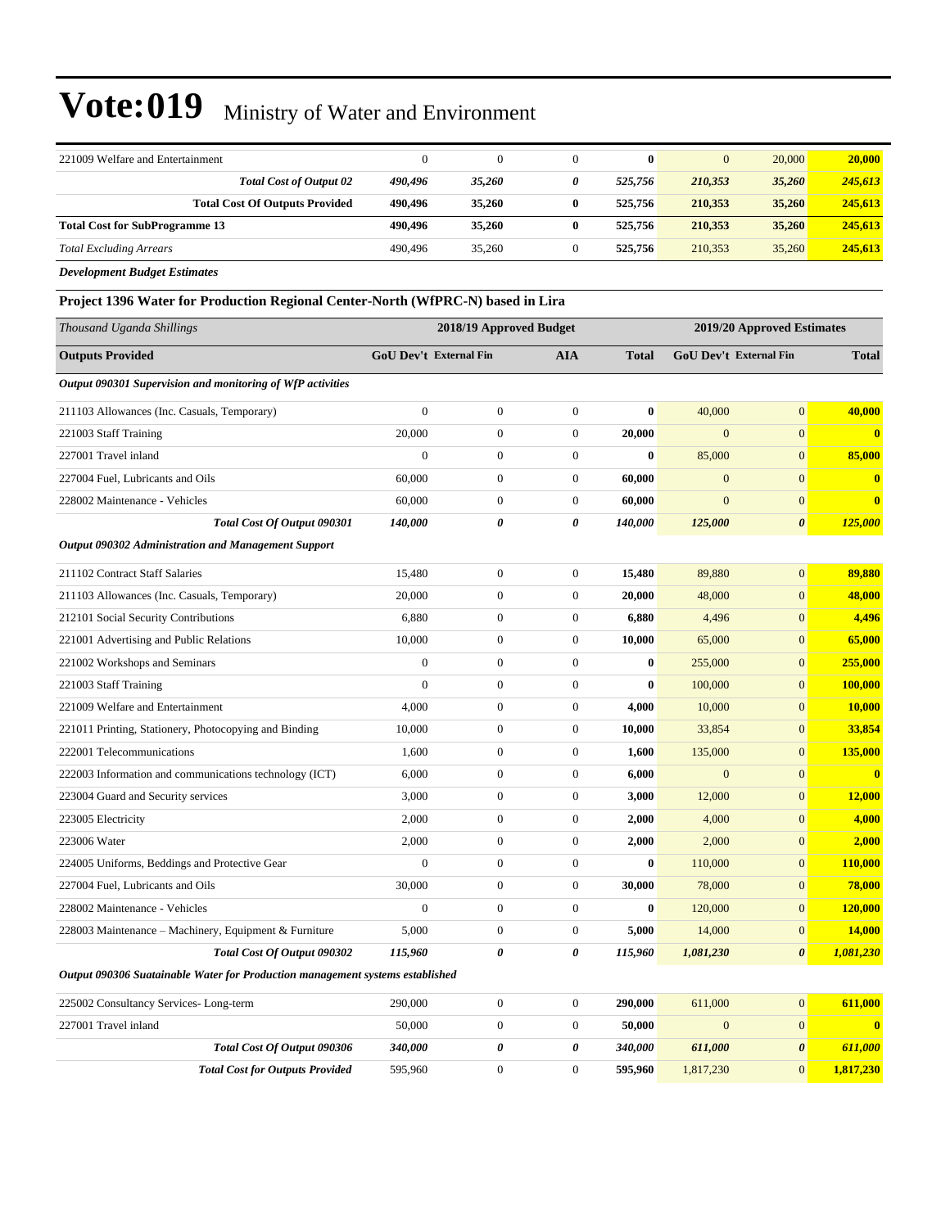| 221009 Welfare and Entertainment                                                | $\theta$               | $\mathbf{0}$            | $\boldsymbol{0}$ | $\bf{0}$     | $\mathbf{0}$     | 20,000                     | 20,000         |
|---------------------------------------------------------------------------------|------------------------|-------------------------|------------------|--------------|------------------|----------------------------|----------------|
| Total Cost of Output 02                                                         | 490,496                | 35,260                  | 0                | 525,756      | 210,353          | 35,260                     | 245,613        |
| <b>Total Cost Of Outputs Provided</b>                                           | 490,496                | 35,260                  | 0                | 525,756      | 210,353          | 35,260                     | 245,613        |
| <b>Total Cost for SubProgramme 13</b>                                           | 490,496                | 35,260                  | $\bf{0}$         | 525,756      | 210,353          | 35,260                     | 245,613        |
| <b>Total Excluding Arrears</b>                                                  | 490,496                | 35,260                  | $\boldsymbol{0}$ | 525,756      | 210,353          | 35,260                     | 245,613        |
| <b>Development Budget Estimates</b>                                             |                        |                         |                  |              |                  |                            |                |
| Project 1396 Water for Production Regional Center-North (WfPRC-N) based in Lira |                        |                         |                  |              |                  |                            |                |
| Thousand Uganda Shillings                                                       |                        | 2018/19 Approved Budget |                  |              |                  | 2019/20 Approved Estimates |                |
| <b>Outputs Provided</b>                                                         | GoU Dev't External Fin |                         | <b>AIA</b>       | <b>Total</b> |                  | GoU Dev't External Fin     | <b>Total</b>   |
| Output 090301 Supervision and monitoring of WfP activities                      |                        |                         |                  |              |                  |                            |                |
| 211103 Allowances (Inc. Casuals, Temporary)                                     | $\theta$               | $\boldsymbol{0}$        | $\mathbf{0}$     | $\bf{0}$     | 40,000           | $\mathbf{0}$               | 40,000         |
| 221003 Staff Training                                                           | 20,000                 | $\boldsymbol{0}$        | $\boldsymbol{0}$ | 20,000       | $\overline{0}$   | $\mathbf{0}$               | $\mathbf{0}$   |
| 227001 Travel inland                                                            | $\mathbf{0}$           | $\mathbf{0}$            | $\boldsymbol{0}$ | $\bf{0}$     | 85,000           | $\mathbf{0}$               | 85,000         |
| 227004 Fuel, Lubricants and Oils                                                | 60,000                 | $\boldsymbol{0}$        | $\boldsymbol{0}$ | 60,000       | $\boldsymbol{0}$ | $\mathbf{0}$               | $\bf{0}$       |
| 228002 Maintenance - Vehicles                                                   | 60,000                 | $\boldsymbol{0}$        | $\boldsymbol{0}$ | 60,000       | $\overline{0}$   | $\mathbf{0}$               | $\bf{0}$       |
| Total Cost Of Output 090301                                                     | 140,000                | 0                       | 0                | 140,000      | 125,000          | $\boldsymbol{\theta}$      | <b>125,000</b> |
| <b>Output 090302 Administration and Management Support</b>                      |                        |                         |                  |              |                  |                            |                |
| 211102 Contract Staff Salaries                                                  | 15,480                 | $\boldsymbol{0}$        | $\mathbf{0}$     | 15,480       | 89,880           | $\mathbf{0}$               | 89,880         |
| 211103 Allowances (Inc. Casuals, Temporary)                                     | 20,000                 | $\overline{0}$          | $\boldsymbol{0}$ | 20,000       | 48,000           | $\mathbf{0}$               | 48,000         |
| 212101 Social Security Contributions                                            | 6,880                  | $\boldsymbol{0}$        | $\boldsymbol{0}$ | 6,880        | 4,496            | $\mathbf{0}$               | 4,496          |
| 221001 Advertising and Public Relations                                         | 10,000                 | $\boldsymbol{0}$        | $\boldsymbol{0}$ | 10,000       | 65,000           | $\mathbf{0}$               | 65,000         |
| 221002 Workshops and Seminars                                                   | $\mathbf{0}$           | $\boldsymbol{0}$        | $\mathbf{0}$     | $\bf{0}$     | 255,000          | $\mathbf{0}$               | 255,000        |
| 221003 Staff Training                                                           | $\theta$               | $\boldsymbol{0}$        | $\boldsymbol{0}$ | $\bf{0}$     | 100,000          | $\mathbf{0}$               | 100,000        |
| 221009 Welfare and Entertainment                                                | 4,000                  | $\overline{0}$          | $\boldsymbol{0}$ | 4,000        | 10,000           | $\mathbf{0}$               | 10,000         |
| 221011 Printing, Stationery, Photocopying and Binding                           | 10,000                 | $\boldsymbol{0}$        | $\boldsymbol{0}$ | 10,000       | 33,854           | $\mathbf{0}$               | 33,854         |
| 222001 Telecommunications                                                       | 1,600                  | $\boldsymbol{0}$        | $\boldsymbol{0}$ | 1,600        | 135,000          | $\mathbf{0}$               | 135,000        |
| 222003 Information and communications technology (ICT)                          | 6,000                  | $\boldsymbol{0}$        | $\mathbf{0}$     | 6,000        | $\boldsymbol{0}$ | $\mathbf{0}$               | $\bf{0}$       |
| 223004 Guard and Security services                                              | 3,000                  | $\boldsymbol{0}$        | $\boldsymbol{0}$ | 3,000        | 12,000           | $\mathbf{0}$               | <b>12,000</b>  |
| 223005 Electricity                                                              | 2,000                  | $\mathbf{0}$            | $\mathbf{0}$     | 2,000        | 4,000            | $\mathbf{0}$               | 4,000          |
| 223006 Water                                                                    | 2,000                  | $\boldsymbol{0}$        | $\boldsymbol{0}$ | 2,000        | 2,000            | $\mathbf{0}$               | <b>2,000</b>   |
| 224005 Uniforms, Beddings and Protective Gear                                   | $\boldsymbol{0}$       | $\boldsymbol{0}$        | $\boldsymbol{0}$ | $\bf{0}$     | 110,000          | $\mathbf{0}$               | 110,000        |
| 227004 Fuel, Lubricants and Oils                                                | 30,000                 | $\boldsymbol{0}$        | $\boldsymbol{0}$ | 30,000       | 78,000           | $\mathbf{0}$               | 78,000         |
| 228002 Maintenance - Vehicles                                                   | $\mathbf{0}$           | $\boldsymbol{0}$        | $\boldsymbol{0}$ | $\bf{0}$     | 120,000          | $\mathbf{0}$               | 120,000        |
| 228003 Maintenance - Machinery, Equipment & Furniture                           | 5,000                  | $\boldsymbol{0}$        | $\boldsymbol{0}$ | 5,000        | 14,000           | $\boldsymbol{0}$           | 14,000         |
| Total Cost Of Output 090302                                                     | 115,960                | 0                       | 0                | 115,960      | 1,081,230        | $\boldsymbol{\theta}$      | 1,081,230      |
| Output 090306 Suatainable Water for Production management systems established   |                        |                         |                  |              |                  |                            |                |
| 225002 Consultancy Services-Long-term                                           | 290,000                | $\boldsymbol{0}$        | $\boldsymbol{0}$ | 290,000      | 611,000          | $\mathbf{0}$               | 611,000        |
| 227001 Travel inland                                                            | 50,000                 | $\boldsymbol{0}$        | $\boldsymbol{0}$ | 50,000       | $\mathbf{0}$     | $\boldsymbol{0}$           | $\bf{0}$       |
| Total Cost Of Output 090306                                                     | 340,000                | 0                       | 0                | 340,000      | 611,000          | 0                          | 611,000        |
| <b>Total Cost for Outputs Provided</b>                                          | 595,960                | $\boldsymbol{0}$        | $\boldsymbol{0}$ | 595,960      | 1,817,230        | $\mathbf{0}$               | 1,817,230      |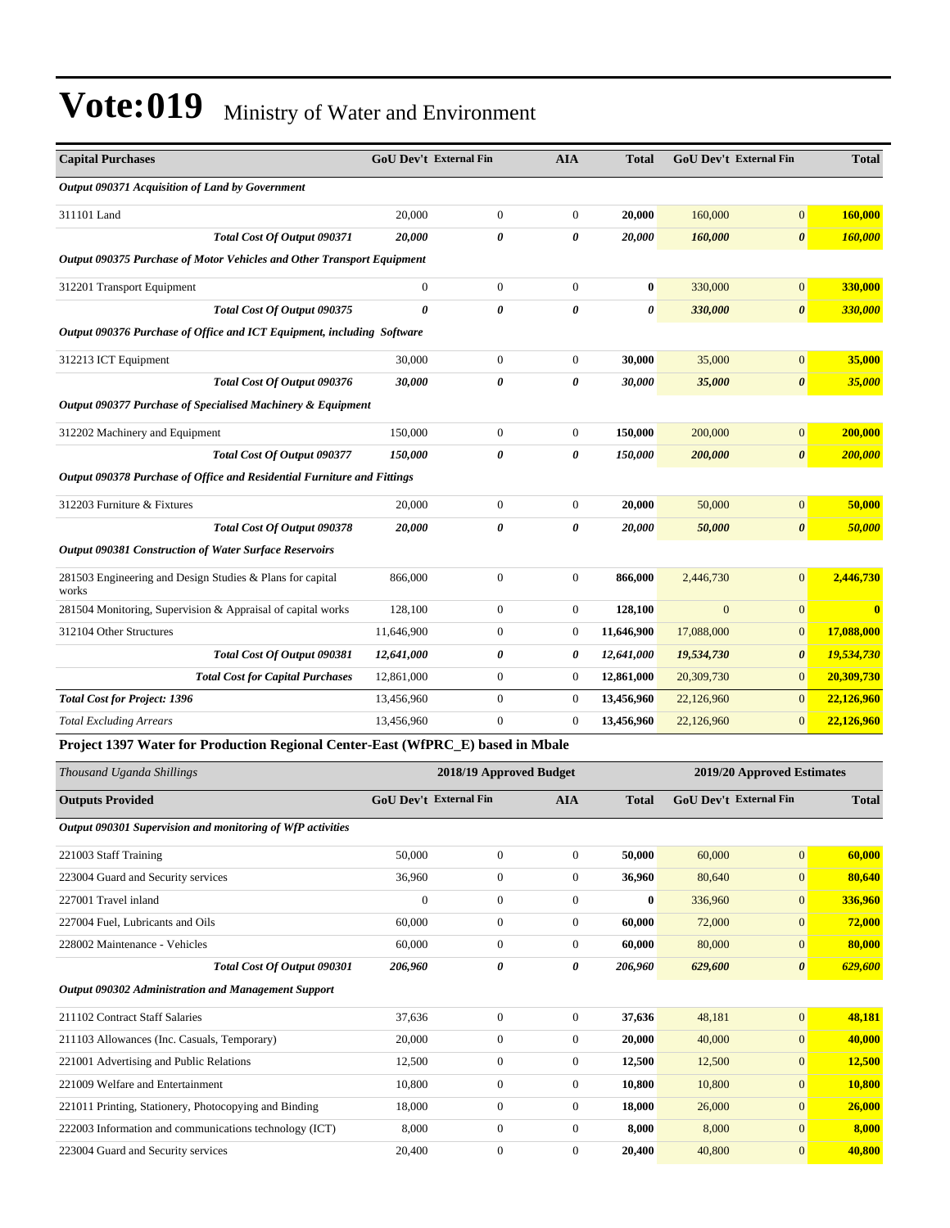| <b>Capital Purchases</b>                                                        |                  | GoU Dev't External Fin        | <b>AIA</b>              | <b>Total</b> |                | <b>GoU Dev't External Fin</b> | <b>Total</b>   |
|---------------------------------------------------------------------------------|------------------|-------------------------------|-------------------------|--------------|----------------|-------------------------------|----------------|
| Output 090371 Acquisition of Land by Government                                 |                  |                               |                         |              |                |                               |                |
| 311101 Land                                                                     | 20,000           | $\boldsymbol{0}$              | $\boldsymbol{0}$        | 20,000       | 160,000        | $\mathbf{0}$                  | 160,000        |
| Total Cost Of Output 090371                                                     | 20,000           | 0                             | 0                       | 20,000       | 160,000        | $\boldsymbol{\theta}$         | 160,000        |
| Output 090375 Purchase of Motor Vehicles and Other Transport Equipment          |                  |                               |                         |              |                |                               |                |
| 312201 Transport Equipment                                                      | $\boldsymbol{0}$ | $\boldsymbol{0}$              | $\mathbf{0}$            | $\bf{0}$     | 330,000        | $\boldsymbol{0}$              | 330,000        |
| Total Cost Of Output 090375                                                     | 0                | 0                             | $\boldsymbol{\theta}$   | 0            | 330,000        | $\pmb{\theta}$                | 330,000        |
| Output 090376 Purchase of Office and ICT Equipment, including Software          |                  |                               |                         |              |                |                               |                |
| 312213 ICT Equipment                                                            | 30,000           | $\boldsymbol{0}$              | $\mathbf{0}$            | 30,000       | 35,000         | $\boldsymbol{0}$              | 35,000         |
| Total Cost Of Output 090376                                                     | 30,000           | 0                             | 0                       | 30,000       | 35,000         | $\pmb{\theta}$                | 35,000         |
| Output 090377 Purchase of Specialised Machinery & Equipment                     |                  |                               |                         |              |                |                               |                |
| 312202 Machinery and Equipment                                                  | 150,000          | $\boldsymbol{0}$              | $\mathbf{0}$            | 150,000      | 200,000        | $\boldsymbol{0}$              | 200,000        |
| Total Cost Of Output 090377                                                     | 150,000          | 0                             | 0                       | 150,000      | 200,000        | 0                             | <b>200,000</b> |
| Output 090378 Purchase of Office and Residential Furniture and Fittings         |                  |                               |                         |              |                |                               |                |
| 312203 Furniture & Fixtures                                                     | 20,000           | $\boldsymbol{0}$              | $\mathbf{0}$            | 20,000       | 50,000         | $\boldsymbol{0}$              | 50,000         |
| Total Cost Of Output 090378                                                     | 20,000           | 0                             | 0                       | 20,000       | 50,000         | $\boldsymbol{\theta}$         | 50,000         |
| <b>Output 090381 Construction of Water Surface Reservoirs</b>                   |                  |                               |                         |              |                |                               |                |
| 281503 Engineering and Design Studies & Plans for capital<br>works              | 866,000          | $\boldsymbol{0}$              | $\mathbf{0}$            | 866,000      | 2,446,730      | $\overline{0}$                | 2,446,730      |
| 281504 Monitoring, Supervision & Appraisal of capital works                     | 128,100          | $\boldsymbol{0}$              | $\boldsymbol{0}$        | 128,100      | $\overline{0}$ | $\mathbf{0}$                  | $\bf{0}$       |
| 312104 Other Structures                                                         | 11,646,900       | $\boldsymbol{0}$              | $\boldsymbol{0}$        | 11,646,900   | 17,088,000     | $\mathbf{0}$                  | 17,088,000     |
| Total Cost Of Output 090381                                                     | 12,641,000       | 0                             | 0                       | 12,641,000   | 19,534,730     | $\boldsymbol{\theta}$         | 19,534,730     |
| <b>Total Cost for Capital Purchases</b>                                         | 12,861,000       | $\boldsymbol{0}$              | $\boldsymbol{0}$        | 12,861,000   | 20,309,730     | $\mathbf{0}$                  | 20,309,730     |
| <b>Total Cost for Project: 1396</b>                                             | 13,456,960       | $\boldsymbol{0}$              | $\boldsymbol{0}$        | 13,456,960   | 22,126,960     | $\mathbf{0}$                  | 22,126,960     |
| <b>Total Excluding Arrears</b>                                                  | 13,456,960       | $\boldsymbol{0}$              | $\boldsymbol{0}$        | 13,456,960   | 22,126,960     | $\overline{0}$                | 22,126,960     |
| Project 1397 Water for Production Regional Center-East (WfPRC_E) based in Mbale |                  |                               |                         |              |                |                               |                |
| Thousand Uganda Shillings                                                       |                  |                               | 2018/19 Approved Budget |              |                | 2019/20 Approved Estimates    |                |
| <b>Outputs Provided</b>                                                         |                  | <b>GoU Dev't External Fin</b> | AIA                     | <b>Total</b> |                | <b>GoU Dev't External Fin</b> | <b>Total</b>   |
| Output 090301 Supervision and monitoring of WfP activities                      |                  |                               |                         |              |                |                               |                |
| 221003 Staff Training                                                           | 50,000           | $\boldsymbol{0}$              | $\boldsymbol{0}$        | 50,000       | 60,000         | $\overline{0}$                | 60,000         |
| 223004 Guard and Security services                                              | 36,960           | $\boldsymbol{0}$              | $\mathbf{0}$            | 36,960       | 80,640         | $\mathbf{0}$                  | 80,640         |
| 227001 Travel inland                                                            | $\boldsymbol{0}$ | $\boldsymbol{0}$              | $\boldsymbol{0}$        | $\bf{0}$     | 336,960        | $\mathbf{0}$                  | 336,960        |
| 227004 Fuel, Lubricants and Oils                                                | 60,000           | $\boldsymbol{0}$              | $\boldsymbol{0}$        | 60,000       | 72,000         | $\mathbf{0}$                  | 72,000         |
| 228002 Maintenance - Vehicles                                                   | 60,000           | $\boldsymbol{0}$              | $\mathbf{0}$            | 60,000       | 80,000         | $\mathbf{0}$                  | 80,000         |
| Total Cost Of Output 090301                                                     | 206,960          | 0                             | 0                       | 206,960      | 629,600        | 0                             | 629,600        |
| Output 090302 Administration and Management Support                             |                  |                               |                         |              |                |                               |                |
| 211102 Contract Staff Salaries                                                  | 37,636           | $\boldsymbol{0}$              | $\boldsymbol{0}$        | 37,636       | 48,181         | $\overline{0}$                | 48,181         |
| 211103 Allowances (Inc. Casuals, Temporary)                                     | 20,000           | $\boldsymbol{0}$              | $\boldsymbol{0}$        | 20,000       | 40,000         | $\boldsymbol{0}$              | 40,000         |
| 221001 Advertising and Public Relations                                         | 12,500           | $\boldsymbol{0}$              | $\boldsymbol{0}$        | 12,500       | 12,500         | $\mathbf{0}$                  | 12,500         |
| 221009 Welfare and Entertainment                                                | 10,800           | $\boldsymbol{0}$              | $\boldsymbol{0}$        | 10,800       | 10,800         | $\mathbf{0}$                  | 10,800         |
| 221011 Printing, Stationery, Photocopying and Binding                           | 18,000           | $\boldsymbol{0}$              | $\boldsymbol{0}$        | 18,000       | 26,000         | $\bf{0}$                      | 26,000         |
| 222003 Information and communications technology (ICT)                          | 8,000            | $\boldsymbol{0}$              | $\mathbf{0}$            | 8,000        | 8,000          | $\mathbf{0}$                  | 8,000          |
| 223004 Guard and Security services                                              | 20,400           | $\boldsymbol{0}$              | $\overline{0}$          | 20,400       | 40,800         | 0                             | 40,800         |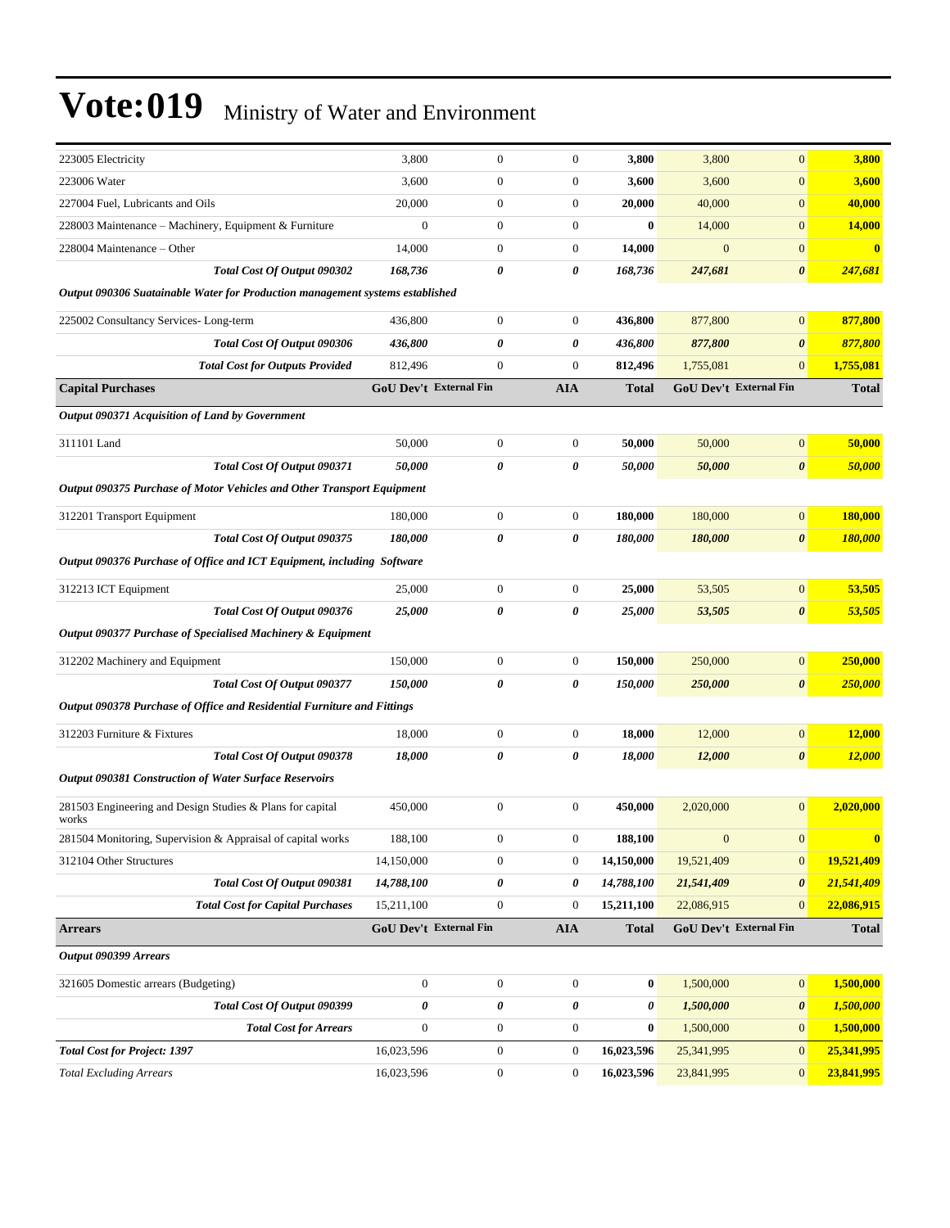| 223005 Electricity                                                            | 3,800                         | $\boldsymbol{0}$ | $\mathbf{0}$     | 3,800            | 3,800        | $\mathbf{0}$           | 3,800         |
|-------------------------------------------------------------------------------|-------------------------------|------------------|------------------|------------------|--------------|------------------------|---------------|
| 223006 Water                                                                  | 3,600                         | $\boldsymbol{0}$ | $\boldsymbol{0}$ | 3,600            | 3,600        | $\boldsymbol{0}$       | 3,600         |
| 227004 Fuel, Lubricants and Oils                                              | 20,000                        | $\boldsymbol{0}$ | $\boldsymbol{0}$ | 20,000           | 40,000       | $\overline{0}$         | 40,000        |
| 228003 Maintenance - Machinery, Equipment & Furniture                         | $\boldsymbol{0}$              | $\boldsymbol{0}$ | $\boldsymbol{0}$ | $\bf{0}$         | 14,000       | $\boldsymbol{0}$       | <b>14,000</b> |
| 228004 Maintenance - Other                                                    | 14,000                        | $\boldsymbol{0}$ | 0                | 14,000           | $\mathbf{0}$ | $\mathbf{0}$           | $\mathbf{0}$  |
| Total Cost Of Output 090302                                                   | 168,736                       | 0                | 0                | 168,736          | 247,681      | $\boldsymbol{\theta}$  | 247,681       |
| Output 090306 Suatainable Water for Production management systems established |                               |                  |                  |                  |              |                        |               |
| 225002 Consultancy Services-Long-term                                         | 436,800                       | $\boldsymbol{0}$ | $\boldsymbol{0}$ | 436,800          | 877,800      | $\mathbf{0}$           | 877,800       |
| Total Cost Of Output 090306                                                   | 436,800                       | 0                | 0                | 436,800          | 877,800      | $\boldsymbol{\theta}$  | 877,800       |
| <b>Total Cost for Outputs Provided</b>                                        | 812,496                       | $\boldsymbol{0}$ | $\boldsymbol{0}$ | 812,496          | 1,755,081    | $\mathbf{0}$           | 1,755,081     |
| <b>Capital Purchases</b>                                                      | <b>GoU Dev't External Fin</b> |                  | <b>AIA</b>       | <b>Total</b>     |              | GoU Dev't External Fin | <b>Total</b>  |
| Output 090371 Acquisition of Land by Government                               |                               |                  |                  |                  |              |                        |               |
| 311101 Land                                                                   | 50,000                        | $\boldsymbol{0}$ | $\boldsymbol{0}$ | 50,000           | 50,000       | $\boldsymbol{0}$       | 50,000        |
| Total Cost Of Output 090371                                                   | 50,000                        | 0                | 0                | 50,000           | 50,000       | $\boldsymbol{\theta}$  | 50,000        |
| Output 090375 Purchase of Motor Vehicles and Other Transport Equipment        |                               |                  |                  |                  |              |                        |               |
| 312201 Transport Equipment                                                    | 180,000                       | $\boldsymbol{0}$ | $\mathbf{0}$     | 180,000          | 180,000      | $\mathbf{0}$           | 180,000       |
| Total Cost Of Output 090375                                                   | 180,000                       | 0                | 0                | 180,000          | 180,000      | $\boldsymbol{\theta}$  | 180,000       |
| Output 090376 Purchase of Office and ICT Equipment, including Software        |                               |                  |                  |                  |              |                        |               |
| 312213 ICT Equipment                                                          | 25,000                        | $\boldsymbol{0}$ | $\boldsymbol{0}$ | 25,000           | 53,505       | $\boldsymbol{0}$       | 53,505        |
| Total Cost Of Output 090376                                                   | 25,000                        | 0                | 0                | 25,000           | 53,505       | $\pmb{\theta}$         | 53,505        |
| Output 090377 Purchase of Specialised Machinery & Equipment                   |                               |                  |                  |                  |              |                        |               |
| 312202 Machinery and Equipment                                                | 150,000                       | $\boldsymbol{0}$ | $\boldsymbol{0}$ | 150,000          | 250,000      | $\boldsymbol{0}$       | 250,000       |
| Total Cost Of Output 090377                                                   | 150,000                       | 0                | 0                | 150,000          | 250,000      | $\boldsymbol{\theta}$  | 250,000       |
| Output 090378 Purchase of Office and Residential Furniture and Fittings       |                               |                  |                  |                  |              |                        |               |
| 312203 Furniture & Fixtures                                                   | 18,000                        | $\boldsymbol{0}$ | 0                | 18,000           | 12,000       | $\mathbf{0}$           | 12,000        |
| Total Cost Of Output 090378                                                   | 18,000                        | 0                | 0                | 18,000           | 12,000       | $\boldsymbol{\theta}$  | <b>12,000</b> |
| <b>Output 090381 Construction of Water Surface Reservoirs</b>                 |                               |                  |                  |                  |              |                        |               |
| 281503 Engineering and Design Studies & Plans for capital<br>works            | 450,000                       | $\boldsymbol{0}$ | $\overline{0}$   | 450,000          | 2,020,000    | $\overline{0}$         | 2,020,000     |
| 281504 Monitoring, Supervision & Appraisal of capital works                   | 188,100                       | $\boldsymbol{0}$ | 0                | 188,100          | $\mathbf{0}$ | $\mathbf{0}$           |               |
| 312104 Other Structures                                                       | 14,150,000                    | $\boldsymbol{0}$ | $\boldsymbol{0}$ | 14,150,000       | 19,521,409   | $\mathbf{0}$           | 19,521,409    |
| Total Cost Of Output 090381                                                   | 14,788,100                    | 0                | 0                | 14,788,100       | 21,541,409   | $\boldsymbol{\theta}$  | 21,541,409    |
| <b>Total Cost for Capital Purchases</b>                                       | 15,211,100                    | $\boldsymbol{0}$ | $\boldsymbol{0}$ | 15,211,100       | 22,086,915   | $\mathbf{0}$           | 22,086,915    |
| <b>Arrears</b>                                                                | <b>GoU Dev't External Fin</b> |                  | <b>AIA</b>       | <b>Total</b>     |              | GoU Dev't External Fin | <b>Total</b>  |
| Output 090399 Arrears                                                         |                               |                  |                  |                  |              |                        |               |
| 321605 Domestic arrears (Budgeting)                                           | $\mathbf{0}$                  | $\boldsymbol{0}$ | $\boldsymbol{0}$ | $\bf{0}$         | 1,500,000    | $\mathbf{0}$           | 1,500,000     |
| Total Cost Of Output 090399                                                   | $\pmb{\theta}$                | 0                | 0                | 0                | 1,500,000    | $\boldsymbol{\theta}$  | 1,500,000     |
| <b>Total Cost for Arrears</b>                                                 | $\boldsymbol{0}$              | $\boldsymbol{0}$ | $\boldsymbol{0}$ | $\boldsymbol{0}$ | 1,500,000    | $\mathbf{0}$           | 1,500,000     |
| <b>Total Cost for Project: 1397</b>                                           | 16,023,596                    | $\boldsymbol{0}$ | 0                | 16,023,596       | 25,341,995   | $\mathbf{0}$           | 25,341,995    |
| <b>Total Excluding Arrears</b>                                                | 16,023,596                    | $\boldsymbol{0}$ | $\boldsymbol{0}$ | 16,023,596       | 23,841,995   | $\mathbf{0}$           | 23,841,995    |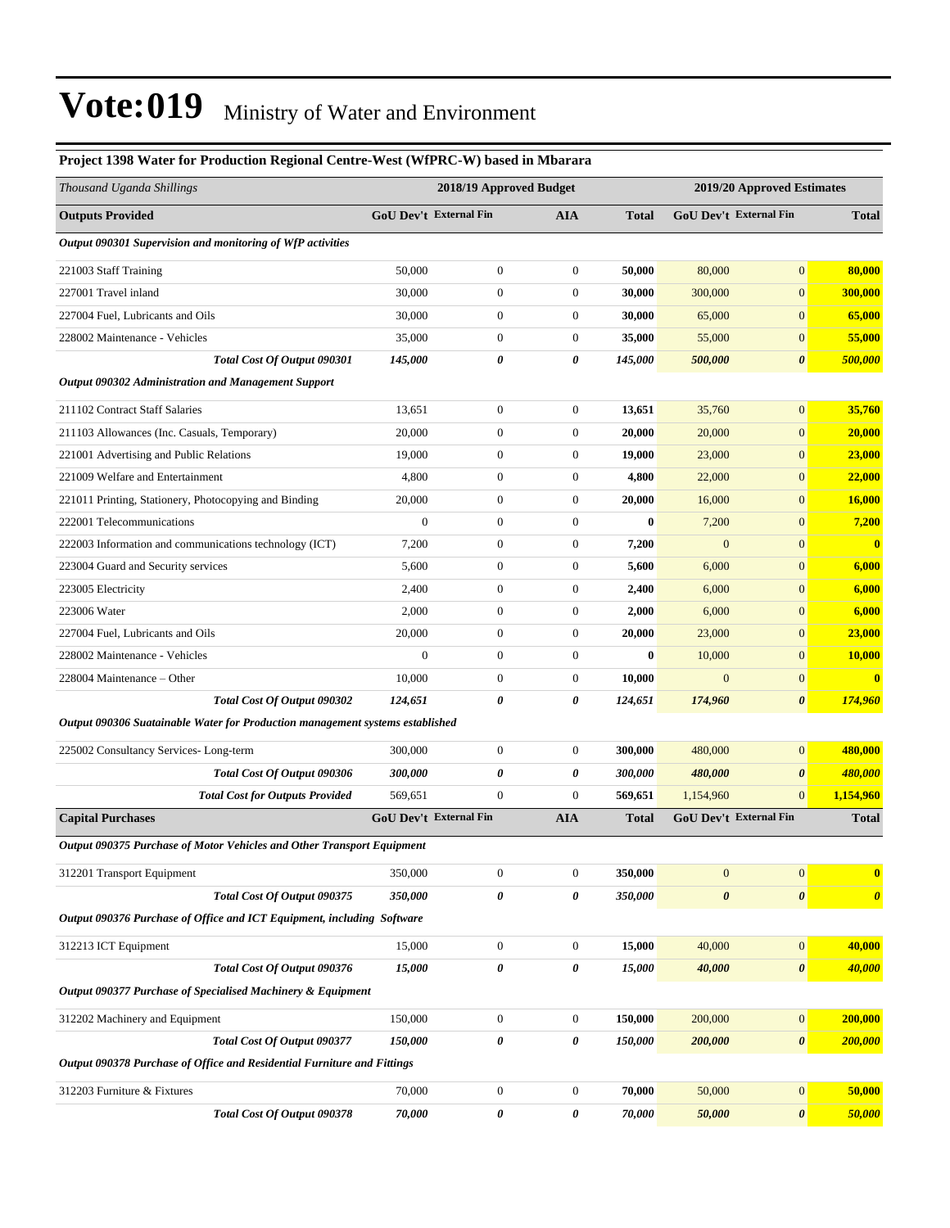#### **Project 1398 Water for Production Regional Centre-West (WfPRC-W) based in Mbarara**

| Thousand Uganda Shillings                                                     |                        | 2018/19 Approved Budget |                  |              | 2019/20 Approved Estimates |                               |                       |  |
|-------------------------------------------------------------------------------|------------------------|-------------------------|------------------|--------------|----------------------------|-------------------------------|-----------------------|--|
| <b>Outputs Provided</b>                                                       | GoU Dev't External Fin |                         | <b>AIA</b>       | <b>Total</b> |                            | GoU Dev't External Fin        | <b>Total</b>          |  |
| Output 090301 Supervision and monitoring of WfP activities                    |                        |                         |                  |              |                            |                               |                       |  |
| 221003 Staff Training                                                         | 50,000                 | $\boldsymbol{0}$        | $\mathbf{0}$     | 50,000       | 80,000                     | $\overline{0}$                | 80,000                |  |
| 227001 Travel inland                                                          | 30,000                 | $\boldsymbol{0}$        | $\mathbf{0}$     | 30,000       | 300,000                    | $\overline{0}$                | 300,000               |  |
| 227004 Fuel, Lubricants and Oils                                              | 30,000                 | $\boldsymbol{0}$        | $\mathbf{0}$     | 30,000       | 65,000                     | $\overline{0}$                | 65,000                |  |
| 228002 Maintenance - Vehicles                                                 | 35,000                 | $\boldsymbol{0}$        | $\mathbf{0}$     | 35,000       | 55,000                     | $\overline{0}$                | 55,000                |  |
| Total Cost Of Output 090301                                                   | 145,000                | 0                       | 0                | 145,000      | 500,000                    | 0                             | 500,000               |  |
| Output 090302 Administration and Management Support                           |                        |                         |                  |              |                            |                               |                       |  |
| 211102 Contract Staff Salaries                                                | 13,651                 | $\boldsymbol{0}$        | $\boldsymbol{0}$ | 13,651       | 35,760                     | $\boldsymbol{0}$              | 35,760                |  |
| 211103 Allowances (Inc. Casuals, Temporary)                                   | 20,000                 | $\boldsymbol{0}$        | $\mathbf{0}$     | 20,000       | 20,000                     | $\overline{0}$                | 20,000                |  |
| 221001 Advertising and Public Relations                                       | 19,000                 | $\boldsymbol{0}$        | $\mathbf{0}$     | 19,000       | 23,000                     | $\overline{0}$                | <b>23,000</b>         |  |
| 221009 Welfare and Entertainment                                              | 4,800                  | $\boldsymbol{0}$        | $\mathbf{0}$     | 4,800        | 22,000                     | $\overline{0}$                | 22,000                |  |
| 221011 Printing, Stationery, Photocopying and Binding                         | 20,000                 | $\boldsymbol{0}$        | $\mathbf{0}$     | 20,000       | 16,000                     | $\overline{0}$                | 16,000                |  |
| 222001 Telecommunications                                                     | $\boldsymbol{0}$       | $\boldsymbol{0}$        | $\mathbf{0}$     | $\bf{0}$     | 7,200                      | $\overline{0}$                | 7,200                 |  |
| 222003 Information and communications technology (ICT)                        | 7,200                  | $\boldsymbol{0}$        | $\boldsymbol{0}$ | 7,200        | $\mathbf{0}$               | $\overline{0}$                | $\bf{0}$              |  |
| 223004 Guard and Security services                                            | 5,600                  | $\boldsymbol{0}$        | $\mathbf{0}$     | 5,600        | 6,000                      | $\overline{0}$                | 6,000                 |  |
| 223005 Electricity                                                            | 2,400                  | $\boldsymbol{0}$        | $\mathbf{0}$     | 2,400        | 6,000                      | $\overline{0}$                | 6,000                 |  |
| 223006 Water                                                                  | 2,000                  | $\boldsymbol{0}$        | $\mathbf{0}$     | 2,000        | 6,000                      | $\boldsymbol{0}$              | 6,000                 |  |
| 227004 Fuel, Lubricants and Oils                                              | 20,000                 | $\boldsymbol{0}$        | $\boldsymbol{0}$ | 20,000       | 23,000                     | $\boldsymbol{0}$              | 23,000                |  |
| 228002 Maintenance - Vehicles                                                 | $\boldsymbol{0}$       | $\boldsymbol{0}$        | $\mathbf{0}$     | $\bf{0}$     | 10,000                     | $\overline{0}$                | 10,000                |  |
| 228004 Maintenance – Other                                                    | 10,000                 | $\boldsymbol{0}$        | $\boldsymbol{0}$ | 10,000       | $\overline{0}$             | $\boldsymbol{0}$              | $\bf{0}$              |  |
| Total Cost Of Output 090302                                                   | 124,651                | 0                       | 0                | 124,651      | 174,960                    | $\pmb{\theta}$                | 174,960               |  |
| Output 090306 Suatainable Water for Production management systems established |                        |                         |                  |              |                            |                               |                       |  |
| 225002 Consultancy Services-Long-term                                         | 300,000                | $\boldsymbol{0}$        | $\mathbf{0}$     | 300,000      | 480,000                    | $\overline{0}$                | 480,000               |  |
| Total Cost Of Output 090306                                                   | 300,000                | 0                       | 0                | 300,000      | 480,000                    | 0                             | 480,000               |  |
| <b>Total Cost for Outputs Provided</b>                                        | 569,651                | $\boldsymbol{0}$        | $\overline{0}$   | 569,651      | 1,154,960                  | $\overline{0}$                | 1,154,960             |  |
| <b>Capital Purchases</b>                                                      | GoU Dev't External Fin |                         | <b>AIA</b>       | <b>Total</b> |                            | <b>GoU Dev't External Fin</b> | <b>Total</b>          |  |
| Output 090375 Purchase of Motor Vehicles and Other Transport Equipment        |                        |                         |                  |              |                            |                               |                       |  |
| 312201 Transport Equipment                                                    | 350,000                | $\boldsymbol{0}$        | $\boldsymbol{0}$ | 350,000      | $\boldsymbol{0}$           | $\boldsymbol{0}$              | $\bf{0}$              |  |
| Total Cost Of Output 090375                                                   | 350,000                | 0                       | 0                | 350,000      | $\pmb{\theta}$             | $\pmb{\theta}$                | $\boldsymbol{\theta}$ |  |
| Output 090376 Purchase of Office and ICT Equipment, including Software        |                        |                         |                  |              |                            |                               |                       |  |
| 312213 ICT Equipment                                                          | 15,000                 | $\boldsymbol{0}$        | $\boldsymbol{0}$ | 15,000       | 40,000                     | $\boldsymbol{0}$              | 40,000                |  |
| Total Cost Of Output 090376                                                   | 15,000                 | 0                       | 0                | 15,000       | 40,000                     | 0                             | 40,000                |  |
| Output 090377 Purchase of Specialised Machinery & Equipment                   |                        |                         |                  |              |                            |                               |                       |  |
| 312202 Machinery and Equipment                                                | 150,000                | $\boldsymbol{0}$        | $\boldsymbol{0}$ | 150,000      | 200,000                    | $\boldsymbol{0}$              | 200,000               |  |
| Total Cost Of Output 090377                                                   | 150,000                | 0                       | 0                | 150,000      | 200,000                    | $\pmb{\theta}$                | <b>200,000</b>        |  |
| Output 090378 Purchase of Office and Residential Furniture and Fittings       |                        |                         |                  |              |                            |                               |                       |  |
| 312203 Furniture & Fixtures                                                   | 70,000                 | $\boldsymbol{0}$        | $\boldsymbol{0}$ | 70,000       | 50,000                     | $\boldsymbol{0}$              | 50,000                |  |
| Total Cost Of Output 090378                                                   | 70,000                 | 0                       | 0                | 70,000       | 50,000                     | $\pmb{\theta}$                | 50,000                |  |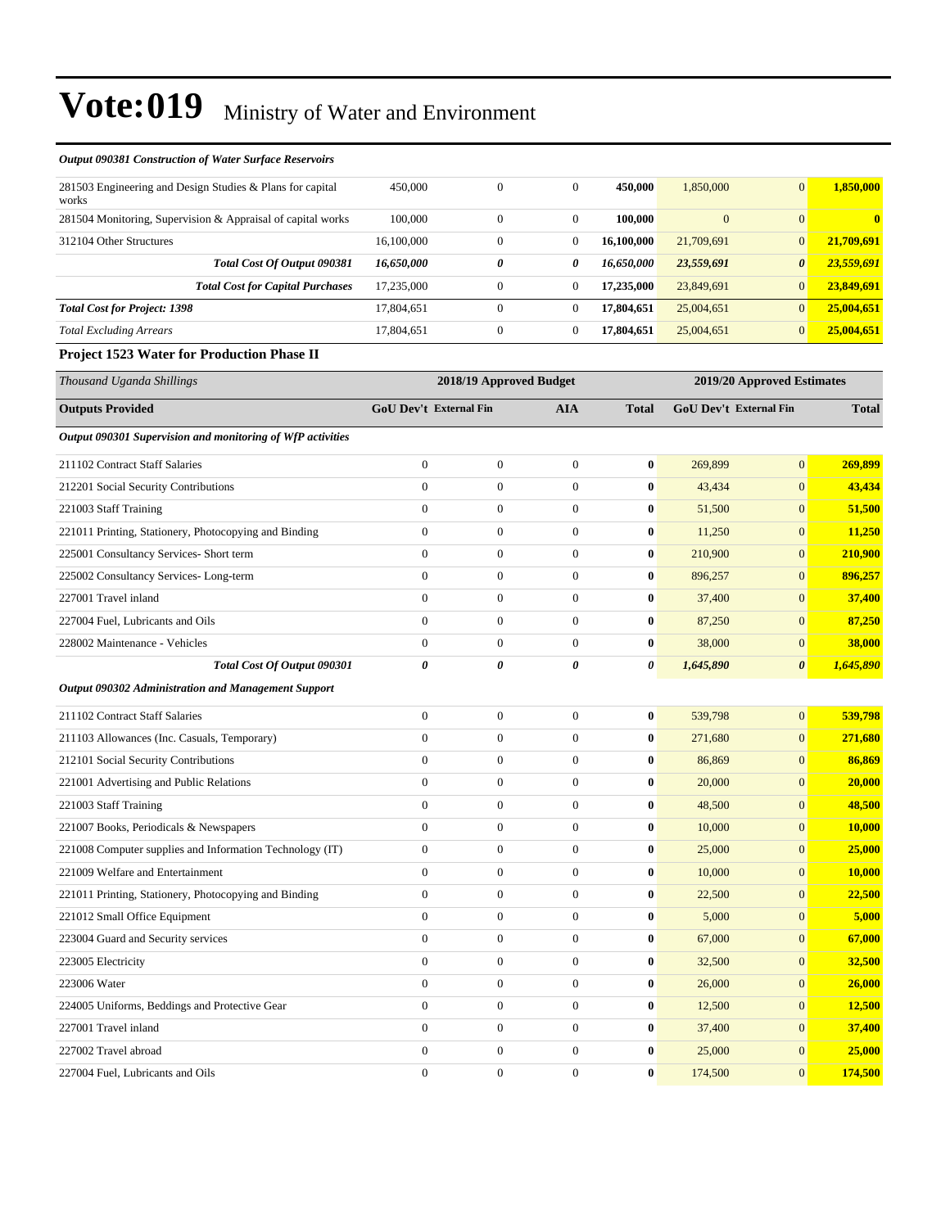| <b>Output 090381 Construction of Water Surface Reservoirs</b>      |                        |                         |                  |                  |                        |                            |               |
|--------------------------------------------------------------------|------------------------|-------------------------|------------------|------------------|------------------------|----------------------------|---------------|
| 281503 Engineering and Design Studies & Plans for capital<br>works | 450,000                | $\boldsymbol{0}$        | $\boldsymbol{0}$ | 450,000          | 1,850,000              | $\mathbf{0}$               | 1,850,000     |
| 281504 Monitoring, Supervision & Appraisal of capital works        | 100,000                | $\boldsymbol{0}$        | $\mathbf{0}$     | 100,000          | $\boldsymbol{0}$       | $\mathbf{0}$               | $\mathbf{0}$  |
| 312104 Other Structures                                            | 16,100,000             | $\boldsymbol{0}$        | $\boldsymbol{0}$ | 16,100,000       | 21,709,691             | $\mathbf{0}$               | 21,709,691    |
| Total Cost Of Output 090381                                        | 16,650,000             | 0                       | 0                | 16,650,000       | 23,559,691             | $\boldsymbol{\theta}$      | 23,559,691    |
| <b>Total Cost for Capital Purchases</b>                            | 17,235,000             | $\boldsymbol{0}$        | $\boldsymbol{0}$ | 17,235,000       | 23,849,691             | $\mathbf{0}$               | 23,849,691    |
| <b>Total Cost for Project: 1398</b>                                | 17,804,651             | $\boldsymbol{0}$        | $\boldsymbol{0}$ | 17,804,651       | 25,004,651             | $\mathbf{0}$               | 25,004,651    |
| <b>Total Excluding Arrears</b>                                     | 17,804,651             | $\boldsymbol{0}$        | $\boldsymbol{0}$ | 17,804,651       | 25,004,651             | $\mathbf{0}$               | 25,004,651    |
| <b>Project 1523 Water for Production Phase II</b>                  |                        |                         |                  |                  |                        |                            |               |
| Thousand Uganda Shillings                                          |                        | 2018/19 Approved Budget |                  |                  |                        | 2019/20 Approved Estimates |               |
| <b>Outputs Provided</b>                                            | GoU Dev't External Fin |                         | <b>AIA</b>       | <b>Total</b>     | GoU Dev't External Fin |                            | <b>Total</b>  |
| Output 090301 Supervision and monitoring of WfP activities         |                        |                         |                  |                  |                        |                            |               |
| 211102 Contract Staff Salaries                                     | $\boldsymbol{0}$       | $\boldsymbol{0}$        | $\boldsymbol{0}$ | $\bf{0}$         | 269,899                | $\mathbf{0}$               | 269,899       |
| 212201 Social Security Contributions                               | $\overline{0}$         | $\boldsymbol{0}$        | $\boldsymbol{0}$ | 0                | 43,434                 | $\mathbf{0}$               | 43,434        |
| 221003 Staff Training                                              | $\boldsymbol{0}$       | $\boldsymbol{0}$        | $\boldsymbol{0}$ | $\bf{0}$         | 51,500                 | $\mathbf{0}$               | 51,500        |
| 221011 Printing, Stationery, Photocopying and Binding              | $\boldsymbol{0}$       | $\boldsymbol{0}$        | $\boldsymbol{0}$ | $\bf{0}$         | 11,250                 | $\mathbf{0}$               | 11,250        |
| 225001 Consultancy Services- Short term                            | $\boldsymbol{0}$       | $\boldsymbol{0}$        | $\boldsymbol{0}$ | $\bf{0}$         | 210,900                | $\mathbf{0}$               | 210,900       |
| 225002 Consultancy Services-Long-term                              | $\boldsymbol{0}$       | $\boldsymbol{0}$        | $\boldsymbol{0}$ | $\bf{0}$         | 896,257                | $\mathbf{0}$               | 896,257       |
| 227001 Travel inland                                               | $\overline{0}$         | $\boldsymbol{0}$        | $\boldsymbol{0}$ | $\bf{0}$         | 37,400                 | $\mathbf{0}$               | 37,400        |
| 227004 Fuel, Lubricants and Oils                                   | $\boldsymbol{0}$       | $\boldsymbol{0}$        | $\boldsymbol{0}$ | $\bf{0}$         | 87,250                 | $\mathbf{0}$               | 87,250        |
| 228002 Maintenance - Vehicles                                      | $\boldsymbol{0}$       | $\boldsymbol{0}$        | $\boldsymbol{0}$ | $\bf{0}$         | 38,000                 | $\mathbf{0}$               | 38,000        |
| Total Cost Of Output 090301                                        | 0                      | 0                       | 0                | 0                | 1,645,890              | $\boldsymbol{\theta}$      | 1,645,890     |
| Output 090302 Administration and Management Support                |                        |                         |                  |                  |                        |                            |               |
| 211102 Contract Staff Salaries                                     | $\boldsymbol{0}$       | $\boldsymbol{0}$        | $\boldsymbol{0}$ | $\bf{0}$         | 539,798                | $\mathbf{0}$               | 539,798       |
| 211103 Allowances (Inc. Casuals, Temporary)                        | $\overline{0}$         | $\boldsymbol{0}$        | $\boldsymbol{0}$ | 0                | 271,680                | $\mathbf{0}$               | 271,680       |
| 212101 Social Security Contributions                               | $\boldsymbol{0}$       | $\boldsymbol{0}$        | $\boldsymbol{0}$ | $\bf{0}$         | 86,869                 | $\mathbf{0}$               | 86,869        |
| 221001 Advertising and Public Relations                            | $\boldsymbol{0}$       | $\boldsymbol{0}$        | $\boldsymbol{0}$ | $\bf{0}$         | 20,000                 | $\mathbf{0}$               | 20,000        |
| 221003 Staff Training                                              | $\boldsymbol{0}$       | $\boldsymbol{0}$        | $\boldsymbol{0}$ | $\bf{0}$         | 48,500                 | $\mathbf{0}$               | 48,500        |
| 221007 Books, Periodicals & Newspapers                             | $\boldsymbol{0}$       | $\boldsymbol{0}$        | $\boldsymbol{0}$ | $\bf{0}$         | 10,000                 | $\mathbf{0}$               | <b>10,000</b> |
| 221008 Computer supplies and Information Technology (IT)           | $\boldsymbol{0}$       | $\boldsymbol{0}$        | $\boldsymbol{0}$ | $\boldsymbol{0}$ | 25,000                 | $\boldsymbol{0}$           | 25,000        |
| 221009 Welfare and Entertainment                                   | $\boldsymbol{0}$       | $\boldsymbol{0}$        | $\boldsymbol{0}$ | $\bf{0}$         | 10,000                 | $\mathbf{0}$               | 10,000        |
| 221011 Printing, Stationery, Photocopying and Binding              | $\overline{0}$         | $\boldsymbol{0}$        | $\overline{0}$   | $\bf{0}$         | 22,500                 | $\mathbf{0}$               | 22,500        |
| 221012 Small Office Equipment                                      | $\overline{0}$         | $\boldsymbol{0}$        | $\mathbf{0}$     | $\boldsymbol{0}$ | 5,000                  | $\mathbf{0}$               | 5,000         |
| 223004 Guard and Security services                                 | $\boldsymbol{0}$       | $\boldsymbol{0}$        | $\overline{0}$   | $\bf{0}$         | 67,000                 | $\mathbf{0}$               | 67,000        |
| 223005 Electricity                                                 | $\overline{0}$         | $\boldsymbol{0}$        | $\overline{0}$   | $\bf{0}$         | 32,500                 | $\mathbf{0}$               | 32,500        |
| 223006 Water                                                       | $\boldsymbol{0}$       | $\boldsymbol{0}$        | $\boldsymbol{0}$ | $\boldsymbol{0}$ | 26,000                 | $\mathbf{0}$               | 26,000        |
| 224005 Uniforms, Beddings and Protective Gear                      | $\overline{0}$         | $\boldsymbol{0}$        | $\boldsymbol{0}$ | $\bf{0}$         | 12,500                 | $\mathbf{0}$               | 12,500        |
| 227001 Travel inland                                               | $\boldsymbol{0}$       | $\boldsymbol{0}$        | $\boldsymbol{0}$ | 0                | 37,400                 | $\mathbf{0}$               | 37,400        |
| 227002 Travel abroad                                               | $\boldsymbol{0}$       | $\boldsymbol{0}$        | $\overline{0}$   | $\mathbf{0}$     | 25,000                 | $\mathbf{0}$               | 25,000        |

227004 Fuel, Lubricants and Oils 0 0 0 **0** 174,500 0 **174,500**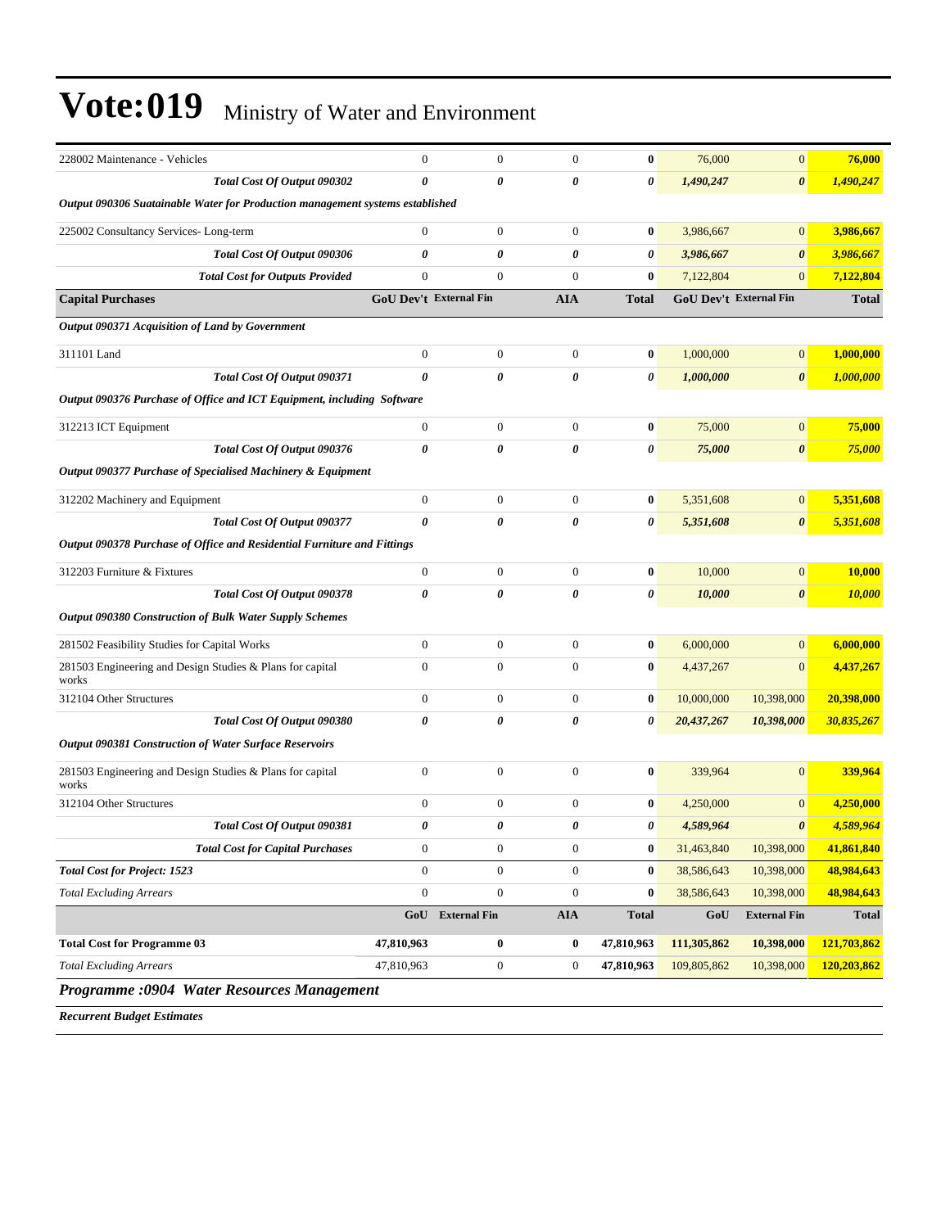| 228002 Maintenance - Vehicles                                                 | $\mathbf{0}$           | $\boldsymbol{0}$      | $\mathbf{0}$          | $\bf{0}$         | 76,000      | $\boldsymbol{0}$       | 76,000       |
|-------------------------------------------------------------------------------|------------------------|-----------------------|-----------------------|------------------|-------------|------------------------|--------------|
| Total Cost Of Output 090302                                                   | $\boldsymbol{\theta}$  | $\boldsymbol{\theta}$ | $\boldsymbol{\theta}$ | 0                | 1,490,247   | $\boldsymbol{\theta}$  | 1,490,247    |
| Output 090306 Suatainable Water for Production management systems established |                        |                       |                       |                  |             |                        |              |
| 225002 Consultancy Services-Long-term                                         | $\boldsymbol{0}$       | $\boldsymbol{0}$      | $\boldsymbol{0}$      | $\bf{0}$         | 3,986,667   | $\boldsymbol{0}$       | 3,986,667    |
| Total Cost Of Output 090306                                                   | 0                      | 0                     | 0                     | 0                | 3,986,667   | $\boldsymbol{\theta}$  | 3,986,667    |
| <b>Total Cost for Outputs Provided</b>                                        | $\boldsymbol{0}$       | $\boldsymbol{0}$      | $\boldsymbol{0}$      | $\bf{0}$         | 7,122,804   | $\mathbf{0}$           | 7,122,804    |
| <b>Capital Purchases</b>                                                      | GoU Dev't External Fin |                       | <b>AIA</b>            | <b>Total</b>     |             | GoU Dev't External Fin | <b>Total</b> |
| Output 090371 Acquisition of Land by Government                               |                        |                       |                       |                  |             |                        |              |
| 311101 Land                                                                   | $\boldsymbol{0}$       | $\mathbf{0}$          | $\boldsymbol{0}$      | $\bf{0}$         | 1,000,000   | $\boldsymbol{0}$       | 1,000,000    |
| Total Cost Of Output 090371                                                   | $\boldsymbol{\theta}$  | 0                     | 0                     | 0                | 1,000,000   | $\boldsymbol{\theta}$  | 1,000,000    |
| Output 090376 Purchase of Office and ICT Equipment, including Software        |                        |                       |                       |                  |             |                        |              |
| 312213 ICT Equipment                                                          | $\boldsymbol{0}$       | $\boldsymbol{0}$      | $\boldsymbol{0}$      | $\bf{0}$         | 75,000      | $\mathbf{0}$           | 75,000       |
| Total Cost Of Output 090376                                                   | $\pmb{\theta}$         | 0                     | 0                     | 0                | 75,000      | $\boldsymbol{\theta}$  | 75,000       |
| Output 090377 Purchase of Specialised Machinery & Equipment                   |                        |                       |                       |                  |             |                        |              |
| 312202 Machinery and Equipment                                                | $\boldsymbol{0}$       | $\boldsymbol{0}$      | $\boldsymbol{0}$      | $\bf{0}$         | 5,351,608   | $\boldsymbol{0}$       | 5,351,608    |
| Total Cost Of Output 090377                                                   | 0                      | 0                     | 0                     | 0                | 5,351,608   | 0                      | 5,351,608    |
| Output 090378 Purchase of Office and Residential Furniture and Fittings       |                        |                       |                       |                  |             |                        |              |
| 312203 Furniture & Fixtures                                                   | $\boldsymbol{0}$       | $\boldsymbol{0}$      | $\boldsymbol{0}$      | $\boldsymbol{0}$ | 10,000      | $\boldsymbol{0}$       | 10,000       |
| Total Cost Of Output 090378                                                   | 0                      | $\theta$              | 0                     | 0                | 10,000      | $\boldsymbol{\theta}$  | 10,000       |
| <b>Output 090380 Construction of Bulk Water Supply Schemes</b>                |                        |                       |                       |                  |             |                        |              |
| 281502 Feasibility Studies for Capital Works                                  | $\boldsymbol{0}$       | $\boldsymbol{0}$      | $\boldsymbol{0}$      | $\bf{0}$         | 6,000,000   | $\boldsymbol{0}$       | 6,000,000    |
| 281503 Engineering and Design Studies & Plans for capital<br>works            | $\mathbf{0}$           | $\boldsymbol{0}$      | $\boldsymbol{0}$      | $\bf{0}$         | 4,437,267   | $\boldsymbol{0}$       | 4,437,267    |
| 312104 Other Structures                                                       | $\boldsymbol{0}$       | $\boldsymbol{0}$      | $\boldsymbol{0}$      | $\bf{0}$         | 10,000,000  | 10,398,000             | 20,398,000   |
| Total Cost Of Output 090380                                                   | 0                      | 0                     | $\boldsymbol{\theta}$ | 0                | 20,437,267  | 10,398,000             | 30,835,267   |
| Output 090381 Construction of Water Surface Reservoirs                        |                        |                       |                       |                  |             |                        |              |
| 281503 Engineering and Design Studies & Plans for capital<br>works            | $\boldsymbol{0}$       | $\boldsymbol{0}$      | $\boldsymbol{0}$      | $\bf{0}$         | 339,964     | $\overline{0}$         | 339,964      |
| 312104 Other Structures                                                       | $\mathbf{0}$           | $\boldsymbol{0}$      | $\boldsymbol{0}$      | $\bf{0}$         | 4,250,000   | $\boldsymbol{0}$       | 4,250,000    |
| Total Cost Of Output 090381                                                   | 0                      | 0                     | 0                     | 0                | 4,589,964   | 0                      | 4,589,964    |
| <b>Total Cost for Capital Purchases</b>                                       | $\boldsymbol{0}$       | $\boldsymbol{0}$      | $\boldsymbol{0}$      | $\boldsymbol{0}$ | 31,463,840  | 10,398,000             | 41,861,840   |
| <b>Total Cost for Project: 1523</b>                                           | $\overline{0}$         | $\boldsymbol{0}$      | $\boldsymbol{0}$      | $\bf{0}$         | 38,586,643  | 10,398,000             | 48,984,643   |
| <b>Total Excluding Arrears</b>                                                | $\boldsymbol{0}$       | $\boldsymbol{0}$      | $\boldsymbol{0}$      | $\boldsymbol{0}$ | 38,586,643  | 10,398,000             | 48,984,643   |
|                                                                               |                        | GoU External Fin      | <b>AIA</b>            | <b>Total</b>     | GoU         | <b>External Fin</b>    | <b>Total</b> |
| <b>Total Cost for Programme 03</b>                                            | 47,810,963             | $\bf{0}$              | $\bf{0}$              | 47,810,963       | 111,305,862 | 10,398,000             | 121,703,862  |
| <b>Total Excluding Arrears</b>                                                | 47,810,963             | $\boldsymbol{0}$      | $\boldsymbol{0}$      | 47,810,963       | 109,805,862 | 10,398,000             | 120,203,862  |
| Programme :0904 Water Resources Management                                    |                        |                       |                       |                  |             |                        |              |

*Recurrent Budget Estimates*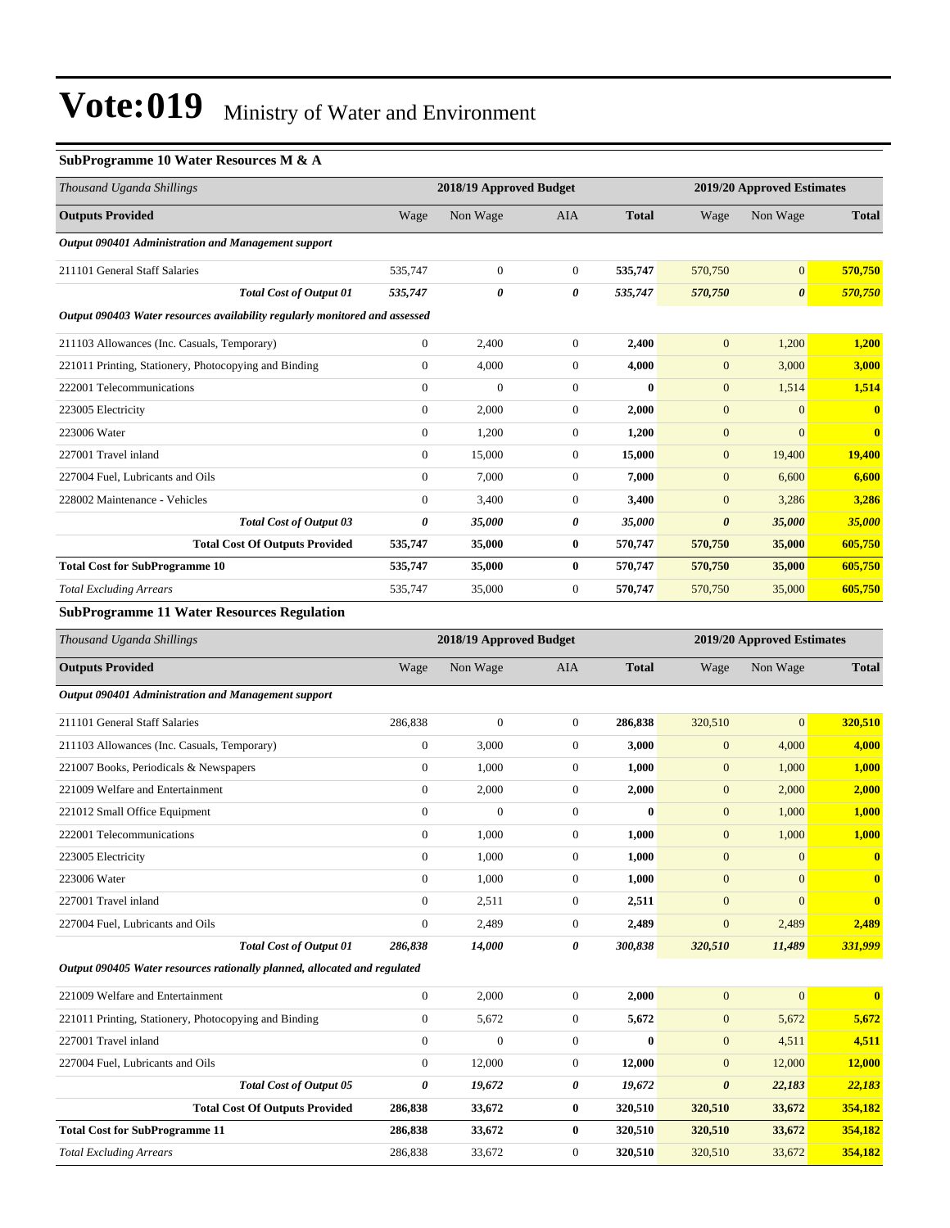#### **SubProgramme 10 Water Resources M & A**

| Thousand Uganda Shillings                                                   |                | 2018/19 Approved Budget |                  |              |                       | 2019/20 Approved Estimates |                         |  |
|-----------------------------------------------------------------------------|----------------|-------------------------|------------------|--------------|-----------------------|----------------------------|-------------------------|--|
| <b>Outputs Provided</b>                                                     | Wage           | Non Wage                | <b>AIA</b>       | <b>Total</b> | Wage                  | Non Wage                   | <b>Total</b>            |  |
| Output 090401 Administration and Management support                         |                |                         |                  |              |                       |                            |                         |  |
| 211101 General Staff Salaries                                               | 535,747        | $\boldsymbol{0}$        | $\overline{0}$   | 535,747      | 570,750               | $\overline{0}$             | 570,750                 |  |
| <b>Total Cost of Output 01</b>                                              | 535,747        | 0                       | 0                | 535,747      | 570,750               | $\boldsymbol{\theta}$      | 570,750                 |  |
| Output 090403 Water resources availability regularly monitored and assessed |                |                         |                  |              |                       |                            |                         |  |
| 211103 Allowances (Inc. Casuals, Temporary)                                 | $\overline{0}$ | 2,400                   | $\boldsymbol{0}$ | 2,400        | $\mathbf{0}$          | 1,200                      | 1,200                   |  |
| 221011 Printing, Stationery, Photocopying and Binding                       | $\overline{0}$ | 4,000                   | $\overline{0}$   | 4,000        | $\mathbf{0}$          | 3,000                      | 3,000                   |  |
| 222001 Telecommunications                                                   | $\Omega$       | $\mathbf{0}$            | $\Omega$         | $\mathbf{0}$ | $\mathbf{0}$          | 1,514                      | 1,514                   |  |
| 223005 Electricity                                                          | $\overline{0}$ | 2,000                   | $\overline{0}$   | 2,000        | $\mathbf{0}$          | $\Omega$                   | $\overline{\mathbf{0}}$ |  |
| 223006 Water                                                                | $\overline{0}$ | 1,200                   | $\overline{0}$   | 1,200        | $\mathbf{0}$          | $\mathbf{0}$               | $\bf{0}$                |  |
| 227001 Travel inland                                                        | $\Omega$       | 15,000                  | $\overline{0}$   | 15,000       | $\mathbf{0}$          | 19,400                     | 19,400                  |  |
| 227004 Fuel, Lubricants and Oils                                            | $\overline{0}$ | 7,000                   | $\overline{0}$   | 7,000        | $\mathbf{0}$          | 6,600                      | 6,600                   |  |
| 228002 Maintenance - Vehicles                                               | $\overline{0}$ | 3,400                   | $\overline{0}$   | 3,400        | $\mathbf{0}$          | 3,286                      | 3,286                   |  |
| <b>Total Cost of Output 03</b>                                              | 0              | 35,000                  | 0                | 35,000       | $\boldsymbol{\theta}$ | 35,000                     | 35,000                  |  |
| <b>Total Cost Of Outputs Provided</b>                                       | 535,747        | 35,000                  | $\bf{0}$         | 570,747      | 570,750               | 35,000                     | 605,750                 |  |
| <b>Total Cost for SubProgramme 10</b>                                       | 535,747        | 35,000                  | $\bf{0}$         | 570,747      | 570,750               | 35,000                     | 605,750                 |  |
| <b>Total Excluding Arrears</b>                                              | 535,747        | 35,000                  | $\overline{0}$   | 570,747      | 570,750               | 35,000                     | 605,750                 |  |
| <b>SubProgramme 11 Water Resources Regulation</b>                           |                |                         |                  |              |                       |                            |                         |  |
| Thousand Uganda Shillings                                                   |                | 2018/19 Approved Budget |                  |              |                       | 2019/20 Approved Estimates |                         |  |
| <b>Outputs Provided</b>                                                     | Wage           | Non Wage                | <b>AIA</b>       | <b>Total</b> | Wage                  | Non Wage                   | <b>Total</b>            |  |
| Output 090401 Administration and Management support                         |                |                         |                  |              |                       |                            |                         |  |

| <b>Total Cost of Output 01</b>              | 286,838      | 14,000       | 0            | 300,838      | 320,510        | 11,489          | 331,999      |
|---------------------------------------------|--------------|--------------|--------------|--------------|----------------|-----------------|--------------|
| 227004 Fuel, Lubricants and Oils            | $\Omega$     | 2,489        | $\mathbf{0}$ | 2,489        | $\overline{0}$ | 2,489           | 2,489        |
| 227001 Travel inland                        | $\mathbf{0}$ | 2,511        | $\mathbf{0}$ | 2,511        | $\mathbf{0}$   | $\Omega$        | $\mathbf{0}$ |
| 223006 Water                                | $\mathbf{0}$ | 1,000        | $\mathbf{0}$ | 1,000        | $\mathbf{0}$   | $\Omega$        | $\mathbf{0}$ |
| 223005 Electricity                          | $\mathbf{0}$ | 1,000        | $\mathbf{0}$ | 1,000        | $\mathbf{0}$   | $\Omega$        | $\bf{0}$     |
| 222001 Telecommunications                   | $\mathbf{0}$ | 1,000        | $\mathbf{0}$ | 1,000        | $\mathbf{0}$   | 1,000           | 1,000        |
| 221012 Small Office Equipment               | $\Omega$     | $\mathbf{0}$ | $\Omega$     | $\mathbf{0}$ | $\mathbf{0}$   | 1,000           | 1,000        |
| 221009 Welfare and Entertainment            | $\theta$     | 2,000        | $\mathbf{0}$ | 2,000        | $\mathbf{0}$   | 2,000           | 2,000        |
| 221007 Books, Periodicals & Newspapers      | $\mathbf{0}$ | 1,000        | $\mathbf{0}$ | 1,000        | $\mathbf{0}$   | 1,000           | 1,000        |
| 211103 Allowances (Inc. Casuals, Temporary) | $\mathbf{0}$ | 3,000        | $\mathbf{0}$ | 3,000        | $\overline{0}$ | 4,000           | 4,000        |
| 211101 General Staff Salaries               | 286,838      | $\mathbf{0}$ | $\mathbf{0}$ | 286,838      | 320,510        | $\vert 0 \vert$ | 320.510      |
|                                             |              |              |              |              |                |                 |              |

*Output 090405 Water resources rationally planned, allocated and regulated*

| 221009 Welfare and Entertainment                      | $\theta$ | 2.000        | $\Omega$     | 2.000    | $\overline{0}$        | $\mathbf{0}$ | $\mathbf{0}$ |
|-------------------------------------------------------|----------|--------------|--------------|----------|-----------------------|--------------|--------------|
| 221011 Printing, Stationery, Photocopying and Binding | $\theta$ | 5,672        | 0            | 5,672    | $\overline{0}$        | 5,672        | 5.672        |
| 227001 Travel inland                                  | $\theta$ | $\mathbf{0}$ | 0            | $\bf{0}$ | $\overline{0}$        | 4,511        | 4.511        |
| 227004 Fuel, Lubricants and Oils                      | $\Omega$ | 12,000       | $\Omega$     | 12.000   | $\overline{0}$        | 12,000       | 12,000       |
| <b>Total Cost of Output 05</b>                        | 0        | 19,672       | 0            | 19,672   | $\boldsymbol{\theta}$ | 22,183       | 22,183       |
| <b>Total Cost Of Outputs Provided</b>                 | 286,838  | 33,672       | 0            | 320.510  | 320,510               | 33,672       | 354,182      |
| <b>Total Cost for SubProgramme 11</b>                 | 286,838  | 33,672       | $\mathbf{0}$ | 320.510  | 320,510               | 33,672       | 354,182      |
| <b>Total Excluding Arrears</b>                        | 286,838  | 33,672       | $\Omega$     | 320.510  | 320,510               | 33,672       | 354,182      |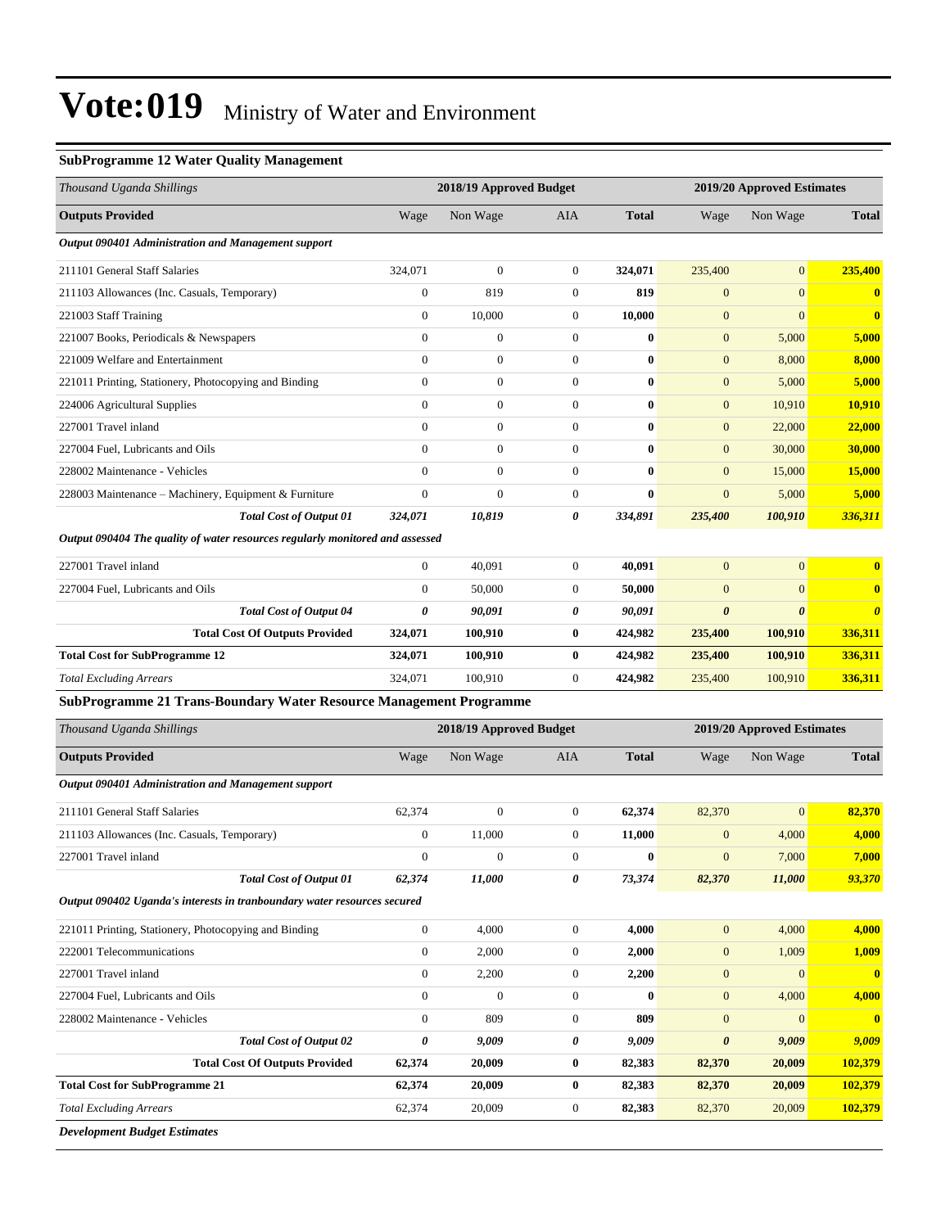#### **SubProgramme 12 Water Quality Management**

| Thousand Uganda Shillings                                                     |                       | 2018/19 Approved Budget |                  |              | 2019/20 Approved Estimates |                            |                       |  |
|-------------------------------------------------------------------------------|-----------------------|-------------------------|------------------|--------------|----------------------------|----------------------------|-----------------------|--|
| <b>Outputs Provided</b>                                                       | Wage                  | Non Wage                | AIA              | <b>Total</b> | Wage                       | Non Wage                   | <b>Total</b>          |  |
| Output 090401 Administration and Management support                           |                       |                         |                  |              |                            |                            |                       |  |
| 211101 General Staff Salaries                                                 | 324,071               | $\boldsymbol{0}$        | $\mathbf{0}$     | 324,071      | 235,400                    | $\overline{0}$             | 235,400               |  |
| 211103 Allowances (Inc. Casuals, Temporary)                                   | $\boldsymbol{0}$      | 819                     | 0                | 819          | $\mathbf{0}$               | $\mathbf{0}$               | $\mathbf{0}$          |  |
| 221003 Staff Training                                                         | $\mathbf{0}$          | 10,000                  | 0                | 10,000       | $\mathbf{0}$               | $\mathbf{0}$               | $\mathbf{0}$          |  |
| 221007 Books, Periodicals & Newspapers                                        | $\boldsymbol{0}$      | $\boldsymbol{0}$        | $\boldsymbol{0}$ | $\bf{0}$     | $\mathbf{0}$               | 5,000                      | 5,000                 |  |
| 221009 Welfare and Entertainment                                              | $\mathbf{0}$          | $\overline{0}$          | $\overline{0}$   | $\bf{0}$     | $\mathbf{0}$               | 8,000                      | 8,000                 |  |
| 221011 Printing, Stationery, Photocopying and Binding                         | $\mathbf{0}$          | $\boldsymbol{0}$        | $\boldsymbol{0}$ | $\bf{0}$     | $\mathbf{0}$               | 5,000                      | 5,000                 |  |
| 224006 Agricultural Supplies                                                  | $\mathbf{0}$          | $\boldsymbol{0}$        | $\boldsymbol{0}$ | $\bf{0}$     | $\mathbf{0}$               | 10,910                     | 10,910                |  |
| 227001 Travel inland                                                          | $\mathbf{0}$          | $\boldsymbol{0}$        | $\boldsymbol{0}$ | $\bf{0}$     | $\mathbf{0}$               | 22,000                     | 22,000                |  |
| 227004 Fuel, Lubricants and Oils                                              | $\mathbf{0}$          | $\boldsymbol{0}$        | $\boldsymbol{0}$ | $\bf{0}$     | $\mathbf{0}$               | 30,000                     | 30,000                |  |
| 228002 Maintenance - Vehicles                                                 | $\mathbf{0}$          | $\boldsymbol{0}$        | $\overline{0}$   | $\bf{0}$     | $\boldsymbol{0}$           | 15,000                     | <b>15,000</b>         |  |
| 228003 Maintenance - Machinery, Equipment & Furniture                         | $\mathbf{0}$          | $\boldsymbol{0}$        | $\boldsymbol{0}$ | $\bf{0}$     | $\mathbf{0}$               | 5,000                      | 5,000                 |  |
| <b>Total Cost of Output 01</b>                                                | 324,071               | 10,819                  | 0                | 334,891      | 235,400                    | 100,910                    | 336,311               |  |
| Output 090404 The quality of water resources regularly monitored and assessed |                       |                         |                  |              |                            |                            |                       |  |
| 227001 Travel inland                                                          | $\overline{0}$        | 40,091                  | $\boldsymbol{0}$ | 40,091       | $\mathbf{0}$               | $\mathbf{0}$               | $\bf{0}$              |  |
| 227004 Fuel, Lubricants and Oils                                              | $\mathbf{0}$          | 50,000                  | $\boldsymbol{0}$ | 50,000       | $\mathbf{0}$               | $\mathbf{0}$               | $\bf{0}$              |  |
| <b>Total Cost of Output 04</b>                                                | $\boldsymbol{\theta}$ | 90,091                  | 0                | 90,091       | $\boldsymbol{\theta}$      | $\boldsymbol{\theta}$      | $\boldsymbol{\theta}$ |  |
| <b>Total Cost Of Outputs Provided</b>                                         | 324,071               | 100,910                 | $\bf{0}$         | 424,982      | 235,400                    | 100,910                    | 336,311               |  |
| <b>Total Cost for SubProgramme 12</b>                                         | 324,071               | 100,910                 | $\bf{0}$         | 424,982      | 235,400                    | 100,910                    | 336,311               |  |
| <b>Total Excluding Arrears</b>                                                | 324,071               | 100,910                 | 0                | 424,982      | 235,400                    | 100,910                    | 336,311               |  |
| <b>SubProgramme 21 Trans-Boundary Water Resource Management Programme</b>     |                       |                         |                  |              |                            |                            |                       |  |
| Thousand Uganda Shillings                                                     |                       | 2018/19 Approved Budget |                  |              |                            | 2019/20 Approved Estimates |                       |  |
| <b>Outputs Provided</b>                                                       | Wage                  | Non Wage                | AIA              | <b>Total</b> | Wage                       | Non Wage                   | <b>Total</b>          |  |
| Output 090401 Administration and Management support                           |                       |                         |                  |              |                            |                            |                       |  |
| 211101 General Staff Salaries                                                 | 62,374                | $\boldsymbol{0}$        | $\boldsymbol{0}$ | 62,374       | 82,370                     | $\mathbf{0}$               | 82,370                |  |
| 211103 Allowances (Inc. Casuals, Temporary)                                   | $\boldsymbol{0}$      | 11,000                  | $\boldsymbol{0}$ | 11,000       | $\boldsymbol{0}$           | 4,000                      | 4,000                 |  |
| 227001 Travel inland                                                          | $\mathbf{0}$          | $\boldsymbol{0}$        | $\overline{0}$   | $\bf{0}$     | $\mathbf{0}$               | 7,000                      | 7,000                 |  |
| <b>Total Cost of Output 01</b>                                                | 62,374                | 11,000                  | 0                | 73,374       | 82,370                     | 11,000                     | 93,370                |  |
| Output 090402 Uganda's interests in tranboundary water resources secured      |                       |                         |                  |              |                            |                            |                       |  |
| 221011 Printing, Stationery, Photocopying and Binding                         | $\mathbf{0}$          | 4,000                   | $\boldsymbol{0}$ | 4,000        | $\mathbf{0}$               | 4,000                      | 4,000                 |  |
| 222001 Telecommunications                                                     | $\boldsymbol{0}$      | 2,000                   | $\boldsymbol{0}$ | 2,000        | $\mathbf{0}$               | 1,009                      | 1,009                 |  |
| 227001 Travel inland                                                          | $\boldsymbol{0}$      | 2,200                   | $\boldsymbol{0}$ | 2,200        | $\mathbf{0}$               | $\mathbf{0}$               | $\mathbf{0}$          |  |
| 227004 Fuel, Lubricants and Oils                                              | $\boldsymbol{0}$      | $\boldsymbol{0}$        | $\boldsymbol{0}$ | $\bf{0}$     | $\mathbf{0}$               | 4,000                      | 4,000                 |  |
| 228002 Maintenance - Vehicles                                                 | $\mathbf{0}$          | 809                     | $\boldsymbol{0}$ | 809          | $\mathbf{0}$               | $\mathbf{0}$               | $\mathbf{0}$          |  |
| <b>Total Cost of Output 02</b>                                                | 0                     | 9,009                   | 0                | 9,009        | $\boldsymbol{\theta}$      | 9,009                      | 9,009                 |  |
| <b>Total Cost Of Outputs Provided</b>                                         | 62,374                | 20,009                  | $\bf{0}$         | 82,383       | 82,370                     | 20,009                     | 102,379               |  |
| <b>Total Cost for SubProgramme 21</b>                                         | 62,374                | 20,009                  | 0                | 82,383       | 82,370                     | 20,009                     | 102,379               |  |
| <b>Total Excluding Arrears</b>                                                | 62,374                | 20,009                  | $\boldsymbol{0}$ | 82,383       | 82,370                     | 20,009                     | 102,379               |  |
| <b>Development Budget Estimates</b>                                           |                       |                         |                  |              |                            |                            |                       |  |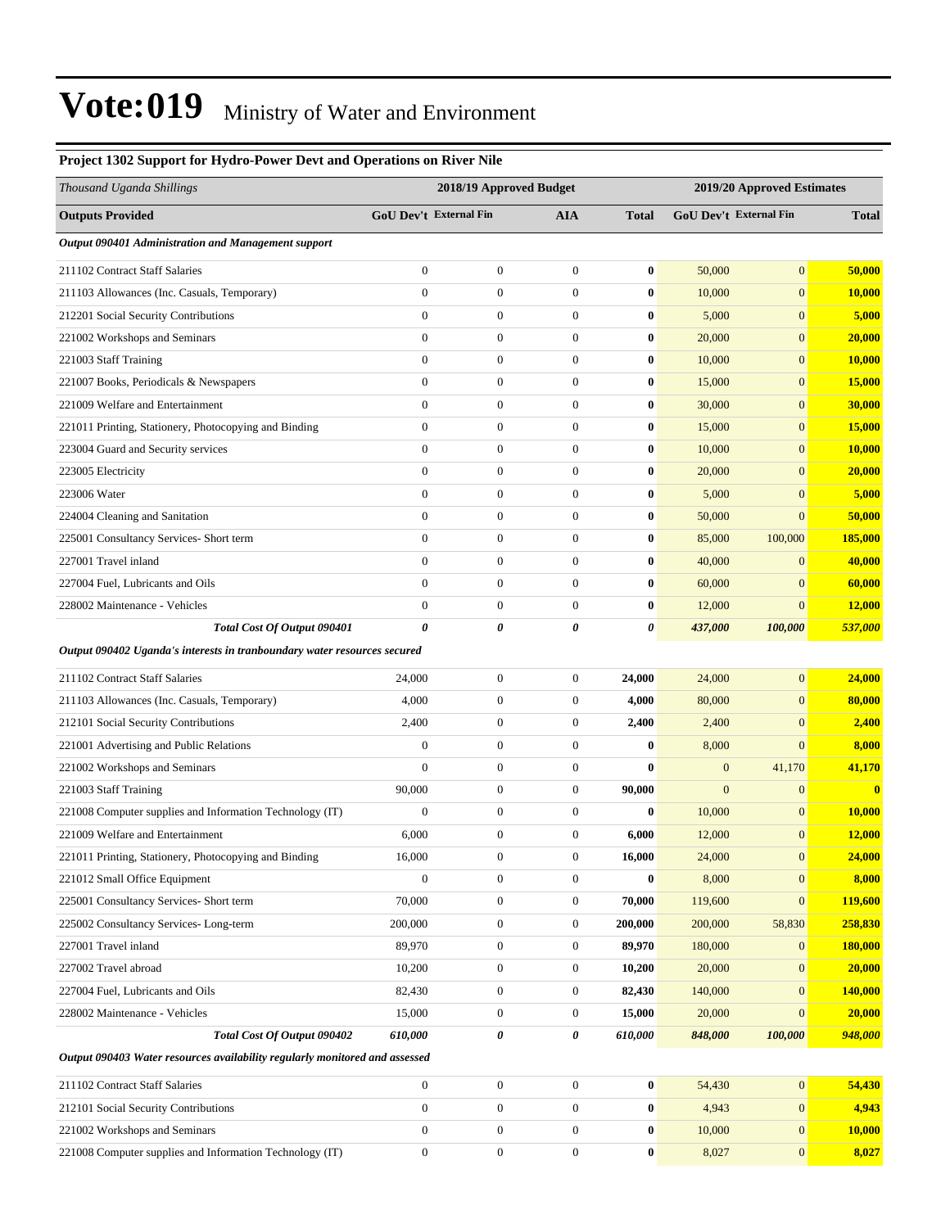| Project 1302 Support for Hydro-Power Devt and Operations on River Nile      |                        |                         |                  |              |                               |                  |               |
|-----------------------------------------------------------------------------|------------------------|-------------------------|------------------|--------------|-------------------------------|------------------|---------------|
| Thousand Uganda Shillings                                                   |                        | 2018/19 Approved Budget |                  |              | 2019/20 Approved Estimates    |                  |               |
| <b>Outputs Provided</b>                                                     | GoU Dev't External Fin |                         | <b>AIA</b>       | <b>Total</b> | <b>GoU Dev't External Fin</b> |                  | <b>Total</b>  |
| Output 090401 Administration and Management support                         |                        |                         |                  |              |                               |                  |               |
| 211102 Contract Staff Salaries                                              | $\boldsymbol{0}$       | $\boldsymbol{0}$        | $\boldsymbol{0}$ | $\bf{0}$     | 50,000                        | $\overline{0}$   | 50,000        |
| 211103 Allowances (Inc. Casuals, Temporary)                                 | $\overline{0}$         | $\boldsymbol{0}$        | $\mathbf{0}$     | $\bf{0}$     | 10,000                        | $\overline{0}$   | 10,000        |
| 212201 Social Security Contributions                                        | $\overline{0}$         | $\boldsymbol{0}$        | $\mathbf{0}$     | $\bf{0}$     | 5,000                         | $\overline{0}$   | 5,000         |
| 221002 Workshops and Seminars                                               | $\boldsymbol{0}$       | $\boldsymbol{0}$        | $\mathbf{0}$     | $\bf{0}$     | 20,000                        | $\boldsymbol{0}$ | 20,000        |
| 221003 Staff Training                                                       | $\overline{0}$         | $\boldsymbol{0}$        | $\mathbf{0}$     | $\bf{0}$     | 10,000                        | $\overline{0}$   | 10,000        |
| 221007 Books, Periodicals & Newspapers                                      | $\boldsymbol{0}$       | $\boldsymbol{0}$        | $\boldsymbol{0}$ | $\bf{0}$     | 15,000                        | $\overline{0}$   | 15,000        |
| 221009 Welfare and Entertainment                                            | $\boldsymbol{0}$       | $\boldsymbol{0}$        | $\mathbf{0}$     | $\bf{0}$     | 30,000                        | $\overline{0}$   | 30,000        |
| 221011 Printing, Stationery, Photocopying and Binding                       | $\mathbf{0}$           | $\boldsymbol{0}$        | $\mathbf{0}$     | $\bf{0}$     | 15,000                        | $\overline{0}$   | 15,000        |
| 223004 Guard and Security services                                          | $\boldsymbol{0}$       | $\boldsymbol{0}$        | $\mathbf{0}$     | $\bf{0}$     | 10,000                        | $\boldsymbol{0}$ | <b>10,000</b> |
| 223005 Electricity                                                          | $\overline{0}$         | $\boldsymbol{0}$        | $\mathbf{0}$     | $\bf{0}$     | 20,000                        | $\overline{0}$   | 20,000        |
| 223006 Water                                                                | $\boldsymbol{0}$       | $\boldsymbol{0}$        | $\boldsymbol{0}$ | $\bf{0}$     | 5,000                         | $\overline{0}$   | 5,000         |
| 224004 Cleaning and Sanitation                                              | $\overline{0}$         | $\boldsymbol{0}$        | $\mathbf{0}$     | $\bf{0}$     | 50,000                        | $\overline{0}$   | 50,000        |
| 225001 Consultancy Services- Short term                                     | $\overline{0}$         | $\boldsymbol{0}$        | $\mathbf{0}$     | $\bf{0}$     | 85,000                        | 100,000          | 185,000       |
| 227001 Travel inland                                                        | $\overline{0}$         | $\boldsymbol{0}$        | $\mathbf{0}$     | $\bf{0}$     | 40,000                        | $\mathbf{0}$     | 40,000        |
| 227004 Fuel, Lubricants and Oils                                            | $\overline{0}$         | $\boldsymbol{0}$        | $\mathbf{0}$     | $\bf{0}$     | 60,000                        | $\overline{0}$   | 60,000        |
| 228002 Maintenance - Vehicles                                               | $\boldsymbol{0}$       | $\boldsymbol{0}$        | $\mathbf{0}$     | $\bf{0}$     | 12,000                        | $\overline{0}$   | 12,000        |
| Total Cost Of Output 090401                                                 | 0                      | 0                       | 0                | 0            | 437,000                       | 100,000          | 537,000       |
| Output 090402 Uganda's interests in tranboundary water resources secured    |                        |                         |                  |              |                               |                  |               |
| 211102 Contract Staff Salaries                                              | 24,000                 | $\boldsymbol{0}$        | $\boldsymbol{0}$ | 24,000       | 24,000                        | $\boldsymbol{0}$ | 24,000        |
| 211103 Allowances (Inc. Casuals, Temporary)                                 | 4,000                  | $\boldsymbol{0}$        | $\mathbf{0}$     | 4,000        | 80,000                        | $\overline{0}$   | 80,000        |
| 212101 Social Security Contributions                                        | 2,400                  | $\boldsymbol{0}$        | $\mathbf{0}$     | 2,400        | 2,400                         | $\overline{0}$   | 2,400         |
| 221001 Advertising and Public Relations                                     | $\boldsymbol{0}$       | $\boldsymbol{0}$        | $\boldsymbol{0}$ | $\bf{0}$     | 8,000                         | $\overline{0}$   | 8,000         |
| 221002 Workshops and Seminars                                               | $\overline{0}$         | $\boldsymbol{0}$        | $\mathbf{0}$     | $\bf{0}$     | $\boldsymbol{0}$              | 41,170           | 41,170        |
| 221003 Staff Training                                                       | 90,000                 | $\boldsymbol{0}$        | $\mathbf{0}$     | 90,000       | $\boldsymbol{0}$              | $\overline{0}$   | $\mathbf{0}$  |
| 221008 Computer supplies and Information Technology (IT)                    | $\boldsymbol{0}$       | $\boldsymbol{0}$        | $\mathbf{0}$     | $\bf{0}$     | 10,000                        | $\mathbf{0}$     | 10,000        |
| 221009 Welfare and Entertainment                                            | 6,000                  | $\boldsymbol{0}$        | $\mathbf{0}$     | 6,000        | 12,000                        | $\overline{0}$   | 12,000        |
| 221011 Printing, Stationery, Photocopying and Binding                       | 16,000                 | $\boldsymbol{0}$        | $\boldsymbol{0}$ | 16,000       | 24,000                        | $\boldsymbol{0}$ | 24,000        |
| 221012 Small Office Equipment                                               | $\boldsymbol{0}$       | $\boldsymbol{0}$        | $\boldsymbol{0}$ | $\bf{0}$     | 8,000                         | $\boldsymbol{0}$ | 8,000         |
| 225001 Consultancy Services- Short term                                     | 70,000                 | $\boldsymbol{0}$        | $\boldsymbol{0}$ | 70,000       | 119,600                       | $\mathbf{0}$     | 119,600       |
| 225002 Consultancy Services-Long-term                                       | 200,000                | $\boldsymbol{0}$        | $\boldsymbol{0}$ | 200,000      | 200,000                       | 58,830           | 258,830       |
| 227001 Travel inland                                                        | 89,970                 | $\boldsymbol{0}$        | $\boldsymbol{0}$ | 89,970       | 180,000                       | $\mathbf{0}$     | 180,000       |
| 227002 Travel abroad                                                        | 10,200                 | $\boldsymbol{0}$        | $\boldsymbol{0}$ | 10,200       | 20,000                        | $\boldsymbol{0}$ | 20,000        |
| 227004 Fuel, Lubricants and Oils                                            | 82,430                 | $\boldsymbol{0}$        | $\boldsymbol{0}$ | 82,430       | 140,000                       | $\mathbf{0}$     | 140,000       |
| 228002 Maintenance - Vehicles                                               | 15,000                 | $\boldsymbol{0}$        | $\boldsymbol{0}$ | 15,000       | 20,000                        | $\mathbf{0}$     | 20,000        |
| Total Cost Of Output 090402                                                 | 610,000                | 0                       | 0                | 610,000      | 848,000                       | 100,000          | 948,000       |
| Output 090403 Water resources availability regularly monitored and assessed |                        |                         |                  |              |                               |                  |               |
| 211102 Contract Staff Salaries                                              | $\boldsymbol{0}$       | $\boldsymbol{0}$        | $\boldsymbol{0}$ | $\bf{0}$     | 54,430                        | $\mathbf{0}$     | 54,430        |
| 212101 Social Security Contributions                                        | $\boldsymbol{0}$       | $\boldsymbol{0}$        | $\boldsymbol{0}$ | $\bf{0}$     | 4,943                         | $\boldsymbol{0}$ | 4,943         |
| 221002 Workshops and Seminars                                               | $\mathbf{0}$           | $\boldsymbol{0}$        | $\boldsymbol{0}$ | $\bf{0}$     | 10,000                        | $\boldsymbol{0}$ | 10,000        |
| 221008 Computer supplies and Information Technology (IT)                    | $\boldsymbol{0}$       | $\boldsymbol{0}$        | $\boldsymbol{0}$ | $\bf{0}$     | 8,027                         | $\mathbf{0}$     | 8,027         |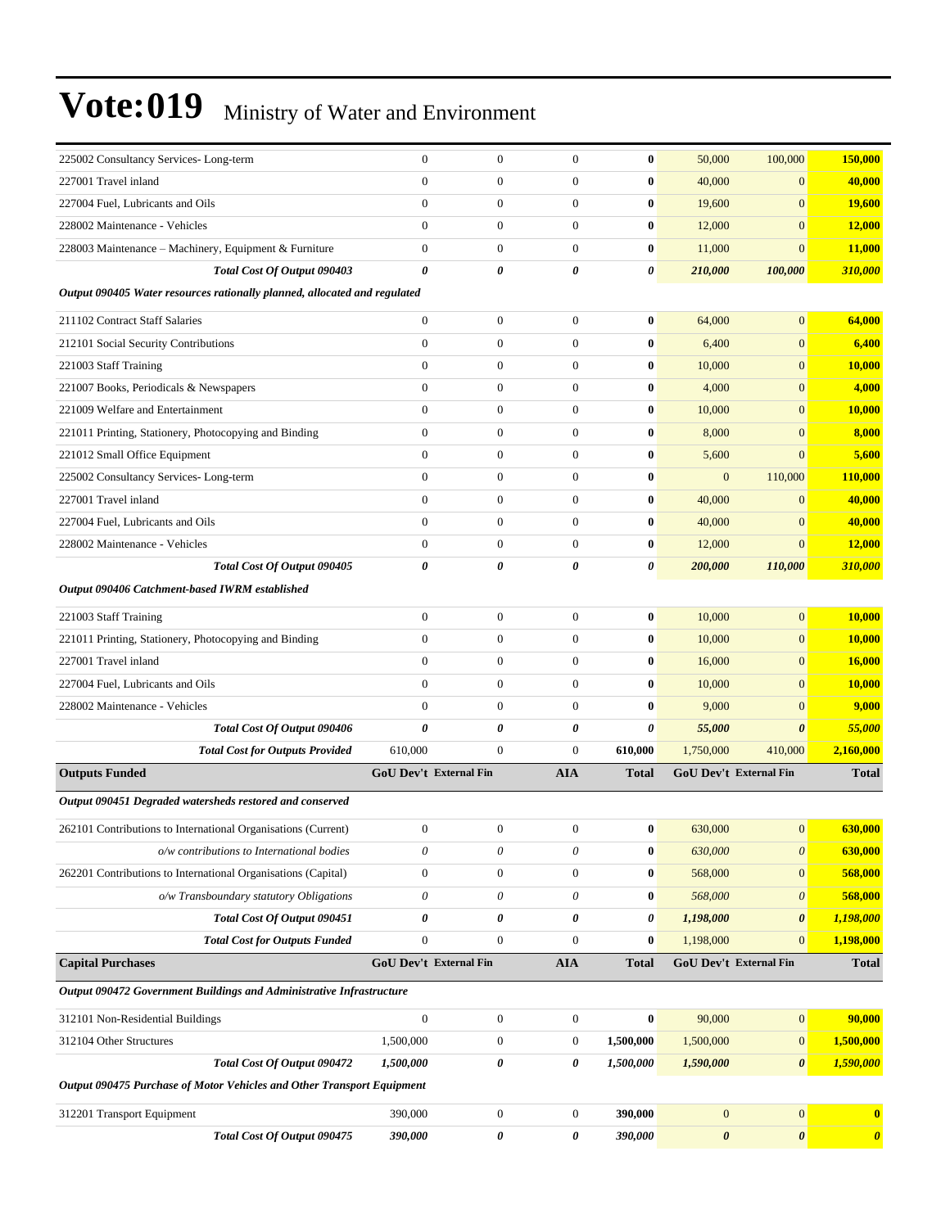| 225002 Consultancy Services-Long-term                                     | $\boldsymbol{0}$          | $\boldsymbol{0}$       | $\boldsymbol{0}$      | $\bf{0}$              | 50,000                | 100,000                   | 150,000               |
|---------------------------------------------------------------------------|---------------------------|------------------------|-----------------------|-----------------------|-----------------------|---------------------------|-----------------------|
| 227001 Travel inland                                                      | $\overline{0}$            | $\boldsymbol{0}$       | $\boldsymbol{0}$      | $\bf{0}$              | 40,000                | $\mathbf{0}$              | 40,000                |
| 227004 Fuel, Lubricants and Oils                                          | $\boldsymbol{0}$          | $\boldsymbol{0}$       | $\mathbf{0}$          | $\bf{0}$              | 19,600                | $\overline{0}$            | <b>19,600</b>         |
| 228002 Maintenance - Vehicles                                             | $\overline{0}$            | $\boldsymbol{0}$       | $\mathbf{0}$          | $\bf{0}$              | 12,000                | $\overline{0}$            | 12,000                |
| 228003 Maintenance - Machinery, Equipment & Furniture                     | $\overline{0}$            | $\boldsymbol{0}$       | $\mathbf{0}$          | $\bf{0}$              | 11,000                | $\overline{0}$            | 11,000                |
| Total Cost Of Output 090403                                               | 0                         | 0                      | 0                     | 0                     | 210,000               | 100,000                   | 310,000               |
| Output 090405 Water resources rationally planned, allocated and regulated |                           |                        |                       |                       |                       |                           |                       |
| 211102 Contract Staff Salaries                                            | $\boldsymbol{0}$          | $\boldsymbol{0}$       | $\mathbf{0}$          | $\bf{0}$              | 64,000                | $\overline{0}$            | 64,000                |
| 212101 Social Security Contributions                                      | $\overline{0}$            | $\boldsymbol{0}$       | $\mathbf{0}$          | $\bf{0}$              | 6,400                 | $\overline{0}$            | 6,400                 |
| 221003 Staff Training                                                     | $\overline{0}$            | $\boldsymbol{0}$       | $\mathbf{0}$          | $\bf{0}$              | 10,000                | $\overline{0}$            | 10,000                |
| 221007 Books, Periodicals & Newspapers                                    | $\boldsymbol{0}$          | $\boldsymbol{0}$       | $\mathbf{0}$          | $\bf{0}$              | 4,000                 | $\overline{0}$            | 4,000                 |
| 221009 Welfare and Entertainment                                          | $\overline{0}$            | $\boldsymbol{0}$       | $\mathbf{0}$          | $\bf{0}$              | 10,000                | $\overline{0}$            | 10,000                |
| 221011 Printing, Stationery, Photocopying and Binding                     | $\overline{0}$            | $\boldsymbol{0}$       | $\overline{0}$        | $\bf{0}$              | 8,000                 | $\overline{0}$            | 8,000                 |
| 221012 Small Office Equipment                                             | $\overline{0}$            | $\boldsymbol{0}$       | $\mathbf{0}$          | $\bf{0}$              | 5,600                 | $\overline{0}$            | 5,600                 |
| 225002 Consultancy Services-Long-term                                     | $\overline{0}$            | $\boldsymbol{0}$       | $\mathbf{0}$          | $\bf{0}$              | $\mathbf{0}$          | 110,000                   | 110,000               |
| 227001 Travel inland                                                      | $\overline{0}$            | $\boldsymbol{0}$       | $\mathbf{0}$          | $\bf{0}$              | 40,000                | $\overline{0}$            | 40,000                |
| 227004 Fuel, Lubricants and Oils                                          | $\overline{0}$            | $\boldsymbol{0}$       | $\mathbf{0}$          | $\bf{0}$              | 40,000                | $\overline{0}$            | 40,000                |
| 228002 Maintenance - Vehicles                                             | $\overline{0}$            | $\boldsymbol{0}$       | $\mathbf{0}$          | $\bf{0}$              | 12,000                | $\overline{0}$            | 12,000                |
| Total Cost Of Output 090405                                               | 0                         | 0                      | 0                     | 0                     | 200,000               | 110,000                   | 310,000               |
| Output 090406 Catchment-based IWRM established                            |                           |                        |                       |                       |                       |                           |                       |
| 221003 Staff Training                                                     | $\boldsymbol{0}$          | $\boldsymbol{0}$       | $\boldsymbol{0}$      | $\bf{0}$              | 10,000                | $\overline{0}$            | 10,000                |
| 221011 Printing, Stationery, Photocopying and Binding                     | $\overline{0}$            | $\boldsymbol{0}$       | $\overline{0}$        | $\bf{0}$              | 10,000                | $\overline{0}$            | 10,000                |
| 227001 Travel inland                                                      | $\overline{0}$            | $\boldsymbol{0}$       | $\mathbf{0}$          | $\bf{0}$              | 16,000                | $\overline{0}$            | 16,000                |
| 227004 Fuel, Lubricants and Oils                                          | $\overline{0}$            | $\boldsymbol{0}$       | $\mathbf{0}$          | $\bf{0}$              | 10,000                | $\overline{0}$            | 10,000                |
| 228002 Maintenance - Vehicles                                             | $\overline{0}$            | $\boldsymbol{0}$       | $\mathbf{0}$          | $\bf{0}$              | 9,000                 | $\overline{0}$            | 9,000                 |
| Total Cost Of Output 090406                                               | $\pmb{\theta}$            | 0                      | $\pmb{\theta}$        | $\boldsymbol{\theta}$ | 55,000                | 0                         | 55,000                |
| <b>Total Cost for Outputs Provided</b>                                    | 610,000                   | $\boldsymbol{0}$       | $\mathbf{0}$          | 610,000               | 1,750,000             | 410,000                   | 2,160,000             |
| <b>Outputs Funded</b>                                                     |                           | GoU Dev't External Fin | <b>AIA</b>            | <b>Total</b>          |                       | GoU Dev't External Fin    | <b>Total</b>          |
| Output 090451 Degraded watersheds restored and conserved                  |                           |                        |                       |                       |                       |                           |                       |
| 262101 Contributions to International Organisations (Current)             | $\boldsymbol{0}$          | 0                      | $\boldsymbol{0}$      | $\bf{0}$              | 630,000               | $\overline{0}$            | 630,000               |
| o/w contributions to International bodies                                 | $\boldsymbol{\theta}$     | 0                      | $\boldsymbol{\theta}$ | $\bf{0}$              | 630,000               | $\boldsymbol{\theta}$     | 630,000               |
| 262201 Contributions to International Organisations (Capital)             | $\boldsymbol{0}$          | $\boldsymbol{0}$       | $\boldsymbol{0}$      | $\bf{0}$              | 568,000               | $\boldsymbol{0}$          | 568,000               |
| o/w Transboundary statutory Obligations                                   | $\boldsymbol{\mathit{0}}$ | 0                      | $\theta$              | $\bf{0}$              | 568,000               | $\boldsymbol{\mathit{0}}$ | 568,000               |
| Total Cost Of Output 090451                                               | 0                         | 0                      | 0                     | $\pmb{\theta}$        | 1,198,000             | $\boldsymbol{\theta}$     | 1,198,000             |
| <b>Total Cost for Outputs Funded</b>                                      | $\boldsymbol{0}$          | $\boldsymbol{0}$       | $\mathbf{0}$          | $\bf{0}$              | 1,198,000             | $\mathbf{0}$              | 1,198,000             |
| <b>Capital Purchases</b>                                                  |                           | GoU Dev't External Fin | <b>AIA</b>            | <b>Total</b>          |                       | GoU Dev't External Fin    | <b>Total</b>          |
| Output 090472 Government Buildings and Administrative Infrastructure      |                           |                        |                       |                       |                       |                           |                       |
| 312101 Non-Residential Buildings                                          | $\boldsymbol{0}$          | $\boldsymbol{0}$       | $\boldsymbol{0}$      | $\boldsymbol{0}$      | 90,000                | $\mathbf{0}$              | 90,000                |
| 312104 Other Structures                                                   | 1,500,000                 | $\boldsymbol{0}$       | $\boldsymbol{0}$      | 1,500,000             | 1,500,000             | $\mathbf{0}$              | 1,500,000             |
| Total Cost Of Output 090472                                               | 1,500,000                 | 0                      | 0                     | 1,500,000             | 1,590,000             | $\boldsymbol{\theta}$     | 1,590,000             |
| Output 090475 Purchase of Motor Vehicles and Other Transport Equipment    |                           |                        |                       |                       |                       |                           |                       |
| 312201 Transport Equipment                                                | 390,000                   | $\boldsymbol{0}$       | $\boldsymbol{0}$      | 390,000               | $\mathbf{0}$          | $\boldsymbol{0}$          | $\bf{0}$              |
| Total Cost Of Output 090475                                               | 390,000                   | 0                      | 0                     | 390,000               | $\boldsymbol{\theta}$ | $\boldsymbol{\theta}$     | $\boldsymbol{\theta}$ |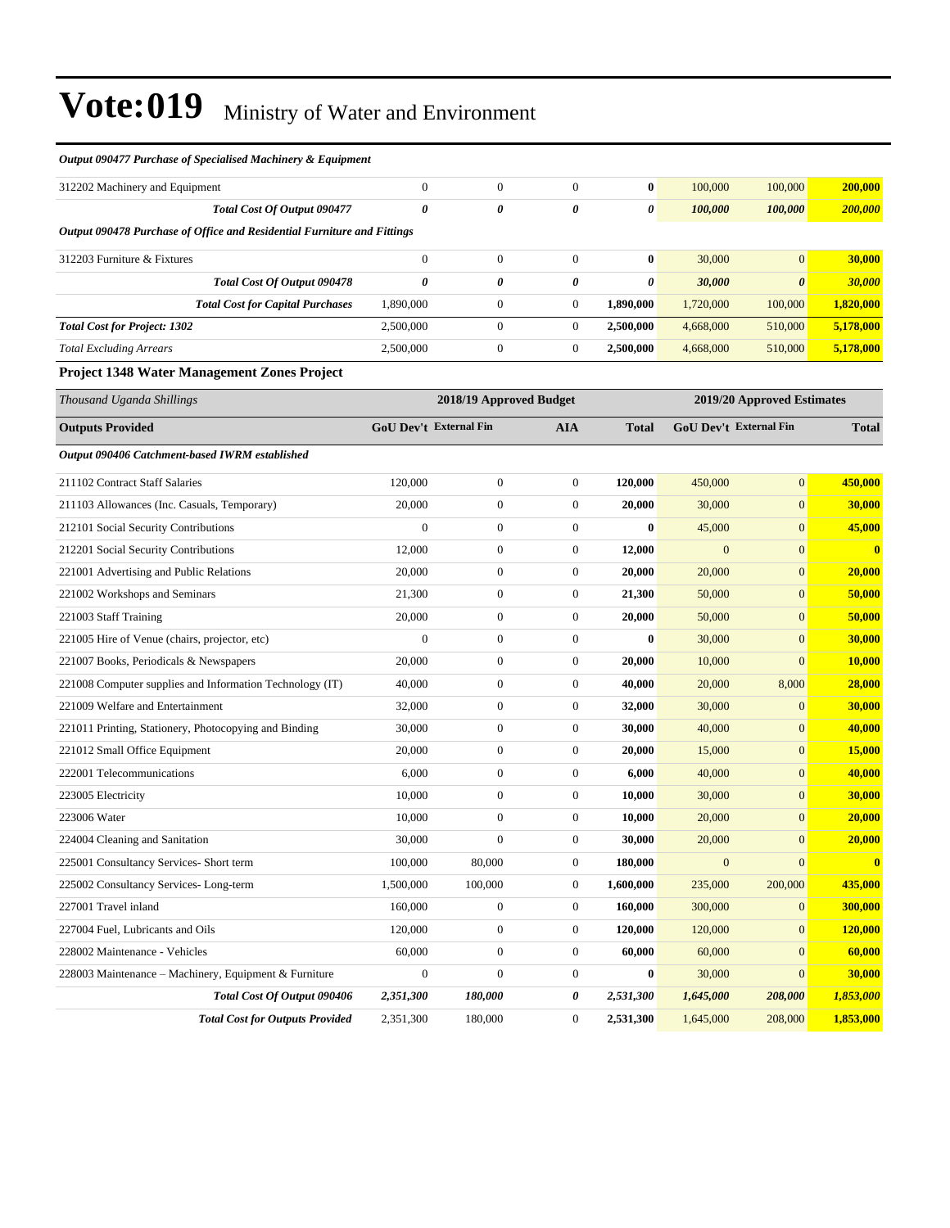| Output 090477 Purchase of Specialised Machinery & Equipment             |                        |                         |                  |              |                        |                            |                |
|-------------------------------------------------------------------------|------------------------|-------------------------|------------------|--------------|------------------------|----------------------------|----------------|
| 312202 Machinery and Equipment                                          | $\boldsymbol{0}$       | $\boldsymbol{0}$        | $\boldsymbol{0}$ | $\bf{0}$     | 100,000                | 100,000                    | 200,000        |
| Total Cost Of Output 090477                                             | 0                      | 0                       | 0                | 0            | 100,000                | 100,000                    | 200,000        |
| Output 090478 Purchase of Office and Residential Furniture and Fittings |                        |                         |                  |              |                        |                            |                |
| 312203 Furniture & Fixtures                                             | $\overline{0}$         | $\boldsymbol{0}$        | $\boldsymbol{0}$ | $\bf{0}$     | 30,000                 | $\overline{0}$             | 30,000         |
| Total Cost Of Output 090478                                             | $\pmb{\theta}$         | 0                       | 0                | 0            | 30,000                 | $\boldsymbol{\theta}$      | 30,000         |
| <b>Total Cost for Capital Purchases</b>                                 | 1,890,000              | $\boldsymbol{0}$        | $\boldsymbol{0}$ | 1,890,000    | 1,720,000              | 100,000                    | 1,820,000      |
| <b>Total Cost for Project: 1302</b>                                     | 2,500,000              | $\boldsymbol{0}$        | $\boldsymbol{0}$ | 2,500,000    | 4,668,000              | 510,000                    | 5,178,000      |
| <b>Total Excluding Arrears</b>                                          | 2,500,000              | $\boldsymbol{0}$        | $\boldsymbol{0}$ | 2,500,000    | 4,668,000              | 510,000                    | 5,178,000      |
| Project 1348 Water Management Zones Project                             |                        |                         |                  |              |                        |                            |                |
| Thousand Uganda Shillings                                               |                        | 2018/19 Approved Budget |                  |              |                        | 2019/20 Approved Estimates |                |
| <b>Outputs Provided</b>                                                 | GoU Dev't External Fin |                         | <b>AIA</b>       | <b>Total</b> | GoU Dev't External Fin |                            | <b>Total</b>   |
|                                                                         |                        |                         |                  |              |                        |                            |                |
| Output 090406 Catchment-based IWRM established                          |                        |                         |                  |              |                        |                            |                |
| 211102 Contract Staff Salaries                                          | 120,000                | $\boldsymbol{0}$        | $\boldsymbol{0}$ | 120,000      | 450,000                | $\boldsymbol{0}$           | 450,000        |
| 211103 Allowances (Inc. Casuals, Temporary)                             | 20,000                 | $\boldsymbol{0}$        | $\boldsymbol{0}$ | 20,000       | 30,000                 | $\boldsymbol{0}$           | 30,000         |
| 212101 Social Security Contributions                                    | $\overline{0}$         | $\boldsymbol{0}$        | $\boldsymbol{0}$ | $\bf{0}$     | 45,000                 | $\boldsymbol{0}$           | 45,000         |
| 212201 Social Security Contributions                                    | 12,000                 | $\boldsymbol{0}$        | $\boldsymbol{0}$ | 12,000       | $\overline{0}$         | $\boldsymbol{0}$           | $\bf{0}$       |
| 221001 Advertising and Public Relations                                 | 20,000                 | $\boldsymbol{0}$        | $\boldsymbol{0}$ | 20,000       | 20,000                 | $\boldsymbol{0}$           | 20,000         |
| 221002 Workshops and Seminars                                           | 21,300                 | $\boldsymbol{0}$        | $\boldsymbol{0}$ | 21,300       | 50,000                 | $\boldsymbol{0}$           | 50,000         |
| 221003 Staff Training                                                   | 20,000                 | $\boldsymbol{0}$        | $\boldsymbol{0}$ | 20,000       | 50,000                 | $\boldsymbol{0}$           | 50,000         |
| 221005 Hire of Venue (chairs, projector, etc)                           | $\boldsymbol{0}$       | $\boldsymbol{0}$        | $\boldsymbol{0}$ | $\bf{0}$     | 30,000                 | $\boldsymbol{0}$           | 30,000         |
| 221007 Books, Periodicals & Newspapers                                  | 20,000                 | $\boldsymbol{0}$        | $\boldsymbol{0}$ | 20,000       | 10,000                 | $\overline{0}$             | 10,000         |
| 221008 Computer supplies and Information Technology (IT)                | 40,000                 | $\boldsymbol{0}$        | $\boldsymbol{0}$ | 40,000       | 20,000                 | 8,000                      | 28,000         |
| 221009 Welfare and Entertainment                                        | 32,000                 | $\boldsymbol{0}$        | $\boldsymbol{0}$ | 32,000       | 30,000                 | $\boldsymbol{0}$           | 30,000         |
| 221011 Printing, Stationery, Photocopying and Binding                   | 30,000                 | $\boldsymbol{0}$        | $\boldsymbol{0}$ | 30,000       | 40,000                 | $\boldsymbol{0}$           | 40,000         |
| 221012 Small Office Equipment                                           | 20,000                 | $\boldsymbol{0}$        | $\boldsymbol{0}$ | 20,000       | 15,000                 | $\boldsymbol{0}$           | 15,000         |
| 222001 Telecommunications                                               | 6,000                  | $\boldsymbol{0}$        | $\boldsymbol{0}$ | 6,000        | 40,000                 | $\boldsymbol{0}$           | 40,000         |
| 223005 Electricity                                                      | 10,000                 | $\boldsymbol{0}$        | $\boldsymbol{0}$ | 10,000       | 30,000                 | $\boldsymbol{0}$           | 30,000         |
| 223006 Water                                                            | 10,000                 | $\boldsymbol{0}$        | $\boldsymbol{0}$ | 10,000       | 20,000                 | $\boldsymbol{0}$           | 20,000         |
| 224004 Cleaning and Sanitation                                          | 30,000                 | $\overline{0}$          | $\Omega$         | 30,000       | 20,000                 | $\Omega$                   | 20,000         |
| 225001 Consultancy Services- Short term                                 | 100,000                | 80,000                  | $\boldsymbol{0}$ | 180,000      | $\mathbf{0}$           | $\boldsymbol{0}$           | $\bf{0}$       |
| 225002 Consultancy Services-Long-term                                   | 1,500,000              | 100,000                 | $\boldsymbol{0}$ | 1,600,000    | 235,000                | 200,000                    | 435,000        |
| 227001 Travel inland                                                    | 160,000                | $\boldsymbol{0}$        | $\boldsymbol{0}$ | 160,000      | 300,000                | $\mathbf{0}$               | 300,000        |
| 227004 Fuel, Lubricants and Oils                                        | 120,000                | $\boldsymbol{0}$        | $\boldsymbol{0}$ | 120,000      | 120,000                | $\boldsymbol{0}$           | <b>120,000</b> |
| 228002 Maintenance - Vehicles                                           | 60,000                 | $\boldsymbol{0}$        | $\boldsymbol{0}$ | 60,000       | 60,000                 | $\boldsymbol{0}$           | 60,000         |
| 228003 Maintenance - Machinery, Equipment & Furniture                   | $\boldsymbol{0}$       | $\boldsymbol{0}$        | $\boldsymbol{0}$ | $\bf{0}$     | 30,000                 | $\boldsymbol{0}$           | 30,000         |
| Total Cost Of Output 090406                                             | 2,351,300              | 180,000                 | 0                | 2,531,300    | 1,645,000              | 208,000                    | 1,853,000      |
| <b>Total Cost for Outputs Provided</b>                                  | 2,351,300              | 180,000                 | $\boldsymbol{0}$ | 2,531,300    | 1,645,000              | 208,000                    | 1,853,000      |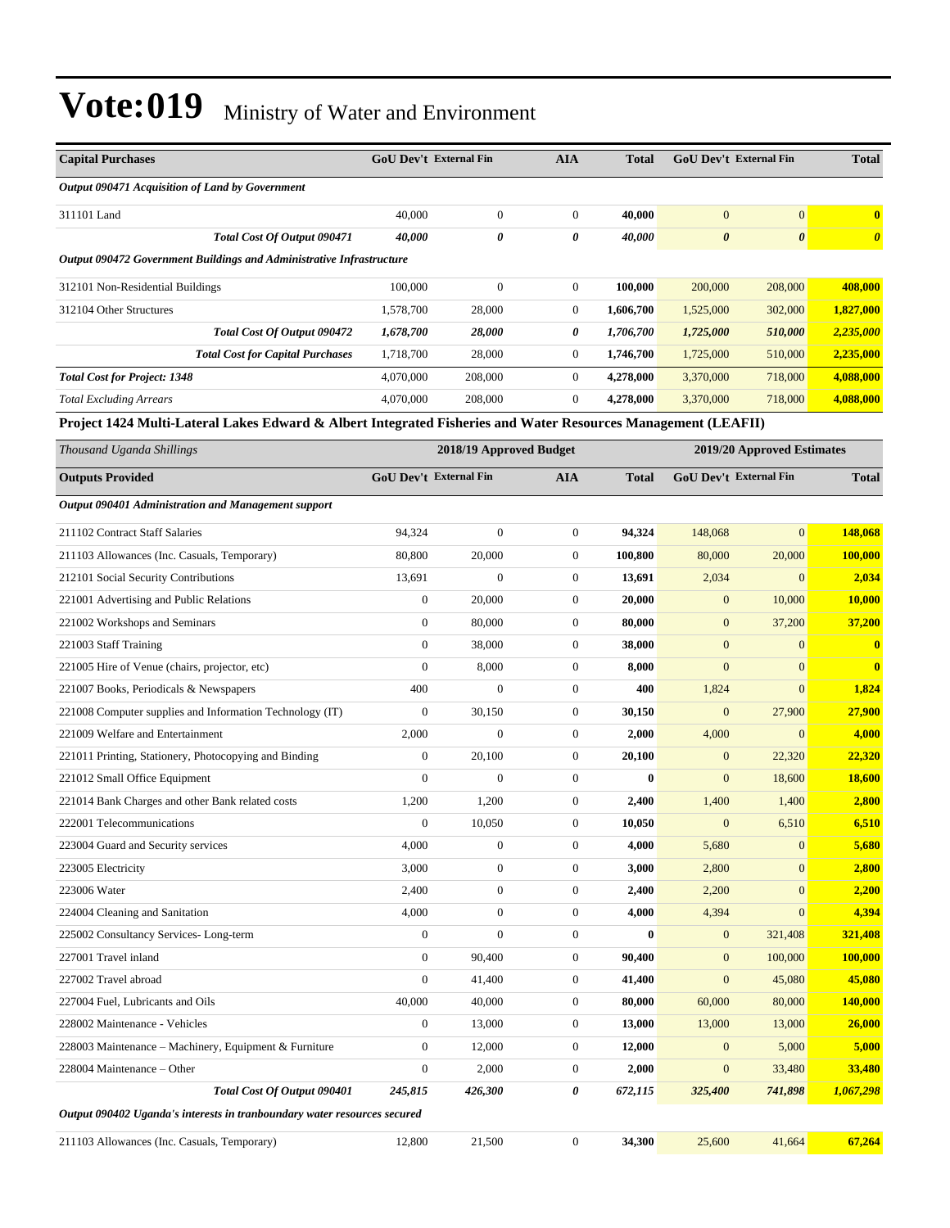| <b>Capital Purchases</b>                                                                                      | <b>GoU Dev't External Fin</b> |                         | <b>AIA</b>            | <b>Total</b> | <b>GoU Dev't External Fin</b> |                            | <b>Total</b>          |
|---------------------------------------------------------------------------------------------------------------|-------------------------------|-------------------------|-----------------------|--------------|-------------------------------|----------------------------|-----------------------|
| Output 090471 Acquisition of Land by Government                                                               |                               |                         |                       |              |                               |                            |                       |
| 311101 Land                                                                                                   | 40,000                        | $\boldsymbol{0}$        | $\boldsymbol{0}$      | 40,000       | $\mathbf{0}$                  | $\mathbf{0}$               | $\bf{0}$              |
| Total Cost Of Output 090471                                                                                   | 40,000                        | $\theta$                | $\boldsymbol{\theta}$ | 40,000       | $\boldsymbol{\theta}$         | $\boldsymbol{\theta}$      | $\boldsymbol{\theta}$ |
| Output 090472 Government Buildings and Administrative Infrastructure                                          |                               |                         |                       |              |                               |                            |                       |
| 312101 Non-Residential Buildings                                                                              | 100,000                       | $\boldsymbol{0}$        | $\boldsymbol{0}$      | 100,000      | 200,000                       | 208,000                    | 408,000               |
| 312104 Other Structures                                                                                       | 1,578,700                     | 28,000                  | $\boldsymbol{0}$      | 1,606,700    | 1,525,000                     | 302,000                    | 1,827,000             |
| Total Cost Of Output 090472                                                                                   | 1,678,700                     | 28,000                  | 0                     | 1,706,700    | 1,725,000                     | 510,000                    | 2,235,000             |
| <b>Total Cost for Capital Purchases</b>                                                                       | 1,718,700                     | 28,000                  | $\boldsymbol{0}$      | 1,746,700    | 1,725,000                     | 510,000                    | 2,235,000             |
| <b>Total Cost for Project: 1348</b>                                                                           | 4,070,000                     | 208,000                 | $\boldsymbol{0}$      | 4,278,000    | 3,370,000                     | 718,000                    | 4,088,000             |
| <b>Total Excluding Arrears</b>                                                                                | 4,070,000                     | 208,000                 | $\boldsymbol{0}$      | 4,278,000    | 3,370,000                     | 718,000                    | 4,088,000             |
| Project 1424 Multi-Lateral Lakes Edward & Albert Integrated Fisheries and Water Resources Management (LEAFII) |                               |                         |                       |              |                               |                            |                       |
| Thousand Uganda Shillings                                                                                     |                               | 2018/19 Approved Budget |                       |              |                               | 2019/20 Approved Estimates |                       |
| <b>Outputs Provided</b>                                                                                       | GoU Dev't External Fin        |                         | <b>AIA</b>            | <b>Total</b> | <b>GoU Dev't External Fin</b> |                            | <b>Total</b>          |
| Output 090401 Administration and Management support                                                           |                               |                         |                       |              |                               |                            |                       |
| 211102 Contract Staff Salaries                                                                                | 94,324                        | $\mathbf{0}$            | $\boldsymbol{0}$      | 94,324       | 148,068                       | $\mathbf{0}$               | 148,068               |
| 211103 Allowances (Inc. Casuals, Temporary)                                                                   | 80,800                        | 20,000                  | $\boldsymbol{0}$      | 100,800      | 80,000                        | 20,000                     | <b>100,000</b>        |
| 212101 Social Security Contributions                                                                          | 13,691                        | $\mathbf{0}$            | $\boldsymbol{0}$      | 13.691       | 2,034                         | $\mathbf{0}$               | 2,034                 |
| 221001 Advertising and Public Relations                                                                       | $\boldsymbol{0}$              | 20,000                  | $\boldsymbol{0}$      | 20,000       | $\mathbf{0}$                  | 10,000                     | 10,000                |
| 221002 Workshops and Seminars                                                                                 | $\boldsymbol{0}$              | 80,000                  | $\boldsymbol{0}$      | 80,000       | $\boldsymbol{0}$              | 37,200                     | 37,200                |
| 221003 Staff Training                                                                                         | $\boldsymbol{0}$              | 38,000                  | $\boldsymbol{0}$      | 38,000       | $\mathbf{0}$                  | $\mathbf{0}$               | $\mathbf{0}$          |
| 221005 Hire of Venue (chairs, projector, etc)                                                                 | $\boldsymbol{0}$              | 8,000                   | $\boldsymbol{0}$      | 8,000        | $\mathbf{0}$                  | $\mathbf{0}$               | $\bf{0}$              |
| 221007 Books, Periodicals & Newspapers                                                                        | 400                           | $\mathbf{0}$            | $\boldsymbol{0}$      | 400          | 1,824                         | $\mathbf{0}$               | 1,824                 |
| 221008 Computer supplies and Information Technology (IT)                                                      | $\boldsymbol{0}$              | 30,150                  | $\mathbf{0}$          | 30,150       | $\boldsymbol{0}$              | 27,900                     | 27,900                |
| 221009 Welfare and Entertainment                                                                              | 2,000                         | $\boldsymbol{0}$        | $\boldsymbol{0}$      | 2,000        | 4,000                         | $\mathbf{0}$               | 4,000                 |
| 221011 Printing, Stationery, Photocopying and Binding                                                         | $\boldsymbol{0}$              | 20,100                  | $\boldsymbol{0}$      | 20,100       | $\boldsymbol{0}$              | 22,320                     | 22,320                |
| 221012 Small Office Equipment                                                                                 | $\mathbf{0}$                  | $\mathbf{0}$            | $\boldsymbol{0}$      | $\bf{0}$     | $\mathbf{0}$                  | 18,600                     | <b>18,600</b>         |
| 221014 Bank Charges and other Bank related costs                                                              | 1,200                         | 1,200                   | $\boldsymbol{0}$      | 2,400        | 1,400                         | 1,400                      | 2,800                 |
| 222001 Telecommunications                                                                                     | $\boldsymbol{0}$              | 10,050                  | $\boldsymbol{0}$      | 10.050       | $\mathbf{0}$                  | 6,510                      | 6,510                 |
| 223004 Guard and Security services                                                                            | 4,000                         | $\boldsymbol{0}$        | $\boldsymbol{0}$      | 4,000        | 5,680                         | $\boldsymbol{0}$           | 5,680                 |
| 223005 Electricity                                                                                            | 3,000                         | $\boldsymbol{0}$        | $\boldsymbol{0}$      | 3,000        | 2,800                         | $\mathbf{0}$               | 2,800                 |
| 223006 Water                                                                                                  | 2,400                         | $\boldsymbol{0}$        | $\boldsymbol{0}$      | 2,400        | 2,200                         | $\mathbf{0}$               | 2,200                 |
| 224004 Cleaning and Sanitation                                                                                | 4,000                         | $\boldsymbol{0}$        | $\boldsymbol{0}$      | 4,000        | 4,394                         | $\mathbf{0}$               | 4,394                 |
| 225002 Consultancy Services-Long-term                                                                         | $\boldsymbol{0}$              | $\boldsymbol{0}$        | $\boldsymbol{0}$      | $\bf{0}$     | $\boldsymbol{0}$              | 321,408                    | 321,408               |
| 227001 Travel inland                                                                                          | $\mathbf{0}$                  | 90,400                  | $\boldsymbol{0}$      | 90,400       | $\mathbf{0}$                  | 100,000                    | 100,000               |
| 227002 Travel abroad                                                                                          | $\mathbf{0}$                  | 41,400                  | $\boldsymbol{0}$      | 41,400       | $\mathbf{0}$                  | 45,080                     | 45,080                |
| 227004 Fuel, Lubricants and Oils                                                                              | 40,000                        | 40,000                  | $\boldsymbol{0}$      | 80,000       | 60,000                        | 80,000                     | <b>140,000</b>        |
| 228002 Maintenance - Vehicles                                                                                 | $\boldsymbol{0}$              | 13,000                  | $\boldsymbol{0}$      | 13,000       | 13,000                        | 13,000                     | 26,000                |
| 228003 Maintenance – Machinery, Equipment & Furniture                                                         | $\mathbf{0}$                  | 12,000                  | $\boldsymbol{0}$      | 12,000       | $\mathbf{0}$                  | 5,000                      | 5,000                 |
| 228004 Maintenance – Other                                                                                    | $\mathbf{0}$                  | 2,000                   | $\boldsymbol{0}$      | 2,000        | $\mathbf{0}$                  | 33,480                     | <b>33,480</b>         |
| Total Cost Of Output 090401                                                                                   | 245,815                       | 426,300                 | 0                     | 672,115      | 325,400                       | 741,898                    | 1,067,298             |
| Output 090402 Uganda's interests in tranboundary water resources secured                                      |                               |                         |                       |              |                               |                            |                       |
| 211103 Allowances (Inc. Casuals, Temporary)                                                                   | 12,800                        | 21,500                  | $\boldsymbol{0}$      | 34,300       | 25,600                        | 41,664                     | 67,264                |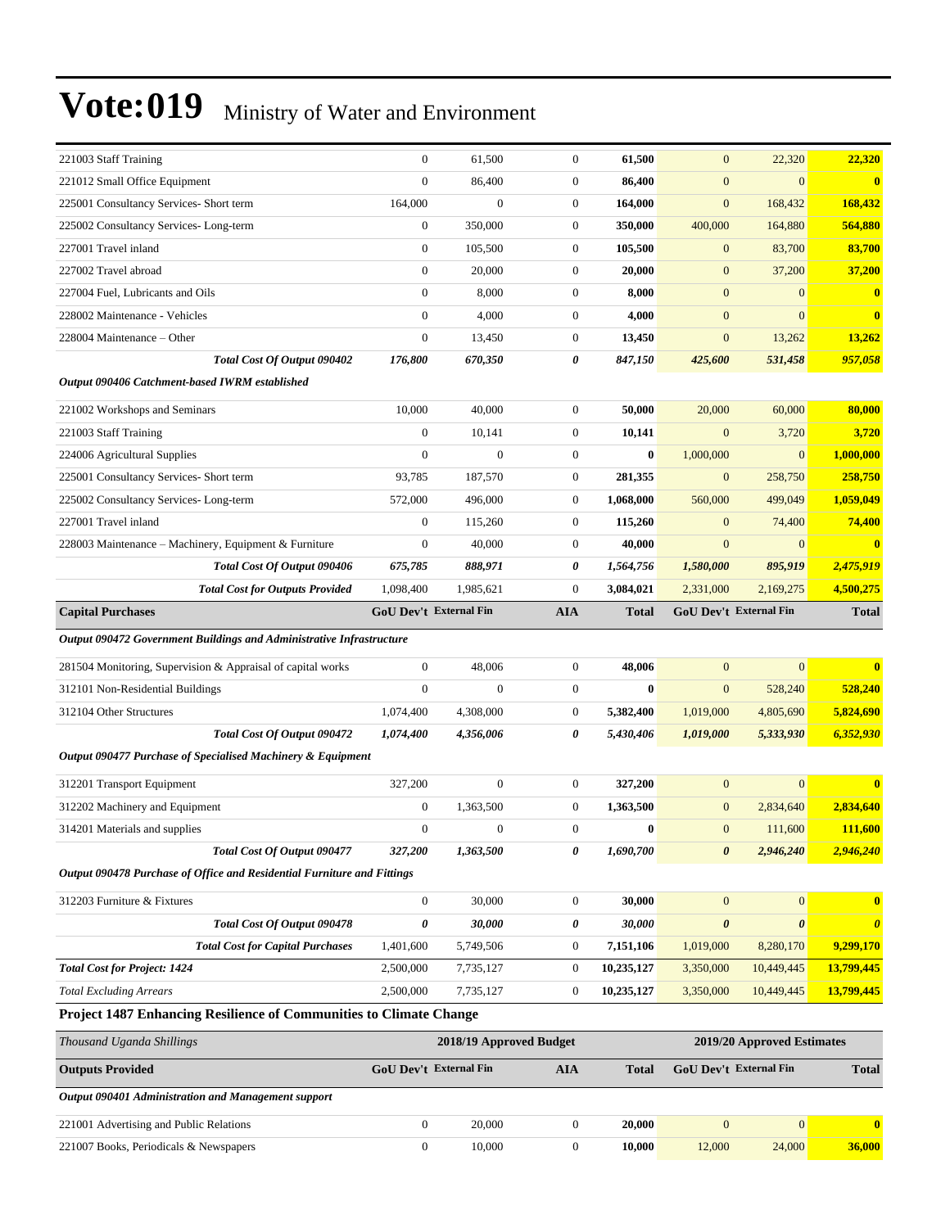| $\boldsymbol{0}$<br>86,400<br>$\mathbf{0}$<br>86,400<br>$\boldsymbol{0}$<br>$\boldsymbol{0}$<br>221012 Small Office Equipment<br>$\bf{0}$<br>225001 Consultancy Services- Short term<br>$\boldsymbol{0}$<br>$\mathbf{0}$<br>164,000<br>$\boldsymbol{0}$<br>168,432<br>164,000<br>168,432<br>$\boldsymbol{0}$<br>350,000<br>$\boldsymbol{0}$<br>350,000<br>225002 Consultancy Services-Long-term<br>400,000<br>164,880<br>564,880<br>227001 Travel inland<br>$\boldsymbol{0}$<br>105,500<br>$\boldsymbol{0}$<br>105,500<br>$\boldsymbol{0}$<br>83,700<br>83,700<br>$\boldsymbol{0}$<br>227002 Travel abroad<br>20,000<br>$\boldsymbol{0}$<br>20,000<br>$\boldsymbol{0}$<br>37,200<br>37,200<br>$\boldsymbol{0}$<br>8,000<br>$\mathbf{0}$<br>8,000<br>$\boldsymbol{0}$<br>$\boldsymbol{0}$<br>227004 Fuel, Lubricants and Oils<br>$\bf{0}$<br>$\boldsymbol{0}$<br>4,000<br>$\mathbf{0}$<br>4,000<br>$\overline{0}$<br>228002 Maintenance - Vehicles<br>$\mathbf{0}$<br>$\mathbf{0}$<br>$\boldsymbol{0}$<br>$\mathbf{0}$<br>$\boldsymbol{0}$<br>228004 Maintenance – Other<br>13,450<br>13,450<br>13,262<br>13,262<br>176,800<br>670,350<br>0<br>847,150<br>425,600<br>531,458<br>957,058<br>Total Cost Of Output 090402<br>Output 090406 Catchment-based IWRM established<br>10,000<br>40,000<br>$\mathbf{0}$<br>50,000<br>20,000<br>60,000<br>80,000<br>221002 Workshops and Seminars<br>$\boldsymbol{0}$<br>221003 Staff Training<br>$\mathbf{0}$<br>10,141<br>$\overline{0}$<br>3,720<br>10,141<br>3,720<br>1,000,000<br>$\boldsymbol{0}$<br>$\Omega$<br>$\mathbf{0}$<br>$\bf{0}$<br>1,000,000<br>$\overline{0}$<br>224006 Agricultural Supplies<br>225001 Consultancy Services- Short term<br>93,785<br>187,570<br>$\boldsymbol{0}$<br>281,355<br>$\boldsymbol{0}$<br>258,750<br>258,750<br>572,000<br>496,000<br>$\mathbf{0}$<br>1,068,000<br>560,000<br>499,049<br>1,059,049<br>225002 Consultancy Services-Long-term<br>$\boldsymbol{0}$<br>227001 Travel inland<br>$\mathbf{0}$<br>115,260<br>$\boldsymbol{0}$<br>74,400<br>74,400<br>115,260<br>$\mathbf{0}$<br>40,000<br>$\mathbf{0}$<br>40,000<br>$\boldsymbol{0}$<br>228003 Maintenance – Machinery, Equipment & Furniture<br>$\mathbf{0}$<br>2,475,919<br>Total Cost Of Output 090406<br>888,971<br>0<br>895,919<br>675,785<br>1,564,756<br>1,580,000<br>$\boldsymbol{0}$<br>3,084,021<br>4,500,275<br><b>Total Cost for Outputs Provided</b><br>1,098,400<br>1,985,621<br>2,331,000<br>2,169,275<br><b>GoU Dev't External Fin</b><br><b>GoU Dev't External Fin</b><br><b>Capital Purchases</b><br><b>AIA</b><br><b>Total</b><br><b>Total</b><br>Output 090472 Government Buildings and Administrative Infrastructure<br>$\boldsymbol{0}$<br>$\overline{0}$<br>48,006<br>$\boldsymbol{0}$<br>48,006<br>$\boldsymbol{0}$<br>281504 Monitoring, Supervision & Appraisal of capital works<br>$\mathbf{0}$<br>$\boldsymbol{0}$<br>$\mathbf{0}$<br>$\mathbf{0}$<br>$\bf{0}$<br>$\boldsymbol{0}$<br>528,240<br>312101 Non-Residential Buildings<br>528,240<br>4,308,000<br>$\mathbf{0}$<br>5,382,400<br>1,019,000<br>4,805,690<br>5,824,690<br>312104 Other Structures<br>1,074,400<br>Total Cost Of Output 090472<br>5,430,406<br>6,352,930<br>1,074,400<br>4,356,006<br>0<br>1,019,000<br>5,333,930<br>Output 090477 Purchase of Specialised Machinery & Equipment<br>$\mathbf{0}$<br>$\mathbf{0}$<br>$\mathbf{0}$<br>327,200<br>327,200<br>$\mathbf{0}$<br>312201 Transport Equipment<br>$\mathbf{0}$<br>312202 Machinery and Equipment<br>$\boldsymbol{0}$<br>1,363,500<br>$\mathbf{0}$<br>1,363,500<br>$\boldsymbol{0}$<br>2,834,640<br>2,834,640<br>$\boldsymbol{0}$<br>$\boldsymbol{0}$<br>$\boldsymbol{0}$<br>$\bf{0}$<br>$\boldsymbol{0}$<br>111,600<br>111,600<br>314201 Materials and supplies<br>2,946,240<br>Total Cost Of Output 090477<br>327,200<br>1,363,500<br>0<br>1,690,700<br>0<br>2,946,240<br>Output 090478 Purchase of Office and Residential Furniture and Fittings<br>$\boldsymbol{0}$<br>30,000<br>$\mathbf{0}$<br>30,000<br>$\mathbf{0}$<br>$\boldsymbol{0}$<br>312203 Furniture & Fixtures<br>$\bf{0}$<br>0<br>0<br>$\pmb{\theta}$<br>$\boldsymbol{\theta}$<br>Total Cost Of Output 090478<br>30,000<br>30,000<br>$\boldsymbol{\theta}$<br><b>Total Cost for Capital Purchases</b><br>5,749,506<br>7,151,106<br>1,019,000<br>8,280,170<br>9,299,170<br>1,401,600<br>$\overline{0}$<br>13,799,445<br><b>Total Cost for Project: 1424</b><br>7,735,127<br>10,235,127<br>2,500,000<br>$\mathbf{0}$<br>3,350,000<br>10,449,445<br>2,500,000<br>10,235,127<br>13,799,445<br><b>Total Excluding Arrears</b><br>7,735,127<br>$\boldsymbol{0}$<br>3,350,000<br>10,449,445<br>Project 1487 Enhancing Resilience of Communities to Climate Change<br>Thousand Uganda Shillings<br>2018/19 Approved Budget<br>2019/20 Approved Estimates<br><b>Outputs Provided</b><br>GoU Dev't External Fin<br>GoU Dev't External Fin<br><b>AIA</b><br><b>Total</b><br><b>Total</b><br>Output 090401 Administration and Management support<br>$\boldsymbol{0}$<br>$\boldsymbol{0}$<br>$\boldsymbol{0}$<br>20,000<br>$\boldsymbol{0}$<br>221001 Advertising and Public Relations<br>20,000<br>$\bf{0}$ | 221003 Staff Training                  | $\boldsymbol{0}$ | 61,500 | $\boldsymbol{0}$ | 61,500 | $\boldsymbol{0}$ | 22,320 | 22,320 |
|----------------------------------------------------------------------------------------------------------------------------------------------------------------------------------------------------------------------------------------------------------------------------------------------------------------------------------------------------------------------------------------------------------------------------------------------------------------------------------------------------------------------------------------------------------------------------------------------------------------------------------------------------------------------------------------------------------------------------------------------------------------------------------------------------------------------------------------------------------------------------------------------------------------------------------------------------------------------------------------------------------------------------------------------------------------------------------------------------------------------------------------------------------------------------------------------------------------------------------------------------------------------------------------------------------------------------------------------------------------------------------------------------------------------------------------------------------------------------------------------------------------------------------------------------------------------------------------------------------------------------------------------------------------------------------------------------------------------------------------------------------------------------------------------------------------------------------------------------------------------------------------------------------------------------------------------------------------------------------------------------------------------------------------------------------------------------------------------------------------------------------------------------------------------------------------------------------------------------------------------------------------------------------------------------------------------------------------------------------------------------------------------------------------------------------------------------------------------------------------------------------------------------------------------------------------------------------------------------------------------------------------------------------------------------------------------------------------------------------------------------------------------------------------------------------------------------------------------------------------------------------------------------------------------------------------------------------------------------------------------------------------------------------------------------------------------------------------------------------------------------------------------------------------------------------------------------------------------------------------------------------------------------------------------------------------------------------------------------------------------------------------------------------------------------------------------------------------------------------------------------------------------------------------------------------------------------------------------------------------------------------------------------------------------------------------------------------------------------------------------------------------------------------------------------------------------------------------------------------------------------------------------------------------------------------------------------------------------------------------------------------------------------------------------------------------------------------------------------------------------------------------------------------------------------------------------------------------------------------------------------------------------------------------------------------------------------------------------------------------------------------------------------------------------------------------------------------------------------------------------------------------------------------------------------------------------------------------------------------------------------------------------------------------------------------------------------------------------------------------------------------------------------------------------------------------------------------------------------------------------------------------------------------------------------------------------------------------------------------------------------------------------------------------------------------------------------------------------------------------------------------------------------------------|----------------------------------------|------------------|--------|------------------|--------|------------------|--------|--------|
|                                                                                                                                                                                                                                                                                                                                                                                                                                                                                                                                                                                                                                                                                                                                                                                                                                                                                                                                                                                                                                                                                                                                                                                                                                                                                                                                                                                                                                                                                                                                                                                                                                                                                                                                                                                                                                                                                                                                                                                                                                                                                                                                                                                                                                                                                                                                                                                                                                                                                                                                                                                                                                                                                                                                                                                                                                                                                                                                                                                                                                                                                                                                                                                                                                                                                                                                                                                                                                                                                                                                                                                                                                                                                                                                                                                                                                                                                                                                                                                                                                                                                                                                                                                                                                                                                                                                                                                                                                                                                                                                                                                                                                                                                                                                                                                                                                                                                                                                                                                                                                                                                                                                                                |                                        |                  |        |                  |        |                  |        |        |
|                                                                                                                                                                                                                                                                                                                                                                                                                                                                                                                                                                                                                                                                                                                                                                                                                                                                                                                                                                                                                                                                                                                                                                                                                                                                                                                                                                                                                                                                                                                                                                                                                                                                                                                                                                                                                                                                                                                                                                                                                                                                                                                                                                                                                                                                                                                                                                                                                                                                                                                                                                                                                                                                                                                                                                                                                                                                                                                                                                                                                                                                                                                                                                                                                                                                                                                                                                                                                                                                                                                                                                                                                                                                                                                                                                                                                                                                                                                                                                                                                                                                                                                                                                                                                                                                                                                                                                                                                                                                                                                                                                                                                                                                                                                                                                                                                                                                                                                                                                                                                                                                                                                                                                |                                        |                  |        |                  |        |                  |        |        |
|                                                                                                                                                                                                                                                                                                                                                                                                                                                                                                                                                                                                                                                                                                                                                                                                                                                                                                                                                                                                                                                                                                                                                                                                                                                                                                                                                                                                                                                                                                                                                                                                                                                                                                                                                                                                                                                                                                                                                                                                                                                                                                                                                                                                                                                                                                                                                                                                                                                                                                                                                                                                                                                                                                                                                                                                                                                                                                                                                                                                                                                                                                                                                                                                                                                                                                                                                                                                                                                                                                                                                                                                                                                                                                                                                                                                                                                                                                                                                                                                                                                                                                                                                                                                                                                                                                                                                                                                                                                                                                                                                                                                                                                                                                                                                                                                                                                                                                                                                                                                                                                                                                                                                                |                                        |                  |        |                  |        |                  |        |        |
|                                                                                                                                                                                                                                                                                                                                                                                                                                                                                                                                                                                                                                                                                                                                                                                                                                                                                                                                                                                                                                                                                                                                                                                                                                                                                                                                                                                                                                                                                                                                                                                                                                                                                                                                                                                                                                                                                                                                                                                                                                                                                                                                                                                                                                                                                                                                                                                                                                                                                                                                                                                                                                                                                                                                                                                                                                                                                                                                                                                                                                                                                                                                                                                                                                                                                                                                                                                                                                                                                                                                                                                                                                                                                                                                                                                                                                                                                                                                                                                                                                                                                                                                                                                                                                                                                                                                                                                                                                                                                                                                                                                                                                                                                                                                                                                                                                                                                                                                                                                                                                                                                                                                                                |                                        |                  |        |                  |        |                  |        |        |
|                                                                                                                                                                                                                                                                                                                                                                                                                                                                                                                                                                                                                                                                                                                                                                                                                                                                                                                                                                                                                                                                                                                                                                                                                                                                                                                                                                                                                                                                                                                                                                                                                                                                                                                                                                                                                                                                                                                                                                                                                                                                                                                                                                                                                                                                                                                                                                                                                                                                                                                                                                                                                                                                                                                                                                                                                                                                                                                                                                                                                                                                                                                                                                                                                                                                                                                                                                                                                                                                                                                                                                                                                                                                                                                                                                                                                                                                                                                                                                                                                                                                                                                                                                                                                                                                                                                                                                                                                                                                                                                                                                                                                                                                                                                                                                                                                                                                                                                                                                                                                                                                                                                                                                |                                        |                  |        |                  |        |                  |        |        |
|                                                                                                                                                                                                                                                                                                                                                                                                                                                                                                                                                                                                                                                                                                                                                                                                                                                                                                                                                                                                                                                                                                                                                                                                                                                                                                                                                                                                                                                                                                                                                                                                                                                                                                                                                                                                                                                                                                                                                                                                                                                                                                                                                                                                                                                                                                                                                                                                                                                                                                                                                                                                                                                                                                                                                                                                                                                                                                                                                                                                                                                                                                                                                                                                                                                                                                                                                                                                                                                                                                                                                                                                                                                                                                                                                                                                                                                                                                                                                                                                                                                                                                                                                                                                                                                                                                                                                                                                                                                                                                                                                                                                                                                                                                                                                                                                                                                                                                                                                                                                                                                                                                                                                                |                                        |                  |        |                  |        |                  |        |        |
|                                                                                                                                                                                                                                                                                                                                                                                                                                                                                                                                                                                                                                                                                                                                                                                                                                                                                                                                                                                                                                                                                                                                                                                                                                                                                                                                                                                                                                                                                                                                                                                                                                                                                                                                                                                                                                                                                                                                                                                                                                                                                                                                                                                                                                                                                                                                                                                                                                                                                                                                                                                                                                                                                                                                                                                                                                                                                                                                                                                                                                                                                                                                                                                                                                                                                                                                                                                                                                                                                                                                                                                                                                                                                                                                                                                                                                                                                                                                                                                                                                                                                                                                                                                                                                                                                                                                                                                                                                                                                                                                                                                                                                                                                                                                                                                                                                                                                                                                                                                                                                                                                                                                                                |                                        |                  |        |                  |        |                  |        |        |
|                                                                                                                                                                                                                                                                                                                                                                                                                                                                                                                                                                                                                                                                                                                                                                                                                                                                                                                                                                                                                                                                                                                                                                                                                                                                                                                                                                                                                                                                                                                                                                                                                                                                                                                                                                                                                                                                                                                                                                                                                                                                                                                                                                                                                                                                                                                                                                                                                                                                                                                                                                                                                                                                                                                                                                                                                                                                                                                                                                                                                                                                                                                                                                                                                                                                                                                                                                                                                                                                                                                                                                                                                                                                                                                                                                                                                                                                                                                                                                                                                                                                                                                                                                                                                                                                                                                                                                                                                                                                                                                                                                                                                                                                                                                                                                                                                                                                                                                                                                                                                                                                                                                                                                |                                        |                  |        |                  |        |                  |        |        |
|                                                                                                                                                                                                                                                                                                                                                                                                                                                                                                                                                                                                                                                                                                                                                                                                                                                                                                                                                                                                                                                                                                                                                                                                                                                                                                                                                                                                                                                                                                                                                                                                                                                                                                                                                                                                                                                                                                                                                                                                                                                                                                                                                                                                                                                                                                                                                                                                                                                                                                                                                                                                                                                                                                                                                                                                                                                                                                                                                                                                                                                                                                                                                                                                                                                                                                                                                                                                                                                                                                                                                                                                                                                                                                                                                                                                                                                                                                                                                                                                                                                                                                                                                                                                                                                                                                                                                                                                                                                                                                                                                                                                                                                                                                                                                                                                                                                                                                                                                                                                                                                                                                                                                                |                                        |                  |        |                  |        |                  |        |        |
|                                                                                                                                                                                                                                                                                                                                                                                                                                                                                                                                                                                                                                                                                                                                                                                                                                                                                                                                                                                                                                                                                                                                                                                                                                                                                                                                                                                                                                                                                                                                                                                                                                                                                                                                                                                                                                                                                                                                                                                                                                                                                                                                                                                                                                                                                                                                                                                                                                                                                                                                                                                                                                                                                                                                                                                                                                                                                                                                                                                                                                                                                                                                                                                                                                                                                                                                                                                                                                                                                                                                                                                                                                                                                                                                                                                                                                                                                                                                                                                                                                                                                                                                                                                                                                                                                                                                                                                                                                                                                                                                                                                                                                                                                                                                                                                                                                                                                                                                                                                                                                                                                                                                                                |                                        |                  |        |                  |        |                  |        |        |
|                                                                                                                                                                                                                                                                                                                                                                                                                                                                                                                                                                                                                                                                                                                                                                                                                                                                                                                                                                                                                                                                                                                                                                                                                                                                                                                                                                                                                                                                                                                                                                                                                                                                                                                                                                                                                                                                                                                                                                                                                                                                                                                                                                                                                                                                                                                                                                                                                                                                                                                                                                                                                                                                                                                                                                                                                                                                                                                                                                                                                                                                                                                                                                                                                                                                                                                                                                                                                                                                                                                                                                                                                                                                                                                                                                                                                                                                                                                                                                                                                                                                                                                                                                                                                                                                                                                                                                                                                                                                                                                                                                                                                                                                                                                                                                                                                                                                                                                                                                                                                                                                                                                                                                |                                        |                  |        |                  |        |                  |        |        |
|                                                                                                                                                                                                                                                                                                                                                                                                                                                                                                                                                                                                                                                                                                                                                                                                                                                                                                                                                                                                                                                                                                                                                                                                                                                                                                                                                                                                                                                                                                                                                                                                                                                                                                                                                                                                                                                                                                                                                                                                                                                                                                                                                                                                                                                                                                                                                                                                                                                                                                                                                                                                                                                                                                                                                                                                                                                                                                                                                                                                                                                                                                                                                                                                                                                                                                                                                                                                                                                                                                                                                                                                                                                                                                                                                                                                                                                                                                                                                                                                                                                                                                                                                                                                                                                                                                                                                                                                                                                                                                                                                                                                                                                                                                                                                                                                                                                                                                                                                                                                                                                                                                                                                                |                                        |                  |        |                  |        |                  |        |        |
|                                                                                                                                                                                                                                                                                                                                                                                                                                                                                                                                                                                                                                                                                                                                                                                                                                                                                                                                                                                                                                                                                                                                                                                                                                                                                                                                                                                                                                                                                                                                                                                                                                                                                                                                                                                                                                                                                                                                                                                                                                                                                                                                                                                                                                                                                                                                                                                                                                                                                                                                                                                                                                                                                                                                                                                                                                                                                                                                                                                                                                                                                                                                                                                                                                                                                                                                                                                                                                                                                                                                                                                                                                                                                                                                                                                                                                                                                                                                                                                                                                                                                                                                                                                                                                                                                                                                                                                                                                                                                                                                                                                                                                                                                                                                                                                                                                                                                                                                                                                                                                                                                                                                                                |                                        |                  |        |                  |        |                  |        |        |
|                                                                                                                                                                                                                                                                                                                                                                                                                                                                                                                                                                                                                                                                                                                                                                                                                                                                                                                                                                                                                                                                                                                                                                                                                                                                                                                                                                                                                                                                                                                                                                                                                                                                                                                                                                                                                                                                                                                                                                                                                                                                                                                                                                                                                                                                                                                                                                                                                                                                                                                                                                                                                                                                                                                                                                                                                                                                                                                                                                                                                                                                                                                                                                                                                                                                                                                                                                                                                                                                                                                                                                                                                                                                                                                                                                                                                                                                                                                                                                                                                                                                                                                                                                                                                                                                                                                                                                                                                                                                                                                                                                                                                                                                                                                                                                                                                                                                                                                                                                                                                                                                                                                                                                |                                        |                  |        |                  |        |                  |        |        |
|                                                                                                                                                                                                                                                                                                                                                                                                                                                                                                                                                                                                                                                                                                                                                                                                                                                                                                                                                                                                                                                                                                                                                                                                                                                                                                                                                                                                                                                                                                                                                                                                                                                                                                                                                                                                                                                                                                                                                                                                                                                                                                                                                                                                                                                                                                                                                                                                                                                                                                                                                                                                                                                                                                                                                                                                                                                                                                                                                                                                                                                                                                                                                                                                                                                                                                                                                                                                                                                                                                                                                                                                                                                                                                                                                                                                                                                                                                                                                                                                                                                                                                                                                                                                                                                                                                                                                                                                                                                                                                                                                                                                                                                                                                                                                                                                                                                                                                                                                                                                                                                                                                                                                                |                                        |                  |        |                  |        |                  |        |        |
|                                                                                                                                                                                                                                                                                                                                                                                                                                                                                                                                                                                                                                                                                                                                                                                                                                                                                                                                                                                                                                                                                                                                                                                                                                                                                                                                                                                                                                                                                                                                                                                                                                                                                                                                                                                                                                                                                                                                                                                                                                                                                                                                                                                                                                                                                                                                                                                                                                                                                                                                                                                                                                                                                                                                                                                                                                                                                                                                                                                                                                                                                                                                                                                                                                                                                                                                                                                                                                                                                                                                                                                                                                                                                                                                                                                                                                                                                                                                                                                                                                                                                                                                                                                                                                                                                                                                                                                                                                                                                                                                                                                                                                                                                                                                                                                                                                                                                                                                                                                                                                                                                                                                                                |                                        |                  |        |                  |        |                  |        |        |
|                                                                                                                                                                                                                                                                                                                                                                                                                                                                                                                                                                                                                                                                                                                                                                                                                                                                                                                                                                                                                                                                                                                                                                                                                                                                                                                                                                                                                                                                                                                                                                                                                                                                                                                                                                                                                                                                                                                                                                                                                                                                                                                                                                                                                                                                                                                                                                                                                                                                                                                                                                                                                                                                                                                                                                                                                                                                                                                                                                                                                                                                                                                                                                                                                                                                                                                                                                                                                                                                                                                                                                                                                                                                                                                                                                                                                                                                                                                                                                                                                                                                                                                                                                                                                                                                                                                                                                                                                                                                                                                                                                                                                                                                                                                                                                                                                                                                                                                                                                                                                                                                                                                                                                |                                        |                  |        |                  |        |                  |        |        |
|                                                                                                                                                                                                                                                                                                                                                                                                                                                                                                                                                                                                                                                                                                                                                                                                                                                                                                                                                                                                                                                                                                                                                                                                                                                                                                                                                                                                                                                                                                                                                                                                                                                                                                                                                                                                                                                                                                                                                                                                                                                                                                                                                                                                                                                                                                                                                                                                                                                                                                                                                                                                                                                                                                                                                                                                                                                                                                                                                                                                                                                                                                                                                                                                                                                                                                                                                                                                                                                                                                                                                                                                                                                                                                                                                                                                                                                                                                                                                                                                                                                                                                                                                                                                                                                                                                                                                                                                                                                                                                                                                                                                                                                                                                                                                                                                                                                                                                                                                                                                                                                                                                                                                                |                                        |                  |        |                  |        |                  |        |        |
|                                                                                                                                                                                                                                                                                                                                                                                                                                                                                                                                                                                                                                                                                                                                                                                                                                                                                                                                                                                                                                                                                                                                                                                                                                                                                                                                                                                                                                                                                                                                                                                                                                                                                                                                                                                                                                                                                                                                                                                                                                                                                                                                                                                                                                                                                                                                                                                                                                                                                                                                                                                                                                                                                                                                                                                                                                                                                                                                                                                                                                                                                                                                                                                                                                                                                                                                                                                                                                                                                                                                                                                                                                                                                                                                                                                                                                                                                                                                                                                                                                                                                                                                                                                                                                                                                                                                                                                                                                                                                                                                                                                                                                                                                                                                                                                                                                                                                                                                                                                                                                                                                                                                                                |                                        |                  |        |                  |        |                  |        |        |
|                                                                                                                                                                                                                                                                                                                                                                                                                                                                                                                                                                                                                                                                                                                                                                                                                                                                                                                                                                                                                                                                                                                                                                                                                                                                                                                                                                                                                                                                                                                                                                                                                                                                                                                                                                                                                                                                                                                                                                                                                                                                                                                                                                                                                                                                                                                                                                                                                                                                                                                                                                                                                                                                                                                                                                                                                                                                                                                                                                                                                                                                                                                                                                                                                                                                                                                                                                                                                                                                                                                                                                                                                                                                                                                                                                                                                                                                                                                                                                                                                                                                                                                                                                                                                                                                                                                                                                                                                                                                                                                                                                                                                                                                                                                                                                                                                                                                                                                                                                                                                                                                                                                                                                |                                        |                  |        |                  |        |                  |        |        |
|                                                                                                                                                                                                                                                                                                                                                                                                                                                                                                                                                                                                                                                                                                                                                                                                                                                                                                                                                                                                                                                                                                                                                                                                                                                                                                                                                                                                                                                                                                                                                                                                                                                                                                                                                                                                                                                                                                                                                                                                                                                                                                                                                                                                                                                                                                                                                                                                                                                                                                                                                                                                                                                                                                                                                                                                                                                                                                                                                                                                                                                                                                                                                                                                                                                                                                                                                                                                                                                                                                                                                                                                                                                                                                                                                                                                                                                                                                                                                                                                                                                                                                                                                                                                                                                                                                                                                                                                                                                                                                                                                                                                                                                                                                                                                                                                                                                                                                                                                                                                                                                                                                                                                                |                                        |                  |        |                  |        |                  |        |        |
|                                                                                                                                                                                                                                                                                                                                                                                                                                                                                                                                                                                                                                                                                                                                                                                                                                                                                                                                                                                                                                                                                                                                                                                                                                                                                                                                                                                                                                                                                                                                                                                                                                                                                                                                                                                                                                                                                                                                                                                                                                                                                                                                                                                                                                                                                                                                                                                                                                                                                                                                                                                                                                                                                                                                                                                                                                                                                                                                                                                                                                                                                                                                                                                                                                                                                                                                                                                                                                                                                                                                                                                                                                                                                                                                                                                                                                                                                                                                                                                                                                                                                                                                                                                                                                                                                                                                                                                                                                                                                                                                                                                                                                                                                                                                                                                                                                                                                                                                                                                                                                                                                                                                                                |                                        |                  |        |                  |        |                  |        |        |
|                                                                                                                                                                                                                                                                                                                                                                                                                                                                                                                                                                                                                                                                                                                                                                                                                                                                                                                                                                                                                                                                                                                                                                                                                                                                                                                                                                                                                                                                                                                                                                                                                                                                                                                                                                                                                                                                                                                                                                                                                                                                                                                                                                                                                                                                                                                                                                                                                                                                                                                                                                                                                                                                                                                                                                                                                                                                                                                                                                                                                                                                                                                                                                                                                                                                                                                                                                                                                                                                                                                                                                                                                                                                                                                                                                                                                                                                                                                                                                                                                                                                                                                                                                                                                                                                                                                                                                                                                                                                                                                                                                                                                                                                                                                                                                                                                                                                                                                                                                                                                                                                                                                                                                |                                        |                  |        |                  |        |                  |        |        |
|                                                                                                                                                                                                                                                                                                                                                                                                                                                                                                                                                                                                                                                                                                                                                                                                                                                                                                                                                                                                                                                                                                                                                                                                                                                                                                                                                                                                                                                                                                                                                                                                                                                                                                                                                                                                                                                                                                                                                                                                                                                                                                                                                                                                                                                                                                                                                                                                                                                                                                                                                                                                                                                                                                                                                                                                                                                                                                                                                                                                                                                                                                                                                                                                                                                                                                                                                                                                                                                                                                                                                                                                                                                                                                                                                                                                                                                                                                                                                                                                                                                                                                                                                                                                                                                                                                                                                                                                                                                                                                                                                                                                                                                                                                                                                                                                                                                                                                                                                                                                                                                                                                                                                                |                                        |                  |        |                  |        |                  |        |        |
|                                                                                                                                                                                                                                                                                                                                                                                                                                                                                                                                                                                                                                                                                                                                                                                                                                                                                                                                                                                                                                                                                                                                                                                                                                                                                                                                                                                                                                                                                                                                                                                                                                                                                                                                                                                                                                                                                                                                                                                                                                                                                                                                                                                                                                                                                                                                                                                                                                                                                                                                                                                                                                                                                                                                                                                                                                                                                                                                                                                                                                                                                                                                                                                                                                                                                                                                                                                                                                                                                                                                                                                                                                                                                                                                                                                                                                                                                                                                                                                                                                                                                                                                                                                                                                                                                                                                                                                                                                                                                                                                                                                                                                                                                                                                                                                                                                                                                                                                                                                                                                                                                                                                                                |                                        |                  |        |                  |        |                  |        |        |
|                                                                                                                                                                                                                                                                                                                                                                                                                                                                                                                                                                                                                                                                                                                                                                                                                                                                                                                                                                                                                                                                                                                                                                                                                                                                                                                                                                                                                                                                                                                                                                                                                                                                                                                                                                                                                                                                                                                                                                                                                                                                                                                                                                                                                                                                                                                                                                                                                                                                                                                                                                                                                                                                                                                                                                                                                                                                                                                                                                                                                                                                                                                                                                                                                                                                                                                                                                                                                                                                                                                                                                                                                                                                                                                                                                                                                                                                                                                                                                                                                                                                                                                                                                                                                                                                                                                                                                                                                                                                                                                                                                                                                                                                                                                                                                                                                                                                                                                                                                                                                                                                                                                                                                |                                        |                  |        |                  |        |                  |        |        |
|                                                                                                                                                                                                                                                                                                                                                                                                                                                                                                                                                                                                                                                                                                                                                                                                                                                                                                                                                                                                                                                                                                                                                                                                                                                                                                                                                                                                                                                                                                                                                                                                                                                                                                                                                                                                                                                                                                                                                                                                                                                                                                                                                                                                                                                                                                                                                                                                                                                                                                                                                                                                                                                                                                                                                                                                                                                                                                                                                                                                                                                                                                                                                                                                                                                                                                                                                                                                                                                                                                                                                                                                                                                                                                                                                                                                                                                                                                                                                                                                                                                                                                                                                                                                                                                                                                                                                                                                                                                                                                                                                                                                                                                                                                                                                                                                                                                                                                                                                                                                                                                                                                                                                                |                                        |                  |        |                  |        |                  |        |        |
|                                                                                                                                                                                                                                                                                                                                                                                                                                                                                                                                                                                                                                                                                                                                                                                                                                                                                                                                                                                                                                                                                                                                                                                                                                                                                                                                                                                                                                                                                                                                                                                                                                                                                                                                                                                                                                                                                                                                                                                                                                                                                                                                                                                                                                                                                                                                                                                                                                                                                                                                                                                                                                                                                                                                                                                                                                                                                                                                                                                                                                                                                                                                                                                                                                                                                                                                                                                                                                                                                                                                                                                                                                                                                                                                                                                                                                                                                                                                                                                                                                                                                                                                                                                                                                                                                                                                                                                                                                                                                                                                                                                                                                                                                                                                                                                                                                                                                                                                                                                                                                                                                                                                                                |                                        |                  |        |                  |        |                  |        |        |
|                                                                                                                                                                                                                                                                                                                                                                                                                                                                                                                                                                                                                                                                                                                                                                                                                                                                                                                                                                                                                                                                                                                                                                                                                                                                                                                                                                                                                                                                                                                                                                                                                                                                                                                                                                                                                                                                                                                                                                                                                                                                                                                                                                                                                                                                                                                                                                                                                                                                                                                                                                                                                                                                                                                                                                                                                                                                                                                                                                                                                                                                                                                                                                                                                                                                                                                                                                                                                                                                                                                                                                                                                                                                                                                                                                                                                                                                                                                                                                                                                                                                                                                                                                                                                                                                                                                                                                                                                                                                                                                                                                                                                                                                                                                                                                                                                                                                                                                                                                                                                                                                                                                                                                |                                        |                  |        |                  |        |                  |        |        |
|                                                                                                                                                                                                                                                                                                                                                                                                                                                                                                                                                                                                                                                                                                                                                                                                                                                                                                                                                                                                                                                                                                                                                                                                                                                                                                                                                                                                                                                                                                                                                                                                                                                                                                                                                                                                                                                                                                                                                                                                                                                                                                                                                                                                                                                                                                                                                                                                                                                                                                                                                                                                                                                                                                                                                                                                                                                                                                                                                                                                                                                                                                                                                                                                                                                                                                                                                                                                                                                                                                                                                                                                                                                                                                                                                                                                                                                                                                                                                                                                                                                                                                                                                                                                                                                                                                                                                                                                                                                                                                                                                                                                                                                                                                                                                                                                                                                                                                                                                                                                                                                                                                                                                                |                                        |                  |        |                  |        |                  |        |        |
|                                                                                                                                                                                                                                                                                                                                                                                                                                                                                                                                                                                                                                                                                                                                                                                                                                                                                                                                                                                                                                                                                                                                                                                                                                                                                                                                                                                                                                                                                                                                                                                                                                                                                                                                                                                                                                                                                                                                                                                                                                                                                                                                                                                                                                                                                                                                                                                                                                                                                                                                                                                                                                                                                                                                                                                                                                                                                                                                                                                                                                                                                                                                                                                                                                                                                                                                                                                                                                                                                                                                                                                                                                                                                                                                                                                                                                                                                                                                                                                                                                                                                                                                                                                                                                                                                                                                                                                                                                                                                                                                                                                                                                                                                                                                                                                                                                                                                                                                                                                                                                                                                                                                                                |                                        |                  |        |                  |        |                  |        |        |
|                                                                                                                                                                                                                                                                                                                                                                                                                                                                                                                                                                                                                                                                                                                                                                                                                                                                                                                                                                                                                                                                                                                                                                                                                                                                                                                                                                                                                                                                                                                                                                                                                                                                                                                                                                                                                                                                                                                                                                                                                                                                                                                                                                                                                                                                                                                                                                                                                                                                                                                                                                                                                                                                                                                                                                                                                                                                                                                                                                                                                                                                                                                                                                                                                                                                                                                                                                                                                                                                                                                                                                                                                                                                                                                                                                                                                                                                                                                                                                                                                                                                                                                                                                                                                                                                                                                                                                                                                                                                                                                                                                                                                                                                                                                                                                                                                                                                                                                                                                                                                                                                                                                                                                |                                        |                  |        |                  |        |                  |        |        |
|                                                                                                                                                                                                                                                                                                                                                                                                                                                                                                                                                                                                                                                                                                                                                                                                                                                                                                                                                                                                                                                                                                                                                                                                                                                                                                                                                                                                                                                                                                                                                                                                                                                                                                                                                                                                                                                                                                                                                                                                                                                                                                                                                                                                                                                                                                                                                                                                                                                                                                                                                                                                                                                                                                                                                                                                                                                                                                                                                                                                                                                                                                                                                                                                                                                                                                                                                                                                                                                                                                                                                                                                                                                                                                                                                                                                                                                                                                                                                                                                                                                                                                                                                                                                                                                                                                                                                                                                                                                                                                                                                                                                                                                                                                                                                                                                                                                                                                                                                                                                                                                                                                                                                                |                                        |                  |        |                  |        |                  |        |        |
|                                                                                                                                                                                                                                                                                                                                                                                                                                                                                                                                                                                                                                                                                                                                                                                                                                                                                                                                                                                                                                                                                                                                                                                                                                                                                                                                                                                                                                                                                                                                                                                                                                                                                                                                                                                                                                                                                                                                                                                                                                                                                                                                                                                                                                                                                                                                                                                                                                                                                                                                                                                                                                                                                                                                                                                                                                                                                                                                                                                                                                                                                                                                                                                                                                                                                                                                                                                                                                                                                                                                                                                                                                                                                                                                                                                                                                                                                                                                                                                                                                                                                                                                                                                                                                                                                                                                                                                                                                                                                                                                                                                                                                                                                                                                                                                                                                                                                                                                                                                                                                                                                                                                                                |                                        |                  |        |                  |        |                  |        |        |
|                                                                                                                                                                                                                                                                                                                                                                                                                                                                                                                                                                                                                                                                                                                                                                                                                                                                                                                                                                                                                                                                                                                                                                                                                                                                                                                                                                                                                                                                                                                                                                                                                                                                                                                                                                                                                                                                                                                                                                                                                                                                                                                                                                                                                                                                                                                                                                                                                                                                                                                                                                                                                                                                                                                                                                                                                                                                                                                                                                                                                                                                                                                                                                                                                                                                                                                                                                                                                                                                                                                                                                                                                                                                                                                                                                                                                                                                                                                                                                                                                                                                                                                                                                                                                                                                                                                                                                                                                                                                                                                                                                                                                                                                                                                                                                                                                                                                                                                                                                                                                                                                                                                                                                |                                        |                  |        |                  |        |                  |        |        |
|                                                                                                                                                                                                                                                                                                                                                                                                                                                                                                                                                                                                                                                                                                                                                                                                                                                                                                                                                                                                                                                                                                                                                                                                                                                                                                                                                                                                                                                                                                                                                                                                                                                                                                                                                                                                                                                                                                                                                                                                                                                                                                                                                                                                                                                                                                                                                                                                                                                                                                                                                                                                                                                                                                                                                                                                                                                                                                                                                                                                                                                                                                                                                                                                                                                                                                                                                                                                                                                                                                                                                                                                                                                                                                                                                                                                                                                                                                                                                                                                                                                                                                                                                                                                                                                                                                                                                                                                                                                                                                                                                                                                                                                                                                                                                                                                                                                                                                                                                                                                                                                                                                                                                                |                                        |                  |        |                  |        |                  |        |        |
|                                                                                                                                                                                                                                                                                                                                                                                                                                                                                                                                                                                                                                                                                                                                                                                                                                                                                                                                                                                                                                                                                                                                                                                                                                                                                                                                                                                                                                                                                                                                                                                                                                                                                                                                                                                                                                                                                                                                                                                                                                                                                                                                                                                                                                                                                                                                                                                                                                                                                                                                                                                                                                                                                                                                                                                                                                                                                                                                                                                                                                                                                                                                                                                                                                                                                                                                                                                                                                                                                                                                                                                                                                                                                                                                                                                                                                                                                                                                                                                                                                                                                                                                                                                                                                                                                                                                                                                                                                                                                                                                                                                                                                                                                                                                                                                                                                                                                                                                                                                                                                                                                                                                                                |                                        |                  |        |                  |        |                  |        |        |
|                                                                                                                                                                                                                                                                                                                                                                                                                                                                                                                                                                                                                                                                                                                                                                                                                                                                                                                                                                                                                                                                                                                                                                                                                                                                                                                                                                                                                                                                                                                                                                                                                                                                                                                                                                                                                                                                                                                                                                                                                                                                                                                                                                                                                                                                                                                                                                                                                                                                                                                                                                                                                                                                                                                                                                                                                                                                                                                                                                                                                                                                                                                                                                                                                                                                                                                                                                                                                                                                                                                                                                                                                                                                                                                                                                                                                                                                                                                                                                                                                                                                                                                                                                                                                                                                                                                                                                                                                                                                                                                                                                                                                                                                                                                                                                                                                                                                                                                                                                                                                                                                                                                                                                |                                        |                  |        |                  |        |                  |        |        |
|                                                                                                                                                                                                                                                                                                                                                                                                                                                                                                                                                                                                                                                                                                                                                                                                                                                                                                                                                                                                                                                                                                                                                                                                                                                                                                                                                                                                                                                                                                                                                                                                                                                                                                                                                                                                                                                                                                                                                                                                                                                                                                                                                                                                                                                                                                                                                                                                                                                                                                                                                                                                                                                                                                                                                                                                                                                                                                                                                                                                                                                                                                                                                                                                                                                                                                                                                                                                                                                                                                                                                                                                                                                                                                                                                                                                                                                                                                                                                                                                                                                                                                                                                                                                                                                                                                                                                                                                                                                                                                                                                                                                                                                                                                                                                                                                                                                                                                                                                                                                                                                                                                                                                                |                                        |                  |        |                  |        |                  |        |        |
|                                                                                                                                                                                                                                                                                                                                                                                                                                                                                                                                                                                                                                                                                                                                                                                                                                                                                                                                                                                                                                                                                                                                                                                                                                                                                                                                                                                                                                                                                                                                                                                                                                                                                                                                                                                                                                                                                                                                                                                                                                                                                                                                                                                                                                                                                                                                                                                                                                                                                                                                                                                                                                                                                                                                                                                                                                                                                                                                                                                                                                                                                                                                                                                                                                                                                                                                                                                                                                                                                                                                                                                                                                                                                                                                                                                                                                                                                                                                                                                                                                                                                                                                                                                                                                                                                                                                                                                                                                                                                                                                                                                                                                                                                                                                                                                                                                                                                                                                                                                                                                                                                                                                                                |                                        |                  |        |                  |        |                  |        |        |
|                                                                                                                                                                                                                                                                                                                                                                                                                                                                                                                                                                                                                                                                                                                                                                                                                                                                                                                                                                                                                                                                                                                                                                                                                                                                                                                                                                                                                                                                                                                                                                                                                                                                                                                                                                                                                                                                                                                                                                                                                                                                                                                                                                                                                                                                                                                                                                                                                                                                                                                                                                                                                                                                                                                                                                                                                                                                                                                                                                                                                                                                                                                                                                                                                                                                                                                                                                                                                                                                                                                                                                                                                                                                                                                                                                                                                                                                                                                                                                                                                                                                                                                                                                                                                                                                                                                                                                                                                                                                                                                                                                                                                                                                                                                                                                                                                                                                                                                                                                                                                                                                                                                                                                |                                        |                  |        |                  |        |                  |        |        |
|                                                                                                                                                                                                                                                                                                                                                                                                                                                                                                                                                                                                                                                                                                                                                                                                                                                                                                                                                                                                                                                                                                                                                                                                                                                                                                                                                                                                                                                                                                                                                                                                                                                                                                                                                                                                                                                                                                                                                                                                                                                                                                                                                                                                                                                                                                                                                                                                                                                                                                                                                                                                                                                                                                                                                                                                                                                                                                                                                                                                                                                                                                                                                                                                                                                                                                                                                                                                                                                                                                                                                                                                                                                                                                                                                                                                                                                                                                                                                                                                                                                                                                                                                                                                                                                                                                                                                                                                                                                                                                                                                                                                                                                                                                                                                                                                                                                                                                                                                                                                                                                                                                                                                                | 221007 Books, Periodicals & Newspapers | $\boldsymbol{0}$ | 10,000 | $\boldsymbol{0}$ | 10,000 | 12,000           | 24,000 | 36,000 |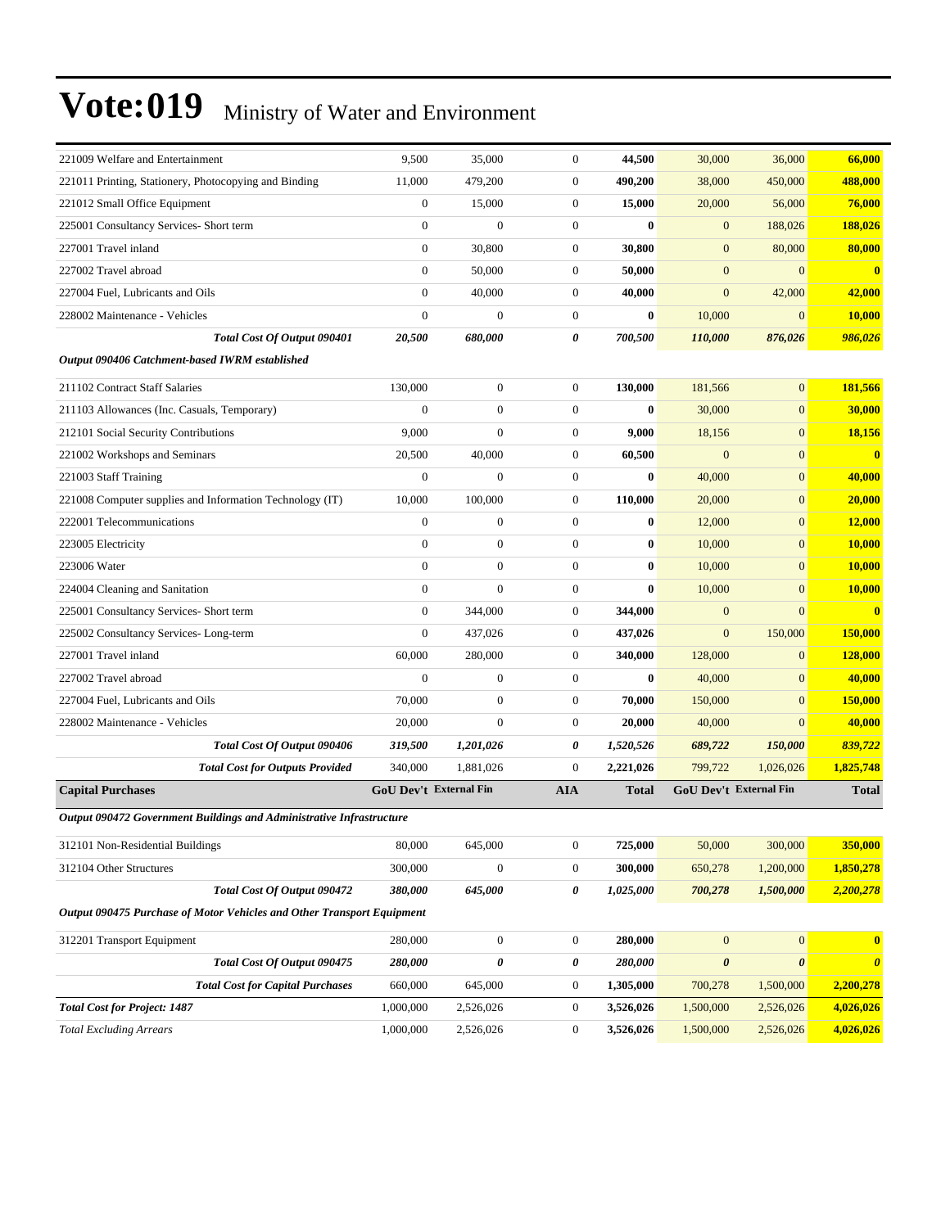| 221009 Welfare and Entertainment                                       | 9,500                  | 35,000                | $\boldsymbol{0}$ | 44,500       | 30,000                 | 36,000                | 66,000                |
|------------------------------------------------------------------------|------------------------|-----------------------|------------------|--------------|------------------------|-----------------------|-----------------------|
| 221011 Printing, Stationery, Photocopying and Binding                  | 11,000                 | 479,200               | $\boldsymbol{0}$ | 490,200      | 38,000                 | 450,000               | 488,000               |
| 221012 Small Office Equipment                                          | $\boldsymbol{0}$       | 15,000                | $\boldsymbol{0}$ | 15,000       | 20,000                 | 56,000                | 76,000                |
| 225001 Consultancy Services- Short term                                | $\boldsymbol{0}$       | $\mathbf{0}$          | $\boldsymbol{0}$ | $\bf{0}$     | $\mathbf{0}$           | 188,026               | 188,026               |
| 227001 Travel inland                                                   | $\boldsymbol{0}$       | 30,800                | $\boldsymbol{0}$ | 30,800       | $\mathbf{0}$           | 80,000                | 80,000                |
| 227002 Travel abroad                                                   | $\boldsymbol{0}$       | 50,000                | $\boldsymbol{0}$ | 50,000       | $\mathbf{0}$           | $\mathbf{0}$          | $\mathbf{0}$          |
| 227004 Fuel, Lubricants and Oils                                       | $\mathbf{0}$           | 40,000                | $\boldsymbol{0}$ | 40,000       | $\mathbf{0}$           | 42,000                | 42,000                |
| 228002 Maintenance - Vehicles                                          | $\mathbf{0}$           | $\mathbf{0}$          | $\boldsymbol{0}$ | $\bf{0}$     | 10,000                 | $\mathbf{0}$          | 10,000                |
| Total Cost Of Output 090401                                            | 20,500                 | 680,000               | 0                | 700,500      | 110,000                | 876,026               | 986,026               |
| Output 090406 Catchment-based IWRM established                         |                        |                       |                  |              |                        |                       |                       |
| 211102 Contract Staff Salaries                                         | 130,000                | $\boldsymbol{0}$      | $\boldsymbol{0}$ | 130,000      | 181,566                | $\mathbf{0}$          | 181,566               |
| 211103 Allowances (Inc. Casuals, Temporary)                            | $\mathbf{0}$           | $\mathbf{0}$          | $\boldsymbol{0}$ | $\bf{0}$     | 30,000                 | $\mathbf{0}$          | 30,000                |
| 212101 Social Security Contributions                                   | 9,000                  | $\mathbf{0}$          | $\boldsymbol{0}$ | 9,000        | 18,156                 | $\mathbf{0}$          | 18,156                |
| 221002 Workshops and Seminars                                          | 20,500                 | 40,000                | $\boldsymbol{0}$ | 60,500       | $\boldsymbol{0}$       | $\mathbf{0}$          | $\bf{0}$              |
| 221003 Staff Training                                                  | $\boldsymbol{0}$       | $\mathbf{0}$          | $\boldsymbol{0}$ | $\bf{0}$     | 40,000                 | $\mathbf{0}$          | 40,000                |
| 221008 Computer supplies and Information Technology (IT)               | 10,000                 | 100,000               | $\boldsymbol{0}$ | 110,000      | 20,000                 | $\mathbf{0}$          | 20,000                |
| 222001 Telecommunications                                              | $\mathbf{0}$           | $\mathbf{0}$          | $\boldsymbol{0}$ | $\bf{0}$     | 12,000                 | $\mathbf{0}$          | 12,000                |
| 223005 Electricity                                                     | $\mathbf{0}$           | $\mathbf{0}$          | $\boldsymbol{0}$ | $\bf{0}$     | 10,000                 | $\mathbf{0}$          | 10,000                |
| 223006 Water                                                           | $\overline{0}$         | $\mathbf{0}$          | $\boldsymbol{0}$ | $\bf{0}$     | 10,000                 | $\mathbf{0}$          | 10,000                |
| 224004 Cleaning and Sanitation                                         | $\boldsymbol{0}$       | $\mathbf{0}$          | $\boldsymbol{0}$ | $\bf{0}$     | 10,000                 | $\mathbf{0}$          | 10,000                |
| 225001 Consultancy Services- Short term                                | $\boldsymbol{0}$       | 344,000               | $\boldsymbol{0}$ | 344,000      | $\mathbf{0}$           | $\Omega$              | $\bf{0}$              |
| 225002 Consultancy Services-Long-term                                  | $\mathbf{0}$           | 437,026               | $\boldsymbol{0}$ | 437,026      | $\mathbf{0}$           | 150,000               | 150,000               |
| 227001 Travel inland                                                   | 60,000                 | 280,000               | $\boldsymbol{0}$ | 340,000      | 128,000                | $\mathbf{0}$          | 128,000               |
| 227002 Travel abroad                                                   | $\boldsymbol{0}$       | $\boldsymbol{0}$      | $\boldsymbol{0}$ | $\bf{0}$     | 40,000                 | $\mathbf{0}$          | 40,000                |
| 227004 Fuel, Lubricants and Oils                                       | 70,000                 | $\boldsymbol{0}$      | $\boldsymbol{0}$ | 70,000       | 150,000                | $\mathbf{0}$          | 150,000               |
| 228002 Maintenance - Vehicles                                          | 20,000                 | $\mathbf{0}$          | $\boldsymbol{0}$ | 20,000       | 40,000                 | $\mathbf{0}$          | 40,000                |
| Total Cost Of Output 090406                                            | 319,500                | 1,201,026             | 0                | 1,520,526    | 689,722                | 150,000               | 839,722               |
| <b>Total Cost for Outputs Provided</b>                                 | 340,000                | 1,881,026             | $\boldsymbol{0}$ | 2,221,026    | 799,722                | 1,026,026             | 1,825,748             |
| <b>Capital Purchases</b>                                               | GoU Dev't External Fin |                       | <b>AIA</b>       | <b>Total</b> | GoU Dev't External Fin |                       | <b>Total</b>          |
| Output 090472 Government Buildings and Administrative Infrastructure   |                        |                       |                  |              |                        |                       |                       |
| 312101 Non-Residential Buildings                                       | 80,000                 | 645,000               | $\boldsymbol{0}$ | 725,000      | 50,000                 | 300,000               | 350,000               |
| 312104 Other Structures                                                | 300,000                | $\boldsymbol{0}$      | $\boldsymbol{0}$ | 300,000      | 650,278                | 1,200,000             | 1,850,278             |
| Total Cost Of Output 090472                                            | 380,000                | 645,000               | 0                | 1,025,000    | 700,278                | 1,500,000             | 2,200,278             |
| Output 090475 Purchase of Motor Vehicles and Other Transport Equipment |                        |                       |                  |              |                        |                       |                       |
| 312201 Transport Equipment                                             | 280,000                | $\boldsymbol{0}$      | $\boldsymbol{0}$ | 280,000      | $\mathbf{0}$           | $\mathbf{0}$          | $\bf{0}$              |
| Total Cost Of Output 090475                                            | 280,000                | $\boldsymbol{\theta}$ | 0                | 280,000      | 0                      | $\boldsymbol{\theta}$ | $\boldsymbol{\theta}$ |
| <b>Total Cost for Capital Purchases</b>                                | 660,000                | 645,000               | $\boldsymbol{0}$ | 1,305,000    | 700,278                | 1,500,000             | 2,200,278             |
| <b>Total Cost for Project: 1487</b>                                    | 1,000,000              | 2,526,026             | $\boldsymbol{0}$ | 3,526,026    | 1,500,000              | 2,526,026             | 4,026,026             |
| <b>Total Excluding Arrears</b>                                         | 1,000,000              | 2,526,026             | $\boldsymbol{0}$ | 3,526,026    | 1,500,000              | 2,526,026             | 4,026,026             |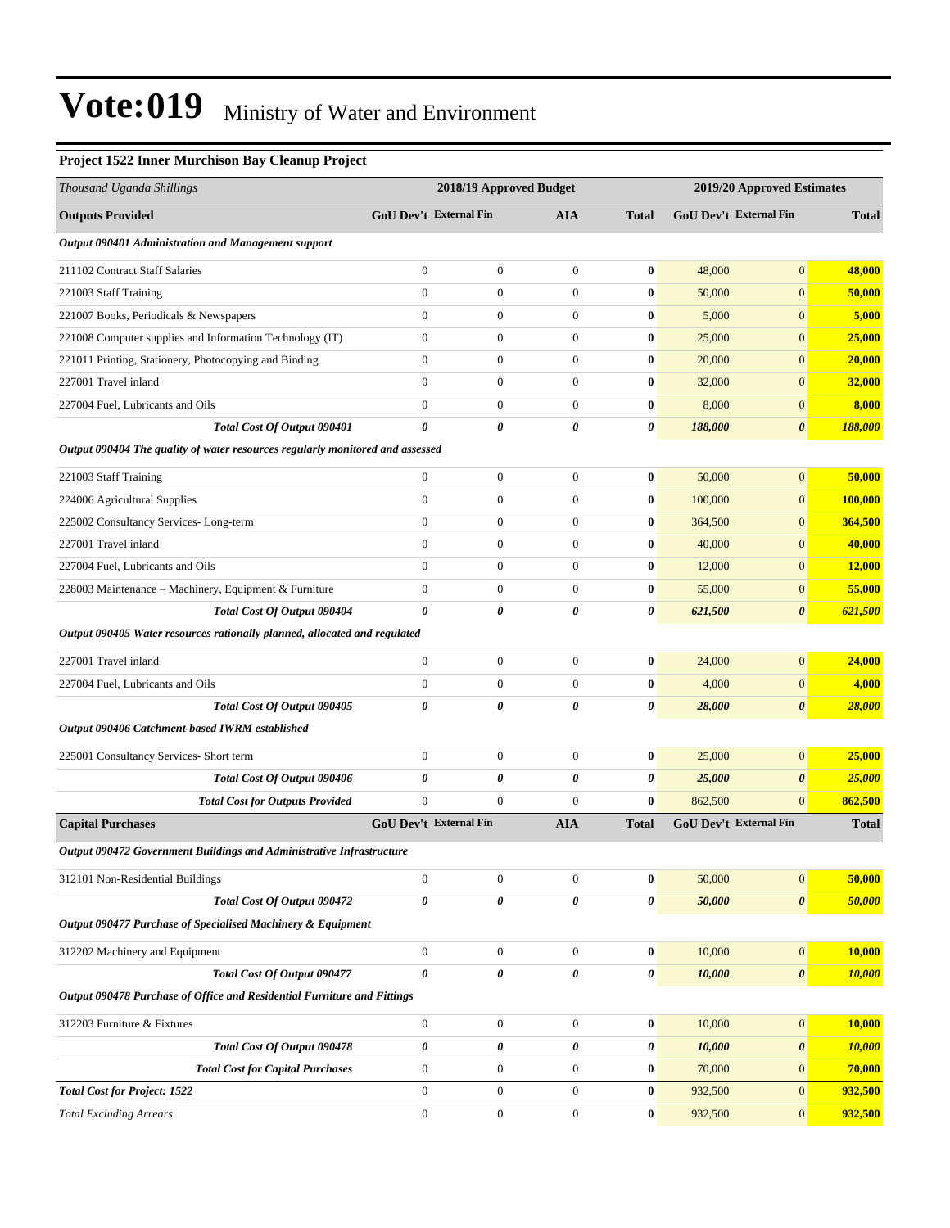#### **Project 1522 Inner Murchison Bay Cleanup Project**

| Thousand Uganda Shillings                                                     |                               | 2018/19 Approved Budget |                  |              |         | 2019/20 Approved Estimates    |               |
|-------------------------------------------------------------------------------|-------------------------------|-------------------------|------------------|--------------|---------|-------------------------------|---------------|
| <b>Outputs Provided</b>                                                       | GoU Dev't External Fin        |                         | AIA              | <b>Total</b> |         | <b>GoU Dev't External Fin</b> | <b>Total</b>  |
| Output 090401 Administration and Management support                           |                               |                         |                  |              |         |                               |               |
| 211102 Contract Staff Salaries                                                | $\boldsymbol{0}$              | $\boldsymbol{0}$        | $\boldsymbol{0}$ | $\bf{0}$     | 48,000  | $\overline{0}$                | 48,000        |
| 221003 Staff Training                                                         | $\boldsymbol{0}$              | $\boldsymbol{0}$        | $\boldsymbol{0}$ | $\bf{0}$     | 50,000  | $\overline{0}$                | 50,000        |
| 221007 Books, Periodicals & Newspapers                                        | $\overline{0}$                | $\boldsymbol{0}$        | $\boldsymbol{0}$ | $\bf{0}$     | 5,000   | $\boldsymbol{0}$              | 5,000         |
| 221008 Computer supplies and Information Technology (IT)                      | $\boldsymbol{0}$              | $\boldsymbol{0}$        | $\mathbf{0}$     | $\bf{0}$     | 25,000  | $\mathbf{0}$                  | 25,000        |
| 221011 Printing, Stationery, Photocopying and Binding                         | $\overline{0}$                | $\boldsymbol{0}$        | $\boldsymbol{0}$ | $\bf{0}$     | 20,000  | $\boldsymbol{0}$              | 20,000        |
| 227001 Travel inland                                                          | $\boldsymbol{0}$              | $\boldsymbol{0}$        | $\boldsymbol{0}$ | $\bf{0}$     | 32,000  | $\overline{0}$                | 32,000        |
| 227004 Fuel, Lubricants and Oils                                              | $\overline{0}$                | $\boldsymbol{0}$        | $\mathbf{0}$     | $\bf{0}$     | 8,000   | $\overline{0}$                | 8,000         |
| Total Cost Of Output 090401                                                   | 0                             | 0                       | 0                | 0            | 188,000 | $\boldsymbol{\theta}$         | 188,000       |
| Output 090404 The quality of water resources regularly monitored and assessed |                               |                         |                  |              |         |                               |               |
| 221003 Staff Training                                                         | $\boldsymbol{0}$              | $\boldsymbol{0}$        | $\boldsymbol{0}$ | $\bf{0}$     | 50,000  | $\overline{0}$                | 50,000        |
| 224006 Agricultural Supplies                                                  | $\overline{0}$                | $\boldsymbol{0}$        | $\boldsymbol{0}$ | $\bf{0}$     | 100,000 | $\overline{0}$                | 100,000       |
| 225002 Consultancy Services-Long-term                                         | $\boldsymbol{0}$              | $\boldsymbol{0}$        | $\boldsymbol{0}$ | $\bf{0}$     | 364,500 | $\mathbf{0}$                  | 364,500       |
| 227001 Travel inland                                                          | $\boldsymbol{0}$              | $\boldsymbol{0}$        | $\boldsymbol{0}$ | $\bf{0}$     | 40,000  | $\boldsymbol{0}$              | 40,000        |
| 227004 Fuel, Lubricants and Oils                                              | $\overline{0}$                | $\boldsymbol{0}$        | $\mathbf{0}$     | $\bf{0}$     | 12,000  | $\boldsymbol{0}$              | <b>12,000</b> |
| 228003 Maintenance – Machinery, Equipment & Furniture                         | $\boldsymbol{0}$              | $\boldsymbol{0}$        | $\mathbf{0}$     | $\bf{0}$     | 55,000  | $\mathbf{0}$                  | 55,000        |
| Total Cost Of Output 090404                                                   | 0                             | 0                       | $\pmb{\theta}$   | 0            | 621,500 | $\boldsymbol{\theta}$         | 621,500       |
| Output 090405 Water resources rationally planned, allocated and regulated     |                               |                         |                  |              |         |                               |               |
| 227001 Travel inland                                                          | $\boldsymbol{0}$              | $\boldsymbol{0}$        | $\boldsymbol{0}$ | $\bf{0}$     | 24,000  | $\overline{0}$                | 24,000        |
| 227004 Fuel, Lubricants and Oils                                              | $\overline{0}$                | $\boldsymbol{0}$        | $\mathbf{0}$     | $\bf{0}$     | 4,000   | $\overline{0}$                | 4,000         |
| Total Cost Of Output 090405                                                   | 0                             | 0                       | 0                | 0            | 28,000  | $\boldsymbol{\theta}$         | 28,000        |
| Output 090406 Catchment-based IWRM established                                |                               |                         |                  |              |         |                               |               |
| 225001 Consultancy Services- Short term                                       | $\boldsymbol{0}$              | $\boldsymbol{0}$        | $\boldsymbol{0}$ | $\bf{0}$     | 25,000  | $\overline{0}$                | 25,000        |
| Total Cost Of Output 090406                                                   | 0                             | 0                       | $\pmb{\theta}$   | 0            | 25,000  | $\boldsymbol{\theta}$         | <b>25,000</b> |
| <b>Total Cost for Outputs Provided</b>                                        | $\mathbf{0}$                  | $\boldsymbol{0}$        | $\boldsymbol{0}$ | $\bf{0}$     | 862,500 | $\overline{0}$                | 862,500       |
| <b>Capital Purchases</b>                                                      | <b>GoU Dev't External Fin</b> |                         | <b>AIA</b>       | <b>Total</b> |         | GoU Dev't External Fin        | <b>Total</b>  |
| Output 090472 Government Buildings and Administrative Infrastructure          |                               |                         |                  |              |         |                               |               |
| 312101 Non-Residential Buildings                                              | $\boldsymbol{0}$              | $\boldsymbol{0}$        | $\boldsymbol{0}$ | $\bf{0}$     | 50,000  | $\overline{0}$                | 50,000        |
| Total Cost Of Output 090472                                                   | 0                             | 0                       | 0                | 0            | 50,000  | $\pmb{\theta}$                | 50,000        |
| Output 090477 Purchase of Specialised Machinery & Equipment                   |                               |                         |                  |              |         |                               |               |
| 312202 Machinery and Equipment                                                | $\boldsymbol{0}$              | $\boldsymbol{0}$        | $\mathbf{0}$     | $\bf{0}$     | 10,000  | $\mathbf{0}$                  | 10,000        |
| Total Cost Of Output 090477                                                   | $\theta$                      | 0                       | 0                | 0            | 10,000  | $\boldsymbol{\theta}$         | 10,000        |
| Output 090478 Purchase of Office and Residential Furniture and Fittings       |                               |                         |                  |              |         |                               |               |
| 312203 Furniture & Fixtures                                                   | $\boldsymbol{0}$              | $\boldsymbol{0}$        | $\boldsymbol{0}$ | $\bf{0}$     | 10,000  | $\overline{0}$                | <b>10,000</b> |
| Total Cost Of Output 090478                                                   | 0                             | 0                       | 0                | 0            | 10,000  | $\boldsymbol{\theta}$         | 10,000        |
| <b>Total Cost for Capital Purchases</b>                                       | $\boldsymbol{0}$              | $\boldsymbol{0}$        | $\boldsymbol{0}$ | $\bf{0}$     | 70,000  | $\mathbf{0}$                  | 70,000        |
| <b>Total Cost for Project: 1522</b>                                           | $\boldsymbol{0}$              | $\boldsymbol{0}$        | $\boldsymbol{0}$ | $\bf{0}$     | 932,500 | $\mathbf{0}$                  | 932,500       |
| <b>Total Excluding Arrears</b>                                                | $\boldsymbol{0}$              | $\boldsymbol{0}$        | $\boldsymbol{0}$ | $\bf{0}$     | 932,500 | $\mathbf{0}$                  | 932,500       |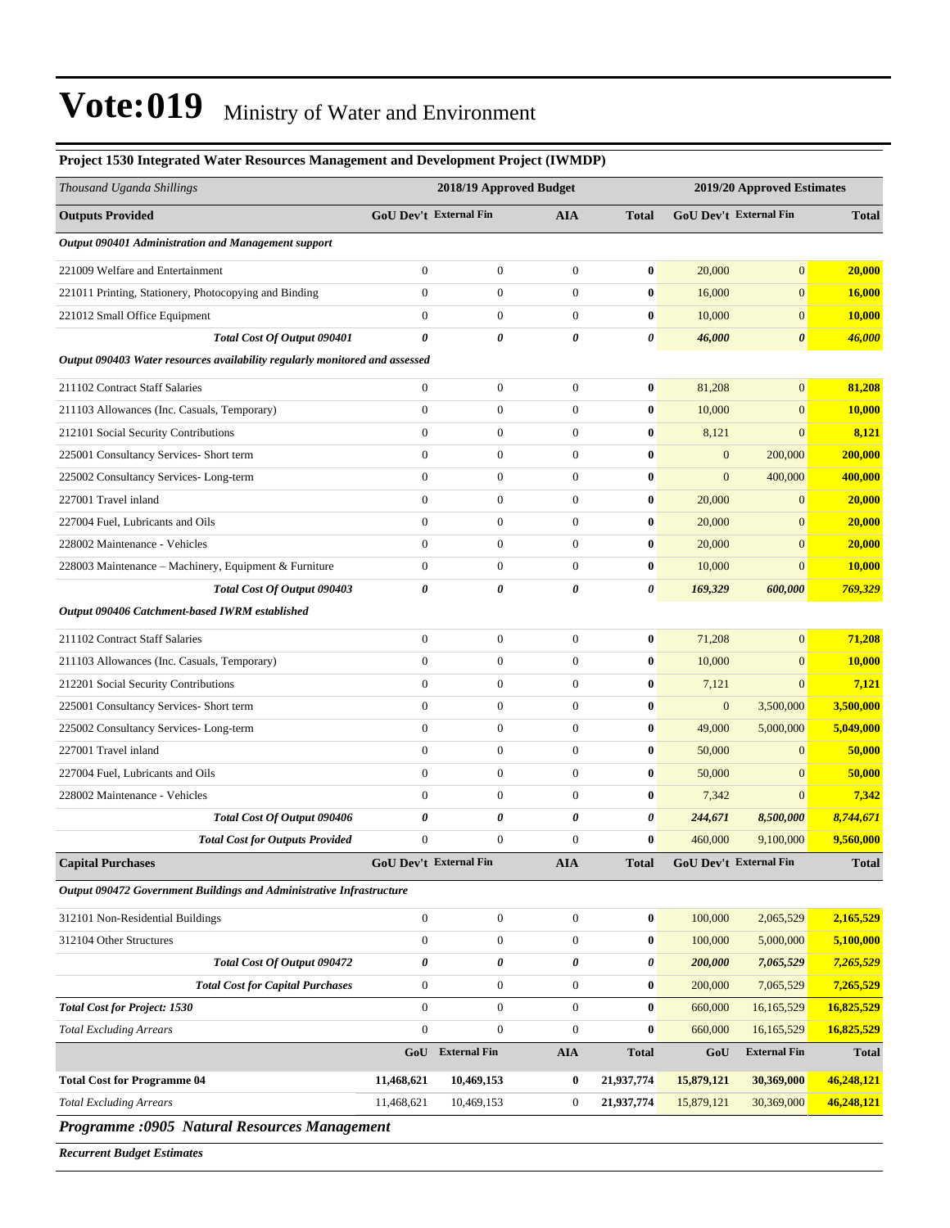| Thousand Uganda Shillings                                                   |                       | 2018/19 Approved Budget       |                  |              |                  | 2019/20 Approved Estimates |               |  |
|-----------------------------------------------------------------------------|-----------------------|-------------------------------|------------------|--------------|------------------|----------------------------|---------------|--|
| <b>Outputs Provided</b>                                                     |                       | <b>GoU Dev't External Fin</b> | <b>AIA</b>       | <b>Total</b> |                  | GoU Dev't External Fin     | <b>Total</b>  |  |
| Output 090401 Administration and Management support                         |                       |                               |                  |              |                  |                            |               |  |
| 221009 Welfare and Entertainment                                            | $\overline{0}$        | $\boldsymbol{0}$              | $\boldsymbol{0}$ | $\bf{0}$     | 20,000           | $\mathbf{0}$               | 20,000        |  |
| 221011 Printing, Stationery, Photocopying and Binding                       | $\boldsymbol{0}$      | $\boldsymbol{0}$              | $\boldsymbol{0}$ | $\bf{0}$     | 16,000           | $\mathbf{0}$               | 16,000        |  |
| 221012 Small Office Equipment                                               | $\boldsymbol{0}$      | $\boldsymbol{0}$              | $\mathbf{0}$     | $\bf{0}$     | 10,000           | $\mathbf{0}$               | 10,000        |  |
| Total Cost Of Output 090401                                                 | $\boldsymbol{\theta}$ | 0                             | $\pmb{\theta}$   | 0            | 46,000           | $\boldsymbol{\theta}$      | 46,000        |  |
| Output 090403 Water resources availability regularly monitored and assessed |                       |                               |                  |              |                  |                            |               |  |
| 211102 Contract Staff Salaries                                              | $\boldsymbol{0}$      | $\boldsymbol{0}$              | $\mathbf{0}$     | $\bf{0}$     | 81,208           | $\mathbf{0}$               | 81,208        |  |
| 211103 Allowances (Inc. Casuals, Temporary)                                 | $\overline{0}$        | $\boldsymbol{0}$              | $\overline{0}$   | $\bf{0}$     | 10,000           | $\mathbf{0}$               | <b>10,000</b> |  |
| 212101 Social Security Contributions                                        | $\overline{0}$        | $\boldsymbol{0}$              | $\boldsymbol{0}$ | $\bf{0}$     | 8,121            | $\mathbf{0}$               | 8,121         |  |
| 225001 Consultancy Services- Short term                                     | $\boldsymbol{0}$      | $\boldsymbol{0}$              | $\boldsymbol{0}$ | $\bf{0}$     | $\mathbf{0}$     | 200,000                    | 200,000       |  |
| 225002 Consultancy Services-Long-term                                       | $\boldsymbol{0}$      | $\boldsymbol{0}$              | $\mathbf{0}$     | $\bf{0}$     | $\mathbf{0}$     | 400,000                    | 400,000       |  |
| 227001 Travel inland                                                        | $\boldsymbol{0}$      | $\boldsymbol{0}$              | $\mathbf{0}$     | $\bf{0}$     | 20,000           | $\mathbf{0}$               | 20,000        |  |
| 227004 Fuel, Lubricants and Oils                                            | $\overline{0}$        | $\boldsymbol{0}$              | $\mathbf{0}$     | $\bf{0}$     | 20,000           | $\mathbf{0}$               | 20,000        |  |
| 228002 Maintenance - Vehicles                                               | $\overline{0}$        | $\boldsymbol{0}$              | $\boldsymbol{0}$ | $\bf{0}$     | 20,000           | $\mathbf{0}$               | 20,000        |  |
| 228003 Maintenance - Machinery, Equipment & Furniture                       | $\boldsymbol{0}$      | $\boldsymbol{0}$              | $\mathbf{0}$     | $\bf{0}$     | 10,000           | $\mathbf{0}$               | 10,000        |  |
| Total Cost Of Output 090403                                                 | $\pmb{\theta}$        | 0                             | 0                | 0            | 169,329          | 600,000                    | 769,329       |  |
| Output 090406 Catchment-based IWRM established                              |                       |                               |                  |              |                  |                            |               |  |
| 211102 Contract Staff Salaries                                              | $\boldsymbol{0}$      | $\boldsymbol{0}$              | $\boldsymbol{0}$ | $\bf{0}$     | 71,208           | $\mathbf{0}$               | 71,208        |  |
| 211103 Allowances (Inc. Casuals, Temporary)                                 | $\overline{0}$        | $\boldsymbol{0}$              | $\mathbf{0}$     | $\bf{0}$     | 10,000           | $\boldsymbol{0}$           | <b>10,000</b> |  |
| 212201 Social Security Contributions                                        | $\boldsymbol{0}$      | $\boldsymbol{0}$              | $\boldsymbol{0}$ | $\bf{0}$     | 7,121            | $\mathbf{0}$               | 7,121         |  |
| 225001 Consultancy Services- Short term                                     | $\boldsymbol{0}$      | $\boldsymbol{0}$              | $\boldsymbol{0}$ | $\bf{0}$     | $\boldsymbol{0}$ | 3,500,000                  | 3,500,000     |  |
| 225002 Consultancy Services-Long-term                                       | $\mathbf{0}$          | $\boldsymbol{0}$              | $\mathbf{0}$     | $\bf{0}$     | 49,000           | 5,000,000                  | 5,049,000     |  |
| 227001 Travel inland                                                        | $\boldsymbol{0}$      | $\boldsymbol{0}$              | $\mathbf{0}$     | $\bf{0}$     | 50,000           | $\mathbf{0}$               | 50,000        |  |
| 227004 Fuel, Lubricants and Oils                                            | $\overline{0}$        | $\boldsymbol{0}$              | $\mathbf{0}$     | $\bf{0}$     | 50,000           | $\mathbf{0}$               | 50,000        |  |
| 228002 Maintenance - Vehicles                                               | $\mathbf{0}$          | $\boldsymbol{0}$              | $\mathbf{0}$     | $\bf{0}$     | 7,342            | $\mathbf{0}$               | 7,342         |  |
| Total Cost Of Output 090406                                                 | $\pmb{\theta}$        | 0                             | $\pmb{\theta}$   | 0            | 244,671          | 8,500,000                  | 8,744,671     |  |
| <b>Total Cost for Outputs Provided</b>                                      | $\boldsymbol{0}$      | $\boldsymbol{0}$              | $\mathbf{0}$     | $\bf{0}$     | 460,000          | 9,100,000                  | 9,560,000     |  |
| <b>Capital Purchases</b>                                                    |                       | GoU Dev't External Fin        | <b>AIA</b>       | <b>Total</b> |                  | GoU Dev't External Fin     | <b>Total</b>  |  |
| Output 090472 Government Buildings and Administrative Infrastructure        |                       |                               |                  |              |                  |                            |               |  |
| 312101 Non-Residential Buildings                                            | $\boldsymbol{0}$      | $\boldsymbol{0}$              | $\boldsymbol{0}$ | $\bf{0}$     | 100,000          | 2,065,529                  | 2,165,529     |  |
| 312104 Other Structures                                                     | $\boldsymbol{0}$      | $\boldsymbol{0}$              | $\mathbf{0}$     | $\bf{0}$     | 100,000          | 5,000,000                  | 5,100,000     |  |
| Total Cost Of Output 090472                                                 | 0                     | 0                             | 0                | 0            | 200,000          | 7,065,529                  | 7,265,529     |  |
| <b>Total Cost for Capital Purchases</b>                                     | $\boldsymbol{0}$      | $\boldsymbol{0}$              | $\boldsymbol{0}$ | $\bf{0}$     | 200,000          | 7,065,529                  | 7,265,529     |  |
| <b>Total Cost for Project: 1530</b>                                         | $\mathbf{0}$          | $\boldsymbol{0}$              | $\boldsymbol{0}$ | $\bf{0}$     | 660,000          | 16,165,529                 | 16,825,529    |  |
| <b>Total Excluding Arrears</b>                                              | $\boldsymbol{0}$      | $\boldsymbol{0}$              | $\mathbf{0}$     | $\bf{0}$     | 660,000          | 16,165,529                 | 16,825,529    |  |
|                                                                             | GoU                   | <b>External Fin</b>           | <b>AIA</b>       | <b>Total</b> | GoU              | <b>External Fin</b>        | <b>Total</b>  |  |
| <b>Total Cost for Programme 04</b>                                          | 11,468,621            | 10,469,153                    | $\bf{0}$         | 21,937,774   | 15,879,121       | 30,369,000                 | 46,248,121    |  |
| <b>Total Excluding Arrears</b>                                              | 11,468,621            | 10,469,153                    | $\overline{0}$   | 21,937,774   | 15,879,121       | 30,369,000                 | 46,248,121    |  |

#### **Project 1530 Integrated Water Resources Management and Development Project (IWMDP)**

*Programme :0905 Natural Resources Management*

*Recurrent Budget Estimates*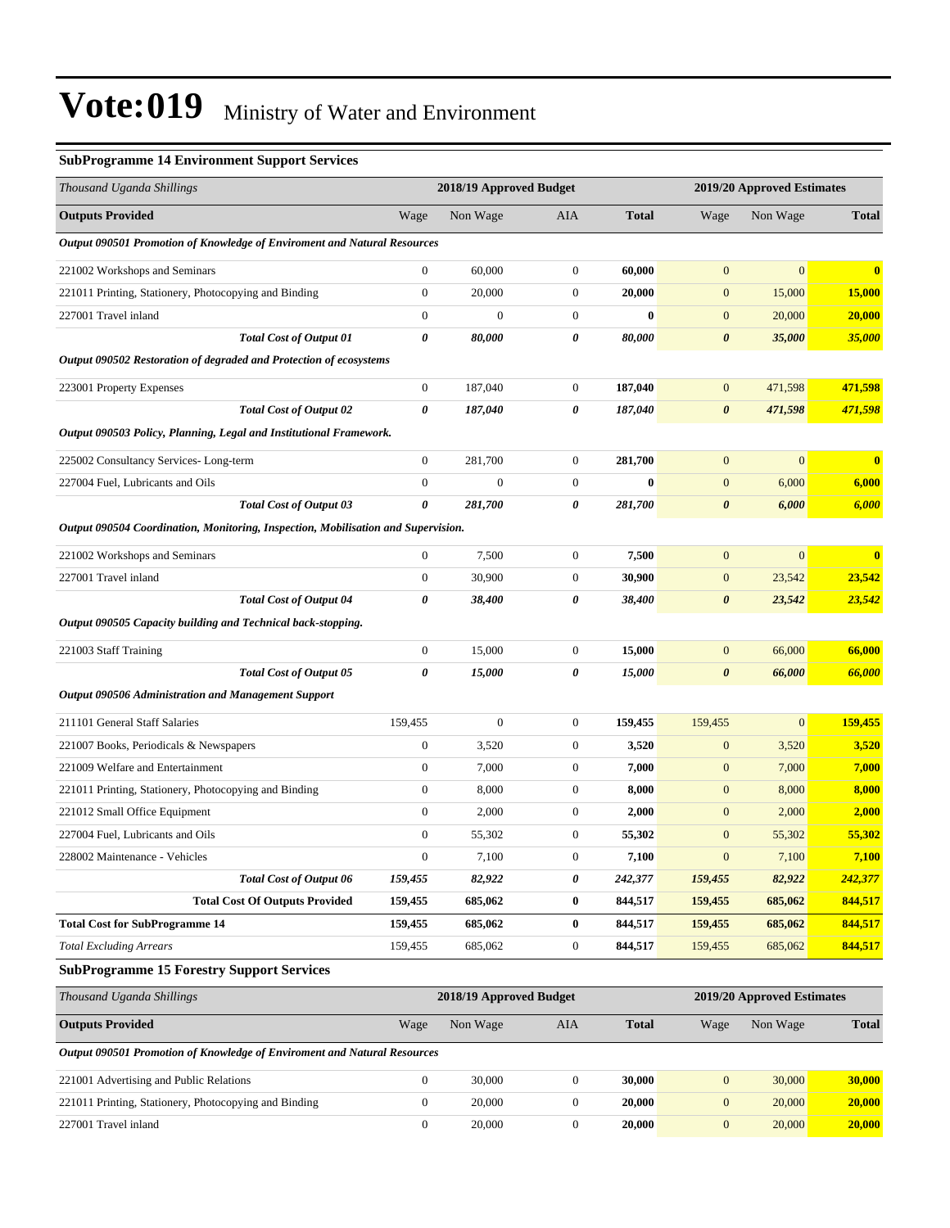#### **SubProgramme 14 Environment Support Services**

| Thousand Uganda Shillings                                                         |                  | 2018/19 Approved Budget |                  |              |                       | 2019/20 Approved Estimates |              |  |
|-----------------------------------------------------------------------------------|------------------|-------------------------|------------------|--------------|-----------------------|----------------------------|--------------|--|
| <b>Outputs Provided</b>                                                           | Wage             | Non Wage                | AIA              | <b>Total</b> | Wage                  | Non Wage                   | <b>Total</b> |  |
| <b>Output 090501 Promotion of Knowledge of Enviroment and Natural Resources</b>   |                  |                         |                  |              |                       |                            |              |  |
| 221002 Workshops and Seminars                                                     | $\mathbf{0}$     | 60,000                  | $\boldsymbol{0}$ | 60,000       | $\mathbf{0}$          | $\mathbf{0}$               | $\bf{0}$     |  |
| 221011 Printing, Stationery, Photocopying and Binding                             | $\boldsymbol{0}$ | 20,000                  | $\boldsymbol{0}$ | 20,000       | $\boldsymbol{0}$      | 15,000                     | 15,000       |  |
| 227001 Travel inland                                                              | $\boldsymbol{0}$ | $\boldsymbol{0}$        | $\boldsymbol{0}$ | $\bf{0}$     | $\boldsymbol{0}$      | 20,000                     | 20,000       |  |
| <b>Total Cost of Output 01</b>                                                    | 0                | 80,000                  | 0                | 80,000       | $\boldsymbol{\theta}$ | 35,000                     | 35,000       |  |
| Output 090502 Restoration of degraded and Protection of ecosystems                |                  |                         |                  |              |                       |                            |              |  |
| 223001 Property Expenses                                                          | $\boldsymbol{0}$ | 187,040                 | $\overline{0}$   | 187,040      | $\boldsymbol{0}$      | 471,598                    | 471,598      |  |
| <b>Total Cost of Output 02</b>                                                    | 0                | 187,040                 | 0                | 187,040      | $\pmb{\theta}$        | 471,598                    | 471,598      |  |
| Output 090503 Policy, Planning, Legal and Institutional Framework.                |                  |                         |                  |              |                       |                            |              |  |
| 225002 Consultancy Services-Long-term                                             | $\boldsymbol{0}$ | 281,700                 | $\boldsymbol{0}$ | 281,700      | $\boldsymbol{0}$      | $\mathbf{0}$               | $\bf{0}$     |  |
| 227004 Fuel, Lubricants and Oils                                                  | $\mathbf{0}$     | $\boldsymbol{0}$        | $\boldsymbol{0}$ | $\bf{0}$     | $\boldsymbol{0}$      | 6,000                      | 6,000        |  |
| <b>Total Cost of Output 03</b>                                                    | 0                | 281,700                 | 0                | 281,700      | $\boldsymbol{\theta}$ | 6,000                      | 6,000        |  |
| Output 090504 Coordination, Monitoring, Inspection, Mobilisation and Supervision. |                  |                         |                  |              |                       |                            |              |  |
| 221002 Workshops and Seminars                                                     | $\boldsymbol{0}$ | 7,500                   | $\boldsymbol{0}$ | 7,500        | $\boldsymbol{0}$      | $\mathbf{0}$               | $\bf{0}$     |  |
| 227001 Travel inland                                                              | $\boldsymbol{0}$ | 30,900                  | $\boldsymbol{0}$ | 30,900       | $\boldsymbol{0}$      | 23,542                     | 23,542       |  |
| <b>Total Cost of Output 04</b>                                                    | $\pmb{\theta}$   | 38,400                  | 0                | 38,400       | $\boldsymbol{\theta}$ | 23,542                     | 23,542       |  |
| Output 090505 Capacity building and Technical back-stopping.                      |                  |                         |                  |              |                       |                            |              |  |
| 221003 Staff Training                                                             | $\boldsymbol{0}$ | 15,000                  | $\boldsymbol{0}$ | 15,000       | $\mathbf{0}$          | 66,000                     | 66,000       |  |
| <b>Total Cost of Output 05</b>                                                    | 0                | 15,000                  | 0                | 15,000       | $\boldsymbol{\theta}$ | 66,000                     | 66,000       |  |
| <b>Output 090506 Administration and Management Support</b>                        |                  |                         |                  |              |                       |                            |              |  |
| 211101 General Staff Salaries                                                     | 159,455          | $\boldsymbol{0}$        | $\boldsymbol{0}$ | 159,455      | 159,455               | $\mathbf{0}$               | 159,455      |  |
| 221007 Books, Periodicals & Newspapers                                            | $\mathbf{0}$     | 3,520                   | $\boldsymbol{0}$ | 3,520        | $\mathbf{0}$          | 3,520                      | 3,520        |  |
| 221009 Welfare and Entertainment                                                  | $\boldsymbol{0}$ | 7,000                   | $\boldsymbol{0}$ | 7,000        | $\boldsymbol{0}$      | 7,000                      | 7,000        |  |
| 221011 Printing, Stationery, Photocopying and Binding                             | $\boldsymbol{0}$ | 8,000                   | $\boldsymbol{0}$ | 8,000        | $\boldsymbol{0}$      | 8,000                      | 8,000        |  |
| 221012 Small Office Equipment                                                     | $\boldsymbol{0}$ | 2,000                   | $\boldsymbol{0}$ | 2,000        | $\boldsymbol{0}$      | 2,000                      | 2,000        |  |
| 227004 Fuel, Lubricants and Oils                                                  | $\boldsymbol{0}$ | 55,302                  | $\boldsymbol{0}$ | 55,302       | $\boldsymbol{0}$      | 55,302                     | 55,302       |  |
| 228002 Maintenance - Vehicles                                                     | $\mathbf{0}$     | 7,100                   | $\mathbf{0}$     | 7,100        | $\boldsymbol{0}$      | 7,100                      | 7,100        |  |
| <b>Total Cost of Output 06</b>                                                    | 159,455          | 82,922                  | 0                | 242,377      | 159,455               | 82,922                     | 242,377      |  |
| <b>Total Cost Of Outputs Provided</b>                                             | 159,455          | 685,062                 | $\boldsymbol{0}$ | 844,517      | 159,455               | 685,062                    | 844,517      |  |
| <b>Total Cost for SubProgramme 14</b>                                             | 159,455          | 685,062                 | $\bf{0}$         | 844,517      | 159,455               | 685,062                    | 844,517      |  |
| <b>Total Excluding Arrears</b>                                                    | 159,455          | 685,062                 | $\boldsymbol{0}$ | 844,517      | 159,455               | 685,062                    | 844,517      |  |
| <b>SubProgramme 15 Forestry Support Services</b>                                  |                  |                         |                  |              |                       |                            |              |  |
| Thousand Uganda Shillings                                                         |                  | 2018/19 Approved Budget |                  |              |                       | 2019/20 Approved Estimates |              |  |
| <b>Outputs Provided</b>                                                           | Wage             | Non Wage                | AIA              | <b>Total</b> | Wage                  | Non Wage                   | <b>Total</b> |  |
| Output 090501 Promotion of Knowledge of Enviroment and Natural Resources          |                  |                         |                  |              |                       |                            |              |  |
| 221001 Advertising and Public Relations                                           | $\mathbf{0}$     | 30,000                  | $\boldsymbol{0}$ | 30,000       | $\boldsymbol{0}$      | 30,000                     | 30,000       |  |

| 221001 Advertising and Public Relations               | 30.000 | .30.000       | 30.000 V | 30.000 |
|-------------------------------------------------------|--------|---------------|----------|--------|
| 221011 Printing, Stationery, Photocopying and Binding | 20.000 | <b>20.000</b> | 20,000   | 20.000 |
| 227001 Travel inland                                  | 20.000 | <b>20.000</b> | 20,000   | 20,000 |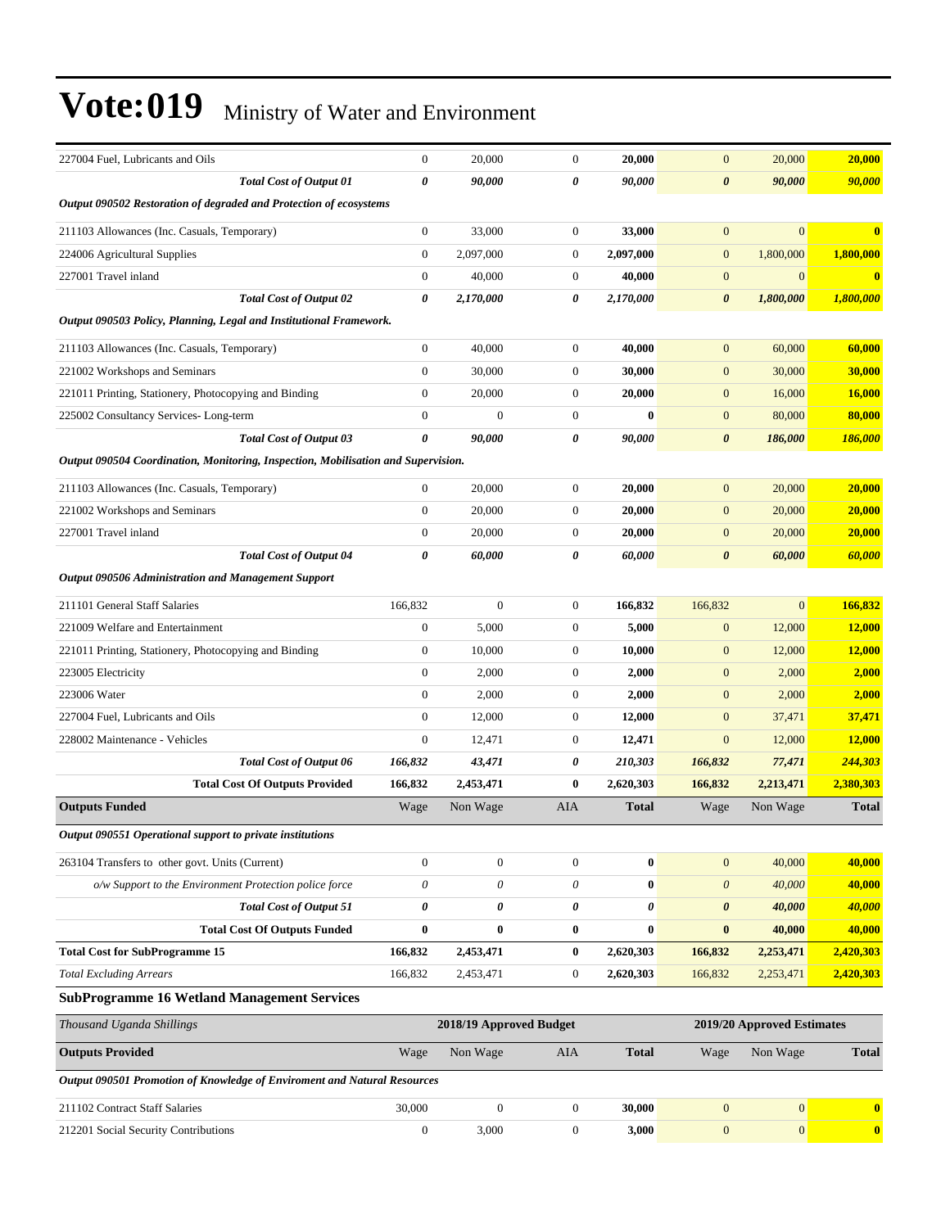| 227004 Fuel, Lubricants and Oils                                                  | $\mathbf{0}$     | 20,000                  | $\mathbf{0}$     | 20,000       | $\mathbf{0}$          | 20,000                     | 20,000       |
|-----------------------------------------------------------------------------------|------------------|-------------------------|------------------|--------------|-----------------------|----------------------------|--------------|
| <b>Total Cost of Output 01</b>                                                    | 0                | 90,000                  | 0                | 90,000       | $\boldsymbol{\theta}$ | 90,000                     | 90,000       |
| Output 090502 Restoration of degraded and Protection of ecosystems                |                  |                         |                  |              |                       |                            |              |
| 211103 Allowances (Inc. Casuals, Temporary)                                       | $\boldsymbol{0}$ | 33,000                  | $\boldsymbol{0}$ | 33,000       | $\mathbf{0}$          | $\mathbf{0}$               | $\mathbf{0}$ |
| 224006 Agricultural Supplies                                                      | $\boldsymbol{0}$ | 2,097,000               | $\boldsymbol{0}$ | 2,097,000    | $\mathbf{0}$          | 1,800,000                  | 1,800,000    |
| 227001 Travel inland                                                              | $\boldsymbol{0}$ | 40,000                  | $\boldsymbol{0}$ | 40,000       | $\mathbf{0}$          | $\mathbf{0}$               | $\bf{0}$     |
| <b>Total Cost of Output 02</b>                                                    | 0                | 2,170,000               | 0                | 2,170,000    | 0                     | 1,800,000                  | 1,800,000    |
| Output 090503 Policy, Planning, Legal and Institutional Framework.                |                  |                         |                  |              |                       |                            |              |
| 211103 Allowances (Inc. Casuals, Temporary)                                       | $\boldsymbol{0}$ | 40,000                  | $\mathbf{0}$     | 40,000       | $\mathbf{0}$          | 60,000                     | 60,000       |
| 221002 Workshops and Seminars                                                     | $\mathbf{0}$     | 30,000                  | $\mathbf{0}$     | 30,000       | $\mathbf{0}$          | 30,000                     | 30,000       |
| 221011 Printing, Stationery, Photocopying and Binding                             | $\boldsymbol{0}$ | 20,000                  | $\boldsymbol{0}$ | 20,000       | $\mathbf{0}$          | 16,000                     | 16,000       |
| 225002 Consultancy Services-Long-term                                             | $\boldsymbol{0}$ | $\mathbf{0}$            | $\boldsymbol{0}$ | $\bf{0}$     | $\mathbf{0}$          | 80,000                     | 80,000       |
| <b>Total Cost of Output 03</b>                                                    | 0                | 90,000                  | 0                | 90,000       | $\boldsymbol{\theta}$ | 186,000                    | 186,000      |
| Output 090504 Coordination, Monitoring, Inspection, Mobilisation and Supervision. |                  |                         |                  |              |                       |                            |              |
| 211103 Allowances (Inc. Casuals, Temporary)                                       | $\boldsymbol{0}$ | 20,000                  | $\mathbf{0}$     | 20,000       | $\mathbf{0}$          | 20,000                     | 20,000       |
| 221002 Workshops and Seminars                                                     | $\boldsymbol{0}$ | 20,000                  | $\boldsymbol{0}$ | 20,000       | $\mathbf{0}$          | 20,000                     | 20,000       |
| 227001 Travel inland                                                              | $\boldsymbol{0}$ | 20,000                  | $\mathbf{0}$     | 20,000       | $\mathbf{0}$          | 20,000                     | 20,000       |
| <b>Total Cost of Output 04</b>                                                    | 0                | 60,000                  | 0                | 60,000       | 0                     | 60,000                     | 60,000       |
| Output 090506 Administration and Management Support                               |                  |                         |                  |              |                       |                            |              |
| 211101 General Staff Salaries                                                     | 166,832          | $\mathbf{0}$            | $\boldsymbol{0}$ | 166,832      | 166,832               | $\mathbf{0}$               | 166,832      |
| 221009 Welfare and Entertainment                                                  | $\boldsymbol{0}$ | 5,000                   | $\mathbf{0}$     | 5,000        | $\mathbf{0}$          | 12,000                     | 12,000       |
| 221011 Printing, Stationery, Photocopying and Binding                             | $\boldsymbol{0}$ | 10,000                  | $\boldsymbol{0}$ | 10,000       | $\mathbf{0}$          | 12,000                     | 12,000       |
| 223005 Electricity                                                                | $\boldsymbol{0}$ | 2,000                   | $\mathbf{0}$     | 2,000        | $\mathbf{0}$          | 2,000                      | 2,000        |
| 223006 Water                                                                      | $\boldsymbol{0}$ | 2,000                   | $\boldsymbol{0}$ | 2,000        | $\mathbf{0}$          | 2,000                      | 2,000        |
| 227004 Fuel, Lubricants and Oils                                                  | $\boldsymbol{0}$ | 12,000                  | $\boldsymbol{0}$ | 12,000       | $\mathbf{0}$          | 37,471                     | 37,471       |
| 228002 Maintenance - Vehicles                                                     | $\mathbf{0}$     | 12,471                  | $\mathbf{0}$     | 12,471       | $\mathbf{0}$          | 12,000                     | 12,000       |
| Total Cost of Output 06                                                           | 166,832          | 43,471                  | 0                | 210,303      | 166,832               | 77,471                     | 244,303      |
| <b>Total Cost Of Outputs Provided</b>                                             | 166,832          | 2,453,471               | $\bf{0}$         | 2,620,303    | 166,832               | 2,213,471                  | 2,380,303    |
| <b>Outputs Funded</b>                                                             | Wage             | Non Wage                | AIA              | <b>Total</b> | Wage                  | Non Wage                   | <b>Total</b> |
| Output 090551 Operational support to private institutions                         |                  |                         |                  |              |                       |                            |              |
| 263104 Transfers to other govt. Units (Current)                                   | $\boldsymbol{0}$ | $\boldsymbol{0}$        | $\boldsymbol{0}$ | $\pmb{0}$    | $\boldsymbol{0}$      | 40,000                     | 40,000       |
| o/w Support to the Environment Protection police force                            | $\theta$         | $\theta$                | $\theta$         | $\bf{0}$     | $\boldsymbol{\theta}$ | 40,000                     | 40,000       |
| <b>Total Cost of Output 51</b>                                                    | 0                | 0                       | 0                | 0            | 0                     | 40,000                     | 40,000       |
| <b>Total Cost Of Outputs Funded</b>                                               | $\bf{0}$         | $\bf{0}$                | $\bf{0}$         | $\bf{0}$     | $\bf{0}$              | 40,000                     | 40,000       |
| <b>Total Cost for SubProgramme 15</b>                                             | 166,832          | 2,453,471               | $\bf{0}$         | 2,620,303    | 166,832               | 2,253,471                  | 2,420,303    |
| <b>Total Excluding Arrears</b>                                                    | 166,832          | 2,453,471               | $\boldsymbol{0}$ | 2,620,303    | 166,832               | 2,253,471                  | 2,420,303    |
| <b>SubProgramme 16 Wetland Management Services</b>                                |                  |                         |                  |              |                       |                            |              |
| Thousand Uganda Shillings                                                         |                  | 2018/19 Approved Budget |                  |              |                       | 2019/20 Approved Estimates |              |
| <b>Outputs Provided</b>                                                           | Wage             | Non Wage                | AIA              | <b>Total</b> | Wage                  | Non Wage                   | <b>Total</b> |
| Output 090501 Promotion of Knowledge of Enviroment and Natural Resources          |                  |                         |                  |              |                       |                            |              |
| 211102 Contract Staff Salaries                                                    | 30,000           | $\boldsymbol{0}$        | $\boldsymbol{0}$ | 30,000       | $\boldsymbol{0}$      | 0                          | $\mathbf{0}$ |

212201 Social Security Contributions 0 3,000 0 **3,000** 0 0 **0**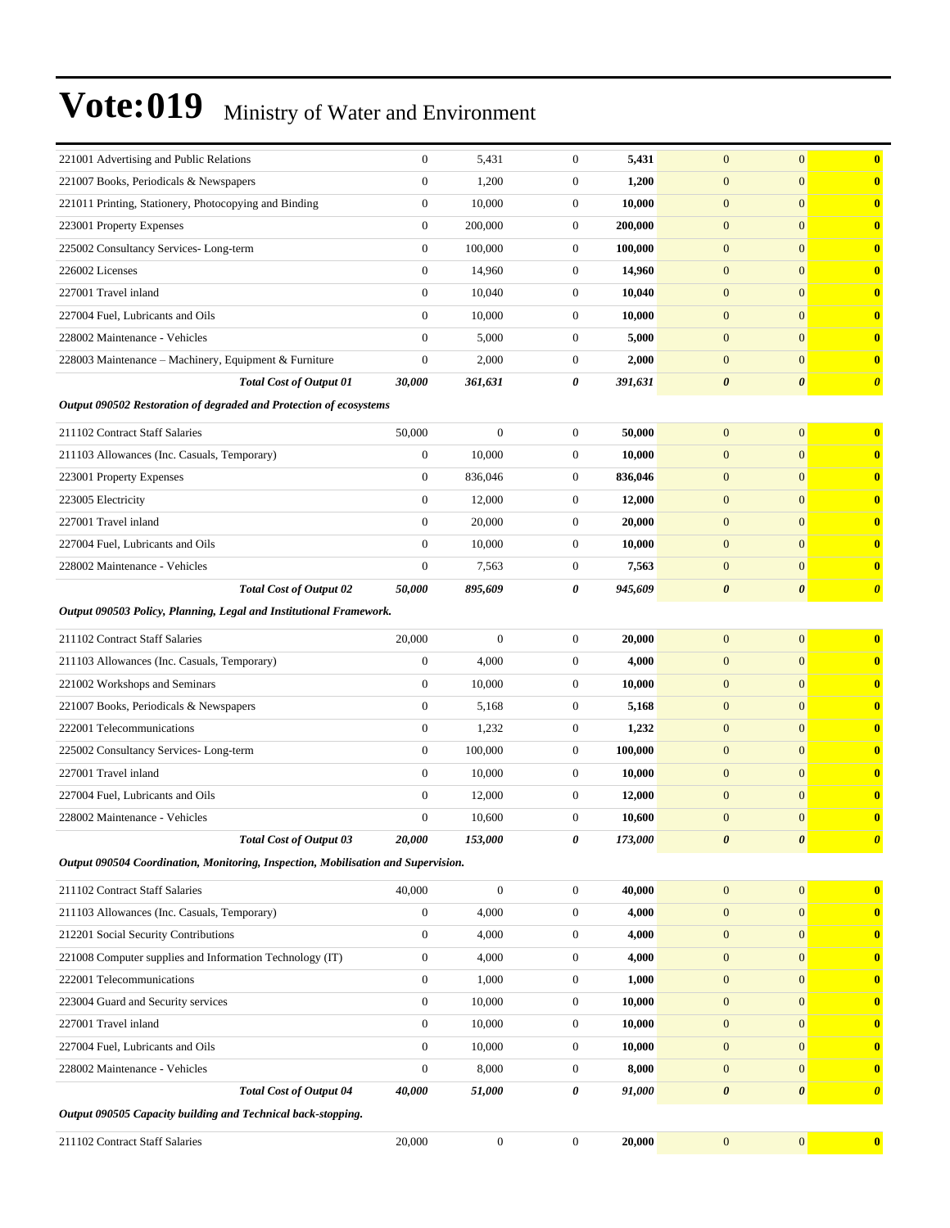| 221001 Advertising and Public Relations                                           | $\mathbf{0}$     | 5,431            | $\mathbf{0}$     | 5,431   | $\mathbf{0}$          | $\mathbf{0}$          | $\bf{0}$              |
|-----------------------------------------------------------------------------------|------------------|------------------|------------------|---------|-----------------------|-----------------------|-----------------------|
| 221007 Books, Periodicals & Newspapers                                            | $\mathbf{0}$     | 1,200            | $\boldsymbol{0}$ | 1,200   | $\mathbf{0}$          | $\mathbf{0}$          | $\mathbf{0}$          |
| 221011 Printing, Stationery, Photocopying and Binding                             | $\boldsymbol{0}$ | 10,000           | $\boldsymbol{0}$ | 10,000  | $\mathbf{0}$          | $\mathbf{0}$          | $\mathbf{0}$          |
| 223001 Property Expenses                                                          | $\boldsymbol{0}$ | 200,000          | $\boldsymbol{0}$ | 200,000 | $\mathbf{0}$          | $\mathbf{0}$          | $\bf{0}$              |
| 225002 Consultancy Services-Long-term                                             | $\mathbf{0}$     | 100,000          | $\theta$         | 100,000 | $\mathbf{0}$          | $\mathbf{0}$          | $\bf{0}$              |
| 226002 Licenses                                                                   | $\mathbf{0}$     | 14,960           | $\mathbf{0}$     | 14,960  | $\mathbf{0}$          | $\mathbf{0}$          | $\bf{0}$              |
| 227001 Travel inland                                                              | $\overline{0}$   | 10,040           | $\boldsymbol{0}$ | 10,040  | $\mathbf{0}$          | $\mathbf{0}$          | $\mathbf{0}$          |
| 227004 Fuel, Lubricants and Oils                                                  | $\boldsymbol{0}$ | 10,000           | $\boldsymbol{0}$ | 10,000  | $\mathbf{0}$          | $\mathbf{0}$          | $\bf{0}$              |
| 228002 Maintenance - Vehicles                                                     | $\mathbf{0}$     | 5,000            | $\boldsymbol{0}$ | 5,000   | $\mathbf{0}$          | $\mathbf{0}$          | $\bf{0}$              |
| 228003 Maintenance - Machinery, Equipment & Furniture                             | $\mathbf{0}$     | 2,000            | $\boldsymbol{0}$ | 2,000   | $\mathbf{0}$          | $\mathbf{0}$          | $\bf{0}$              |
| <b>Total Cost of Output 01</b>                                                    | 30,000           | 361,631          | 0                | 391,631 | $\boldsymbol{\theta}$ | $\boldsymbol{\theta}$ | $\boldsymbol{\theta}$ |
| Output 090502 Restoration of degraded and Protection of ecosystems                |                  |                  |                  |         |                       |                       |                       |
| 211102 Contract Staff Salaries                                                    | 50,000           | $\mathbf{0}$     | $\boldsymbol{0}$ | 50,000  | $\mathbf{0}$          | $\overline{0}$        | $\bf{0}$              |
| 211103 Allowances (Inc. Casuals, Temporary)                                       | $\mathbf{0}$     | 10,000           | $\theta$         | 10,000  | $\mathbf{0}$          | $\mathbf{0}$          | $\mathbf{0}$          |
| 223001 Property Expenses                                                          | $\mathbf{0}$     | 836,046          | $\boldsymbol{0}$ | 836,046 | $\mathbf{0}$          | $\mathbf{0}$          | $\bf{0}$              |
| 223005 Electricity                                                                | $\mathbf{0}$     | 12,000           | $\boldsymbol{0}$ | 12,000  | $\mathbf{0}$          | $\mathbf{0}$          | $\bf{0}$              |
| 227001 Travel inland                                                              | $\mathbf{0}$     | 20,000           | $\boldsymbol{0}$ | 20,000  | $\mathbf{0}$          | $\mathbf{0}$          | $\bf{0}$              |
| 227004 Fuel, Lubricants and Oils                                                  | $\overline{0}$   | 10,000           | $\boldsymbol{0}$ | 10,000  | $\mathbf{0}$          | $\mathbf{0}$          | $\bf{0}$              |
| 228002 Maintenance - Vehicles                                                     | $\mathbf{0}$     | 7,563            | $\boldsymbol{0}$ | 7,563   | $\mathbf{0}$          | $\mathbf{0}$          | $\mathbf{0}$          |
| <b>Total Cost of Output 02</b>                                                    | 50,000           | 895,609          | 0                | 945,609 | $\boldsymbol{\theta}$ | $\boldsymbol{\theta}$ | $\boldsymbol{\theta}$ |
| Output 090503 Policy, Planning, Legal and Institutional Framework.                |                  |                  |                  |         |                       |                       |                       |
| 211102 Contract Staff Salaries                                                    | 20,000           | $\mathbf{0}$     | $\boldsymbol{0}$ | 20,000  | $\mathbf{0}$          | $\mathbf{0}$          | $\mathbf{0}$          |
| 211103 Allowances (Inc. Casuals, Temporary)                                       | $\mathbf{0}$     | 4,000            | $\mathbf{0}$     | 4,000   | $\mathbf{0}$          | $\mathbf{0}$          | $\bf{0}$              |
| 221002 Workshops and Seminars                                                     | $\overline{0}$   | 10,000           | $\boldsymbol{0}$ | 10,000  | $\mathbf{0}$          | $\mathbf{0}$          | $\mathbf{0}$          |
| 221007 Books, Periodicals & Newspapers                                            | $\boldsymbol{0}$ | 5,168            | $\boldsymbol{0}$ | 5,168   | $\mathbf{0}$          | $\mathbf{0}$          | $\mathbf{0}$          |
| 222001 Telecommunications                                                         | $\mathbf{0}$     | 1,232            | $\boldsymbol{0}$ | 1,232   | $\mathbf{0}$          | $\mathbf{0}$          | $\bf{0}$              |
| 225002 Consultancy Services-Long-term                                             | $\boldsymbol{0}$ | 100,000          | $\boldsymbol{0}$ | 100,000 | $\mathbf{0}$          | $\mathbf{0}$          | $\bf{0}$              |
| 227001 Travel inland                                                              | $\mathbf{0}$     | 10,000           | $\boldsymbol{0}$ | 10,000  | $\mathbf{0}$          | $\mathbf{0}$          | $\bf{0}$              |
| 227004 Fuel, Lubricants and Oils                                                  | $\mathbf{0}$     | 12,000           | $\mathbf{0}$     | 12,000  | $\mathbf{0}$          | $\mathbf{0}$          | $\bf{0}$              |
| 228002 Maintenance - Vehicles                                                     | $\mathbf{0}$     | 10,600           | $\boldsymbol{0}$ | 10,600  | $\mathbf{0}$          | $\mathbf{0}$          | $\mathbf{0}$          |
| Total Cost of Output 03                                                           | 20,000           | 153,000          | 0                | 173,000 | 0                     | $\boldsymbol{\theta}$ | $\boldsymbol{\theta}$ |
| Output 090504 Coordination, Monitoring, Inspection, Mobilisation and Supervision. |                  |                  |                  |         |                       |                       |                       |
| 211102 Contract Staff Salaries                                                    | 40,000           | $\boldsymbol{0}$ | $\boldsymbol{0}$ | 40,000  | $\boldsymbol{0}$      | $\boldsymbol{0}$      | $\bf{0}$              |
| 211103 Allowances (Inc. Casuals, Temporary)                                       | $\boldsymbol{0}$ | 4,000            | $\boldsymbol{0}$ | 4,000   | $\mathbf{0}$          | $\mathbf{0}$          | $\bf{0}$              |
| 212201 Social Security Contributions                                              | $\boldsymbol{0}$ | 4,000            | $\boldsymbol{0}$ | 4,000   | $\boldsymbol{0}$      | $\mathbf{0}$          | $\mathbf{0}$          |
| 221008 Computer supplies and Information Technology (IT)                          | $\boldsymbol{0}$ | 4,000            | $\boldsymbol{0}$ | 4,000   | $\boldsymbol{0}$      | $\mathbf{0}$          | $\mathbf{0}$          |
| 222001 Telecommunications                                                         | $\boldsymbol{0}$ | 1,000            | $\boldsymbol{0}$ | 1,000   | $\mathbf{0}$          | $\mathbf{0}$          | $\bf{0}$              |
| 223004 Guard and Security services                                                | $\mathbf{0}$     | 10,000           | $\boldsymbol{0}$ | 10,000  | $\mathbf{0}$          | $\mathbf{0}$          | $\mathbf{0}$          |
| 227001 Travel inland                                                              | 0                | 10,000           | $\boldsymbol{0}$ | 10,000  | $\mathbf{0}$          | $\mathbf{0}$          | $\bf{0}$              |
| 227004 Fuel, Lubricants and Oils                                                  | $\boldsymbol{0}$ | 10,000           | $\boldsymbol{0}$ | 10,000  | $\boldsymbol{0}$      | $\mathbf{0}$          | $\mathbf{0}$          |
| 228002 Maintenance - Vehicles                                                     | $\boldsymbol{0}$ | 8,000            | $\boldsymbol{0}$ | 8,000   | $\mathbf{0}$          | $\mathbf{0}$          | $\bf{0}$              |
| <b>Total Cost of Output 04</b>                                                    | 40,000           | 51,000           | 0                | 91,000  | $\boldsymbol{\theta}$ | $\boldsymbol{\theta}$ | $\boldsymbol{\theta}$ |
| Output 090505 Capacity building and Technical back-stopping.                      |                  |                  |                  |         |                       |                       |                       |
| 211102 Contract Staff Salaries                                                    | 20,000           | $\boldsymbol{0}$ | $\boldsymbol{0}$ | 20,000  | $\boldsymbol{0}$      | $\boldsymbol{0}$      | $\bf{0}$              |
|                                                                                   |                  |                  |                  |         |                       |                       |                       |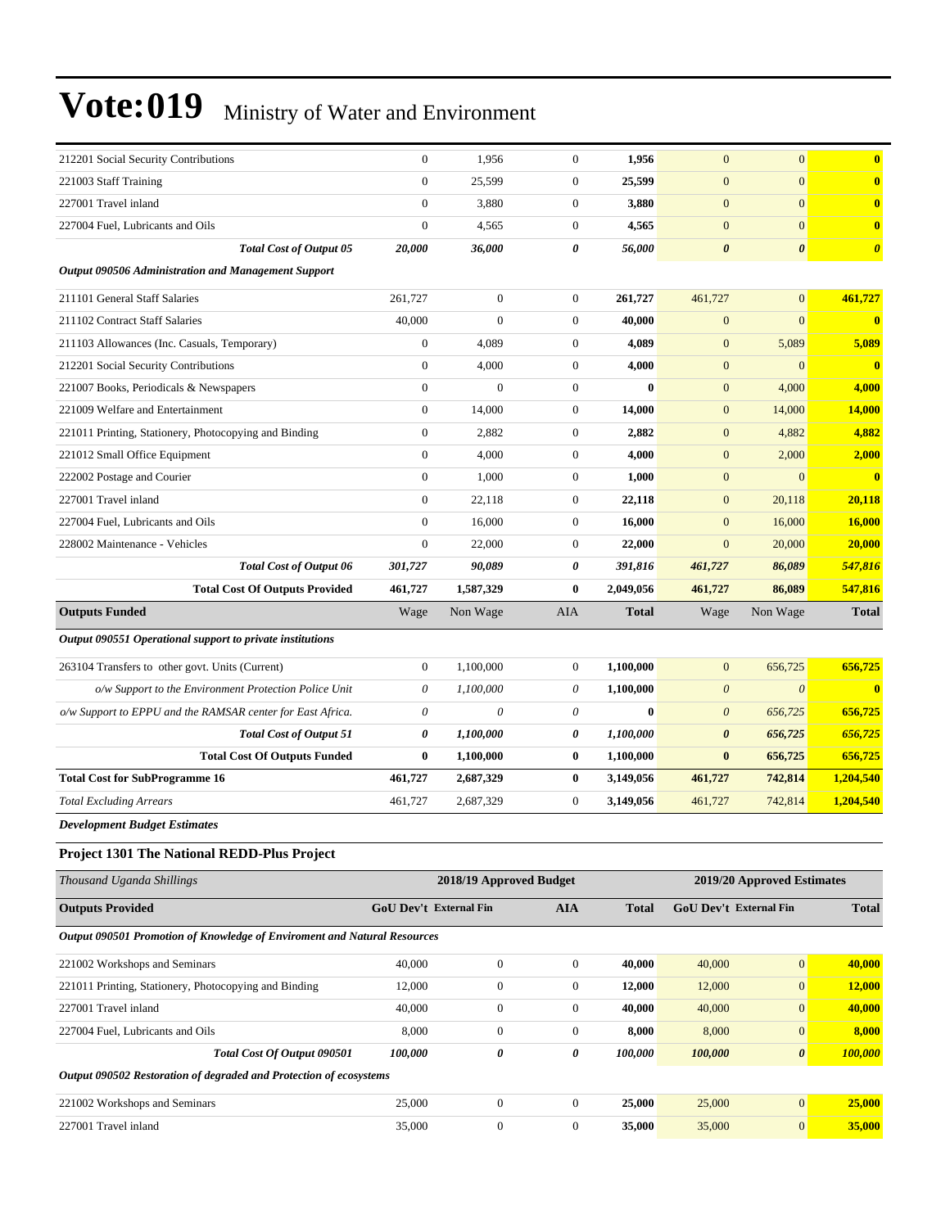| 212201 Social Security Contributions                                     | $\boldsymbol{0}$       | 1,956                   | $\boldsymbol{0}$ | 1,956        | $\mathbf{0}$              | $\mathbf{0}$               | $\bf{0}$              |
|--------------------------------------------------------------------------|------------------------|-------------------------|------------------|--------------|---------------------------|----------------------------|-----------------------|
| 221003 Staff Training                                                    | $\mathbf{0}$           | 25,599                  | $\mathbf{0}$     | 25,599       | $\mathbf{0}$              | $\mathbf{0}$               | $\bf{0}$              |
| 227001 Travel inland                                                     | $\mathbf{0}$           | 3,880                   | $\boldsymbol{0}$ | 3,880        | $\mathbf{0}$              | $\mathbf{0}$               | $\bf{0}$              |
| 227004 Fuel, Lubricants and Oils                                         | $\boldsymbol{0}$       | 4,565                   | $\boldsymbol{0}$ | 4,565        | $\mathbf{0}$              | $\mathbf{0}$               | $\mathbf{0}$          |
| <b>Total Cost of Output 05</b>                                           | 20,000                 | 36,000                  | 0                | 56,000       | $\boldsymbol{\theta}$     | $\boldsymbol{\theta}$      | $\boldsymbol{\theta}$ |
| <b>Output 090506 Administration and Management Support</b>               |                        |                         |                  |              |                           |                            |                       |
| 211101 General Staff Salaries                                            | 261,727                | $\boldsymbol{0}$        | $\mathbf{0}$     | 261,727      | 461,727                   | $\mathbf{0}$               | 461,727               |
| 211102 Contract Staff Salaries                                           | 40,000                 | $\boldsymbol{0}$        | $\boldsymbol{0}$ | 40.000       | $\boldsymbol{0}$          | $\mathbf{0}$               | $\mathbf{0}$          |
| 211103 Allowances (Inc. Casuals, Temporary)                              | $\mathbf{0}$           | 4,089                   | $\boldsymbol{0}$ | 4,089        | $\mathbf{0}$              | 5,089                      | 5,089                 |
| 212201 Social Security Contributions                                     | $\mathbf{0}$           | 4,000                   | $\mathbf{0}$     | 4,000        | $\mathbf{0}$              | $\mathbf{0}$               | $\mathbf{0}$          |
| 221007 Books, Periodicals & Newspapers                                   | $\boldsymbol{0}$       | $\overline{0}$          | $\boldsymbol{0}$ | $\bf{0}$     | $\boldsymbol{0}$          | 4,000                      | 4,000                 |
| 221009 Welfare and Entertainment                                         | $\boldsymbol{0}$       | 14,000                  | $\boldsymbol{0}$ | 14,000       | $\boldsymbol{0}$          | 14,000                     | <b>14,000</b>         |
| 221011 Printing, Stationery, Photocopying and Binding                    | $\mathbf{0}$           | 2,882                   | $\boldsymbol{0}$ | 2,882        | $\boldsymbol{0}$          | 4,882                      | 4,882                 |
| 221012 Small Office Equipment                                            | $\boldsymbol{0}$       | 4,000                   | $\boldsymbol{0}$ | 4,000        | $\mathbf{0}$              | 2,000                      | 2,000                 |
| 222002 Postage and Courier                                               | $\boldsymbol{0}$       | 1,000                   | $\mathbf{0}$     | 1,000        | $\mathbf{0}$              | $\mathbf{0}$               | $\mathbf{0}$          |
| 227001 Travel inland                                                     | $\boldsymbol{0}$       | 22,118                  | $\boldsymbol{0}$ | 22,118       | $\boldsymbol{0}$          | 20,118                     | 20,118                |
| 227004 Fuel, Lubricants and Oils                                         | $\mathbf{0}$           | 16,000                  | $\mathbf{0}$     | 16,000       | $\mathbf{0}$              | 16,000                     | <b>16,000</b>         |
| 228002 Maintenance - Vehicles                                            | $\boldsymbol{0}$       | 22,000                  | $\mathbf{0}$     | 22,000       | $\mathbf{0}$              | 20,000                     | 20,000                |
| <b>Total Cost of Output 06</b>                                           | 301,727                | 90,089                  | 0                | 391,816      | 461,727                   | 86,089                     | 547,816               |
| <b>Total Cost Of Outputs Provided</b>                                    | 461,727                | 1,587,329               | $\bf{0}$         | 2,049,056    | 461,727                   | 86,089                     | 547,816               |
| <b>Outputs Funded</b>                                                    | Wage                   | Non Wage                | AIA              | <b>Total</b> | Wage                      | Non Wage                   | <b>Total</b>          |
| Output 090551 Operational support to private institutions                |                        |                         |                  |              |                           |                            |                       |
| 263104 Transfers to other govt. Units (Current)                          | $\boldsymbol{0}$       | 1,100,000               | $\boldsymbol{0}$ | 1,100,000    | $\boldsymbol{0}$          | 656,725                    | 656,725               |
| o/w Support to the Environment Protection Police Unit                    | 0                      | 1,100,000               | 0                | 1,100,000    | $\boldsymbol{\mathit{0}}$ | $\boldsymbol{\theta}$      | $\bf{0}$              |
| o/w Support to EPPU and the RAMSAR center for East Africa.               | $\theta$               | 0                       | 0                | $\bf{0}$     | $\boldsymbol{\mathit{0}}$ | 656,725                    | 656,725               |
| <b>Total Cost of Output 51</b>                                           | 0                      | 1,100,000               | 0                | 1,100,000    | $\boldsymbol{\theta}$     | 656,725                    | 656,725               |
| <b>Total Cost Of Outputs Funded</b>                                      | $\bf{0}$               | 1,100,000               | $\bf{0}$         | 1,100,000    | $\bf{0}$                  | 656,725                    | 656,725               |
| <b>Total Cost for SubProgramme 16</b>                                    | 461,727                | 2,687,329               | $\bf{0}$         | 3,149,056    | 461,727                   | 742,814                    | 1,204,540             |
| <b>Total Excluding Arrears</b>                                           | 461,727                | 2,687,329               | $\boldsymbol{0}$ | 3,149,056    | 461,727                   | 742,814                    | 1,204,540             |
| <b>Development Budget Estimates</b>                                      |                        |                         |                  |              |                           |                            |                       |
| Project 1301 The National REDD-Plus Project                              |                        |                         |                  |              |                           |                            |                       |
| Thousand Uganda Shillings                                                |                        | 2018/19 Approved Budget |                  |              |                           | 2019/20 Approved Estimates |                       |
| <b>Outputs Provided</b>                                                  | GoU Dev't External Fin |                         | <b>AIA</b>       | <b>Total</b> | GoU Dev't External Fin    |                            | <b>Total</b>          |
| Output 090501 Promotion of Knowledge of Enviroment and Natural Resources |                        |                         |                  |              |                           |                            |                       |
| 221002 Workshops and Seminars                                            | 40,000                 | $\boldsymbol{0}$        | $\boldsymbol{0}$ | 40,000       | 40,000                    | $\boldsymbol{0}$           | 40,000                |
| 221011 Printing, Stationery, Photocopying and Binding                    | 12,000                 | $\boldsymbol{0}$        | $\boldsymbol{0}$ | 12,000       | 12,000                    | $\boldsymbol{0}$           | 12,000                |
| 227001 Travel inland                                                     | 40,000                 | $\boldsymbol{0}$        | $\boldsymbol{0}$ | 40,000       | 40,000                    | $\mathbf{0}$               | 40,000                |
| 227004 Fuel, Lubricants and Oils                                         | 8,000                  | $\boldsymbol{0}$        | $\boldsymbol{0}$ | 8,000        | 8,000                     | $\mathbf{0}$               | 8,000                 |
| Total Cost Of Output 090501                                              | 100,000                | 0                       | 0                | 100,000      | 100,000                   | $\pmb{\theta}$             | 100,000               |
| Output 090502 Restoration of degraded and Protection of ecosystems       |                        |                         |                  |              |                           |                            |                       |
| 221002 Workshops and Seminars                                            | 25,000                 | $\boldsymbol{0}$        | $\boldsymbol{0}$ | 25,000       | 25,000                    | $\boldsymbol{0}$           | 25,000                |
| 227001 Travel inland                                                     | 35,000                 | $\boldsymbol{0}$        | $\boldsymbol{0}$ | 35,000       | 35,000                    | $\mathbf{0}$               | 35,000                |
|                                                                          |                        |                         |                  |              |                           |                            |                       |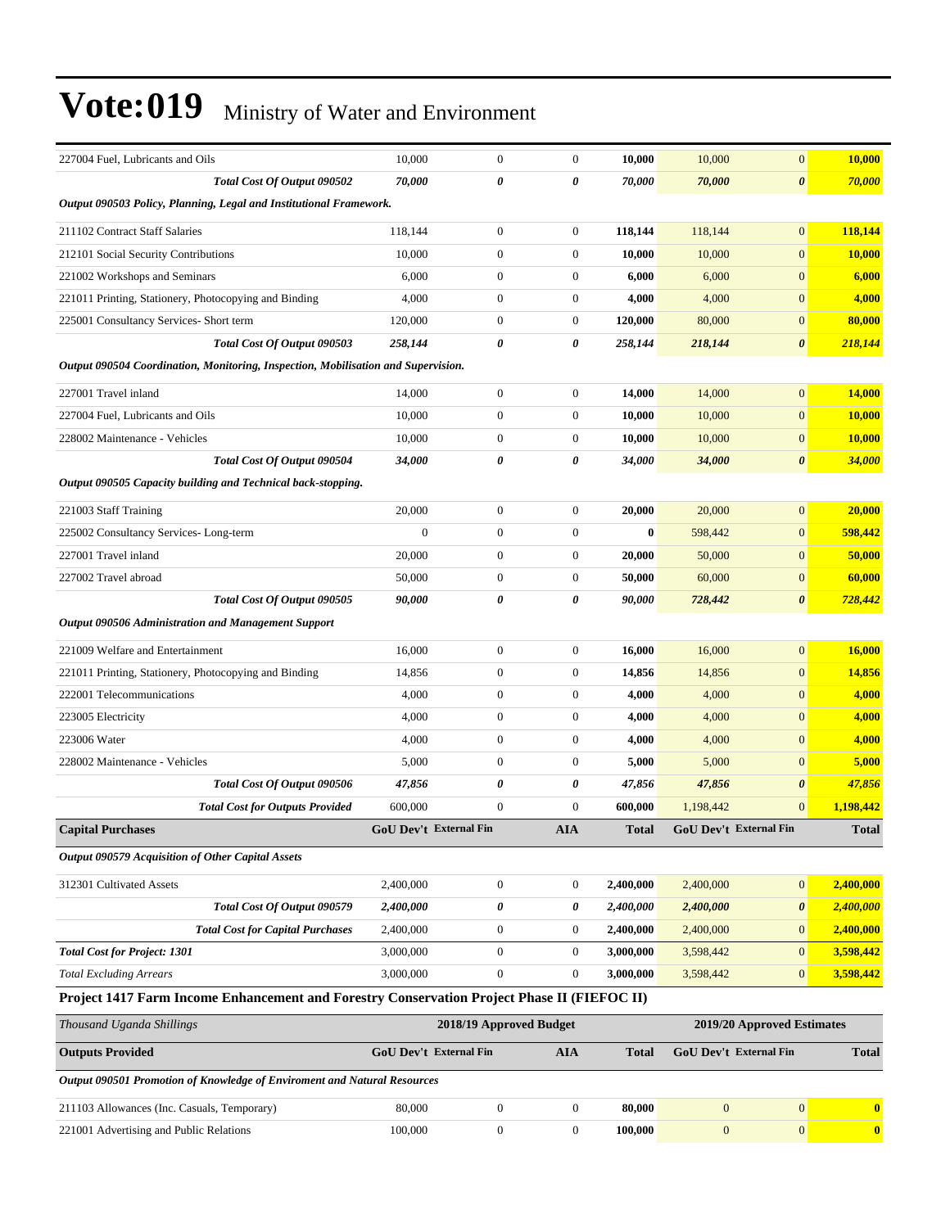| 227004 Fuel. Lubricants and Oils                                                            | 10,000                        | $\boldsymbol{0}$        | $\boldsymbol{0}$ | 10,000       | 10,000                        | $\mathbf{0}$               | 10,000        |
|---------------------------------------------------------------------------------------------|-------------------------------|-------------------------|------------------|--------------|-------------------------------|----------------------------|---------------|
| Total Cost Of Output 090502                                                                 | 70,000                        | 0                       | 0                | 70,000       | 70,000                        | $\boldsymbol{\theta}$      | 70,000        |
| Output 090503 Policy, Planning, Legal and Institutional Framework.                          |                               |                         |                  |              |                               |                            |               |
| 211102 Contract Staff Salaries                                                              | 118,144                       | $\boldsymbol{0}$        | $\boldsymbol{0}$ | 118,144      | 118,144                       | $\mathbf{0}$               | 118,144       |
| 212101 Social Security Contributions                                                        | 10,000                        | $\boldsymbol{0}$        | $\boldsymbol{0}$ | 10,000       | 10,000                        | $\boldsymbol{0}$           | <b>10,000</b> |
| 221002 Workshops and Seminars                                                               | 6,000                         | $\boldsymbol{0}$        | 0                | 6,000        | 6,000                         | $\mathbf{0}$               | 6,000         |
| 221011 Printing, Stationery, Photocopying and Binding                                       | 4,000                         | $\boldsymbol{0}$        | $\overline{0}$   | 4,000        | 4,000                         | $\mathbf{0}$               | 4,000         |
| 225001 Consultancy Services- Short term                                                     | 120,000                       | $\boldsymbol{0}$        | $\overline{0}$   | 120,000      | 80,000                        | $\mathbf{0}$               | 80,000        |
| Total Cost Of Output 090503                                                                 | 258,144                       | 0                       | 0                | 258,144      | 218,144                       | $\boldsymbol{\theta}$      | 218,144       |
| Output 090504 Coordination, Monitoring, Inspection, Mobilisation and Supervision.           |                               |                         |                  |              |                               |                            |               |
| 227001 Travel inland                                                                        | 14,000                        | $\boldsymbol{0}$        | $\overline{0}$   | 14,000       | 14,000                        | $\mathbf{0}$               | 14,000        |
| 227004 Fuel, Lubricants and Oils                                                            | 10,000                        | $\boldsymbol{0}$        | $\overline{0}$   | 10,000       | 10,000                        | $\mathbf{0}$               | 10,000        |
| 228002 Maintenance - Vehicles                                                               | 10,000                        | $\boldsymbol{0}$        | $\boldsymbol{0}$ | 10,000       | 10,000                        | $\boldsymbol{0}$           | <b>10,000</b> |
| Total Cost Of Output 090504                                                                 | 34,000                        | 0                       | 0                | 34,000       | 34,000                        | $\boldsymbol{\theta}$      | 34,000        |
| Output 090505 Capacity building and Technical back-stopping.                                |                               |                         |                  |              |                               |                            |               |
| 221003 Staff Training                                                                       | 20,000                        | $\boldsymbol{0}$        | $\overline{0}$   | 20,000       | 20,000                        | $\boldsymbol{0}$           | 20,000        |
| 225002 Consultancy Services-Long-term                                                       | $\boldsymbol{0}$              | $\boldsymbol{0}$        | $\overline{0}$   | $\bf{0}$     | 598,442                       | $\boldsymbol{0}$           | 598,442       |
| 227001 Travel inland                                                                        | 20,000                        | $\boldsymbol{0}$        | 0                | 20,000       | 50,000                        | $\mathbf{0}$               | 50,000        |
| 227002 Travel abroad                                                                        | 50,000                        | $\boldsymbol{0}$        | $\boldsymbol{0}$ | 50,000       | 60,000                        | $\boldsymbol{0}$           | 60,000        |
| Total Cost Of Output 090505                                                                 | 90,000                        | 0                       | 0                | 90,000       | 728,442                       | $\boldsymbol{\theta}$      | 728,442       |
| <b>Output 090506 Administration and Management Support</b>                                  |                               |                         |                  |              |                               |                            |               |
| 221009 Welfare and Entertainment                                                            | 16,000                        | $\boldsymbol{0}$        | $\overline{0}$   | 16,000       | 16,000                        | $\boldsymbol{0}$           | 16,000        |
| 221011 Printing, Stationery, Photocopying and Binding                                       | 14,856                        | $\boldsymbol{0}$        | $\overline{0}$   | 14,856       | 14,856                        | $\mathbf{0}$               | 14,856        |
| 222001 Telecommunications                                                                   | 4,000                         | $\boldsymbol{0}$        | 0                | 4,000        | 4,000                         | $\mathbf{0}$               | 4,000         |
| 223005 Electricity                                                                          | 4,000                         | $\boldsymbol{0}$        | $\boldsymbol{0}$ | 4,000        | 4,000                         | $\mathbf{0}$               | 4,000         |
| 223006 Water                                                                                | 4,000                         | $\boldsymbol{0}$        | $\overline{0}$   | 4,000        | 4,000                         | $\mathbf{0}$               | 4,000         |
| 228002 Maintenance - Vehicles                                                               | 5,000                         | $\boldsymbol{0}$        | $\overline{0}$   | 5,000        | 5,000                         | $\mathbf{0}$               | 5,000         |
| Total Cost Of Output 090506                                                                 | 47,856                        | 0                       | 0                | 47,856       | 47,856                        | $\pmb{\theta}$             | 47,856        |
| <b>Total Cost for Outputs Provided</b>                                                      | 600,000                       | $\boldsymbol{0}$        | $\mathbf{0}$     | 600,000      | 1,198,442                     | $\mathbf{0}$               | 1,198,442     |
| <b>Capital Purchases</b>                                                                    | <b>GoU Dev't External Fin</b> |                         | <b>AIA</b>       | <b>Total</b> | <b>GoU Dev't External Fin</b> |                            | <b>Total</b>  |
| <b>Output 090579 Acquisition of Other Capital Assets</b>                                    |                               |                         |                  |              |                               |                            |               |
| 312301 Cultivated Assets                                                                    | 2,400,000                     | $\boldsymbol{0}$        | $\overline{0}$   | 2,400,000    | 2,400,000                     | $\mathbf{0}$               | 2,400,000     |
| Total Cost Of Output 090579                                                                 | 2,400,000                     | 0                       | 0                | 2,400,000    | 2,400,000                     | $\boldsymbol{\theta}$      | 2,400,000     |
| <b>Total Cost for Capital Purchases</b>                                                     | 2,400,000                     | $\boldsymbol{0}$        | $\overline{0}$   | 2,400,000    | 2,400,000                     | $\boldsymbol{0}$           | 2,400,000     |
| <b>Total Cost for Project: 1301</b>                                                         | 3,000,000                     | $\boldsymbol{0}$        | $\overline{0}$   | 3,000,000    | 3,598,442                     | $\boldsymbol{0}$           | 3,598,442     |
| <b>Total Excluding Arrears</b>                                                              | 3,000,000                     | $\boldsymbol{0}$        | $\overline{0}$   | 3,000,000    | 3,598,442                     | $\mathbf{0}$               | 3,598,442     |
| Project 1417 Farm Income Enhancement and Forestry Conservation Project Phase II (FIEFOC II) |                               |                         |                  |              |                               |                            |               |
| Thousand Uganda Shillings                                                                   |                               | 2018/19 Approved Budget |                  |              |                               | 2019/20 Approved Estimates |               |
| <b>Outputs Provided</b>                                                                     | <b>GoU Dev't External Fin</b> |                         | <b>AIA</b>       | <b>Total</b> | GoU Dev't External Fin        |                            | <b>Total</b>  |
| Output 090501 Promotion of Knowledge of Enviroment and Natural Resources                    |                               |                         |                  |              |                               |                            |               |
| 211103 Allowances (Inc. Casuals, Temporary)                                                 | 80,000                        | $\boldsymbol{0}$        | $\overline{0}$   | 80,000       | $\mathbf{0}$                  | $\boldsymbol{0}$           | $\bf{0}$      |
| 221001 Advertising and Public Relations                                                     | 100,000                       | $\boldsymbol{0}$        | $\boldsymbol{0}$ | 100,000      | $\mathbf{0}$                  | $\mathbf{0}$               | $\bullet$     |
|                                                                                             |                               |                         |                  |              |                               |                            |               |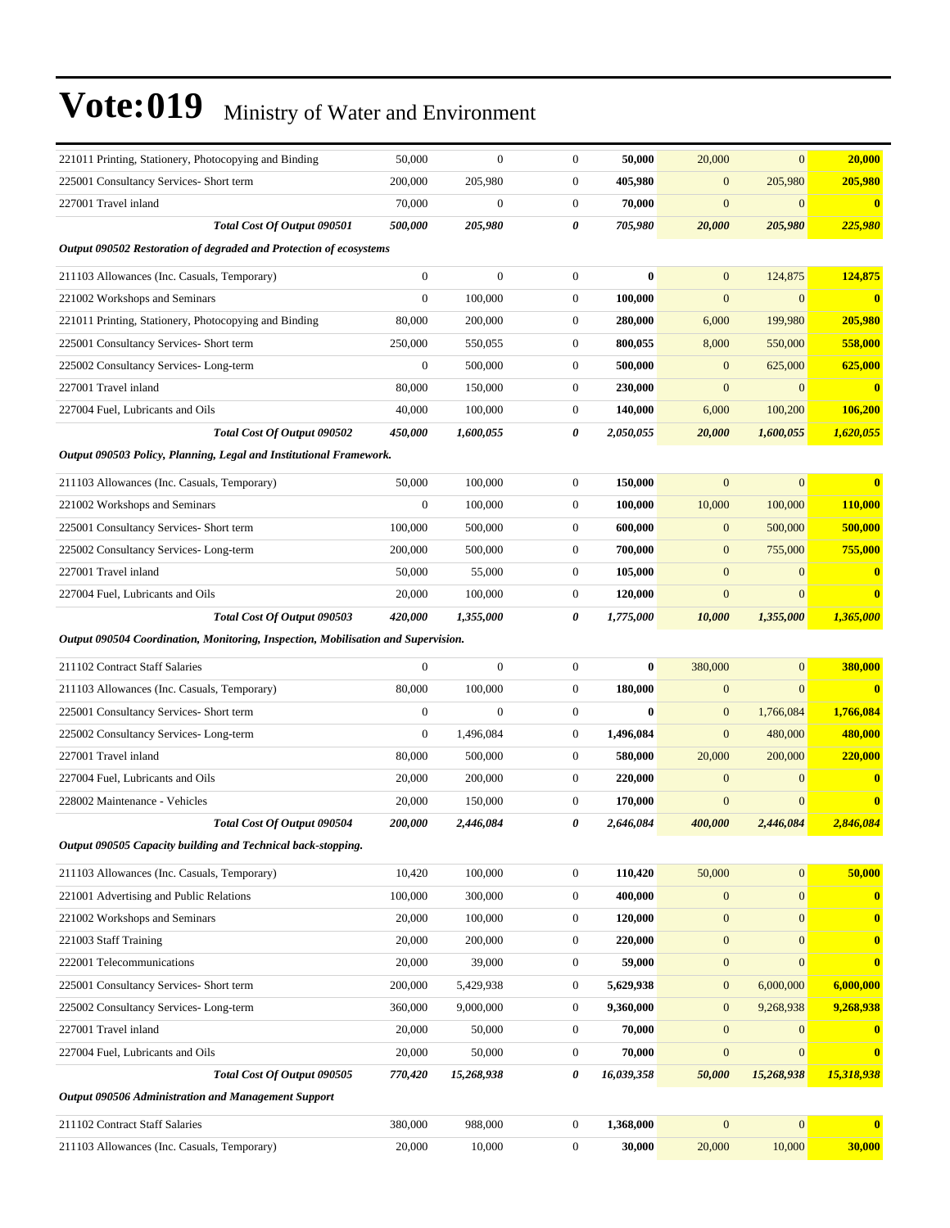| 221011 Printing, Stationery, Photocopying and Binding                             | 50,000           | $\boldsymbol{0}$ | $\boldsymbol{0}$ | 50,000     | 20,000           | $\overline{0}$   | 20,000         |
|-----------------------------------------------------------------------------------|------------------|------------------|------------------|------------|------------------|------------------|----------------|
| 225001 Consultancy Services- Short term                                           | 200,000          | 205,980          | $\boldsymbol{0}$ | 405,980    | $\overline{0}$   | 205,980          | 205,980        |
| 227001 Travel inland                                                              | 70,000           | $\mathbf{0}$     | $\boldsymbol{0}$ | 70,000     | $\overline{0}$   | $\mathbf{0}$     | $\mathbf{0}$   |
| Total Cost Of Output 090501                                                       | 500,000          | 205,980          | 0                | 705,980    | 20,000           | 205,980          | 225,980        |
| Output 090502 Restoration of degraded and Protection of ecosystems                |                  |                  |                  |            |                  |                  |                |
| 211103 Allowances (Inc. Casuals, Temporary)                                       | $\mathbf{0}$     | $\mathbf{0}$     | $\boldsymbol{0}$ | $\bf{0}$   | $\overline{0}$   | 124,875          | 124,875        |
| 221002 Workshops and Seminars                                                     | $\mathbf{0}$     | 100,000          | $\boldsymbol{0}$ | 100,000    | $\mathbf{0}$     | $\theta$         |                |
| 221011 Printing, Stationery, Photocopying and Binding                             | 80,000           | 200,000          | $\boldsymbol{0}$ | 280,000    | 6,000            | 199,980          | 205,980        |
| 225001 Consultancy Services- Short term                                           | 250,000          | 550,055          | $\boldsymbol{0}$ | 800,055    | 8,000            | 550,000          | 558,000        |
| 225002 Consultancy Services-Long-term                                             | $\mathbf{0}$     | 500,000          | $\boldsymbol{0}$ | 500,000    | $\mathbf{0}$     | 625,000          | 625,000        |
| 227001 Travel inland                                                              | 80,000           | 150,000          | $\boldsymbol{0}$ | 230,000    | $\overline{0}$   | $\mathbf{0}$     |                |
| 227004 Fuel, Lubricants and Oils                                                  | 40,000           | 100,000          | $\mathbf{0}$     | 140,000    | 6,000            | 100,200          | 106,200        |
| Total Cost Of Output 090502                                                       | 450,000          | 1,600,055        | 0                | 2,050,055  | 20,000           | 1,600,055        | 1,620,055      |
| Output 090503 Policy, Planning, Legal and Institutional Framework.                |                  |                  |                  |            |                  |                  |                |
| 211103 Allowances (Inc. Casuals, Temporary)                                       | 50,000           | 100,000          | $\boldsymbol{0}$ | 150,000    | $\overline{0}$   | $\overline{0}$   |                |
| 221002 Workshops and Seminars                                                     | $\boldsymbol{0}$ | 100,000          | $\mathbf{0}$     | 100,000    | 10,000           | 100,000          | <b>110,000</b> |
| 225001 Consultancy Services- Short term                                           | 100,000          | 500,000          | $\boldsymbol{0}$ | 600,000    | $\mathbf{0}$     | 500,000          | 500,000        |
| 225002 Consultancy Services-Long-term                                             | 200,000          | 500,000          | $\mathbf{0}$     | 700,000    | $\mathbf{0}$     | 755,000          | 755,000        |
| 227001 Travel inland                                                              | 50,000           | 55,000           | $\boldsymbol{0}$ | 105,000    | $\overline{0}$   | $\overline{0}$   |                |
| 227004 Fuel, Lubricants and Oils                                                  | 20,000           | 100,000          | $\boldsymbol{0}$ | 120,000    | $\mathbf{0}$     | $\mathbf{0}$     | 0              |
| Total Cost Of Output 090503                                                       | 420,000          | 1,355,000        | 0                | 1,775,000  | 10,000           | 1,355,000        | 1,365,000      |
| Output 090504 Coordination, Monitoring, Inspection, Mobilisation and Supervision. |                  |                  |                  |            |                  |                  |                |
| 211102 Contract Staff Salaries                                                    | $\mathbf{0}$     | $\mathbf{0}$     | $\boldsymbol{0}$ | $\bf{0}$   | 380,000          | $\overline{0}$   | 380,000        |
| 211103 Allowances (Inc. Casuals, Temporary)                                       | 80,000           | 100,000          | $\boldsymbol{0}$ | 180,000    | $\overline{0}$   | $\overline{0}$   |                |
| 225001 Consultancy Services- Short term                                           | $\boldsymbol{0}$ | $\boldsymbol{0}$ | $\boldsymbol{0}$ | $\bf{0}$   | $\mathbf{0}$     | 1,766,084        | 1,766,084      |
| 225002 Consultancy Services-Long-term                                             | $\mathbf{0}$     | 1,496,084        | $\boldsymbol{0}$ | 1,496,084  | $\mathbf{0}$     | 480,000          | 480,000        |
| 227001 Travel inland                                                              | 80,000           | 500,000          | $\boldsymbol{0}$ | 580,000    | 20,000           | 200,000          | 220,000        |
| 227004 Fuel, Lubricants and Oils                                                  | 20,000           | 200,000          | $\boldsymbol{0}$ | 220,000    | $\mathbf{0}$     | $\mathbf{0}$     |                |
| 228002 Maintenance - Vehicles                                                     | 20,000           | 150,000          | $\boldsymbol{0}$ | 170,000    | $\mathbf{0}$     | $\theta$         |                |
| Total Cost Of Output 090504                                                       | 200,000          | 2.446.084        | 0                | 2.646.084  | 400,000          | 2,446,084        | 2,846,084      |
| Output 090505 Capacity building and Technical back-stopping.                      |                  |                  |                  |            |                  |                  |                |
| 211103 Allowances (Inc. Casuals, Temporary)                                       | 10,420           | 100,000          | $\boldsymbol{0}$ | 110,420    | 50,000           | $\mathbf{0}$     | 50,000         |
| 221001 Advertising and Public Relations                                           | 100,000          | 300,000          | $\boldsymbol{0}$ | 400,000    | $\mathbf{0}$     | $\boldsymbol{0}$ | $\bf{0}$       |
| 221002 Workshops and Seminars                                                     | 20,000           | 100,000          | $\boldsymbol{0}$ | 120,000    | $\boldsymbol{0}$ | $\mathbf{0}$     | $\bf{0}$       |
| 221003 Staff Training                                                             | 20,000           | 200,000          | $\boldsymbol{0}$ | 220,000    | $\mathbf{0}$     | $\boldsymbol{0}$ | $\bf{0}$       |
| 222001 Telecommunications                                                         | 20,000           | 39,000           | $\boldsymbol{0}$ | 59,000     | $\boldsymbol{0}$ | $\boldsymbol{0}$ | $\bf{0}$       |
| 225001 Consultancy Services- Short term                                           | 200,000          | 5,429,938        | $\boldsymbol{0}$ | 5,629,938  | $\mathbf{0}$     | 6,000,000        | 6,000,000      |
| 225002 Consultancy Services-Long-term                                             | 360,000          | 9,000,000        | $\boldsymbol{0}$ | 9,360,000  | $\boldsymbol{0}$ | 9,268,938        | 9,268,938      |
| 227001 Travel inland                                                              | 20,000           | 50,000           | $\boldsymbol{0}$ | 70,000     | $\boldsymbol{0}$ | $\mathbf{0}$     |                |
| 227004 Fuel, Lubricants and Oils                                                  | 20,000           | 50,000           | $\boldsymbol{0}$ | 70,000     | $\mathbf{0}$     | $\mathbf{0}$     | $\bf{0}$       |
| Total Cost Of Output 090505                                                       | 770,420          | 15,268,938       | 0                | 16,039,358 | 50,000           | 15,268,938       | 15,318,938     |
| Output 090506 Administration and Management Support                               |                  |                  |                  |            |                  |                  |                |
| 211102 Contract Staff Salaries                                                    | 380,000          | 988,000          | $\boldsymbol{0}$ | 1,368,000  | $\mathbf{0}$     | $\mathbf{0}$     | $\bf{0}$       |
| 211103 Allowances (Inc. Casuals, Temporary)                                       | 20,000           | 10,000           | $\boldsymbol{0}$ | 30,000     | 20,000           | 10,000           | 30,000         |
|                                                                                   |                  |                  |                  |            |                  |                  |                |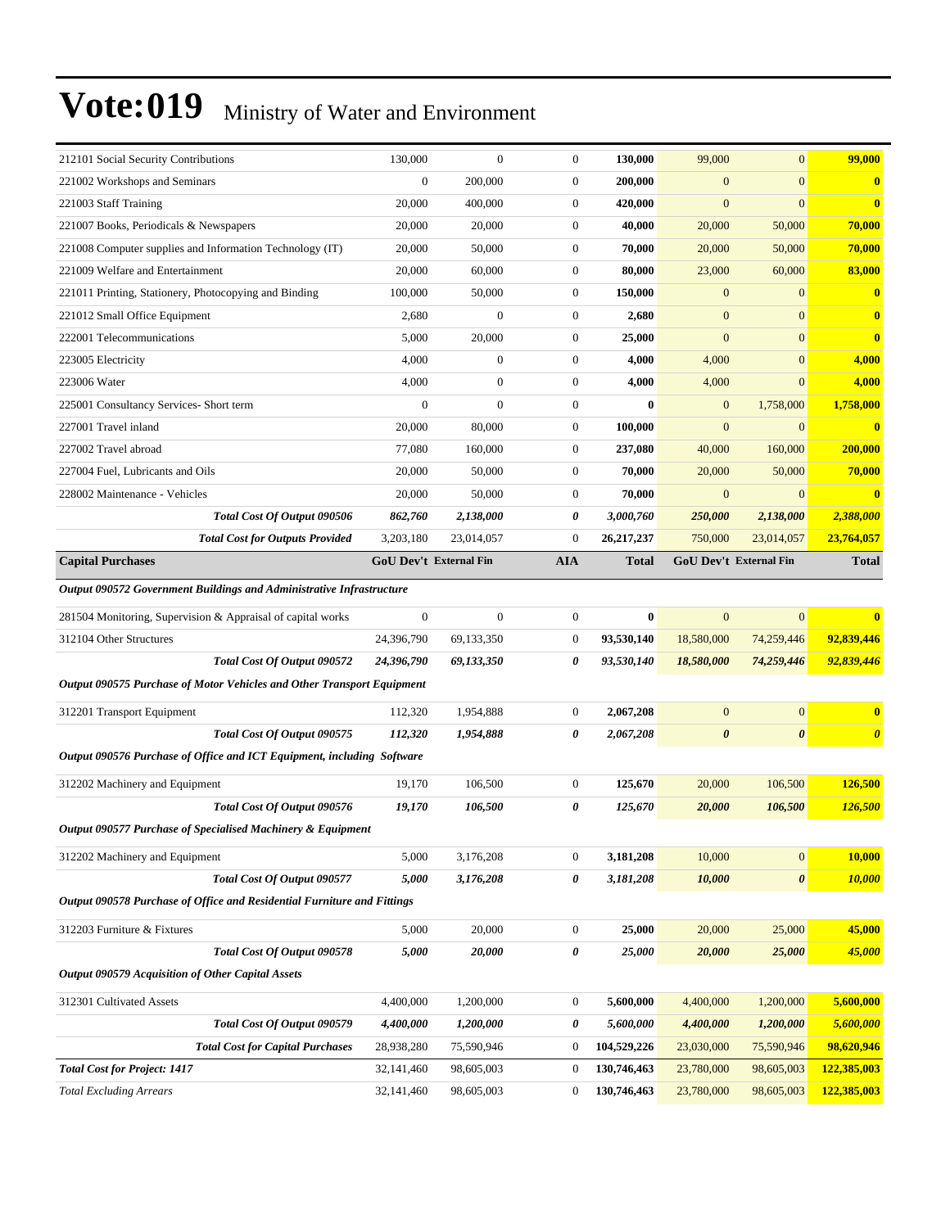| 130,000                                                                 | $\mathbf{0}$     | $\boldsymbol{0}$                                 | 130,000      | 99,000                | $\mathbf{0}$          | 99,000                 |
|-------------------------------------------------------------------------|------------------|--------------------------------------------------|--------------|-----------------------|-----------------------|------------------------|
| $\boldsymbol{0}$                                                        | 200,000          | $\boldsymbol{0}$                                 | 200,000      | $\boldsymbol{0}$      | $\mathbf{0}$          | $\bf{0}$               |
| 20,000                                                                  | 400,000          | $\boldsymbol{0}$                                 | 420,000      | $\mathbf{0}$          | $\mathbf{0}$          | $\mathbf{0}$           |
| 20,000                                                                  | 20,000           | $\boldsymbol{0}$                                 | 40,000       | 20,000                | 50,000                | 70,000                 |
| 20,000                                                                  | 50,000           | $\boldsymbol{0}$                                 | 70,000       | 20,000                | 50,000                | 70,000                 |
| 20,000                                                                  | 60,000           | $\boldsymbol{0}$                                 | 80,000       | 23,000                | 60,000                | 83,000                 |
| 100,000                                                                 | 50,000           | $\boldsymbol{0}$                                 | 150,000      | $\mathbf{0}$          | $\mathbf{0}$          | $\bf{0}$               |
| 2,680                                                                   | $\boldsymbol{0}$ | $\boldsymbol{0}$                                 | 2,680        | $\boldsymbol{0}$      | $\mathbf{0}$          | $\mathbf{0}$           |
| 5,000                                                                   | 20,000           | $\boldsymbol{0}$                                 | 25,000       | $\overline{0}$        | $\mathbf{0}$          | $\bf{0}$               |
| 4,000                                                                   | $\boldsymbol{0}$ | $\boldsymbol{0}$                                 | 4,000        | 4,000                 | $\mathbf{0}$          | 4,000                  |
| 4,000                                                                   | $\mathbf{0}$     | $\boldsymbol{0}$                                 | 4,000        | 4,000                 | $\mathbf{0}$          | 4,000                  |
| $\mathbf{0}$                                                            | $\overline{0}$   | $\boldsymbol{0}$                                 | $\bf{0}$     | $\mathbf{0}$          | 1,758,000             | 1,758,000              |
| 20,000                                                                  | 80,000           | $\boldsymbol{0}$                                 | 100,000      | $\mathbf{0}$          | $\mathbf{0}$          | $\bf{0}$               |
| 77,080                                                                  | 160,000          | $\boldsymbol{0}$                                 | 237,080      | 40,000                | 160,000               | 200,000                |
| 20,000                                                                  | 50,000           | $\boldsymbol{0}$                                 | 70,000       | 20,000                | 50,000                | 70,000                 |
| 20,000                                                                  | 50,000           | $\boldsymbol{0}$                                 | 70,000       | $\overline{0}$        | $\mathbf{0}$          | $\bf{0}$               |
| 862,760                                                                 | 2,138,000        | 0                                                | 3,000,760    | 250,000               | 2,138,000             | 2,388,000              |
| 3,203,180                                                               | 23,014,057       | $\boldsymbol{0}$                                 | 26,217,237   | 750,000               | 23,014,057            | 23,764,057             |
|                                                                         |                  | <b>AIA</b>                                       | <b>Total</b> |                       |                       | <b>Total</b>           |
| Output 090572 Government Buildings and Administrative Infrastructure    |                  |                                                  |              |                       |                       |                        |
| $\boldsymbol{0}$                                                        | $\overline{0}$   | $\boldsymbol{0}$                                 | $\bf{0}$     | $\overline{0}$        | $\overline{0}$        | $\bf{0}$               |
| 24,396,790                                                              | 69,133,350       | $\boldsymbol{0}$                                 | 93,530,140   | 18,580,000            | 74,259,446            | 92,839,446             |
| 24,396,790                                                              | 69,133,350       | 0                                                | 93,530,140   | 18,580,000            | 74,259,446            | 92,839,446             |
| Output 090575 Purchase of Motor Vehicles and Other Transport Equipment  |                  |                                                  |              |                       |                       |                        |
| 112,320                                                                 | 1,954,888        | $\boldsymbol{0}$                                 | 2,067,208    | $\boldsymbol{0}$      | $\mathbf{0}$          | $\bf{0}$               |
| 112,320                                                                 | 1,954,888        | 0                                                | 2,067,208    | $\boldsymbol{\theta}$ | $\boldsymbol{\theta}$ | $\boldsymbol{\theta}$  |
| Output 090576 Purchase of Office and ICT Equipment, including Software  |                  |                                                  |              |                       |                       |                        |
| 19,170                                                                  | 106,500          | $\boldsymbol{0}$                                 | 125,670      | 20,000                | 106,500               | 126,500                |
| 19,170                                                                  | 106,500          | 0                                                | 125,670      | 20,000                | 106,500               | <b>126,500</b>         |
| Output 090577 Purchase of Specialised Machinery & Equipment             |                  |                                                  |              |                       |                       |                        |
| 5,000                                                                   | 3,176,208        | $\boldsymbol{0}$                                 | 3,181,208    | 10,000                | $\boldsymbol{0}$      | 10,000                 |
| 5,000                                                                   | 3,176,208        | 0                                                | 3,181,208    | 10,000                | $\pmb{\theta}$        | 10,000                 |
| Output 090578 Purchase of Office and Residential Furniture and Fittings |                  |                                                  |              |                       |                       |                        |
|                                                                         |                  | $\boldsymbol{0}$                                 | 25,000       | 20,000                | 25,000                | 45,000                 |
|                                                                         |                  |                                                  |              |                       |                       |                        |
| 5,000                                                                   | 20,000           | 0                                                | 25,000       | 20,000                | 25,000                | 45,000                 |
|                                                                         |                  |                                                  |              |                       |                       |                        |
| 4,400,000                                                               | 1,200,000        | $\boldsymbol{0}$                                 | 5,600,000    | 4,400,000             | 1,200,000             | 5,600,000              |
| 4,400,000                                                               | 1,200,000        | 0                                                | 5,600,000    | 4,400,000             | 1,200,000             | 5,600,000              |
| 28,938,280                                                              | 75,590,946       | $\boldsymbol{0}$                                 | 104,529,226  | 23,030,000            | 75,590,946            | 98,620,946             |
| 32,141,460                                                              | 98,605,003       | $\boldsymbol{0}$                                 | 130,746,463  | 23,780,000            | 98,605,003            | 122,385,003            |
|                                                                         |                  | <b>GoU Dev't External Fin</b><br>5,000<br>20,000 |              |                       |                       | GoU Dev't External Fin |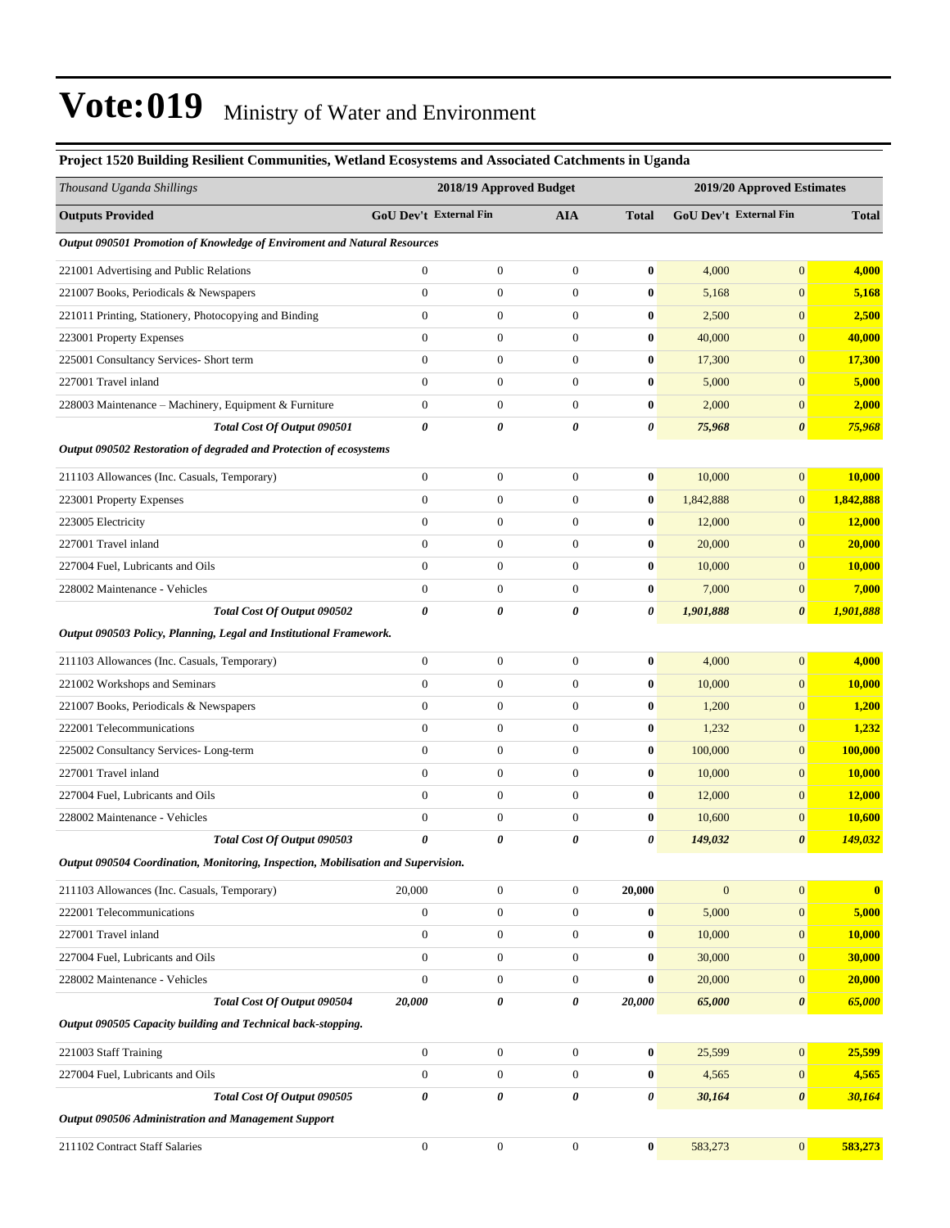### **Project 1520 Building Resilient Communities, Wetland Ecosystems and Associated Catchments in Uganda** *Thousand Uganda Shillings* **2018/19 Approved Budget 2019/20 Approved Estimates Outputs Provided GoU Dev't External Fin AIA Total GoU Dev't External Fin Total** *Output 090501 Promotion of Knowledge of Enviroment and Natural Resources* 221001 Advertising and Public Relations 0 0 0 **0** 4,000 0 **4,000** 221007 Books, Periodicals & Newspapers 0 0 0 **0** 5,168 0 **5,168** 221011 Printing, Stationery, Photocopying and Binding 0 0 0 **0** 2,500 0 **2,500** 223001 Property Expenses 0 0 0 **0** 40,000 0 **40,000** 225001 Consultancy Services- Short term 0 0 0 **0** 17,300 0 **17,300** 227001 Travel inland 0 0 0 **0** 5,000 0 **5,000** 228003 Maintenance ±Machinery, Equipment & Furniture 0 0 0 **0** 2,000 0 **2,000** *Total Cost Of Output 090501 0 0 0 0 75,968 0 75,968 Output 090502 Restoration of degraded and Protection of ecosystems* 211103 Allowances (Inc. Casuals, Temporary) 0 0 0 **0** 10,000 0 **10,000** 223001 Property Expenses 0 0 0 **0** 1,842,888 0 **1,842,888** 223005 Electricity 0 0 0 **0** 12,000 0 **12,000** 227001 Travel inland 0 0 0 **0** 20,000 0 **20,000** 227004 Fuel, Lubricants and Oils 0 0 0 **0** 10,000 0 **10,000** 228002 Maintenance - Vehicles 0 0 0 **0** 7,000 0 **7,000** *Total Cost Of Output 090502 0 0 0 0 1,901,888 0 1,901,888 Output 090503 Policy, Planning, Legal and Institutional Framework.* 211103 Allowances (Inc. Casuals, Temporary) 0 0 0 **0** 4,000 0 **4,000** 221002 Workshops and Seminars 0 0 0 **0** 10,000 0 **10,000** 221007 Books, Periodicals & Newspapers 0 0 0 **0** 1,200 0 **1,200** 222001 Telecommunications 0 0 0 **0** 1,232 0 **1,232** 225002 Consultancy Services- Long-term 0 0 0 **0** 100,000 0 **100,000** 227001 Travel inland 0 0 0 **0** 10,000 0 **10,000** 227004 Fuel, Lubricants and Oils 0 0 0 **0** 12,000 0 **12,000** 228002 Maintenance - Vehicles 0 0 0 **0** 10,600 0 **10,600** *Total Cost Of Output 090503 0 0 0 0 149,032 0 149,032 Output 090504 Coordination, Monitoring, Inspection, Mobilisation and Supervision.* 211103 Allowances (Inc. Casuals, Temporary) 20,000 0 0 **20,000** 0 0 **0** 222001 Telecommunications 0 0 0 **0** 5,000 0 **5,000** 227001 Travel inland 0 0 0 **0** 10,000 0 **10,000** 227004 Fuel, Lubricants and Oils 0 0 0 **0** 30,000 0 **30,000** 228002 Maintenance - Vehicles 0 0 0 **0** 20,000 0 **20,000** *Total Cost Of Output 090504 20,000 0 0 20,000 65,000 0 65,000 Output 090505 Capacity building and Technical back-stopping.* 221003 Staff Training 0 0 0 **0** 25,599 0 **25,599** 227004 Fuel, Lubricants and Oils 0 0 0 **0** 4,565 0 **4,565** *Total Cost Of Output 090505 0 0 0 0 30,164 0 30,164 Output 090506 Administration and Management Support* 211102 Contract Staff Salaries 0 0 0 **0** 583,273 0 **583,273**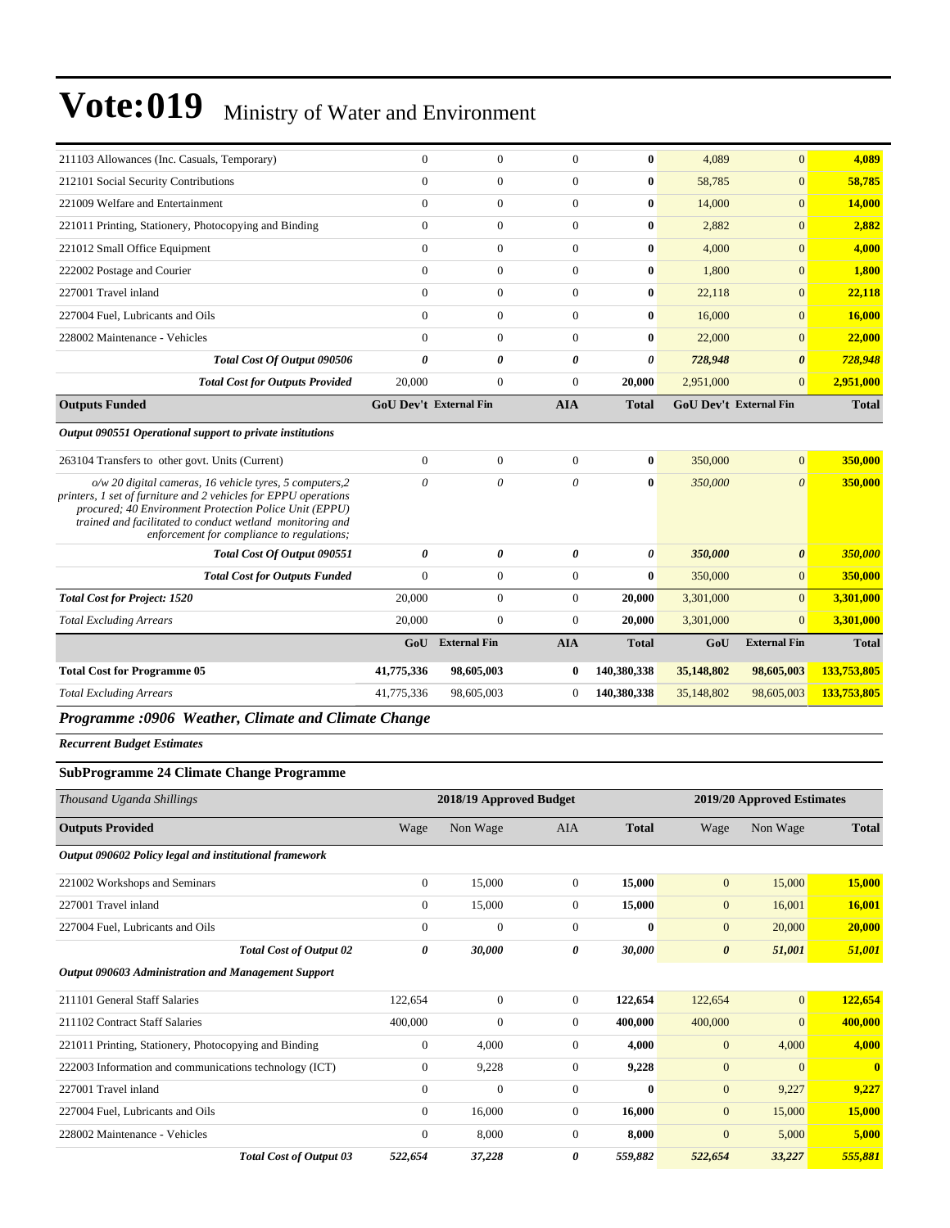| Programme :0906 Weather, Climate and Climate Change                                                                                                                                                                                                                                                                                                |                              |                               |                          |                      |                               |                          |                    |
|----------------------------------------------------------------------------------------------------------------------------------------------------------------------------------------------------------------------------------------------------------------------------------------------------------------------------------------------------|------------------------------|-------------------------------|--------------------------|----------------------|-------------------------------|--------------------------|--------------------|
| <b>Total Excluding Arrears</b>                                                                                                                                                                                                                                                                                                                     | 41,775,336                   | 98,605,003                    | $\mathbf{0}$             | 140,380,338          | 35,148,802                    | 98,605,003               | 133,753,805        |
| <b>Total Cost for Programme 05</b>                                                                                                                                                                                                                                                                                                                 | 41,775,336                   | 98,605,003                    | $\bf{0}$                 | 140,380,338          | 35,148,802                    | 98,605,003               | 133,753,805        |
|                                                                                                                                                                                                                                                                                                                                                    | GoU                          | <b>External Fin</b>           | <b>AIA</b>               | <b>Total</b>         | GoU                           | <b>External Fin</b>      | <b>Total</b>       |
| <b>Total Excluding Arrears</b>                                                                                                                                                                                                                                                                                                                     | 20,000                       | $\overline{0}$                | $\Omega$                 | 20,000               | 3,301,000                     | $\Omega$                 | 3,301,000          |
| <b>Total Cost for Project: 1520</b>                                                                                                                                                                                                                                                                                                                | 20,000                       | $\boldsymbol{0}$              | $\overline{0}$           | 20,000               | 3,301,000                     | $\mathbf{0}$             | 3,301,000          |
| <b>Total Cost for Outputs Funded</b>                                                                                                                                                                                                                                                                                                               | $\mathbf{0}$                 | $\overline{0}$                | $\mathbf{0}$             | $\mathbf{0}$         | 350,000                       | $\overline{0}$           | 350,000            |
| Total Cost Of Output 090551                                                                                                                                                                                                                                                                                                                        | 0                            | 0                             | $\pmb{\theta}$           | 0                    | 350,000                       | $\boldsymbol{\theta}$    | 350,000            |
| 263104 Transfers to other govt. Units (Current)<br>o/w 20 digital cameras, 16 vehicle tyres, 5 computers,2<br>printers, 1 set of furniture and 2 vehicles for EPPU operations<br>procured; 40 Environment Protection Police Unit (EPPU)<br>trained and facilitated to conduct wetland monitoring and<br>enforcement for compliance to regulations; | $\boldsymbol{0}$<br>$\theta$ | $\boldsymbol{0}$<br>$\theta$  | $\mathbf{0}$<br>$\theta$ | $\bf{0}$<br>$\bf{0}$ | 350,000<br>350,000            | $\mathbf{0}$<br>$\theta$ | 350,000<br>350,000 |
| Output 090551 Operational support to private institutions                                                                                                                                                                                                                                                                                          |                              |                               |                          |                      |                               |                          |                    |
| <b>Outputs Funded</b>                                                                                                                                                                                                                                                                                                                              |                              | <b>GoU Dev't External Fin</b> | <b>AIA</b>               | <b>Total</b>         | <b>GoU Dev't External Fin</b> |                          | <b>Total</b>       |
| <b>Total Cost for Outputs Provided</b>                                                                                                                                                                                                                                                                                                             | 20,000                       | $\boldsymbol{0}$              | $\mathbf{0}$             | 20,000               | 2,951,000                     | $\mathbf{0}$             | 2,951,000          |
| <b>Total Cost Of Output 090506</b>                                                                                                                                                                                                                                                                                                                 | 0                            | $\theta$                      | $\theta$                 | 0                    | 728,948                       | $\boldsymbol{\theta}$    | 728,948            |
| 228002 Maintenance - Vehicles                                                                                                                                                                                                                                                                                                                      | $\Omega$                     | $\mathbf{0}$                  | $\mathbf{0}$             | $\bf{0}$             | 22,000                        | $\mathbf{0}$             | 22,000             |
| 227004 Fuel, Lubricants and Oils                                                                                                                                                                                                                                                                                                                   | $\Omega$                     | $\Omega$                      | $\Omega$                 | $\bf{0}$             | 16,000                        | $\Omega$                 | 16,000             |
| 227001 Travel inland                                                                                                                                                                                                                                                                                                                               | $\mathbf{0}$                 | $\overline{0}$                | $\overline{0}$           | $\bf{0}$             | 22,118                        | $\mathbf{0}$             | 22.118             |
| 222002 Postage and Courier                                                                                                                                                                                                                                                                                                                         | $\overline{0}$               | $\boldsymbol{0}$              | $\mathbf{0}$             | $\bf{0}$             | 1,800                         | $\mathbf{0}$             | 1,800              |
| 221012 Small Office Equipment                                                                                                                                                                                                                                                                                                                      | $\mathbf{0}$                 | $\mathbf{0}$                  | $\mathbf{0}$             | $\bf{0}$             | 4,000                         | $\mathbf{0}$             | 4.000              |
| 221011 Printing, Stationery, Photocopying and Binding                                                                                                                                                                                                                                                                                              | $\overline{0}$               | $\boldsymbol{0}$              | $\mathbf{0}$             | $\bf{0}$             | 2,882                         | $\mathbf{0}$             | 2,882              |
| 221009 Welfare and Entertainment                                                                                                                                                                                                                                                                                                                   | $\overline{0}$               | $\overline{0}$                | $\overline{0}$           | $\bf{0}$             | 14,000                        | $\overline{0}$           | 14,000             |
| 212101 Social Security Contributions                                                                                                                                                                                                                                                                                                               | $\mathbf{0}$                 | $\mathbf{0}$                  | $\Omega$                 | $\bf{0}$             | 58,785                        | $\mathbf{0}$             | 58,785             |
| 211103 Allowances (Inc. Casuals, Temporary)                                                                                                                                                                                                                                                                                                        | $\theta$                     | $\Omega$                      | $\theta$                 | $\mathbf{0}$         | 4,089                         | $\Omega$                 | 4,089              |

*Recurrent Budget Estimates*

#### **SubProgramme 24 Climate Change Programme**

| Thousand Uganda Shillings                                  |                  | 2018/19 Approved Budget |                |              | 2019/20 Approved Estimates |                |                         |
|------------------------------------------------------------|------------------|-------------------------|----------------|--------------|----------------------------|----------------|-------------------------|
| <b>Outputs Provided</b>                                    | Wage             | Non Wage                | <b>AIA</b>     | <b>Total</b> | Wage                       | Non Wage       | <b>Total</b>            |
| Output 090602 Policy legal and institutional framework     |                  |                         |                |              |                            |                |                         |
| 221002 Workshops and Seminars                              | $\overline{0}$   | 15,000                  | $\overline{0}$ | 15,000       | $\mathbf{0}$               | 15,000         | 15,000                  |
| 227001 Travel inland                                       | $\overline{0}$   | 15,000                  | $\overline{0}$ | 15,000       | $\mathbf{0}$               | 16,001         | 16,001                  |
| 227004 Fuel, Lubricants and Oils                           | $\overline{0}$   | $\mathbf{0}$            | $\overline{0}$ | $\mathbf{0}$ | $\mathbf{0}$               | 20,000         | 20,000                  |
| <b>Total Cost of Output 02</b>                             | 0                | 30,000                  | 0              | 30,000       | $\boldsymbol{\theta}$      | 51,001         | 51,001                  |
| <b>Output 090603 Administration and Management Support</b> |                  |                         |                |              |                            |                |                         |
| 211101 General Staff Salaries                              | 122,654          | $\Omega$                | $\overline{0}$ | 122,654      | 122,654                    | $\mathbf{0}$   | 122,654                 |
| 211102 Contract Staff Salaries                             | 400,000          | $\overline{0}$          | $\overline{0}$ | 400,000      | 400,000                    | $\overline{0}$ | 400,000                 |
| 221011 Printing, Stationery, Photocopying and Binding      | $\boldsymbol{0}$ | 4,000                   | $\overline{0}$ | 4,000        | $\mathbf{0}$               | 4,000          | 4,000                   |
| 222003 Information and communications technology (ICT)     | $\theta$         | 9,228                   | $\overline{0}$ | 9,228        | $\mathbf{0}$               | $\overline{0}$ | $\overline{\mathbf{0}}$ |
| 227001 Travel inland                                       | $\mathbf{0}$     | $\mathbf{0}$            | $\overline{0}$ | $\bf{0}$     | $\mathbf{0}$               | 9,227          | 9,227                   |
| 227004 Fuel, Lubricants and Oils                           | $\Omega$         | 16,000                  | $\Omega$       | 16,000       | $\mathbf{0}$               | 15,000         | 15,000                  |
| 228002 Maintenance - Vehicles                              | $\overline{0}$   | 8,000                   | $\overline{0}$ | 8,000        | $\mathbf{0}$               | 5,000          | 5,000                   |
| <b>Total Cost of Output 03</b>                             | 522,654          | 37,228                  | 0              | 559,882      | 522,654                    | 33,227         | 555,881                 |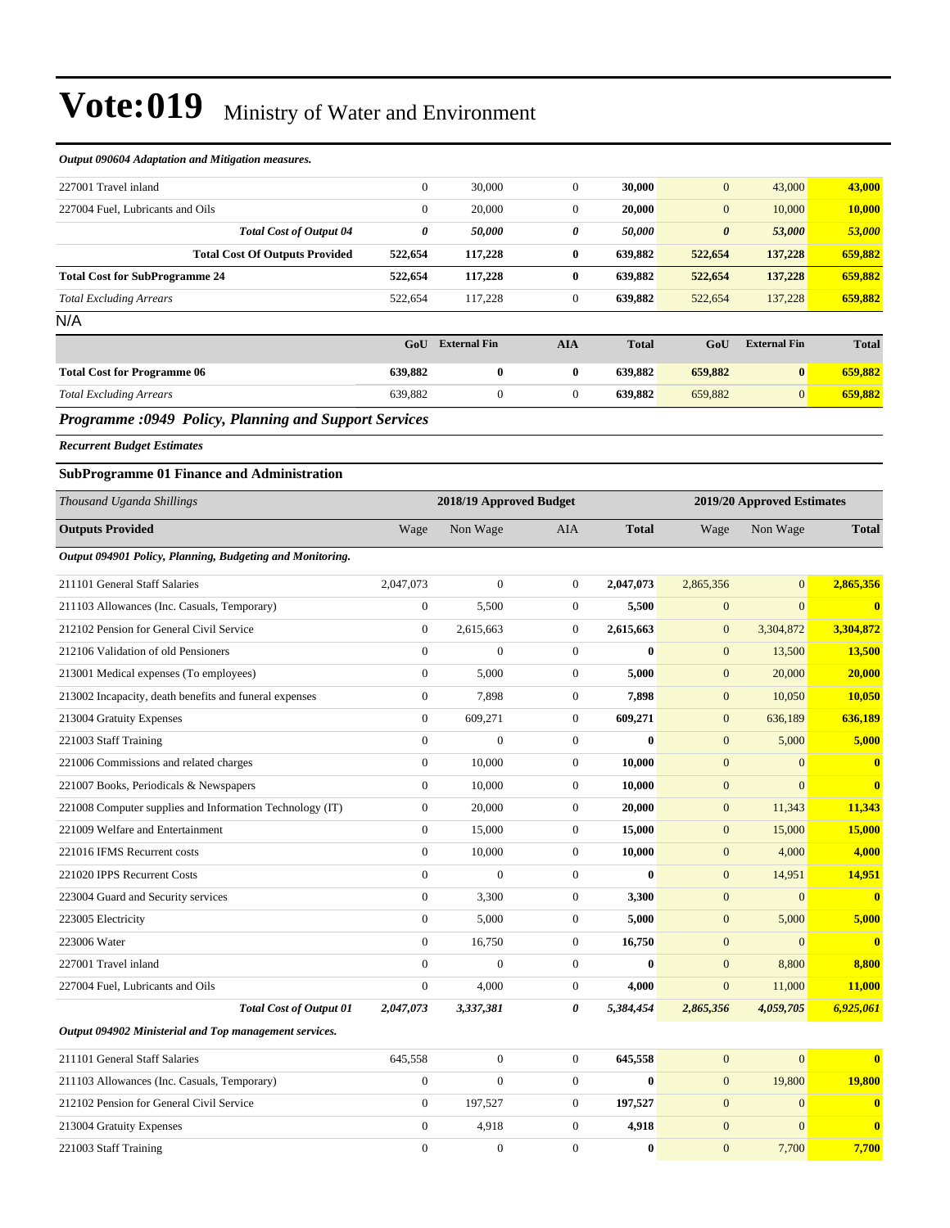| Output 090604 Adaptation and Mitigation measures.         |                  |                         |                  |              |                       |                            |               |
|-----------------------------------------------------------|------------------|-------------------------|------------------|--------------|-----------------------|----------------------------|---------------|
| 227001 Travel inland                                      | $\boldsymbol{0}$ | 30,000                  | $\overline{0}$   | 30,000       | $\mathbf{0}$          | 43,000                     | 43,000        |
| 227004 Fuel, Lubricants and Oils                          | $\boldsymbol{0}$ | 20,000                  | $\boldsymbol{0}$ | 20,000       | $\mathbf{0}$          | 10,000                     | 10,000        |
| <b>Total Cost of Output 04</b>                            | 0                | 50,000                  | 0                | 50,000       | $\boldsymbol{\theta}$ | 53,000                     | 53,000        |
| <b>Total Cost Of Outputs Provided</b>                     | 522,654          | 117,228                 | $\bf{0}$         | 639,882      | 522,654               | 137,228                    | 659,882       |
| <b>Total Cost for SubProgramme 24</b>                     | 522,654          | 117,228                 | $\bf{0}$         | 639,882      | 522,654               | 137,228                    | 659,882       |
| <b>Total Excluding Arrears</b>                            | 522,654          | 117,228                 | $\mathbf{0}$     | 639,882      | 522,654               | 137,228                    | 659,882       |
| N/A                                                       |                  |                         |                  |              |                       |                            |               |
|                                                           | GoU              | <b>External Fin</b>     | <b>AIA</b>       | <b>Total</b> | GoU                   | <b>External Fin</b>        | <b>Total</b>  |
| <b>Total Cost for Programme 06</b>                        | 639,882          | $\bf{0}$                | $\bf{0}$         | 639,882      | 659,882               | $\bf{0}$                   | 659,882       |
| <b>Total Excluding Arrears</b>                            | 639,882          | $\mathbf{0}$            | $\boldsymbol{0}$ | 639,882      | 659,882               | $\boldsymbol{0}$           | 659,882       |
| Programme :0949 Policy, Planning and Support Services     |                  |                         |                  |              |                       |                            |               |
| <b>Recurrent Budget Estimates</b>                         |                  |                         |                  |              |                       |                            |               |
| <b>SubProgramme 01 Finance and Administration</b>         |                  |                         |                  |              |                       |                            |               |
| Thousand Uganda Shillings                                 |                  | 2018/19 Approved Budget |                  |              |                       | 2019/20 Approved Estimates |               |
| <b>Outputs Provided</b>                                   | Wage             | Non Wage                | AIA              | <b>Total</b> | Wage                  | Non Wage                   | <b>Total</b>  |
| Output 094901 Policy, Planning, Budgeting and Monitoring. |                  |                         |                  |              |                       |                            |               |
| 211101 General Staff Salaries                             | 2,047,073        | $\mathbf{0}$            | $\boldsymbol{0}$ | 2,047,073    | 2,865,356             | $\boldsymbol{0}$           | 2,865,356     |
| 211103 Allowances (Inc. Casuals, Temporary)               | $\boldsymbol{0}$ | 5,500                   | $\mathbf{0}$     | 5,500        | $\mathbf{0}$          | $\mathbf{0}$               | $\bf{0}$      |
| 212102 Pension for General Civil Service                  | $\boldsymbol{0}$ | 2,615,663               | $\mathbf{0}$     | 2,615,663    | $\mathbf{0}$          | 3,304,872                  | 3,304,872     |
| 212106 Validation of old Pensioners                       | $\boldsymbol{0}$ | $\boldsymbol{0}$        | $\boldsymbol{0}$ | $\bf{0}$     | $\mathbf{0}$          | 13,500                     | 13,500        |
| 213001 Medical expenses (To employees)                    | $\boldsymbol{0}$ | 5,000                   | $\boldsymbol{0}$ | 5,000        | $\mathbf{0}$          | 20,000                     | 20,000        |
| 213002 Incapacity, death benefits and funeral expenses    | $\boldsymbol{0}$ | 7,898                   | $\mathbf{0}$     | 7,898        | $\mathbf{0}$          | 10,050                     | 10,050        |
| 213004 Gratuity Expenses                                  | $\boldsymbol{0}$ | 609,271                 | $\boldsymbol{0}$ | 609,271      | $\mathbf{0}$          | 636,189                    | 636,189       |
| 221003 Staff Training                                     | $\boldsymbol{0}$ | $\mathbf{0}$            | $\boldsymbol{0}$ | $\bf{0}$     | $\mathbf{0}$          | 5,000                      | 5,000         |
| 221006 Commissions and related charges                    | $\boldsymbol{0}$ | 10,000                  | $\boldsymbol{0}$ | 10,000       | $\mathbf{0}$          | $\mathbf{0}$               | $\bf{0}$      |
| 221007 Books, Periodicals & Newspapers                    | $\boldsymbol{0}$ | 10,000                  | $\boldsymbol{0}$ | 10,000       | $\mathbf{0}$          | $\mathbf{0}$               | $\bf{0}$      |
| 221008 Computer supplies and Information Technology (IT)  | $\boldsymbol{0}$ | 20,000                  | $\boldsymbol{0}$ | 20,000       | $\mathbf{0}$          | 11,343                     | 11,343        |
| 221009 Welfare and Entertainment                          | $\boldsymbol{0}$ | 15,000                  | $\mathbf{0}$     | 15,000       | $\mathbf{0}$          | 15,000                     | <b>15,000</b> |
| 221016 IFMS Recurrent costs                               | $\boldsymbol{0}$ | 10,000                  | $\boldsymbol{0}$ | 10,000       | $\boldsymbol{0}$      | 4,000                      | 4,000         |
| 221020 IPPS Recurrent Costs                               | $\boldsymbol{0}$ | $\boldsymbol{0}$        | $\mathbf{0}$     | $\bf{0}$     | $\mathbf{0}$          | 14,951                     | 14,951        |
| 223004 Guard and Security services                        | $\boldsymbol{0}$ | 3,300                   | $\mathbf{0}$     | 3,300        | $\mathbf{0}$          | $\mathbf{0}$               | $\bf{0}$      |
| 223005 Electricity                                        | $\boldsymbol{0}$ | 5,000                   | $\boldsymbol{0}$ | 5,000        | $\mathbf{0}$          | 5,000                      | 5,000         |
| 223006 Water                                              | $\boldsymbol{0}$ | 16,750                  | $\boldsymbol{0}$ | 16,750       | $\mathbf{0}$          | $\mathbf{0}$               | $\bf{0}$      |
| 227001 Travel inland                                      | $\boldsymbol{0}$ | $\boldsymbol{0}$        | $\boldsymbol{0}$ | $\bf{0}$     | $\mathbf{0}$          | 8,800                      | 8,800         |
| 227004 Fuel, Lubricants and Oils                          | $\boldsymbol{0}$ | 4,000                   | $\mathbf{0}$     | 4,000        | $\boldsymbol{0}$      | 11,000                     | 11,000        |
| <b>Total Cost of Output 01</b>                            | 2,047,073        | 3,337,381               | 0                | 5,384,454    | 2,865,356             | 4,059,705                  | 6,925,061     |
| Output 094902 Ministerial and Top management services.    |                  |                         |                  |              |                       |                            |               |
| 211101 General Staff Salaries                             | 645,558          | $\boldsymbol{0}$        | $\boldsymbol{0}$ | 645,558      | $\mathbf{0}$          | $\boldsymbol{0}$           | $\bf{0}$      |
| 211103 Allowances (Inc. Casuals, Temporary)               | $\boldsymbol{0}$ | $\mathbf{0}$            | $\boldsymbol{0}$ | $\bf{0}$     | $\mathbf{0}$          | 19,800                     | <b>19,800</b> |
| 212102 Pension for General Civil Service                  | $\boldsymbol{0}$ | 197,527                 | $\boldsymbol{0}$ | 197,527      | $\mathbf{0}$          | $\mathbf{0}$               | $\bf{0}$      |
| 213004 Gratuity Expenses                                  | $\boldsymbol{0}$ | 4,918                   | $\mathbf{0}$     | 4,918        | $\mathbf{0}$          | $\mathbf{0}$               | $\mathbf{0}$  |

221003 Staff Training 0 0 0 **0** 0 7,700 **7,700**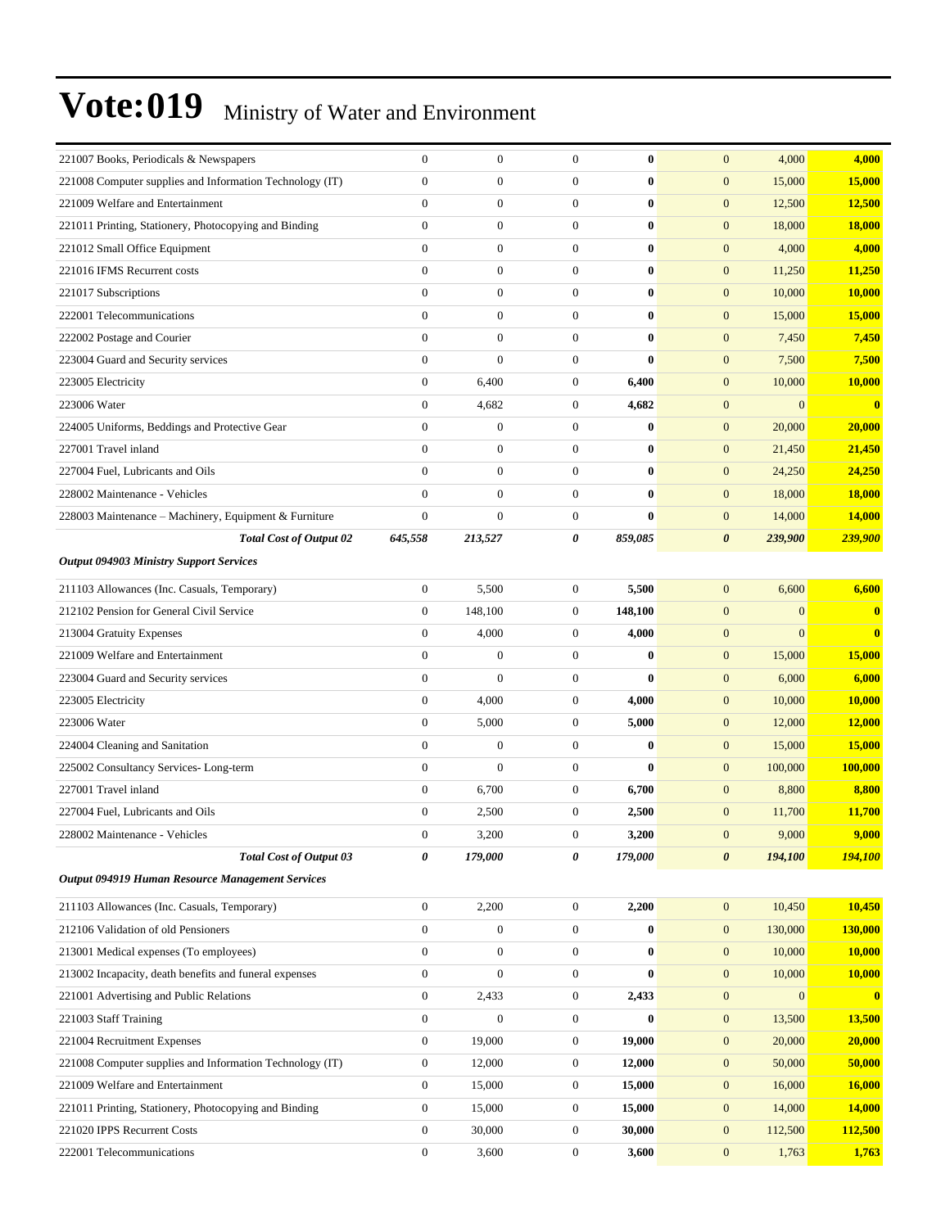| 221007 Books, Periodicals & Newspapers                   | 0                | $\boldsymbol{0}$ | $\mathbf{0}$     | $\bf{0}$ | $\mathbf{0}$<br>4,000            | 4,000    |
|----------------------------------------------------------|------------------|------------------|------------------|----------|----------------------------------|----------|
| 221008 Computer supplies and Information Technology (IT) | $\overline{0}$   | $\boldsymbol{0}$ | $\overline{0}$   | 0        | $\mathbf{0}$<br>15,000           | 15,000   |
| 221009 Welfare and Entertainment                         | $\boldsymbol{0}$ | $\boldsymbol{0}$ | $\boldsymbol{0}$ | $\bf{0}$ | $\mathbf{0}$<br>12,500           | 12,500   |
| 221011 Printing, Stationery, Photocopying and Binding    | $\boldsymbol{0}$ | $\boldsymbol{0}$ | $\boldsymbol{0}$ | 0        | $\mathbf{0}$<br>18,000           | 18,000   |
| 221012 Small Office Equipment                            | $\overline{0}$   | $\boldsymbol{0}$ | $\overline{0}$   | $\bf{0}$ | $\mathbf{0}$<br>4,000            | 4,000    |
| 221016 IFMS Recurrent costs                              | $\overline{0}$   | $\mathbf{0}$     | $\overline{0}$   | $\bf{0}$ | $\mathbf{0}$<br>11,250           | 11,250   |
| 221017 Subscriptions                                     | $\overline{0}$   | $\boldsymbol{0}$ | $\overline{0}$   | $\bf{0}$ | $\mathbf{0}$<br>10,000           | 10,000   |
| 222001 Telecommunications                                | $\boldsymbol{0}$ | $\mathbf{0}$     | $\boldsymbol{0}$ | $\bf{0}$ | $\mathbf{0}$<br>15,000           | 15,000   |
| 222002 Postage and Courier                               | $\boldsymbol{0}$ | $\boldsymbol{0}$ | $\boldsymbol{0}$ | 0        | $\mathbf{0}$<br>7,450            | 7,450    |
| 223004 Guard and Security services                       | $\overline{0}$   | $\boldsymbol{0}$ | $\overline{0}$   | $\bf{0}$ | $\mathbf{0}$<br>7,500            | 7,500    |
| 223005 Electricity                                       | $\boldsymbol{0}$ | 6,400            | $\boldsymbol{0}$ | 6,400    | $\mathbf{0}$<br>10,000           | 10,000   |
| 223006 Water                                             | $\overline{0}$   | 4,682            | $\boldsymbol{0}$ | 4,682    | $\boldsymbol{0}$<br>$\mathbf{0}$ | $\bf{0}$ |
| 224005 Uniforms, Beddings and Protective Gear            | $\boldsymbol{0}$ | $\boldsymbol{0}$ | $\boldsymbol{0}$ | 0        | $\mathbf{0}$<br>20,000           | 20,000   |
| 227001 Travel inland                                     | $\boldsymbol{0}$ | $\boldsymbol{0}$ | $\boldsymbol{0}$ | $\bf{0}$ | $\mathbf{0}$<br>21,450           | 21,450   |
| 227004 Fuel, Lubricants and Oils                         | $\overline{0}$   | $\mathbf{0}$     | $\overline{0}$   | $\bf{0}$ | $\mathbf{0}$<br>24,250           | 24,250   |
| 228002 Maintenance - Vehicles                            | $\overline{0}$   | $\boldsymbol{0}$ | $\boldsymbol{0}$ | $\bf{0}$ | $\mathbf{0}$<br>18,000           | 18,000   |
| 228003 Maintenance – Machinery, Equipment & Furniture    | $\overline{0}$   | $\mathbf{0}$     | $\boldsymbol{0}$ | $\bf{0}$ | $\mathbf{0}$<br>14,000           | 14,000   |
| <b>Total Cost of Output 02</b>                           | 645,558          | 213,527          | 0                | 859,085  | $\boldsymbol{\theta}$<br>239,900 | 239,900  |
| <b>Output 094903 Ministry Support Services</b>           |                  |                  |                  |          |                                  |          |
| 211103 Allowances (Inc. Casuals, Temporary)              | $\boldsymbol{0}$ | 5,500            | $\boldsymbol{0}$ | 5,500    | $\mathbf{0}$<br>6,600            | 6,600    |
| 212102 Pension for General Civil Service                 | $\boldsymbol{0}$ | 148,100          | $\boldsymbol{0}$ | 148,100  | $\mathbf{0}$<br>$\boldsymbol{0}$ | $\bf{0}$ |
| 213004 Gratuity Expenses                                 | $\boldsymbol{0}$ | 4,000            | $\boldsymbol{0}$ | 4,000    | $\mathbf{0}$<br>$\overline{0}$   | $\bf{0}$ |
| 221009 Welfare and Entertainment                         | $\overline{0}$   | $\boldsymbol{0}$ | $\overline{0}$   | $\bf{0}$ | $\mathbf{0}$<br>15,000           | 15,000   |
| 223004 Guard and Security services                       | $\boldsymbol{0}$ | $\mathbf{0}$     | $\overline{0}$   | 0        | $\mathbf{0}$<br>6,000            | 6,000    |
| 223005 Electricity                                       | $\boldsymbol{0}$ | 4,000            | $\boldsymbol{0}$ | 4,000    | $\mathbf{0}$<br>10,000           | 10,000   |
| 223006 Water                                             | $\boldsymbol{0}$ | 5,000            | $\boldsymbol{0}$ | 5,000    | $\boldsymbol{0}$<br>12,000       | 12,000   |
| 224004 Cleaning and Sanitation                           | $\boldsymbol{0}$ | $\boldsymbol{0}$ | 0                | $\bf{0}$ | $\mathbf{0}$<br>15,000           | 15,000   |
| 225002 Consultancy Services-Long-term                    | $\overline{0}$   | $\mathbf{0}$     | $\overline{0}$   | $\bf{0}$ | $\mathbf{0}$<br>100,000          | 100,000  |
| 227001 Travel inland                                     | $\boldsymbol{0}$ | 6,700            | $\boldsymbol{0}$ | 6,700    | $\mathbf{0}$<br>8,800            | 8,800    |
| 227004 Fuel, Lubricants and Oils                         | $\boldsymbol{0}$ | 2,500            | $\boldsymbol{0}$ | 2,500    | $\mathbf{0}$<br>11,700           | 11,700   |
| 228002 Maintenance - Vehicles                            | $\overline{0}$   | 3,200            | $\mathbf{0}$     | 3,200    | $\mathbf{0}$<br>9,000            | 9,000    |
| <b>Total Cost of Output 03</b>                           | 0                | 179,000          | 0                | 179,000  | 194,100<br>$\boldsymbol{\theta}$ | 194,100  |
| <b>Output 094919 Human Resource Management Services</b>  |                  |                  |                  |          |                                  |          |
| 211103 Allowances (Inc. Casuals, Temporary)              | $\boldsymbol{0}$ | 2,200            | $\overline{0}$   | 2,200    | $\boldsymbol{0}$<br>10,450       | 10,450   |
| 212106 Validation of old Pensioners                      | $\boldsymbol{0}$ | $\boldsymbol{0}$ | $\boldsymbol{0}$ | 0        | $\boldsymbol{0}$<br>130,000      | 130,000  |
| 213001 Medical expenses (To employees)                   | $\boldsymbol{0}$ | $\boldsymbol{0}$ | $\boldsymbol{0}$ | $\bf{0}$ | $\boldsymbol{0}$<br>10,000       | 10,000   |
| 213002 Incapacity, death benefits and funeral expenses   | $\boldsymbol{0}$ | $\boldsymbol{0}$ | $\boldsymbol{0}$ | $\bf{0}$ | $\boldsymbol{0}$<br>10,000       | 10,000   |
| 221001 Advertising and Public Relations                  | $\boldsymbol{0}$ | 2,433            | $\boldsymbol{0}$ | 2,433    | $\boldsymbol{0}$<br>$\mathbf{0}$ | $\bf{0}$ |
| 221003 Staff Training                                    | $\boldsymbol{0}$ | $\boldsymbol{0}$ | $\boldsymbol{0}$ | $\bf{0}$ | $\boldsymbol{0}$<br>13,500       | 13,500   |
| 221004 Recruitment Expenses                              | $\boldsymbol{0}$ | 19,000           | $\mathbf{0}$     | 19,000   | $\boldsymbol{0}$<br>20,000       | 20,000   |
| 221008 Computer supplies and Information Technology (IT) | $\boldsymbol{0}$ | 12,000           | $\boldsymbol{0}$ | 12,000   | $\mathbf{0}$<br>50,000           | 50,000   |
| 221009 Welfare and Entertainment                         | $\boldsymbol{0}$ | 15,000           | $\boldsymbol{0}$ | 15,000   | $\boldsymbol{0}$<br>16,000       | 16,000   |
| 221011 Printing, Stationery, Photocopying and Binding    | $\boldsymbol{0}$ | 15,000           | $\boldsymbol{0}$ | 15,000   | $\boldsymbol{0}$<br>14,000       | 14,000   |
| 221020 IPPS Recurrent Costs                              | $\boldsymbol{0}$ | 30,000           | $\boldsymbol{0}$ | 30,000   | $\boldsymbol{0}$<br>112,500      | 112,500  |
| 222001 Telecommunications                                | $\boldsymbol{0}$ | 3,600            | $\boldsymbol{0}$ | 3,600    | $\boldsymbol{0}$<br>1,763        | 1,763    |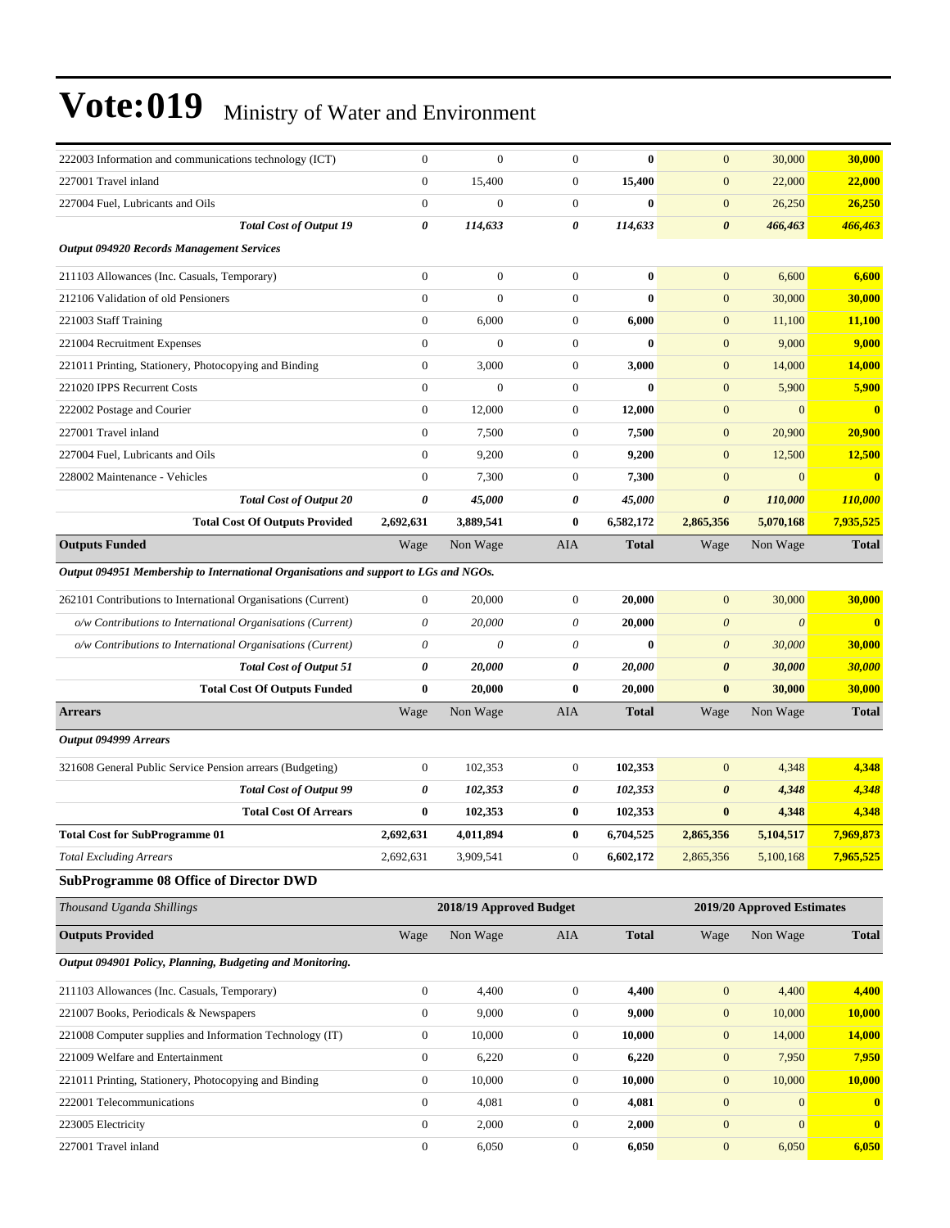| 222003 Information and communications technology (ICT)                               | $\overline{0}$   | $\mathbf{0}$            | $\overline{0}$   | $\bf{0}$     | $\mathbf{0}$          | 30,000                     | <b>30,000</b> |
|--------------------------------------------------------------------------------------|------------------|-------------------------|------------------|--------------|-----------------------|----------------------------|---------------|
| 227001 Travel inland                                                                 | $\mathbf{0}$     | 15,400                  | $\mathbf{0}$     | 15,400       | $\mathbf{0}$          | 22,000                     | 22,000        |
| 227004 Fuel, Lubricants and Oils                                                     | $\overline{0}$   | $\boldsymbol{0}$        | $\mathbf{0}$     | $\bf{0}$     | $\boldsymbol{0}$      | 26,250                     | 26,250        |
| <b>Total Cost of Output 19</b>                                                       | 0                | 114,633                 | 0                | 114,633      | $\boldsymbol{\theta}$ | 466,463                    | 466,463       |
| <b>Output 094920 Records Management Services</b>                                     |                  |                         |                  |              |                       |                            |               |
| 211103 Allowances (Inc. Casuals, Temporary)                                          | $\boldsymbol{0}$ | $\boldsymbol{0}$        | $\boldsymbol{0}$ | $\bf{0}$     | $\mathbf{0}$          | 6,600                      | 6,600         |
| 212106 Validation of old Pensioners                                                  | $\mathbf{0}$     | $\boldsymbol{0}$        | $\mathbf{0}$     | $\bf{0}$     | $\mathbf{0}$          | 30,000                     | 30,000        |
| 221003 Staff Training                                                                | $\mathbf{0}$     | 6,000                   | $\mathbf{0}$     | 6,000        | $\boldsymbol{0}$      | 11,100                     | 11,100        |
| 221004 Recruitment Expenses                                                          | $\overline{0}$   | $\overline{0}$          | $\boldsymbol{0}$ | $\bf{0}$     | $\mathbf{0}$          | 9,000                      | 9,000         |
| 221011 Printing, Stationery, Photocopying and Binding                                | $\mathbf{0}$     | 3,000                   | $\mathbf{0}$     | 3,000        | $\mathbf{0}$          | 14,000                     | 14,000        |
| 221020 IPPS Recurrent Costs                                                          | $\boldsymbol{0}$ | $\overline{0}$          | $\mathbf{0}$     | $\bf{0}$     | $\mathbf{0}$          | 5,900                      | 5,900         |
| 222002 Postage and Courier                                                           | $\mathbf{0}$     | 12,000                  | $\boldsymbol{0}$ | 12,000       | $\mathbf{0}$          | $\mathbf{0}$               | $\bf{0}$      |
| 227001 Travel inland                                                                 | $\mathbf{0}$     | 7,500                   | $\mathbf{0}$     | 7,500        | $\mathbf{0}$          | 20,900                     | 20,900        |
| 227004 Fuel, Lubricants and Oils                                                     | $\overline{0}$   | 9,200                   | $\mathbf{0}$     | 9,200        | $\mathbf{0}$          | 12,500                     | 12,500        |
| 228002 Maintenance - Vehicles                                                        | $\overline{0}$   | 7,300                   | $\mathbf{0}$     | 7,300        | $\mathbf{0}$          | $\overline{0}$             | $\bf{0}$      |
| <b>Total Cost of Output 20</b>                                                       | 0                | 45,000                  | 0                | 45,000       | $\boldsymbol{\theta}$ | 110,000                    | 110,000       |
| <b>Total Cost Of Outputs Provided</b>                                                | 2,692,631        | 3,889,541               | $\bf{0}$         | 6,582,172    | 2,865,356             | 5,070,168                  | 7,935,525     |
| <b>Outputs Funded</b>                                                                | Wage             | Non Wage                | <b>AIA</b>       | <b>Total</b> | Wage                  | Non Wage                   | <b>Total</b>  |
| Output 094951 Membership to International Organisations and support to LGs and NGOs. |                  |                         |                  |              |                       |                            |               |
| 262101 Contributions to International Organisations (Current)                        | $\boldsymbol{0}$ | 20,000                  | $\boldsymbol{0}$ | 20,000       | $\mathbf{0}$          | 30,000                     | 30,000        |
| o/w Contributions to International Organisations (Current)                           | 0                | 20,000                  | 0                | 20,000       | $\theta$              | $\boldsymbol{\theta}$      | $\bf{0}$      |
| o/w Contributions to International Organisations (Current)                           | 0                | 0                       | 0                | $\mathbf{0}$ | $\boldsymbol{\theta}$ | 30,000                     | 30,000        |
| <b>Total Cost of Output 51</b>                                                       | 0                | 20,000                  | 0                | 20,000       | $\boldsymbol{\theta}$ | 30,000                     | 30,000        |
| <b>Total Cost Of Outputs Funded</b>                                                  | $\bf{0}$         | 20,000                  | $\bf{0}$         | 20,000       | $\bf{0}$              | 30,000                     | <b>30,000</b> |
| <b>Arrears</b>                                                                       | Wage             | Non Wage                | AIA              | <b>Total</b> | Wage                  | Non Wage                   | <b>Total</b>  |
| Output 094999 Arrears                                                                |                  |                         |                  |              |                       |                            |               |
|                                                                                      |                  |                         |                  |              |                       |                            |               |
| 321608 General Public Service Pension arrears (Budgeting)                            | $\boldsymbol{0}$ | 102,353                 | $\mathbf{0}$     | 102,353      | $\mathbf{0}$          | 4,348                      | 4,348         |
| <b>Total Cost of Output 99</b>                                                       | 0                | 102,353                 | 0                | 102,353      | $\boldsymbol{\theta}$ | 4,348                      | 4,348         |
| <b>Total Cost Of Arrears</b>                                                         | $\bf{0}$         | 102,353                 | $\bf{0}$         | 102,353      | $\bf{0}$              | 4,348                      | 4,348         |
| <b>Total Cost for SubProgramme 01</b>                                                | 2,692,631        | 4,011,894               | $\bf{0}$         | 6,704,525    | 2,865,356             | 5,104,517                  | 7,969,873     |
| <b>Total Excluding Arrears</b>                                                       | 2,692,631        | 3,909,541               | $\mathbf{0}$     | 6,602,172    | 2,865,356             | 5,100,168                  | 7,965,525     |
| <b>SubProgramme 08 Office of Director DWD</b>                                        |                  |                         |                  |              |                       |                            |               |
| Thousand Uganda Shillings                                                            |                  | 2018/19 Approved Budget |                  |              |                       | 2019/20 Approved Estimates |               |
| <b>Outputs Provided</b>                                                              | Wage             | Non Wage                | AIA              | <b>Total</b> | Wage                  | Non Wage                   | <b>Total</b>  |
| Output 094901 Policy, Planning, Budgeting and Monitoring.                            |                  |                         |                  |              |                       |                            |               |
| 211103 Allowances (Inc. Casuals, Temporary)                                          | $\boldsymbol{0}$ | 4,400                   | $\boldsymbol{0}$ | 4,400        | $\boldsymbol{0}$      | 4,400                      | 4,400         |
| 221007 Books, Periodicals & Newspapers                                               | $\boldsymbol{0}$ | 9,000                   | $\boldsymbol{0}$ | 9,000        | $\boldsymbol{0}$      | 10,000                     | 10,000        |
| 221008 Computer supplies and Information Technology (IT)                             | $\boldsymbol{0}$ | 10,000                  | $\boldsymbol{0}$ | 10,000       | $\boldsymbol{0}$      | 14,000                     | 14,000        |
| 221009 Welfare and Entertainment                                                     | $\boldsymbol{0}$ | 6,220                   | $\boldsymbol{0}$ | 6,220        | $\boldsymbol{0}$      | 7,950                      | 7,950         |
| 221011 Printing, Stationery, Photocopying and Binding                                | $\mathbf{0}$     | 10,000                  | $\boldsymbol{0}$ | 10,000       | $\boldsymbol{0}$      | 10,000                     | 10,000        |
| 222001 Telecommunications                                                            | 0                | 4,081                   | $\mathbf{0}$     | 4,081        | $\mathbf{0}$          | $\mathbf{0}$               | $\bf{0}$      |
| 223005 Electricity                                                                   | $\boldsymbol{0}$ | 2,000                   | $\boldsymbol{0}$ | 2,000        | $\boldsymbol{0}$      | $\overline{0}$             | $\bf{0}$      |
| 227001 Travel inland                                                                 | $\boldsymbol{0}$ | 6,050                   | $\boldsymbol{0}$ | 6,050        | $\boldsymbol{0}$      | 6,050                      | 6,050         |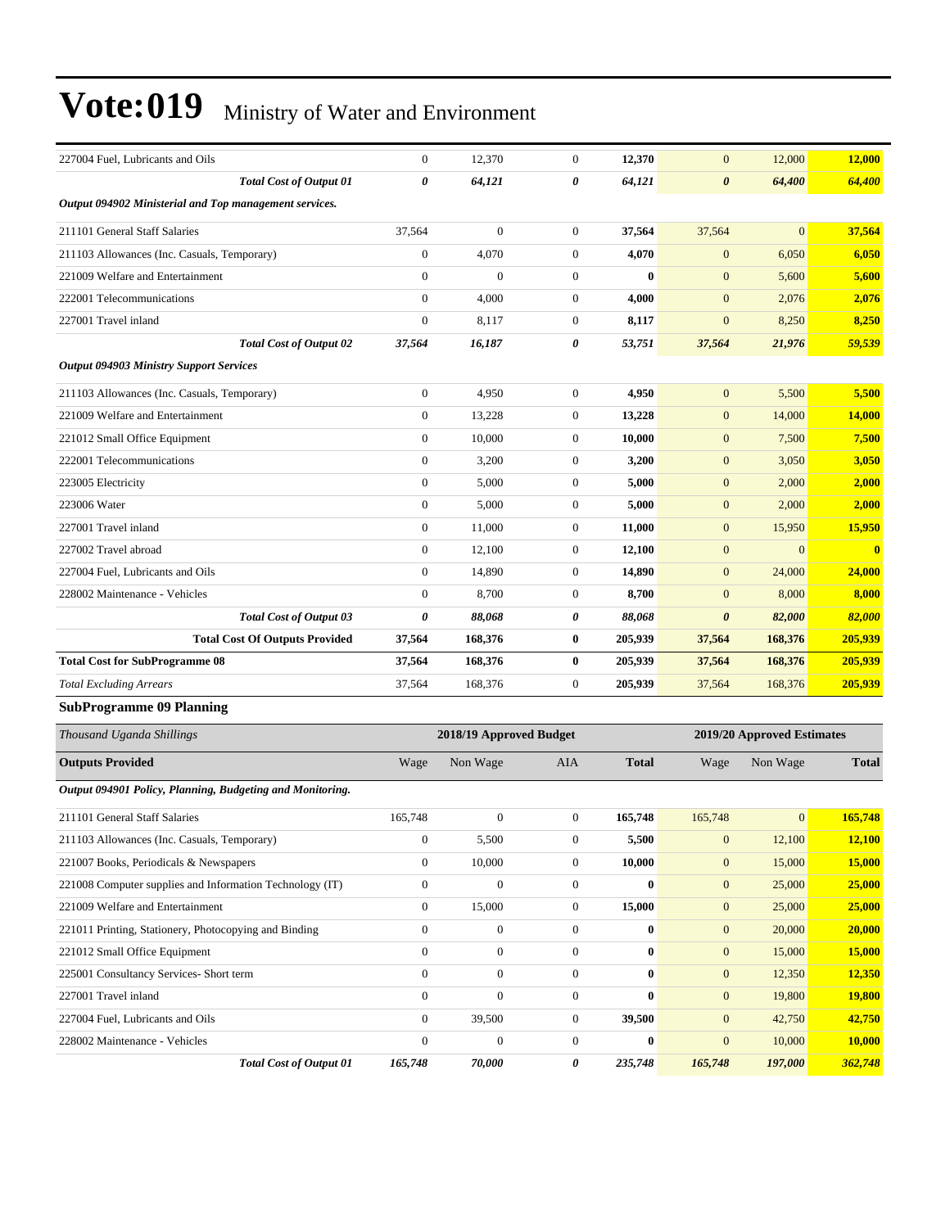| 227004 Fuel, Lubricants and Oils                          |                                       | $\boldsymbol{0}$ | 12,370                  | $\mathbf{0}$     | 12,370       | $\mathbf{0}$          | 12,000                     | 12,000        |
|-----------------------------------------------------------|---------------------------------------|------------------|-------------------------|------------------|--------------|-----------------------|----------------------------|---------------|
|                                                           | <b>Total Cost of Output 01</b>        | 0                | 64,121                  | 0                | 64,121       | 0                     | 64,400                     | 64,400        |
| Output 094902 Ministerial and Top management services.    |                                       |                  |                         |                  |              |                       |                            |               |
| 211101 General Staff Salaries                             |                                       | 37,564           | $\overline{0}$          | $\mathbf{0}$     | 37,564       | 37,564                | $\overline{0}$             | 37,564        |
| 211103 Allowances (Inc. Casuals, Temporary)               |                                       | $\boldsymbol{0}$ | 4,070                   | $\mathbf{0}$     | 4,070        | $\boldsymbol{0}$      | 6,050                      | 6,050         |
| 221009 Welfare and Entertainment                          |                                       | $\boldsymbol{0}$ | $\boldsymbol{0}$        | $\mathbf{0}$     | $\bf{0}$     | $\mathbf{0}$          | 5,600                      | 5,600         |
| 222001 Telecommunications                                 |                                       | $\boldsymbol{0}$ | 4,000                   | $\mathbf{0}$     | 4,000        | $\boldsymbol{0}$      | 2,076                      | 2,076         |
| 227001 Travel inland                                      |                                       | $\boldsymbol{0}$ | 8,117                   | $\mathbf{0}$     | 8,117        | $\boldsymbol{0}$      | 8,250                      | 8,250         |
|                                                           | <b>Total Cost of Output 02</b>        | 37,564           | 16,187                  | 0                | 53,751       | 37,564                | 21,976                     | 59,539        |
| <b>Output 094903 Ministry Support Services</b>            |                                       |                  |                         |                  |              |                       |                            |               |
| 211103 Allowances (Inc. Casuals, Temporary)               |                                       | $\mathbf{0}$     | 4,950                   | $\mathbf{0}$     | 4,950        | $\mathbf{0}$          | 5,500                      | 5,500         |
| 221009 Welfare and Entertainment                          |                                       | $\boldsymbol{0}$ | 13,228                  | $\mathbf{0}$     | 13,228       | $\boldsymbol{0}$      | 14,000                     | 14,000        |
| 221012 Small Office Equipment                             |                                       | $\boldsymbol{0}$ | 10,000                  | $\mathbf{0}$     | 10,000       | $\mathbf{0}$          | 7,500                      | 7,500         |
| 222001 Telecommunications                                 |                                       | $\mathbf{0}$     | 3,200                   | $\mathbf{0}$     | 3,200        | $\mathbf{0}$          | 3,050                      | 3,050         |
| 223005 Electricity                                        |                                       | $\mathbf{0}$     | 5,000                   | $\mathbf{0}$     | 5,000        | $\boldsymbol{0}$      | 2,000                      | 2,000         |
| 223006 Water                                              |                                       | $\mathbf{0}$     | 5,000                   | $\mathbf{0}$     | 5,000        | $\boldsymbol{0}$      | 2,000                      | 2,000         |
| 227001 Travel inland                                      |                                       | $\mathbf{0}$     | 11,000                  | $\boldsymbol{0}$ | 11,000       | $\mathbf{0}$          | 15,950                     | 15,950        |
| 227002 Travel abroad                                      |                                       | $\mathbf{0}$     | 12,100                  | $\mathbf{0}$     | 12,100       | $\boldsymbol{0}$      | $\mathbf{0}$               | $\mathbf{0}$  |
| 227004 Fuel, Lubricants and Oils                          |                                       | $\boldsymbol{0}$ | 14,890                  | $\mathbf{0}$     | 14,890       | $\mathbf{0}$          | 24,000                     | 24,000        |
| 228002 Maintenance - Vehicles                             |                                       | $\mathbf{0}$     | 8,700                   | $\mathbf{0}$     | 8,700        | $\boldsymbol{0}$      | 8,000                      | 8,000         |
|                                                           | <b>Total Cost of Output 03</b>        | 0                | 88,068                  | 0                | 88,068       | $\boldsymbol{\theta}$ | 82,000                     | 82,000        |
|                                                           | <b>Total Cost Of Outputs Provided</b> | 37,564           | 168,376                 | $\bf{0}$         | 205,939      | 37,564                | 168,376                    | 205,939       |
| <b>Total Cost for SubProgramme 08</b>                     |                                       | 37,564           | 168,376                 | $\bf{0}$         | 205,939      | 37,564                | 168,376                    | 205,939       |
| <b>Total Excluding Arrears</b>                            |                                       | 37,564           | 168,376                 | $\mathbf{0}$     | 205,939      | 37,564                | 168,376                    | 205,939       |
| <b>SubProgramme 09 Planning</b>                           |                                       |                  |                         |                  |              |                       |                            |               |
| Thousand Uganda Shillings                                 |                                       |                  | 2018/19 Approved Budget |                  |              |                       | 2019/20 Approved Estimates |               |
| <b>Outputs Provided</b>                                   |                                       | Wage             | Non Wage                | AIA              | <b>Total</b> | Wage                  | Non Wage                   | <b>Total</b>  |
| Output 094901 Policy, Planning, Budgeting and Monitoring. |                                       |                  |                         |                  |              |                       |                            |               |
| 211101 General Staff Salaries                             |                                       | 165,748          | $\overline{0}$          | $\mathbf{0}$     | 165,748      | 165,748               | $\mathbf{0}$               | 165,748       |
| 211103 Allowances (Inc. Casuals, Temporary)               |                                       | $\boldsymbol{0}$ | 5,500                   | $\boldsymbol{0}$ | 5,500        | $\mathbf{0}$          | 12,100                     | 12,100        |
| 221007 Books, Periodicals & Newspapers                    |                                       | $\mathbf{0}$     | 10,000                  | $\boldsymbol{0}$ | 10,000       | $\mathbf{0}$          | 15,000                     | 15,000        |
| 221008 Computer supplies and Information Technology (IT)  |                                       | $\boldsymbol{0}$ | $\boldsymbol{0}$        | $\boldsymbol{0}$ | $\bf{0}$     | $\boldsymbol{0}$      | 25,000                     | 25,000        |
| 221009 Welfare and Entertainment                          |                                       | $\boldsymbol{0}$ | 15,000                  | $\boldsymbol{0}$ | 15,000       | $\boldsymbol{0}$      | 25,000                     | 25,000        |
| 221011 Printing, Stationery, Photocopying and Binding     |                                       | $\mathbf{0}$     | $\boldsymbol{0}$        | $\mathbf{0}$     | $\bf{0}$     | $\boldsymbol{0}$      | 20,000                     | 20,000        |
| 221012 Small Office Equipment                             |                                       | $\boldsymbol{0}$ | $\boldsymbol{0}$        | $\boldsymbol{0}$ | $\bf{0}$     | $\boldsymbol{0}$      | 15,000                     | 15,000        |
| 225001 Consultancy Services- Short term                   |                                       | $\mathbf{0}$     | $\boldsymbol{0}$        | $\boldsymbol{0}$ | $\bf{0}$     | $\mathbf{0}$          | 12,350                     | <b>12,350</b> |
| 227001 Travel inland                                      |                                       | $\boldsymbol{0}$ | $\boldsymbol{0}$        | $\boldsymbol{0}$ | $\bf{0}$     | $\boldsymbol{0}$      | 19,800                     | <b>19,800</b> |
| 227004 Fuel, Lubricants and Oils                          |                                       | $\mathbf{0}$     | 39,500                  | $\boldsymbol{0}$ | 39,500       | $\boldsymbol{0}$      | 42,750                     | 42,750        |
| 228002 Maintenance - Vehicles                             |                                       | $\boldsymbol{0}$ | $\overline{0}$          | $\boldsymbol{0}$ | $\bf{0}$     | $\boldsymbol{0}$      | 10,000                     | 10,000        |
|                                                           | <b>Total Cost of Output 01</b>        | 165,748          | 70,000                  | 0                | 235,748      | 165,748               | 197,000                    | 362,748       |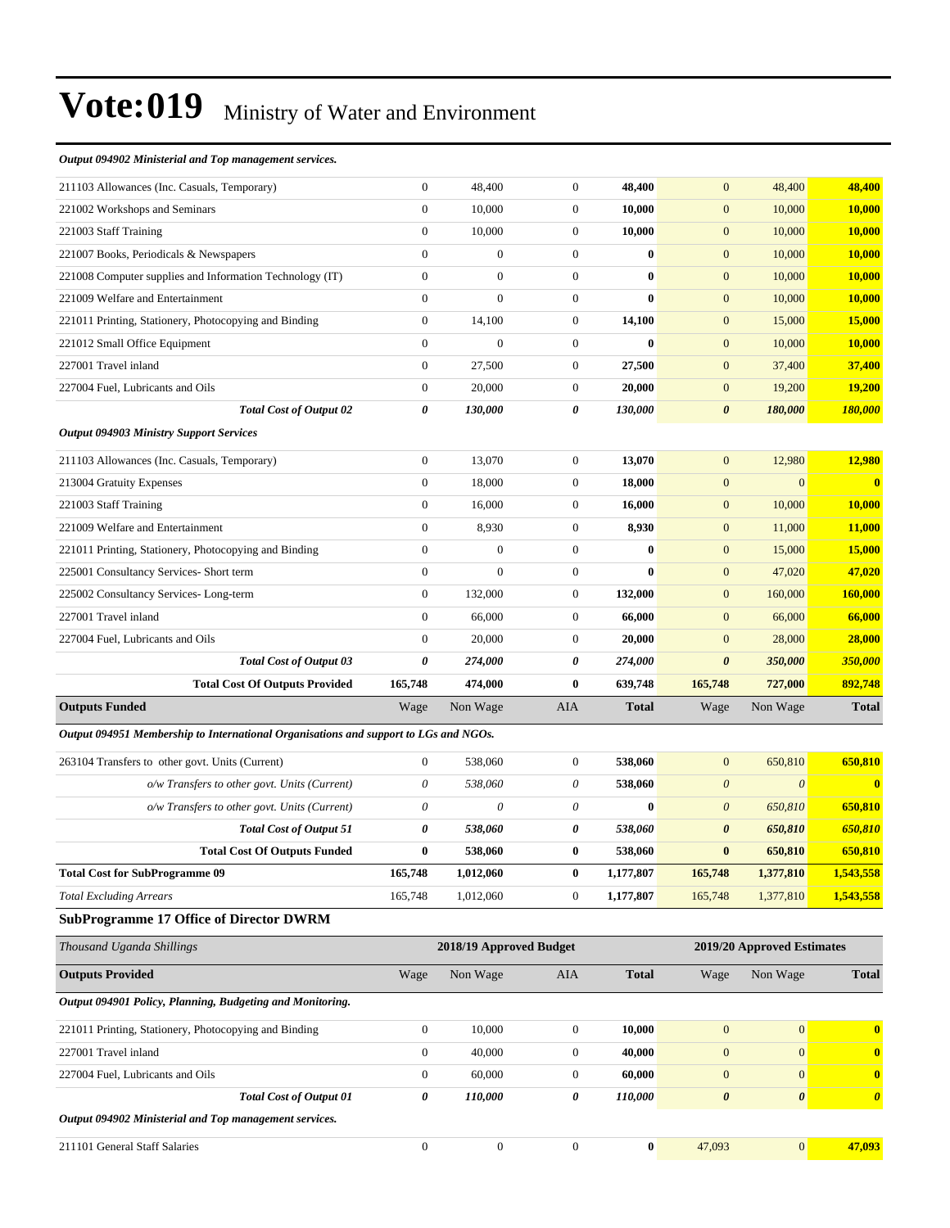#### *Output 094902 Ministerial and Top management services.*

| 211103 Allowances (Inc. Casuals, Temporary)                                                  | $\boldsymbol{0}$ | 48,400                  | $\boldsymbol{0}$ | 48,400       | $\mathbf{0}$              | 48,400                     | 48,400                |
|----------------------------------------------------------------------------------------------|------------------|-------------------------|------------------|--------------|---------------------------|----------------------------|-----------------------|
| 221002 Workshops and Seminars                                                                | $\boldsymbol{0}$ | 10,000                  | $\boldsymbol{0}$ | 10,000       | $\mathbf{0}$              | 10,000                     | <b>10,000</b>         |
| 221003 Staff Training                                                                        | $\boldsymbol{0}$ | 10,000                  | $\boldsymbol{0}$ | 10,000       | $\boldsymbol{0}$          | 10,000                     | 10,000                |
| 221007 Books, Periodicals & Newspapers                                                       | $\mathbf{0}$     | $\overline{0}$          | $\boldsymbol{0}$ | $\bf{0}$     | $\boldsymbol{0}$          | 10,000                     | 10,000                |
| 221008 Computer supplies and Information Technology (IT)                                     | $\boldsymbol{0}$ | $\boldsymbol{0}$        | $\boldsymbol{0}$ | $\bf{0}$     | $\mathbf{0}$              | 10,000                     | 10,000                |
| 221009 Welfare and Entertainment                                                             | $\mathbf{0}$     | $\overline{0}$          | $\boldsymbol{0}$ | $\bf{0}$     | $\mathbf{0}$              | 10,000                     | 10,000                |
| 221011 Printing, Stationery, Photocopying and Binding                                        | $\mathbf{0}$     | 14,100                  | $\boldsymbol{0}$ | 14,100       | $\mathbf{0}$              | 15,000                     | <b>15,000</b>         |
| 221012 Small Office Equipment                                                                | $\mathbf{0}$     | $\boldsymbol{0}$        | $\mathbf{0}$     | $\bf{0}$     | $\mathbf{0}$              | 10,000                     | 10,000                |
| 227001 Travel inland                                                                         | $\boldsymbol{0}$ | 27,500                  | $\boldsymbol{0}$ | 27,500       | $\boldsymbol{0}$          | 37,400                     | 37,400                |
| 227004 Fuel, Lubricants and Oils                                                             | $\boldsymbol{0}$ | 20,000                  | $\boldsymbol{0}$ | 20,000       | $\mathbf{0}$              | 19,200                     | 19,200                |
| <b>Total Cost of Output 02</b>                                                               | 0                | 130,000                 | 0                | 130,000      | $\boldsymbol{\theta}$     | 180,000                    | 180,000               |
| <b>Output 094903 Ministry Support Services</b>                                               |                  |                         |                  |              |                           |                            |                       |
| 211103 Allowances (Inc. Casuals, Temporary)                                                  | $\boldsymbol{0}$ | 13,070                  | $\boldsymbol{0}$ | 13,070       | $\mathbf{0}$              | 12,980                     | 12,980                |
| 213004 Gratuity Expenses                                                                     | $\boldsymbol{0}$ | 18,000                  | $\boldsymbol{0}$ | 18,000       | $\boldsymbol{0}$          | $\mathbf{0}$               | $\mathbf{0}$          |
| 221003 Staff Training                                                                        | $\boldsymbol{0}$ | 16,000                  | $\boldsymbol{0}$ | 16,000       | $\boldsymbol{0}$          | 10,000                     | 10,000                |
| 221009 Welfare and Entertainment                                                             | $\mathbf{0}$     | 8,930                   | $\mathbf{0}$     | 8,930        | $\mathbf{0}$              | 11,000                     | 11,000                |
| 221011 Printing, Stationery, Photocopying and Binding                                        | $\boldsymbol{0}$ | $\boldsymbol{0}$        | $\boldsymbol{0}$ | $\bf{0}$     | $\mathbf{0}$              | 15,000                     | 15,000                |
| 225001 Consultancy Services- Short term                                                      | $\mathbf{0}$     | $\overline{0}$          | $\boldsymbol{0}$ | $\bf{0}$     | $\mathbf{0}$              | 47,020                     | 47.020                |
| 225002 Consultancy Services-Long-term                                                        | $\boldsymbol{0}$ | 132,000                 | $\boldsymbol{0}$ | 132,000      | $\mathbf{0}$              | 160,000                    | 160,000               |
| 227001 Travel inland                                                                         | $\mathbf{0}$     | 66,000                  | $\boldsymbol{0}$ | 66,000       | $\boldsymbol{0}$          | 66,000                     | 66,000                |
| 227004 Fuel, Lubricants and Oils                                                             | $\mathbf{0}$     | 20,000                  | $\mathbf{0}$     | 20,000       | $\mathbf{0}$              | 28,000                     | 28,000                |
| Total Cost of Output 03                                                                      | 0                | 274,000                 | 0                | 274,000      | $\boldsymbol{\theta}$     | 350,000                    | 350,000               |
| <b>Total Cost Of Outputs Provided</b>                                                        | 165,748          | 474,000                 | $\bf{0}$         | 639,748      | 165,748                   | 727,000                    | 892,748               |
|                                                                                              |                  |                         | AIA              | <b>Total</b> | Wage                      | Non Wage                   |                       |
| <b>Outputs Funded</b>                                                                        | Wage             | Non Wage                |                  |              |                           |                            | <b>Total</b>          |
| Output 094951 Membership to International Organisations and support to LGs and NGOs.         |                  |                         |                  |              |                           |                            |                       |
| 263104 Transfers to other govt. Units (Current)                                              | $\boldsymbol{0}$ | 538,060                 | $\mathbf{0}$     | 538,060      | $\mathbf{0}$              | 650,810                    | 650,810               |
|                                                                                              | $\theta$         | 538,060                 | 0                | 538,060      | $\boldsymbol{\mathit{0}}$ | $\boldsymbol{\theta}$      | $\bf{0}$              |
| o/w Transfers to other govt. Units (Current)<br>o/w Transfers to other govt. Units (Current) | $\theta$         | 0                       | 0                | $\bf{0}$     | $\boldsymbol{\theta}$     | 650,810                    | 650,810               |
| <b>Total Cost of Output 51</b>                                                               | 0                | 538,060                 | 0                | 538,060      | $\boldsymbol{\theta}$     | 650,810                    | 650,810               |
| <b>Total Cost Of Outputs Funded</b>                                                          | $\bf{0}$         | 538,060                 | $\bf{0}$         | 538,060      | $\bf{0}$                  | 650,810                    | 650,810               |
| <b>Total Cost for SubProgramme 09</b>                                                        | 165,748          | 1,012,060               | $\bf{0}$         | 1,177,807    | 165,748                   | 1,377,810                  | 1,543,558             |
| <b>Total Excluding Arrears</b>                                                               | 165,748          | 1,012,060               | $\boldsymbol{0}$ | 1,177,807    | 165,748                   | 1,377,810                  | 1,543,558             |
| <b>SubProgramme 17 Office of Director DWRM</b>                                               |                  |                         |                  |              |                           |                            |                       |
| Thousand Uganda Shillings                                                                    |                  | 2018/19 Approved Budget |                  |              |                           | 2019/20 Approved Estimates |                       |
| <b>Outputs Provided</b>                                                                      | Wage             | Non Wage                | AIA              | <b>Total</b> | Wage                      | Non Wage                   | <b>Total</b>          |
| Output 094901 Policy, Planning, Budgeting and Monitoring.                                    |                  |                         |                  |              |                           |                            |                       |
| 221011 Printing, Stationery, Photocopying and Binding                                        | $\mathbf{0}$     | 10,000                  | $\boldsymbol{0}$ | 10,000       | $\boldsymbol{0}$          | $\mathbf{0}$               | $\mathbf{0}$          |
| 227001 Travel inland                                                                         | $\boldsymbol{0}$ | 40,000                  | $\boldsymbol{0}$ | 40,000       | $\mathbf{0}$              | $\mathbf{0}$               | $\bf{0}$              |
| 227004 Fuel, Lubricants and Oils                                                             | $\boldsymbol{0}$ | 60,000                  | 0                | 60,000       | $\mathbf{0}$              | $\mathbf{0}$               | $\bf{0}$              |
| <b>Total Cost of Output 01</b>                                                               | $\pmb{\theta}$   | 110,000                 | 0                | 110,000      | $\pmb{\theta}$            | $\boldsymbol{\theta}$      | $\boldsymbol{\theta}$ |
| Output 094902 Ministerial and Top management services.                                       |                  |                         |                  |              |                           |                            |                       |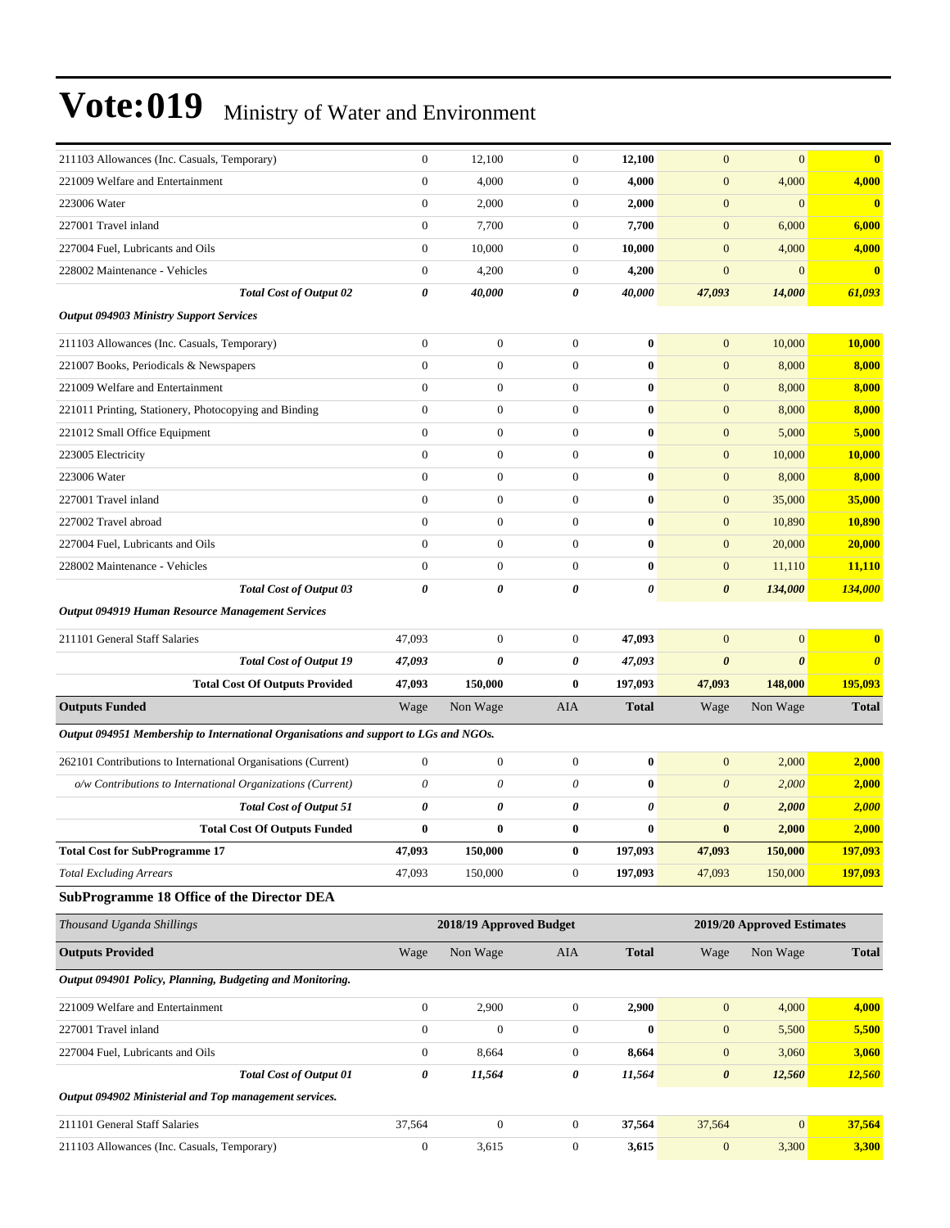| 211103 Allowances (Inc. Casuals, Temporary)                                          | $\boldsymbol{0}$      | 12,100                  | $\mathbf{0}$              | 12,100           | $\mathbf{0}$          | $\mathbf{0}$               | $\bf{0}$              |
|--------------------------------------------------------------------------------------|-----------------------|-------------------------|---------------------------|------------------|-----------------------|----------------------------|-----------------------|
| 221009 Welfare and Entertainment                                                     | $\mathbf{0}$          | 4,000                   | $\boldsymbol{0}$          | 4,000            | $\boldsymbol{0}$      | 4,000                      | 4,000                 |
| 223006 Water                                                                         | $\boldsymbol{0}$      | 2,000                   | $\boldsymbol{0}$          | 2,000            | $\mathbf{0}$          | $\mathbf{0}$               | $\bf{0}$              |
| 227001 Travel inland                                                                 | $\boldsymbol{0}$      | 7,700                   | $\mathbf{0}$              | 7,700            | $\boldsymbol{0}$      | 6,000                      | 6,000                 |
| 227004 Fuel, Lubricants and Oils                                                     | $\mathbf{0}$          | 10,000                  | $\boldsymbol{0}$          | 10,000           | $\mathbf{0}$          | 4,000                      | 4,000                 |
| 228002 Maintenance - Vehicles                                                        | $\boldsymbol{0}$      | 4,200                   | $\mathbf{0}$              | 4,200            | $\mathbf{0}$          | $\mathbf{0}$               | $\mathbf{0}$          |
| <b>Total Cost of Output 02</b>                                                       | 0                     | 40,000                  | 0                         | 40,000           | 47,093                | 14,000                     | 61,093                |
| <b>Output 094903 Ministry Support Services</b>                                       |                       |                         |                           |                  |                       |                            |                       |
| 211103 Allowances (Inc. Casuals, Temporary)                                          | $\boldsymbol{0}$      | $\boldsymbol{0}$        | $\mathbf{0}$              | $\bf{0}$         | $\mathbf{0}$          | 10,000                     | 10,000                |
| 221007 Books, Periodicals & Newspapers                                               | $\boldsymbol{0}$      | $\boldsymbol{0}$        | $\boldsymbol{0}$          | $\bf{0}$         | $\boldsymbol{0}$      | 8,000                      | 8,000                 |
| 221009 Welfare and Entertainment                                                     | $\boldsymbol{0}$      | $\mathbf{0}$            | $\boldsymbol{0}$          | $\bf{0}$         | $\mathbf{0}$          | 8,000                      | 8,000                 |
| 221011 Printing, Stationery, Photocopying and Binding                                | $\boldsymbol{0}$      | $\boldsymbol{0}$        | $\mathbf{0}$              | $\bf{0}$         | $\mathbf{0}$          | 8,000                      | 8,000                 |
| 221012 Small Office Equipment                                                        | $\mathbf{0}$          | $\mathbf{0}$            | $\overline{0}$            | $\bf{0}$         | $\mathbf{0}$          | 5,000                      | 5,000                 |
| 223005 Electricity                                                                   | $\mathbf{0}$          | $\boldsymbol{0}$        | $\boldsymbol{0}$          | $\bf{0}$         | $\mathbf{0}$          | 10,000                     | 10,000                |
| 223006 Water                                                                         | $\boldsymbol{0}$      | $\boldsymbol{0}$        | $\boldsymbol{0}$          | $\bf{0}$         | $\mathbf{0}$          | 8,000                      | 8,000                 |
| 227001 Travel inland                                                                 | $\boldsymbol{0}$      | $\mathbf{0}$            | $\mathbf{0}$              | $\bf{0}$         | $\mathbf{0}$          | 35,000                     | 35,000                |
| 227002 Travel abroad                                                                 | $\boldsymbol{0}$      | $\boldsymbol{0}$        | $\mathbf{0}$              | $\bf{0}$         | $\mathbf{0}$          | 10,890                     | 10,890                |
| 227004 Fuel, Lubricants and Oils                                                     | $\mathbf{0}$          | $\mathbf{0}$            | $\overline{0}$            | $\bf{0}$         | $\boldsymbol{0}$      | 20,000                     | 20,000                |
| 228002 Maintenance - Vehicles                                                        | $\boldsymbol{0}$      | $\mathbf{0}$            | $\boldsymbol{0}$          | $\bf{0}$         | $\mathbf{0}$          | 11,110                     | 11,110                |
| <b>Total Cost of Output 03</b>                                                       | $\pmb{\theta}$        | $\boldsymbol{\theta}$   | 0                         | 0                | $\boldsymbol{\theta}$ | 134,000                    | 134,000               |
| <b>Output 094919 Human Resource Management Services</b>                              |                       |                         |                           |                  |                       |                            |                       |
| 211101 General Staff Salaries                                                        | 47,093                | $\boldsymbol{0}$        | $\boldsymbol{0}$          | 47,093           | $\mathbf{0}$          | $\mathbf{0}$               | $\bf{0}$              |
| <b>Total Cost of Output 19</b>                                                       | 47,093                | 0                       | 0                         | 47,093           | $\boldsymbol{\theta}$ | $\boldsymbol{\theta}$      | $\boldsymbol{\theta}$ |
| <b>Total Cost Of Outputs Provided</b>                                                | 47,093                | 150,000                 | $\bf{0}$                  | 197,093          | 47,093                | 148,000                    | 195,093               |
| <b>Outputs Funded</b>                                                                | Wage                  | Non Wage                | AIA                       | <b>Total</b>     | Wage                  | Non Wage                   | <b>Total</b>          |
| Output 094951 Membership to International Organisations and support to LGs and NGOs. |                       |                         |                           |                  |                       |                            |                       |
| 262101 Contributions to International Organisations (Current)                        | $\boldsymbol{0}$      | $\boldsymbol{0}$        | $\mathbf{0}$              | $\bf{0}$         | $\mathbf{0}$          | 2,000                      | 2,000                 |
| o/w Contributions to International Organizations (Current)                           | $\boldsymbol{\theta}$ | $\boldsymbol{\theta}$   | $\boldsymbol{\mathit{0}}$ | $\bf{0}$         | $\boldsymbol{\theta}$ | 2,000                      | 2,000                 |
| Total Cost of Output 51                                                              | 0                     | 0                       | 0                         | 0                | $\boldsymbol{\theta}$ | 2,000                      | 2,000                 |
| <b>Total Cost Of Outputs Funded</b>                                                  | $\bf{0}$              | $\bf{0}$                | $\bf{0}$                  | $\bf{0}$         | $\bf{0}$              | 2,000                      | 2,000                 |
| <b>Total Cost for SubProgramme 17</b>                                                | 47,093                | 150,000                 | $\boldsymbol{0}$          | 197,093          | 47,093                | 150,000                    | 197,093               |
| <b>Total Excluding Arrears</b>                                                       | 47,093                | 150,000                 | $\boldsymbol{0}$          | 197,093          | 47,093                | 150,000                    | 197,093               |
| <b>SubProgramme 18 Office of the Director DEA</b>                                    |                       |                         |                           |                  |                       |                            |                       |
| Thousand Uganda Shillings                                                            |                       | 2018/19 Approved Budget |                           |                  |                       | 2019/20 Approved Estimates |                       |
| <b>Outputs Provided</b>                                                              | Wage                  | Non Wage                | AIA                       | <b>Total</b>     | Wage                  | Non Wage                   | <b>Total</b>          |
| Output 094901 Policy, Planning, Budgeting and Monitoring.                            |                       |                         |                           |                  |                       |                            |                       |
|                                                                                      |                       |                         |                           |                  |                       |                            |                       |
|                                                                                      |                       |                         |                           |                  |                       |                            |                       |
| 221009 Welfare and Entertainment                                                     | $\boldsymbol{0}$      | 2,900                   | $\boldsymbol{0}$          | 2,900            | $\boldsymbol{0}$      | 4,000                      | 4,000                 |
| 227001 Travel inland                                                                 | $\boldsymbol{0}$      | $\boldsymbol{0}$        | $\boldsymbol{0}$          | $\boldsymbol{0}$ | $\boldsymbol{0}$      | 5,500                      | 5,500                 |
| 227004 Fuel, Lubricants and Oils                                                     | $\boldsymbol{0}$      | 8,664                   | $\boldsymbol{0}$          | 8,664            | $\mathbf{0}$          | 3,060                      | 3,060                 |
| <b>Total Cost of Output 01</b>                                                       | $\pmb{\theta}$        | 11,564                  | 0                         | 11,564           | $\pmb{\theta}$        | 12,560                     | 12,560                |
| Output 094902 Ministerial and Top management services.                               |                       |                         |                           |                  |                       |                            |                       |
| 211101 General Staff Salaries                                                        | 37,564                | $\mathbf{0}$            | $\boldsymbol{0}$          | 37,564           | 37,564                | $\boldsymbol{0}$           | 37,564                |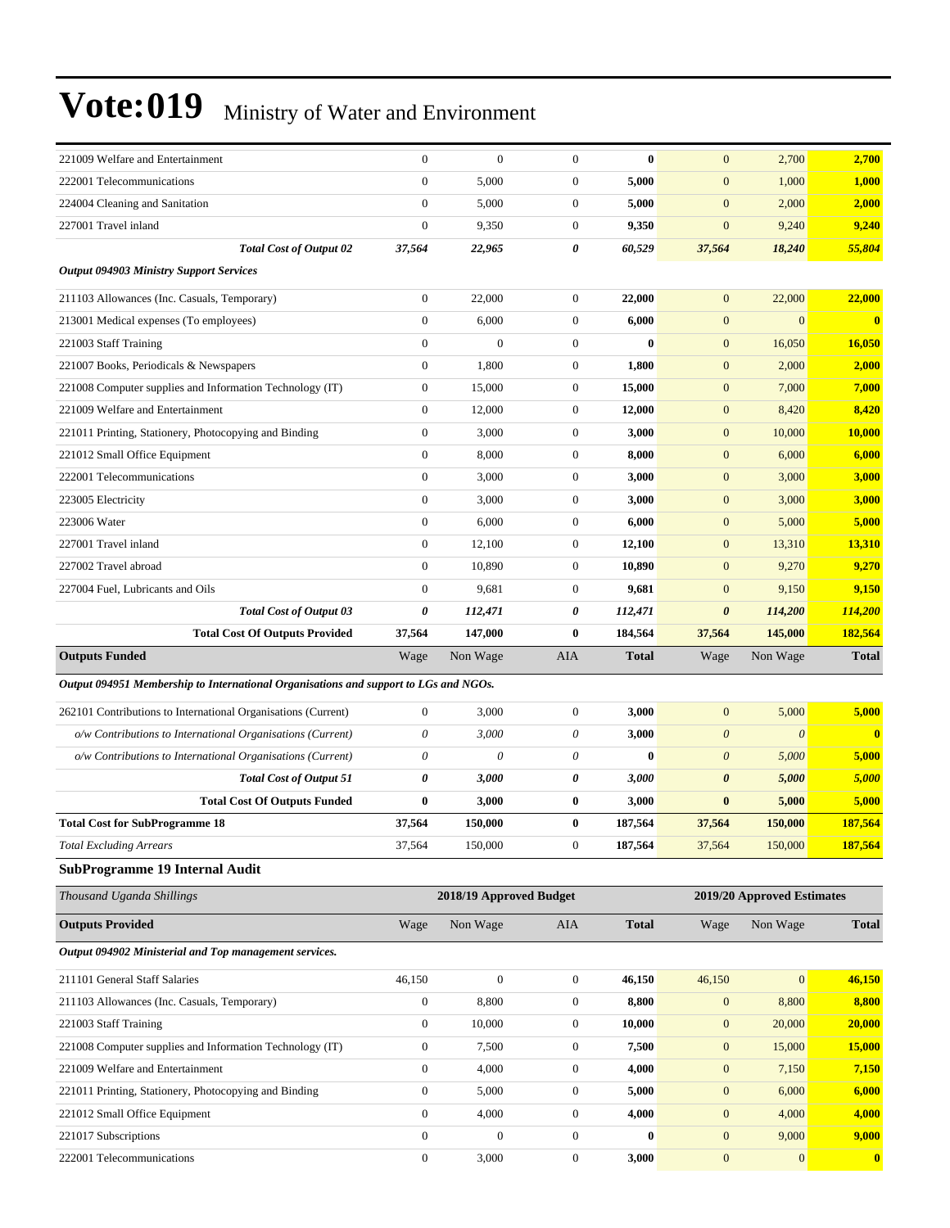| 221009 Welfare and Entertainment                                                     | $\mathbf{0}$     | $\mathbf{0}$            | $\overline{0}$   | $\bf{0}$     | $\mathbf{0}$          | 2,700                      | 2,700                   |
|--------------------------------------------------------------------------------------|------------------|-------------------------|------------------|--------------|-----------------------|----------------------------|-------------------------|
| 222001 Telecommunications                                                            | $\mathbf{0}$     | 5,000                   | $\boldsymbol{0}$ | 5,000        | $\mathbf{0}$          | 1,000                      | 1,000                   |
| 224004 Cleaning and Sanitation                                                       | $\boldsymbol{0}$ | 5,000                   | $\mathbf{0}$     | 5,000        | $\boldsymbol{0}$      | 2,000                      | 2,000                   |
| 227001 Travel inland                                                                 | $\mathbf{0}$     | 9,350                   | $\boldsymbol{0}$ | 9,350        | $\boldsymbol{0}$      | 9,240                      | 9,240                   |
| <b>Total Cost of Output 02</b>                                                       | 37,564           | 22,965                  | 0                | 60,529       | 37,564                | 18,240                     | 55,804                  |
| <b>Output 094903 Ministry Support Services</b>                                       |                  |                         |                  |              |                       |                            |                         |
| 211103 Allowances (Inc. Casuals, Temporary)                                          | $\mathbf{0}$     | 22,000                  | $\mathbf{0}$     | 22,000       | $\mathbf{0}$          | 22,000                     | 22,000                  |
| 213001 Medical expenses (To employees)                                               | $\boldsymbol{0}$ | 6,000                   | $\boldsymbol{0}$ | 6,000        | $\mathbf{0}$          | $\mathbf{0}$               | $\overline{\mathbf{0}}$ |
| 221003 Staff Training                                                                | $\mathbf{0}$     | $\mathbf{0}$            | $\mathbf{0}$     | $\bf{0}$     | $\mathbf{0}$          | 16,050                     | <b>16,050</b>           |
| 221007 Books, Periodicals & Newspapers                                               | $\boldsymbol{0}$ | 1,800                   | $\boldsymbol{0}$ | 1,800        | $\mathbf{0}$          | 2,000                      | 2,000                   |
| 221008 Computer supplies and Information Technology (IT)                             | $\boldsymbol{0}$ | 15,000                  | $\boldsymbol{0}$ | 15,000       | $\mathbf{0}$          | 7,000                      | 7,000                   |
| 221009 Welfare and Entertainment                                                     | $\mathbf{0}$     | 12,000                  | $\mathbf{0}$     | 12,000       | $\boldsymbol{0}$      | 8,420                      | 8,420                   |
| 221011 Printing, Stationery, Photocopying and Binding                                | $\mathbf{0}$     | 3,000                   | $\boldsymbol{0}$ | 3,000        | $\mathbf{0}$          | 10,000                     | <b>10,000</b>           |
| 221012 Small Office Equipment                                                        | $\mathbf{0}$     | 8,000                   | $\mathbf{0}$     | 8,000        | $\mathbf{0}$          | 6,000                      | 6,000                   |
| 222001 Telecommunications                                                            | $\boldsymbol{0}$ | 3,000                   | $\boldsymbol{0}$ | 3,000        | $\mathbf{0}$          | 3,000                      | 3,000                   |
| 223005 Electricity                                                                   | $\boldsymbol{0}$ | 3,000                   | $\boldsymbol{0}$ | 3,000        | $\mathbf{0}$          | 3,000                      | 3,000                   |
| 223006 Water                                                                         | $\mathbf{0}$     | 6,000                   | $\mathbf{0}$     | 6,000        | $\boldsymbol{0}$      | 5,000                      | 5,000                   |
| 227001 Travel inland                                                                 | $\mathbf{0}$     | 12,100                  | $\boldsymbol{0}$ | 12,100       | $\mathbf{0}$          | 13,310                     | <b>13,310</b>           |
| 227002 Travel abroad                                                                 | $\mathbf{0}$     | 10,890                  | $\mathbf{0}$     | 10,890       | $\mathbf{0}$          | 9,270                      | 9,270                   |
| 227004 Fuel, Lubricants and Oils                                                     | $\mathbf{0}$     | 9,681                   | $\boldsymbol{0}$ | 9,681        | $\mathbf{0}$          | 9,150                      | 9,150                   |
| <b>Total Cost of Output 03</b>                                                       | 0                | 112,471                 | 0                | 112,471      | $\boldsymbol{\theta}$ | 114,200                    | <b>114,200</b>          |
| <b>Total Cost Of Outputs Provided</b>                                                | 37,564           | 147,000                 | 0                | 184,564      | 37,564                | 145,000                    | 182,564                 |
| <b>Outputs Funded</b>                                                                | Wage             | Non Wage                | AIA              | <b>Total</b> | Wage                  | Non Wage                   | <b>Total</b>            |
| Output 094951 Membership to International Organisations and support to LGs and NGOs. |                  |                         |                  |              |                       |                            |                         |
|                                                                                      |                  |                         |                  |              |                       |                            |                         |
| 262101 Contributions to International Organisations (Current)                        | $\boldsymbol{0}$ | 3,000                   | $\boldsymbol{0}$ | 3,000        | $\mathbf{0}$          | 5,000                      | 5,000                   |
| o/w Contributions to International Organisations (Current)                           | $\theta$         | 3,000                   | 0                | 3,000        | $\boldsymbol{0}$      | $\theta$                   | $\mathbf{0}$            |
| o/w Contributions to International Organisations (Current)                           | $\theta$         | 0                       | 0                | $\bf{0}$     | $\boldsymbol{0}$      | 5,000                      | 5,000                   |
| <b>Total Cost of Output 51</b>                                                       | 0                | 3,000                   | 0                | 3,000        | $\boldsymbol{\theta}$ | 5,000                      | 5,000                   |
| <b>Total Cost Of Outputs Funded</b>                                                  | $\bf{0}$         | 3,000                   | 0                | 3,000        | $\bf{0}$              | 5,000                      | 5,000                   |
| <b>Total Cost for SubProgramme 18</b>                                                | 37,564           | 150,000                 | $\bf{0}$         | 187,564      | 37,564                | 150,000                    | 187,564                 |
| Total Excluding Arrears                                                              | 37,564           | 150,000                 | $\bf{0}$         | 187,564      | 37,564                | 150,000                    | <u>187,564</u>          |
| <b>SubProgramme 19 Internal Audit</b>                                                |                  |                         |                  |              |                       |                            |                         |
| Thousand Uganda Shillings                                                            |                  | 2018/19 Approved Budget |                  |              |                       | 2019/20 Approved Estimates |                         |
| <b>Outputs Provided</b>                                                              | Wage             | Non Wage                | AIA              | <b>Total</b> | Wage                  | Non Wage                   | <b>Total</b>            |
| Output 094902 Ministerial and Top management services.                               |                  |                         |                  |              |                       |                            |                         |
| 211101 General Staff Salaries                                                        | 46,150           | $\boldsymbol{0}$        | $\boldsymbol{0}$ | 46,150       | 46,150                | $\mathbf{0}$               | 46,150                  |
| 211103 Allowances (Inc. Casuals, Temporary)                                          | $\boldsymbol{0}$ | 8,800                   | $\boldsymbol{0}$ | 8,800        | $\boldsymbol{0}$      | 8,800                      | 8,800                   |
| 221003 Staff Training                                                                | $\boldsymbol{0}$ | 10,000                  | $\boldsymbol{0}$ | 10,000       | $\boldsymbol{0}$      | 20,000                     | 20,000                  |
| 221008 Computer supplies and Information Technology (IT)                             | $\boldsymbol{0}$ | 7,500                   | $\boldsymbol{0}$ | 7,500        | $\boldsymbol{0}$      | 15,000                     | <b>15,000</b>           |
| 221009 Welfare and Entertainment                                                     | $\boldsymbol{0}$ | 4,000                   | $\boldsymbol{0}$ | 4,000        | $\boldsymbol{0}$      | 7,150                      | 7,150                   |
| 221011 Printing, Stationery, Photocopying and Binding                                | $\boldsymbol{0}$ | 5,000                   | $\boldsymbol{0}$ | 5,000        | $\boldsymbol{0}$      | 6,000                      | 6,000                   |
| 221012 Small Office Equipment                                                        | $\boldsymbol{0}$ | 4,000                   | $\boldsymbol{0}$ | 4,000        | $\boldsymbol{0}$      | 4,000                      | 4,000                   |
| 221017 Subscriptions                                                                 | $\boldsymbol{0}$ | $\boldsymbol{0}$        | $\boldsymbol{0}$ | $\bf{0}$     | $\mathbf{0}$          | 9,000                      | 9,000                   |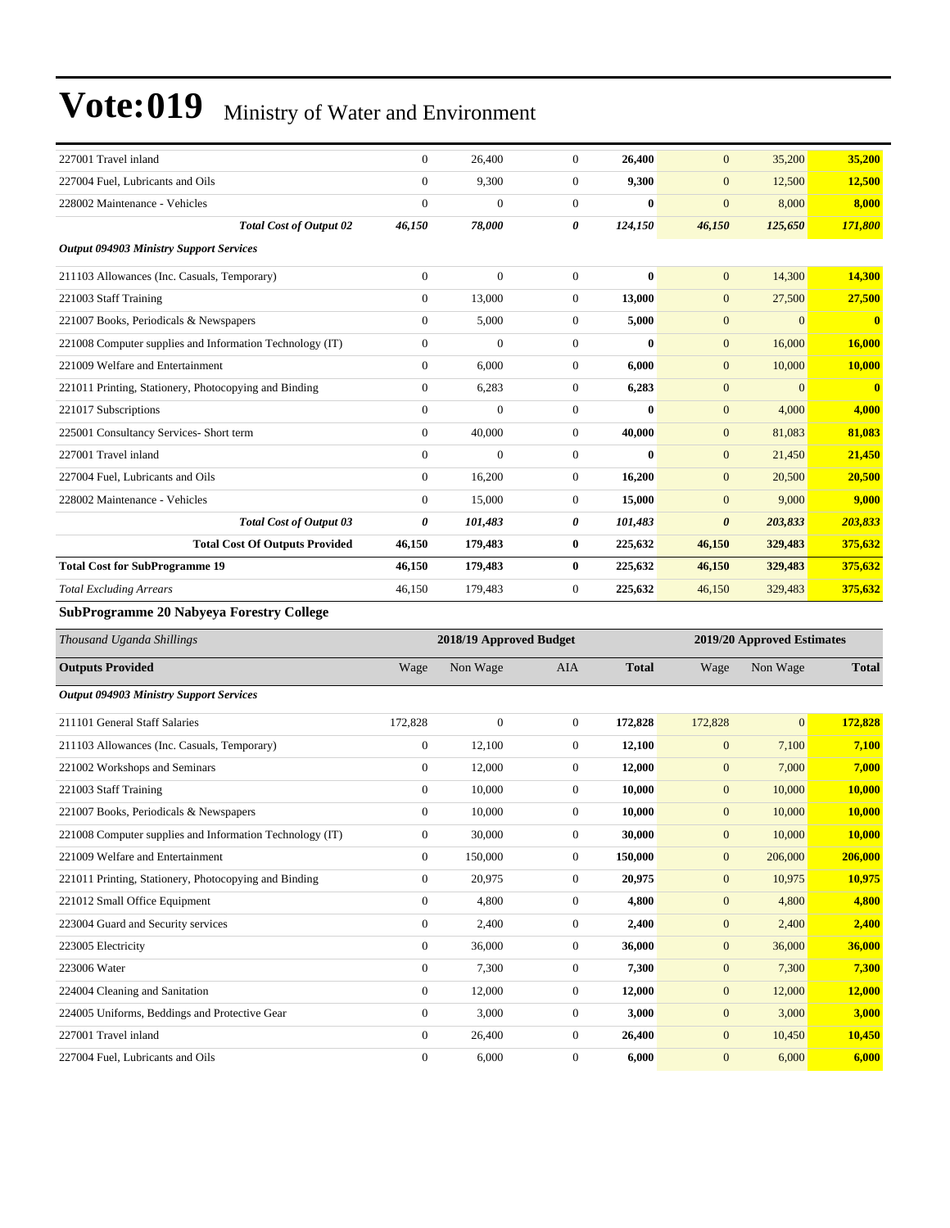| 227001 Travel inland                                                                                                                                                                                                                                                                                                               | $\Omega$     | 26,400       | $\mathbf{0}$                | 26,400       | $\overline{0}$                                                                                  | 35,200   | 35,200       |
|------------------------------------------------------------------------------------------------------------------------------------------------------------------------------------------------------------------------------------------------------------------------------------------------------------------------------------|--------------|--------------|-----------------------------|--------------|-------------------------------------------------------------------------------------------------|----------|--------------|
| 227004 Fuel, Lubricants and Oils                                                                                                                                                                                                                                                                                                   | $\Omega$     | 9,300        | $\mathbf{0}$                | 9,300        | $\overline{0}$                                                                                  | 12,500   | 12,500       |
| 228002 Maintenance - Vehicles                                                                                                                                                                                                                                                                                                      | $\mathbf{0}$ | $\mathbf{0}$ | $\boldsymbol{0}$            | $\bf{0}$     | $\mathbf{0}$                                                                                    | 8,000    | 8,000        |
| <b>Total Cost of Output 02</b>                                                                                                                                                                                                                                                                                                     | 46,150       | 78,000       | 0                           | 124,150      | 46,150                                                                                          | 125,650  | 171,800      |
| <b>Output 094903 Ministry Support Services</b>                                                                                                                                                                                                                                                                                     |              |              |                             |              |                                                                                                 |          |              |
| 211103 Allowances (Inc. Casuals, Temporary)                                                                                                                                                                                                                                                                                        | $\Omega$     | $\theta$     | $\mathbf{0}$                | $\mathbf{0}$ | $\overline{0}$                                                                                  | 14,300   | 14,300       |
| 221003 Staff Training                                                                                                                                                                                                                                                                                                              | $\Omega$     | 13,000       | $\boldsymbol{0}$            | 13,000       | $\mathbf{0}$                                                                                    | 27,500   | 27,500       |
| 221007 Books, Periodicals & Newspapers                                                                                                                                                                                                                                                                                             | $\mathbf{0}$ | 5,000        | $\mathbf{0}$                | 5,000        | $\overline{0}$                                                                                  | $\Omega$ | $\mathbf{0}$ |
| 221008 Computer supplies and Information Technology (IT)                                                                                                                                                                                                                                                                           | $\mathbf{0}$ | $\theta$     | $\mathbf{0}$                | $\bf{0}$     | $\mathbf{0}$                                                                                    | 16,000   | 16,000       |
| 221009 Welfare and Entertainment                                                                                                                                                                                                                                                                                                   | $\Omega$     | 6.000        | $\mathbf{0}$                | 6.000        | $\overline{0}$                                                                                  | 10,000   | 10.000       |
| 221011 Printing, Stationery, Photocopying and Binding                                                                                                                                                                                                                                                                              | $\mathbf{0}$ | 6,283        | $\boldsymbol{0}$            | 6,283        | $\overline{0}$                                                                                  | $\Omega$ | $\mathbf{0}$ |
| 221017 Subscriptions                                                                                                                                                                                                                                                                                                               | $\Omega$     | $\Omega$     | $\mathbf{0}$                | $\mathbf{0}$ | $\overline{0}$                                                                                  | 4,000    | 4,000        |
| 225001 Consultancy Services- Short term                                                                                                                                                                                                                                                                                            | $\mathbf{0}$ | 40,000       | $\mathbf{0}$                | 40.000       | $\overline{0}$                                                                                  | 81,083   | 81,083       |
| 227001 Travel inland                                                                                                                                                                                                                                                                                                               | $\mathbf{0}$ | $\mathbf{0}$ | $\mathbf{0}$                | $\bf{0}$     | $\overline{0}$                                                                                  | 21,450   | 21,450       |
| 227004 Fuel, Lubricants and Oils                                                                                                                                                                                                                                                                                                   | $\mathbf{0}$ | 16,200       | $\mathbf{0}$                | 16,200       | $\overline{0}$                                                                                  | 20,500   | 20,500       |
| 228002 Maintenance - Vehicles                                                                                                                                                                                                                                                                                                      | $\Omega$     | 15,000       | $\mathbf{0}$                | 15,000       | $\overline{0}$                                                                                  | 9,000    | 9,000        |
| <b>Total Cost of Output 03</b>                                                                                                                                                                                                                                                                                                     | 0            | 101,483      | 0                           | 101,483      | $\boldsymbol{\theta}$                                                                           | 203,833  | 203,833      |
| <b>Total Cost Of Outputs Provided</b>                                                                                                                                                                                                                                                                                              | 46,150       | 179,483      | $\bf{0}$                    | 225,632      | 46,150                                                                                          | 329,483  | 375,632      |
| <b>Total Cost for SubProgramme 19</b>                                                                                                                                                                                                                                                                                              | 46,150       | 179,483      | $\bf{0}$                    | 225,632      | 46,150                                                                                          | 329,483  | 375,632      |
| <b>Total Excluding Arrears</b>                                                                                                                                                                                                                                                                                                     | 46,150       | 179,483      | $\mathbf{0}$                | 225,632      | 46,150                                                                                          | 329,483  | 375,632      |
| SubProgramme 20 Nabyeya Forestry College                                                                                                                                                                                                                                                                                           |              |              |                             |              |                                                                                                 |          |              |
| $\mathbf{r}$ $\mathbf{r}$ $\mathbf{r}$ $\mathbf{r}$ $\mathbf{r}$ $\mathbf{r}$ $\mathbf{r}$ $\mathbf{r}$ $\mathbf{r}$ $\mathbf{r}$ $\mathbf{r}$ $\mathbf{r}$ $\mathbf{r}$ $\mathbf{r}$ $\mathbf{r}$ $\mathbf{r}$ $\mathbf{r}$ $\mathbf{r}$ $\mathbf{r}$ $\mathbf{r}$ $\mathbf{r}$ $\mathbf{r}$ $\mathbf{r}$ $\mathbf{r}$ $\mathbf{$ |              | 0.40101      | $\sim$ $\sim$ $\sim$ $\sim$ |              | $\begin{array}{c}\n\bullet \bullet \bullet \bullet \bullet \bullet \bullet \bullet \end{array}$ |          |              |

| Thousand Uganda Shillings                                |                | 2018/19 Approved Budget |              | 2019/20 Approved Estimates |                |                |              |
|----------------------------------------------------------|----------------|-------------------------|--------------|----------------------------|----------------|----------------|--------------|
| <b>Outputs Provided</b>                                  | Wage           | Non Wage                | <b>AIA</b>   | <b>Total</b>               | Wage           | Non Wage       | <b>Total</b> |
| <b>Output 094903 Ministry Support Services</b>           |                |                         |              |                            |                |                |              |
| 211101 General Staff Salaries                            | 172,828        | $\boldsymbol{0}$        | $\mathbf{0}$ | 172,828                    | 172,828        | $\overline{0}$ | 172,828      |
| 211103 Allowances (Inc. Casuals, Temporary)              | $\mathbf{0}$   | 12,100                  | $\Omega$     | 12,100                     | $\overline{0}$ | 7,100          | 7,100        |
| 221002 Workshops and Seminars                            | $\mathbf{0}$   | 12,000                  | $\Omega$     | 12,000                     | $\mathbf{0}$   | 7,000          | 7,000        |
| 221003 Staff Training                                    | $\mathbf{0}$   | 10,000                  | $\Omega$     | 10,000                     | $\mathbf{0}$   | 10,000         | 10,000       |
| 221007 Books, Periodicals & Newspapers                   | $\mathbf{0}$   | 10,000                  | $\Omega$     | 10,000                     | $\mathbf{0}$   | 10,000         | 10,000       |
| 221008 Computer supplies and Information Technology (IT) | $\mathbf{0}$   | 30,000                  | $\mathbf{0}$ | 30,000                     | $\mathbf{0}$   | 10,000         | 10,000       |
| 221009 Welfare and Entertainment                         | $\overline{0}$ | 150,000                 | $\mathbf{0}$ | 150,000                    | $\mathbf{0}$   | 206,000        | 206,000      |
| 221011 Printing, Stationery, Photocopying and Binding    | $\mathbf{0}$   | 20,975                  | $\mathbf{0}$ | 20,975                     | $\mathbf{0}$   | 10,975         | 10,975       |
| 221012 Small Office Equipment                            | $\overline{0}$ | 4,800                   | $\Omega$     | 4,800                      | $\mathbf{0}$   | 4,800          | 4,800        |
| 223004 Guard and Security services                       | $\overline{0}$ | 2,400                   | $\mathbf{0}$ | 2,400                      | $\mathbf{0}$   | 2,400          | 2,400        |
| 223005 Electricity                                       | $\mathbf{0}$   | 36,000                  | $\mathbf{0}$ | 36,000                     | $\mathbf{0}$   | 36,000         | 36,000       |
| 223006 Water                                             | $\mathbf{0}$   | 7,300                   | $\mathbf{0}$ | 7,300                      | $\mathbf{0}$   | 7,300          | 7,300        |
| 224004 Cleaning and Sanitation                           | $\mathbf{0}$   | 12,000                  | $\mathbf{0}$ | 12,000                     | $\mathbf{0}$   | 12,000         | 12,000       |
| 224005 Uniforms, Beddings and Protective Gear            | $\overline{0}$ | 3,000                   | $\mathbf{0}$ | 3,000                      | $\mathbf{0}$   | 3,000          | 3,000        |
| 227001 Travel inland                                     | $\overline{0}$ | 26,400                  | $\theta$     | 26,400                     | $\mathbf{0}$   | 10,450         | 10,450       |
| 227004 Fuel, Lubricants and Oils                         | $\mathbf{0}$   | 6,000                   | $\mathbf{0}$ | 6,000                      | $\mathbf{0}$   | 6,000          | 6,000        |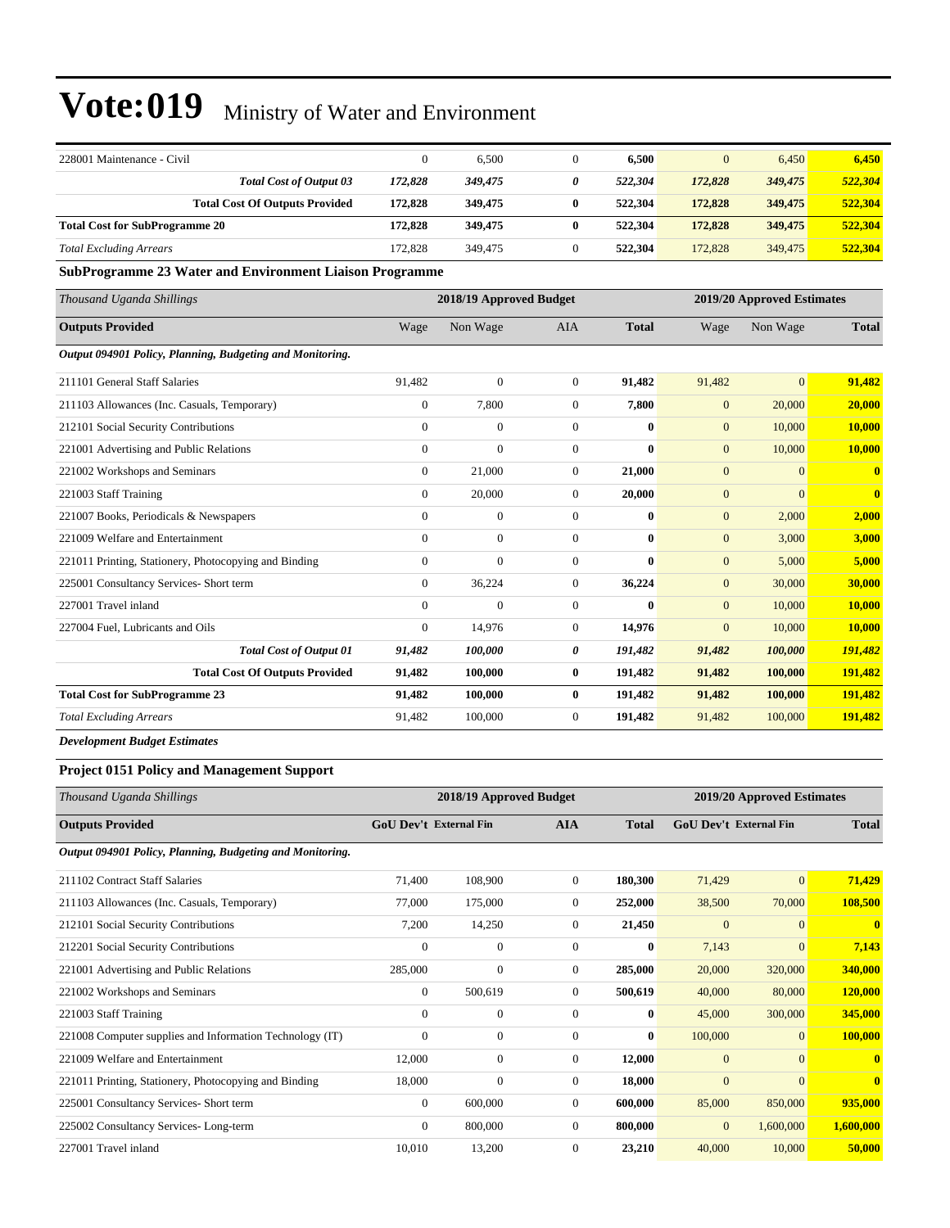| 228001 Maintenance - Civil            |         | 6.500   | υ | 6.500   | $\overline{0}$ | 6.450   | 6,450   |
|---------------------------------------|---------|---------|---|---------|----------------|---------|---------|
| <b>Total Cost of Output 03</b>        | 172.828 | 349,475 | 0 | 522,304 | 172,828        | 349,475 | 522,304 |
| <b>Total Cost Of Outputs Provided</b> | 172.828 | 349,475 | 0 | 522,304 | 172,828        | 349,475 | 522,304 |
| <b>Total Cost for SubProgramme 20</b> | 172.828 | 349,475 | 0 | 522,304 | 172,828        | 349,475 | 522,304 |
| <b>Total Excluding Arrears</b>        | 172.828 | 349,475 |   | 522,304 | 172,828        | 349,475 | 522,304 |

#### **SubProgramme 23 Water and Environment Liaison Programme**

| Thousand Uganda Shillings                                 | 2018/19 Approved Budget |                |                |              | 2019/20 Approved Estimates |                |                         |
|-----------------------------------------------------------|-------------------------|----------------|----------------|--------------|----------------------------|----------------|-------------------------|
| <b>Outputs Provided</b>                                   | Wage                    | Non Wage       | <b>AIA</b>     | <b>Total</b> | Wage                       | Non Wage       | <b>Total</b>            |
| Output 094901 Policy, Planning, Budgeting and Monitoring. |                         |                |                |              |                            |                |                         |
| 211101 General Staff Salaries                             | 91,482                  | $\mathbf{0}$   | $\overline{0}$ | 91,482       | 91,482                     | $\overline{0}$ | 91,482                  |
| 211103 Allowances (Inc. Casuals, Temporary)               | $\overline{0}$          | 7,800          | $\overline{0}$ | 7,800        | $\mathbf{0}$               | 20,000         | 20,000                  |
| 212101 Social Security Contributions                      | $\overline{0}$          | $\overline{0}$ | $\mathbf{0}$   | $\bf{0}$     | $\mathbf{0}$               | 10,000         | 10,000                  |
| 221001 Advertising and Public Relations                   | $\overline{0}$          | $\overline{0}$ | $\mathbf{0}$   | $\mathbf{0}$ | $\mathbf{0}$               | 10,000         | 10,000                  |
| 221002 Workshops and Seminars                             | $\overline{0}$          | 21,000         | $\overline{0}$ | 21,000       | $\mathbf{0}$               | $\overline{0}$ | $\mathbf{0}$            |
| 221003 Staff Training                                     | $\overline{0}$          | 20,000         | $\overline{0}$ | 20,000       | $\overline{0}$             | $\overline{0}$ | $\overline{\mathbf{0}}$ |
| 221007 Books, Periodicals & Newspapers                    | $\overline{0}$          | $\overline{0}$ | $\Omega$       | $\mathbf{0}$ | $\mathbf{0}$               | 2,000          | 2,000                   |
| 221009 Welfare and Entertainment                          | $\overline{0}$          | $\overline{0}$ | $\mathbf{0}$   | $\mathbf{0}$ | $\mathbf{0}$               | 3,000          | 3,000                   |
| 221011 Printing, Stationery, Photocopying and Binding     | $\overline{0}$          | $\mathbf{0}$   | $\mathbf{0}$   | $\mathbf{0}$ | $\mathbf{0}$               | 5,000          | 5,000                   |
| 225001 Consultancy Services- Short term                   | $\overline{0}$          | 36,224         | $\overline{0}$ | 36,224       | $\mathbf{0}$               | 30,000         | 30,000                  |
| 227001 Travel inland                                      | $\Omega$                | $\mathbf{0}$   | $\mathbf{0}$   | $\mathbf{0}$ | $\overline{0}$             | 10,000         | 10,000                  |
| 227004 Fuel, Lubricants and Oils                          | $\overline{0}$          | 14,976         | $\overline{0}$ | 14,976       | $\mathbf{0}$               | 10,000         | 10,000                  |
| <b>Total Cost of Output 01</b>                            | 91,482                  | 100,000        | 0              | 191,482      | 91,482                     | 100,000        | 191,482                 |
| <b>Total Cost Of Outputs Provided</b>                     | 91,482                  | 100,000        | $\bf{0}$       | 191,482      | 91,482                     | 100,000        | 191,482                 |
| <b>Total Cost for SubProgramme 23</b>                     | 91,482                  | 100,000        | $\bf{0}$       | 191,482      | 91,482                     | 100,000        | 191,482                 |
| <b>Total Excluding Arrears</b>                            | 91,482                  | 100,000        | $\mathbf{0}$   | 191,482      | 91,482                     | 100,000        | 191,482                 |

*Development Budget Estimates*

#### **Project 0151 Policy and Management Support**

| Thousand Uganda Shillings                                 |                               | 2018/19 Approved Budget |                | 2019/20 Approved Estimates |                               |              |              |
|-----------------------------------------------------------|-------------------------------|-------------------------|----------------|----------------------------|-------------------------------|--------------|--------------|
| <b>Outputs Provided</b>                                   | <b>GoU Dev't External Fin</b> |                         | <b>AIA</b>     | <b>Total</b>               | <b>GoU Dev't External Fin</b> |              | <b>Total</b> |
| Output 094901 Policy, Planning, Budgeting and Monitoring. |                               |                         |                |                            |                               |              |              |
| 211102 Contract Staff Salaries                            | 71,400                        | 108,900                 | $\overline{0}$ | 180,300                    | 71,429                        | $\mathbf{0}$ | 71,429       |
| 211103 Allowances (Inc. Casuals, Temporary)               | 77,000                        | 175,000                 | $\mathbf{0}$   | 252,000                    | 38,500                        | 70,000       | 108,500      |
| 212101 Social Security Contributions                      | 7,200                         | 14,250                  | $\mathbf{0}$   | 21,450                     | $\overline{0}$                | $\Omega$     | $\bf{0}$     |
| 212201 Social Security Contributions                      | $\overline{0}$                | $\mathbf{0}$            | $\Omega$       | $\bf{0}$                   | 7,143                         | $\mathbf{0}$ | 7,143        |
| 221001 Advertising and Public Relations                   | 285,000                       | $\boldsymbol{0}$        | $\theta$       | 285,000                    | 20,000                        | 320,000      | 340,000      |
| 221002 Workshops and Seminars                             | $\theta$                      | 500,619                 | $\mathbf{0}$   | 500,619                    | 40,000                        | 80,000       | 120,000      |
| 221003 Staff Training                                     | $\mathbf{0}$                  | $\mathbf{0}$            | $\mathbf{0}$   | $\bf{0}$                   | 45,000                        | 300,000      | 345,000      |
| 221008 Computer supplies and Information Technology (IT)  | $\mathbf{0}$                  | $\overline{0}$          | $\mathbf{0}$   | $\bf{0}$                   | 100,000                       | $\mathbf{0}$ | 100,000      |
| 221009 Welfare and Entertainment                          | 12,000                        | $\boldsymbol{0}$        | $\mathbf{0}$   | 12,000                     | $\overline{0}$                | $\Omega$     | $\bf{0}$     |
| 221011 Printing, Stationery, Photocopying and Binding     | 18,000                        | $\mathbf{0}$            | $\overline{0}$ | 18,000                     | $\overline{0}$                | $\Omega$     | $\mathbf{0}$ |
| 225001 Consultancy Services- Short term                   | $\theta$                      | 600,000                 | $\mathbf{0}$   | 600,000                    | 85,000                        | 850,000      | 935,000      |
| 225002 Consultancy Services-Long-term                     | $\mathbf{0}$                  | 800,000                 | $\Omega$       | 800,000                    | $\overline{0}$                | 1,600,000    | 1,600,000    |
| 227001 Travel inland                                      | 10,010                        | 13,200                  | $\mathbf{0}$   | 23,210                     | 40,000                        | 10,000       | 50,000       |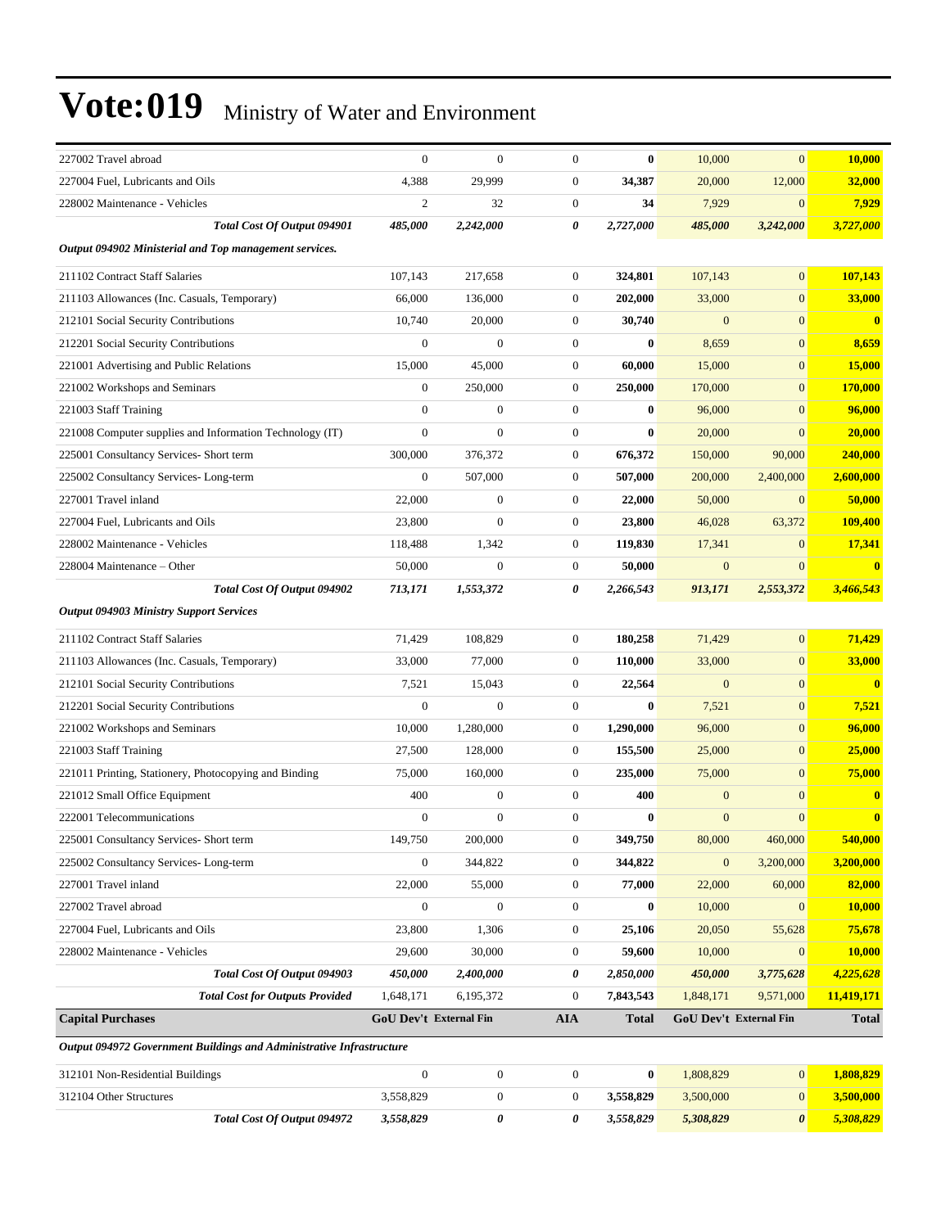| 227002 Travel abroad                                                 | $\overline{0}$                | $\overline{0}$   | $\mathbf{0}$     | $\bf{0}$         | 10,000       | $\mathbf{0}$           | 10,000                  |
|----------------------------------------------------------------------|-------------------------------|------------------|------------------|------------------|--------------|------------------------|-------------------------|
| 227004 Fuel, Lubricants and Oils                                     | 4,388                         | 29,999           | $\boldsymbol{0}$ | 34,387           | 20,000       | 12,000                 | 32,000                  |
| 228002 Maintenance - Vehicles                                        | $\mathfrak{2}$                | 32               | $\boldsymbol{0}$ | 34               | 7,929        | $\mathbf{0}$           | 7,929                   |
| Total Cost Of Output 094901                                          | 485,000                       | 2,242,000        | 0                | 2,727,000        | 485,000      | 3,242,000              | 3,727,000               |
| Output 094902 Ministerial and Top management services.               |                               |                  |                  |                  |              |                        |                         |
| 211102 Contract Staff Salaries                                       | 107,143                       | 217,658          | 0                | 324,801          | 107,143      | $\mathbf{0}$           | 107,143                 |
| 211103 Allowances (Inc. Casuals, Temporary)                          | 66,000                        | 136,000          | $\mathbf{0}$     | 202,000          | 33,000       | $\mathbf{0}$           | 33,000                  |
| 212101 Social Security Contributions                                 | 10,740                        | 20,000           | $\mathbf{0}$     | 30,740           | $\mathbf{0}$ | $\mathbf{0}$           | $\overline{\mathbf{0}}$ |
| 212201 Social Security Contributions                                 | $\boldsymbol{0}$              | $\mathbf{0}$     | $\mathbf{0}$     | $\bf{0}$         | 8,659        | $\mathbf{0}$           | 8,659                   |
| 221001 Advertising and Public Relations                              | 15,000                        | 45,000           | $\boldsymbol{0}$ | 60,000           | 15,000       | $\mathbf{0}$           | 15,000                  |
| 221002 Workshops and Seminars                                        | $\mathbf{0}$                  | 250,000          | $\boldsymbol{0}$ | 250,000          | 170,000      | $\mathbf{0}$           | <b>170,000</b>          |
| 221003 Staff Training                                                | $\theta$                      | $\boldsymbol{0}$ | $\mathbf{0}$     | $\bf{0}$         | 96,000       | $\mathbf{0}$           | 96,000                  |
| 221008 Computer supplies and Information Technology (IT)             | $\mathbf{0}$                  | $\overline{0}$   | $\boldsymbol{0}$ | $\bf{0}$         | 20,000       | $\mathbf{0}$           | 20,000                  |
| 225001 Consultancy Services- Short term                              | 300,000                       | 376,372          | $\boldsymbol{0}$ | 676,372          | 150,000      | 90,000                 | 240,000                 |
| 225002 Consultancy Services-Long-term                                | $\boldsymbol{0}$              | 507,000          | $\boldsymbol{0}$ | 507,000          | 200,000      | 2,400,000              | 2,600,000               |
| 227001 Travel inland                                                 | 22,000                        | $\boldsymbol{0}$ | $\boldsymbol{0}$ | 22,000           | 50,000       | $\mathbf{0}$           | 50,000                  |
| 227004 Fuel. Lubricants and Oils                                     | 23,800                        | $\boldsymbol{0}$ | $\mathbf{0}$     | 23,800           | 46,028       | 63,372                 | 109,400                 |
| 228002 Maintenance - Vehicles                                        | 118,488                       | 1,342            | $\mathbf{0}$     | 119,830          | 17,341       | $\mathbf{0}$           | 17,341                  |
| 228004 Maintenance – Other                                           | 50,000                        | $\mathbf{0}$     | $\boldsymbol{0}$ | 50,000           | $\mathbf{0}$ | $\mathbf{0}$           | $\mathbf{0}$            |
| Total Cost Of Output 094902                                          | 713,171                       | 1,553,372        | 0                | 2,266,543        | 913,171      | 2,553,372              | 3,466,543               |
| <b>Output 094903 Ministry Support Services</b>                       |                               |                  |                  |                  |              |                        |                         |
| 211102 Contract Staff Salaries                                       | 71,429                        | 108,829          | $\boldsymbol{0}$ | 180,258          | 71,429       | $\overline{0}$         | 71,429                  |
| 211103 Allowances (Inc. Casuals, Temporary)                          | 33,000                        | 77,000           | $\boldsymbol{0}$ | 110,000          | 33,000       | $\mathbf{0}$           | 33,000                  |
| 212101 Social Security Contributions                                 | 7,521                         | 15,043           | $\boldsymbol{0}$ | 22,564           | $\mathbf{0}$ | $\mathbf{0}$           | $\bf{0}$                |
| 212201 Social Security Contributions                                 | $\mathbf{0}$                  | $\boldsymbol{0}$ | $\mathbf{0}$     | $\bf{0}$         | 7,521        | $\mathbf{0}$           | 7,521                   |
| 221002 Workshops and Seminars                                        | 10,000                        | 1,280,000        | $\boldsymbol{0}$ | 1,290,000        | 96,000       | $\overline{0}$         | 96,000                  |
| 221003 Staff Training                                                | 27,500                        | 128,000          | $\boldsymbol{0}$ | 155,500          | 25,000       | $\boldsymbol{0}$       | 25,000                  |
| 221011 Printing, Stationery, Photocopying and Binding                | 75,000                        | 160,000          | $\boldsymbol{0}$ | 235,000          | 75,000       | $\mathbf{0}$           | 75,000                  |
| 221012 Small Office Equipment                                        | 400                           | $\boldsymbol{0}$ | $\boldsymbol{0}$ | 400              | $\mathbf{0}$ | $\mathbf{0}$           | $\boldsymbol{0}$        |
| 222001 Telecommunications                                            | $\boldsymbol{0}$              | $\overline{0}$   | $\boldsymbol{0}$ | $\boldsymbol{0}$ | $\mathbf{0}$ | $\mathbf{0}$           | $\mathbf{0}$            |
| 225001 Consultancy Services- Short term                              | 149,750                       | 200,000          | 0                | 349,750          | 80,000       | 460,000                | 540,000                 |
| 225002 Consultancy Services-Long-term                                | $\boldsymbol{0}$              | 344,822          | 0                | 344,822          | $\mathbf{0}$ | 3,200,000              | 3,200,000               |
| 227001 Travel inland                                                 | 22,000                        | 55,000           | $\boldsymbol{0}$ | 77,000           | 22,000       | 60,000                 | 82,000                  |
| 227002 Travel abroad                                                 | $\boldsymbol{0}$              | $\boldsymbol{0}$ | $\boldsymbol{0}$ | $\bf{0}$         | 10,000       | $\mathbf{0}$           | <b>10,000</b>           |
| 227004 Fuel, Lubricants and Oils                                     | 23,800                        | 1,306            | 0                | 25,106           | 20,050       | 55,628                 | 75,678                  |
| 228002 Maintenance - Vehicles                                        | 29,600                        | 30,000           | 0                | 59,600           | 10,000       | $\mathbf{0}$           | <b>10,000</b>           |
| Total Cost Of Output 094903                                          | 450,000                       | 2,400,000        | 0                | 2,850,000        | 450,000      | 3,775,628              | 4,225,628               |
| <b>Total Cost for Outputs Provided</b>                               | 1,648,171                     | 6,195,372        | 0                | 7,843,543        | 1,848,171    | 9,571,000              | 11,419,171              |
| <b>Capital Purchases</b>                                             | <b>GoU Dev't External Fin</b> |                  | AIA              | <b>Total</b>     |              | GoU Dev't External Fin | <b>Total</b>            |
| Output 094972 Government Buildings and Administrative Infrastructure |                               |                  |                  |                  |              |                        |                         |
| 312101 Non-Residential Buildings                                     | $\boldsymbol{0}$              | $\boldsymbol{0}$ | $\boldsymbol{0}$ | $\bf{0}$         | 1,808,829    | $\mathbf{0}$           | 1,808,829               |
| 312104 Other Structures                                              | 3,558,829                     | $\boldsymbol{0}$ | 0                | 3,558,829        | 3,500,000    | $\mathbf{0}$           | 3,500,000               |
| Total Cost Of Output 094972                                          | 3,558,829                     | 0                | 0                | 3,558,829        | 5,308,829    | $\boldsymbol{\theta}$  | 5,308,829               |
|                                                                      |                               |                  |                  |                  |              |                        |                         |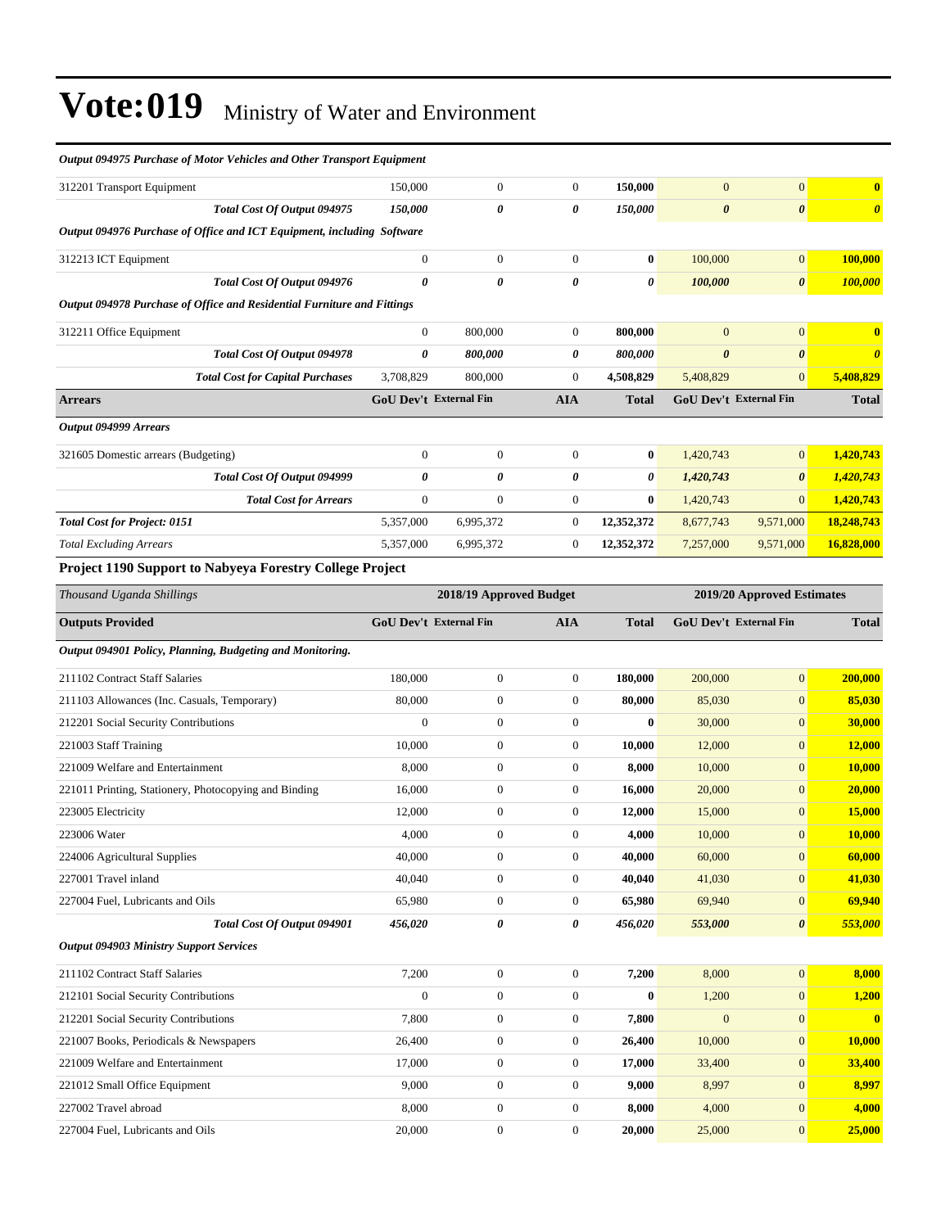| Output 094975 Purchase of Motor Vehicles and Other Transport Equipment  |                               |                  |                  |                  |                        |                       |                            |
|-------------------------------------------------------------------------|-------------------------------|------------------|------------------|------------------|------------------------|-----------------------|----------------------------|
| 312201 Transport Equipment                                              | 150,000                       | $\mathbf{0}$     | $\mathbf{0}$     | 150,000          | $\mathbf{0}$           | $\mathbf{0}$          | $\bf{0}$                   |
| Total Cost Of Output 094975                                             | 150,000                       | 0                | 0                | 150,000          | $\boldsymbol{\theta}$  | $\boldsymbol{\theta}$ | $\boldsymbol{\theta}$      |
| Output 094976 Purchase of Office and ICT Equipment, including Software  |                               |                  |                  |                  |                        |                       |                            |
| 312213 ICT Equipment                                                    | $\boldsymbol{0}$              | $\boldsymbol{0}$ | $\boldsymbol{0}$ | $\bf{0}$         | 100,000                | $\mathbf{0}$          | 100,000                    |
| Total Cost Of Output 094976                                             | $\boldsymbol{\theta}$         | 0                | 0                | 0                | 100,000                | $\boldsymbol{\theta}$ | 100,000                    |
| Output 094978 Purchase of Office and Residential Furniture and Fittings |                               |                  |                  |                  |                        |                       |                            |
| 312211 Office Equipment                                                 | $\mathbf{0}$                  | 800,000          | $\boldsymbol{0}$ | 800,000          | $\mathbf{0}$           | $\mathbf{0}$          | $\bf{0}$                   |
| Total Cost Of Output 094978                                             | $\boldsymbol{\theta}$         | 800,000          | 0                | 800,000          | 0                      | $\boldsymbol{\theta}$ | $\boldsymbol{\theta}$      |
| <b>Total Cost for Capital Purchases</b>                                 | 3,708,829                     | 800,000          | $\boldsymbol{0}$ | 4,508,829        | 5,408,829              | $\overline{0}$        | 5,408,829                  |
| <b>Arrears</b>                                                          | <b>GoU Dev't External Fin</b> |                  | <b>AIA</b>       | <b>Total</b>     | GoU Dev't External Fin |                       | <b>Total</b>               |
| Output 094999 Arrears                                                   |                               |                  |                  |                  |                        |                       |                            |
| 321605 Domestic arrears (Budgeting)                                     | $\mathbf{0}$                  | $\boldsymbol{0}$ | $\mathbf{0}$     | $\bf{0}$         | 1,420,743              | $\mathbf{0}$          | 1.420.743                  |
| Total Cost Of Output 094999                                             | 0                             | 0                | 0                | 0                | 1,420,743              | $\boldsymbol{\theta}$ | 1,420,743                  |
| <b>Total Cost for Arrears</b>                                           | $\mathbf{0}$                  | $\mathbf{0}$     | $\boldsymbol{0}$ | $\bf{0}$         | 1,420,743              | $\mathbf{0}$          | 1,420,743                  |
| <b>Total Cost for Project: 0151</b>                                     | 5,357,000                     | 6,995,372        | $\boldsymbol{0}$ | 12,352,372       | 8,677,743              | 9,571,000             | 18,248,743                 |
| <b>Total Excluding Arrears</b>                                          | 5,357,000                     | 6,995,372        | $\boldsymbol{0}$ | 12,352,372       | 7,257,000              | 9,571,000             | 16,828,000                 |
| Project 1190 Support to Nabyeya Forestry College Project                |                               |                  |                  |                  |                        |                       |                            |
| Thousand Uganda Shillings                                               | 2018/19 Approved Budget       |                  |                  |                  |                        |                       | 2019/20 Approved Estimates |
| <b>Outputs Provided</b>                                                 | GoU Dev't External Fin        |                  | <b>AIA</b>       | <b>Total</b>     | GoU Dev't External Fin |                       | <b>Total</b>               |
| Output 094901 Policy, Planning, Budgeting and Monitoring.               |                               |                  |                  |                  |                        |                       |                            |
| 211102 Contract Staff Salaries                                          | 180,000                       | $\boldsymbol{0}$ | $\mathbf{0}$     | 180,000          | 200,000                | $\boldsymbol{0}$      | 200,000                    |
| 211103 Allowances (Inc. Casuals, Temporary)                             | 80,000                        | $\boldsymbol{0}$ | 0                | 80,000           | 85,030                 | $\mathbf{0}$          | 85,030                     |
| 212201 Social Security Contributions                                    | $\mathbf{0}$                  | $\mathbf{0}$     | $\boldsymbol{0}$ | $\bf{0}$         | 30,000                 | $\mathbf{0}$          | 30,000                     |
| 221003 Staff Training                                                   | 10,000                        | $\boldsymbol{0}$ | $\boldsymbol{0}$ | 10,000           | 12,000                 | $\mathbf{0}$          | <b>12,000</b>              |
| 221009 Welfare and Entertainment                                        | 8,000                         | $\boldsymbol{0}$ | $\boldsymbol{0}$ | 8,000            | 10,000                 | $\mathbf{0}$          | <b>10,000</b>              |
| 221011 Printing, Stationery, Photocopying and Binding                   | 16,000                        | $\mathbf{0}$     | $\mathbf{0}$     | 16,000           | 20,000                 | $\boldsymbol{0}$      | 20,000                     |
| 223005 Electricity                                                      | 12,000                        | 0                | 0                | 12,000           | 15,000                 | $\mathbf{0}$          | 15,000                     |
| 223006 Water                                                            | 4,000                         | $\overline{0}$   | $\mathbf{0}$     | 4,000            | 10,000                 | $\mathbf{0}$          | 10,000                     |
| 224006 Agricultural Supplies                                            | 40,000                        | $\boldsymbol{0}$ | $\boldsymbol{0}$ | 40,000           | 60,000                 | $\mathbf{0}$          | 60,000                     |
| 227001 Travel inland                                                    | 40,040                        | $\boldsymbol{0}$ | $\boldsymbol{0}$ | 40,040           | 41,030                 | $\mathbf{0}$          | 41,030                     |
| 227004 Fuel, Lubricants and Oils                                        | 65,980                        | $\boldsymbol{0}$ | $\boldsymbol{0}$ | 65,980           | 69,940                 | $\boldsymbol{0}$      | 69,940                     |
| Total Cost Of Output 094901                                             | 456,020                       | 0                | 0                | 456,020          | 553,000                | $\boldsymbol{\theta}$ | 553,000                    |
| <b>Output 094903 Ministry Support Services</b>                          |                               |                  |                  |                  |                        |                       |                            |
| 211102 Contract Staff Salaries                                          | 7,200                         | $\boldsymbol{0}$ | $\boldsymbol{0}$ | 7,200            | 8,000                  | $\boldsymbol{0}$      | 8,000                      |
| 212101 Social Security Contributions                                    | $\boldsymbol{0}$              | $\boldsymbol{0}$ | $\boldsymbol{0}$ | $\boldsymbol{0}$ | 1,200                  | $\mathbf{0}$          | 1,200                      |
| 212201 Social Security Contributions                                    | 7,800                         | $\boldsymbol{0}$ | $\boldsymbol{0}$ | 7,800            | $\boldsymbol{0}$       | $\mathbf{0}$          | $\mathbf{0}$               |
| 221007 Books, Periodicals & Newspapers                                  | 26,400                        | $\boldsymbol{0}$ | $\boldsymbol{0}$ | 26,400           | 10,000                 | $\mathbf{0}$          | 10,000                     |
| 221009 Welfare and Entertainment                                        | 17,000                        | $\boldsymbol{0}$ | $\boldsymbol{0}$ | 17,000           | 33,400                 | $\mathbf{0}$          | 33,400                     |
| 221012 Small Office Equipment                                           | 9,000                         | $\boldsymbol{0}$ | $\boldsymbol{0}$ | 9,000            | 8,997                  | $\boldsymbol{0}$      | 8,997                      |
| 227002 Travel abroad                                                    | 8,000                         | $\boldsymbol{0}$ | $\boldsymbol{0}$ | 8,000            | 4,000                  | $\mathbf{0}$          | 4,000                      |
| 227004 Fuel, Lubricants and Oils                                        | 20,000                        | $\boldsymbol{0}$ | $\mathbf{0}$     | 20,000           | 25,000                 | $\vert 0 \vert$       | 25,000                     |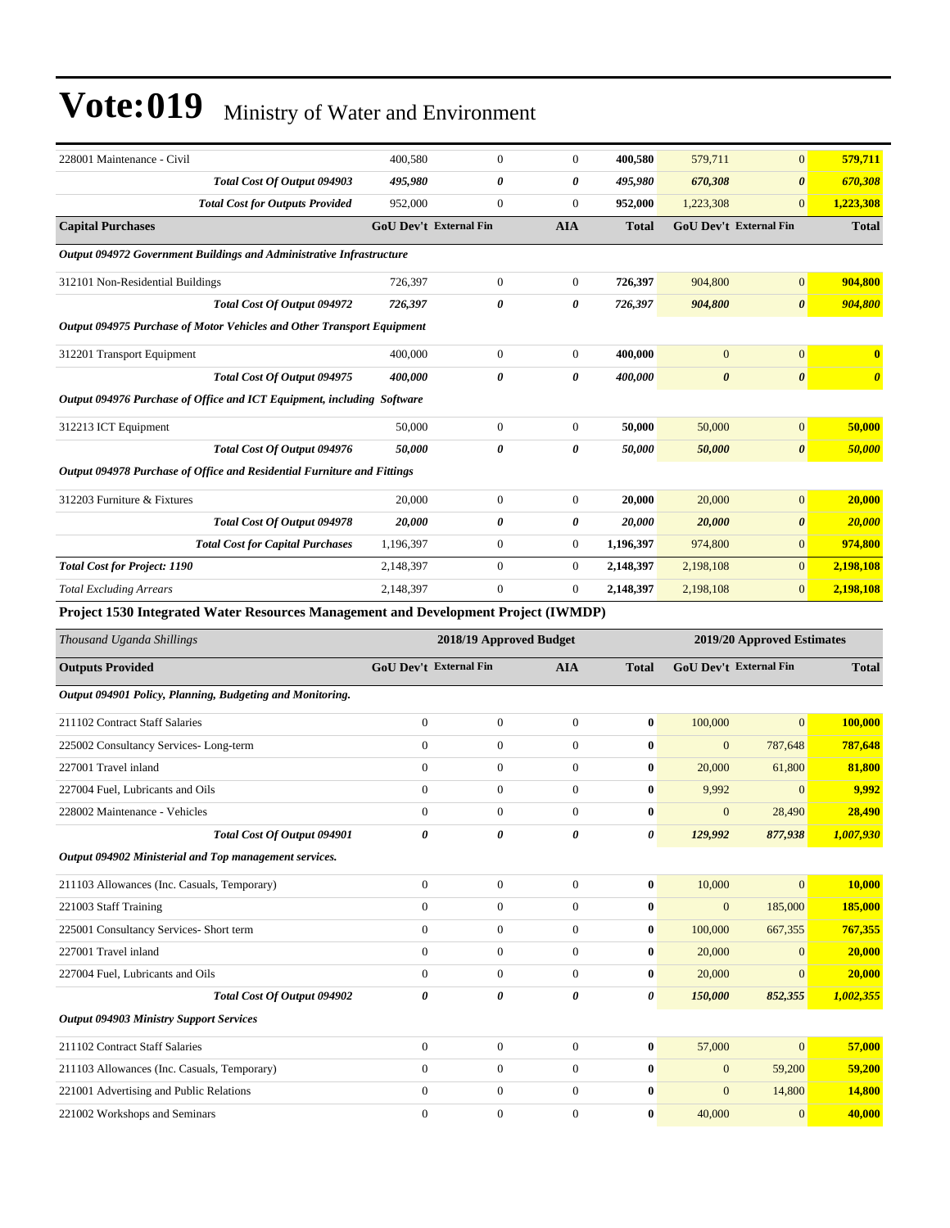| 228001 Maintenance - Civil                                                         | 400,580                                               | $\boldsymbol{0}$      | $\mathbf{0}$          | 400,580        | 579,711                       | $\mathbf{0}$          | 579,711               |
|------------------------------------------------------------------------------------|-------------------------------------------------------|-----------------------|-----------------------|----------------|-------------------------------|-----------------------|-----------------------|
| Total Cost Of Output 094903                                                        | 495,980                                               | $\boldsymbol{\theta}$ | 0                     | 495,980        | 670,308                       | $\boldsymbol{\theta}$ | 670,308               |
| <b>Total Cost for Outputs Provided</b>                                             | 952,000                                               | $\mathbf{0}$          | $\boldsymbol{0}$      | 952,000        | 1,223,308                     | $\mathbf{0}$          | 1,223,308             |
| <b>Capital Purchases</b>                                                           | <b>GoU Dev't External Fin</b>                         |                       | <b>AIA</b>            | <b>Total</b>   | <b>GoU Dev't External Fin</b> |                       | <b>Total</b>          |
| Output 094972 Government Buildings and Administrative Infrastructure               |                                                       |                       |                       |                |                               |                       |                       |
| 312101 Non-Residential Buildings                                                   | 726,397                                               | $\mathbf{0}$          | $\mathbf{0}$          | 726,397        | 904,800                       | $\mathbf{0}$          | 904,800               |
| <b>Total Cost Of Output 094972</b>                                                 | 726,397                                               | 0                     | 0                     | 726,397        | 904,800                       | $\boldsymbol{\theta}$ | 904,800               |
| Output 094975 Purchase of Motor Vehicles and Other Transport Equipment             |                                                       |                       |                       |                |                               |                       |                       |
| 312201 Transport Equipment                                                         | 400,000                                               | $\mathbf{0}$          | $\boldsymbol{0}$      | 400,000        | $\mathbf{0}$                  | $\mathbf{0}$          |                       |
| Total Cost Of Output 094975                                                        | 400,000                                               | 0                     | 0                     | 400,000        | $\boldsymbol{\theta}$         | $\boldsymbol{\theta}$ | $\boldsymbol{\theta}$ |
| Output 094976 Purchase of Office and ICT Equipment, including Software             |                                                       |                       |                       |                |                               |                       |                       |
| 312213 ICT Equipment                                                               | 50,000                                                | $\boldsymbol{0}$      | $\mathbf{0}$          | 50,000         | 50,000                        | $\mathbf{0}$          | 50,000                |
| Total Cost Of Output 094976                                                        | 50,000                                                | 0                     | $\boldsymbol{\theta}$ | 50,000         | 50,000                        | $\boldsymbol{\theta}$ | 50,000                |
| Output 094978 Purchase of Office and Residential Furniture and Fittings            |                                                       |                       |                       |                |                               |                       |                       |
| 312203 Furniture & Fixtures                                                        | 20,000                                                | $\mathbf{0}$          | $\mathbf{0}$          | 20,000         | 20,000                        | $\mathbf{0}$          | 20,000                |
| Total Cost Of Output 094978                                                        | 20,000                                                | 0                     | 0                     | 20,000         | 20,000                        | $\boldsymbol{\theta}$ | 20,000                |
| <b>Total Cost for Capital Purchases</b>                                            | 1,196,397                                             | $\mathbf{0}$          | $\mathbf{0}$          | 1,196,397      | 974,800                       | $\mathbf{0}$          | 974,800               |
| <b>Total Cost for Project: 1190</b>                                                | 2,148,397                                             | $\boldsymbol{0}$      | $\boldsymbol{0}$      | 2,148,397      | 2,198,108                     | $\mathbf{0}$          | 2,198,108             |
| <b>Total Excluding Arrears</b>                                                     | 2,148,397                                             | $\mathbf{0}$          | $\mathbf{0}$          | 2,148,397      | 2,198,108                     | $\mathbf{0}$          | 2,198,108             |
| Project 1530 Integrated Water Resources Management and Development Project (IWMDP) |                                                       |                       |                       |                |                               |                       |                       |
| Thousand Uganda Shillings                                                          | 2018/19 Approved Budget<br>2019/20 Approved Estimates |                       |                       |                |                               |                       |                       |
| <b>Outputs Provided</b>                                                            | GoU Dev't External Fin                                |                       | <b>AIA</b>            | <b>Total</b>   | GoU Dev't External Fin        |                       | <b>Total</b>          |
| Output 094901 Policy, Planning, Budgeting and Monitoring.                          |                                                       |                       |                       |                |                               |                       |                       |
| 211102 Contract Staff Salaries                                                     | $\boldsymbol{0}$                                      | $\boldsymbol{0}$      | $\boldsymbol{0}$      | $\bf{0}$       | 100,000                       | $\Omega$              | 100,000               |
| 225002 Consultancy Services-Long-term                                              | $\overline{0}$                                        | $\mathbf{0}$          | $\boldsymbol{0}$      | $\bf{0}$       | $\mathbf{0}$                  | 787,648               | 787,648               |
| 227001 Travel inland                                                               | $\mathbf{0}$                                          | $\mathbf{0}$          | $\boldsymbol{0}$      | $\bf{0}$       | 20,000                        | 61,800                | 81,800                |
| 227004 Fuel, Lubricants and Oils                                                   | $\overline{0}$                                        |                       |                       |                |                               |                       |                       |
| 228002 Maintenance - Vehicles                                                      |                                                       | $\boldsymbol{0}$      | $\boldsymbol{0}$      | $\bf{0}$       | 9,992                         | $\mathbf{0}$          | 9,992                 |
|                                                                                    | $\boldsymbol{0}$                                      | $\boldsymbol{0}$      | $\boldsymbol{0}$      | $\bf{0}$       | $\mathbf{0}$                  | 28,490                | 28,490                |
| Total Cost Of Output 094901                                                        |                                                       | 0                     | 0                     | 0              | 129,992                       | 877,938               | 1,007,930             |
| Output 094902 Ministerial and Top management services.                             |                                                       |                       |                       |                |                               |                       |                       |
| 211103 Allowances (Inc. Casuals, Temporary)                                        | $\boldsymbol{0}$                                      | $\boldsymbol{0}$      | $\mathbf{0}$          | $\pmb{0}$      | 10,000                        | $\mathbf{0}$          | 10,000                |
| 221003 Staff Training                                                              | $\boldsymbol{0}$                                      | $\mathbf{0}$          | $\boldsymbol{0}$      | $\bf{0}$       | $\mathbf{0}$                  | 185,000               | 185,000               |
| 225001 Consultancy Services- Short term                                            | $\boldsymbol{0}$                                      | $\boldsymbol{0}$      | $\boldsymbol{0}$      | $\bf{0}$       | 100,000                       | 667,355               | 767,355               |
| 227001 Travel inland                                                               | $\boldsymbol{0}$                                      | $\boldsymbol{0}$      | $\boldsymbol{0}$      | $\bf{0}$       | 20,000                        | $\mathbf{0}$          | 20,000                |
| 227004 Fuel, Lubricants and Oils                                                   | $\boldsymbol{0}$                                      | $\boldsymbol{0}$      | $\boldsymbol{0}$      | $\pmb{0}$      | 20,000                        | $\mathbf{0}$          | 20,000                |
| Total Cost Of Output 094902                                                        | $\pmb{\theta}$                                        | 0                     | $\pmb{\theta}$        | $\pmb{\theta}$ | 150,000                       | 852,355               | 1,002,355             |
| <b>Output 094903 Ministry Support Services</b>                                     |                                                       |                       |                       |                |                               |                       |                       |
| 211102 Contract Staff Salaries                                                     | $\boldsymbol{0}$                                      | $\boldsymbol{0}$      | $\mathbf{0}$          | $\pmb{0}$      | 57,000                        | $\mathbf{0}$          | 57,000                |
| 211103 Allowances (Inc. Casuals, Temporary)                                        | $\boldsymbol{0}$                                      | $\boldsymbol{0}$      | $\mathbf{0}$          | $\bf{0}$       | $\mathbf{0}$                  | 59,200                | 59,200                |
| 221001 Advertising and Public Relations                                            | $\boldsymbol{0}$                                      | $\mathbf{0}$          | $\boldsymbol{0}$      | $\bf{0}$       | $\overline{0}$                | 14,800                | 14,800                |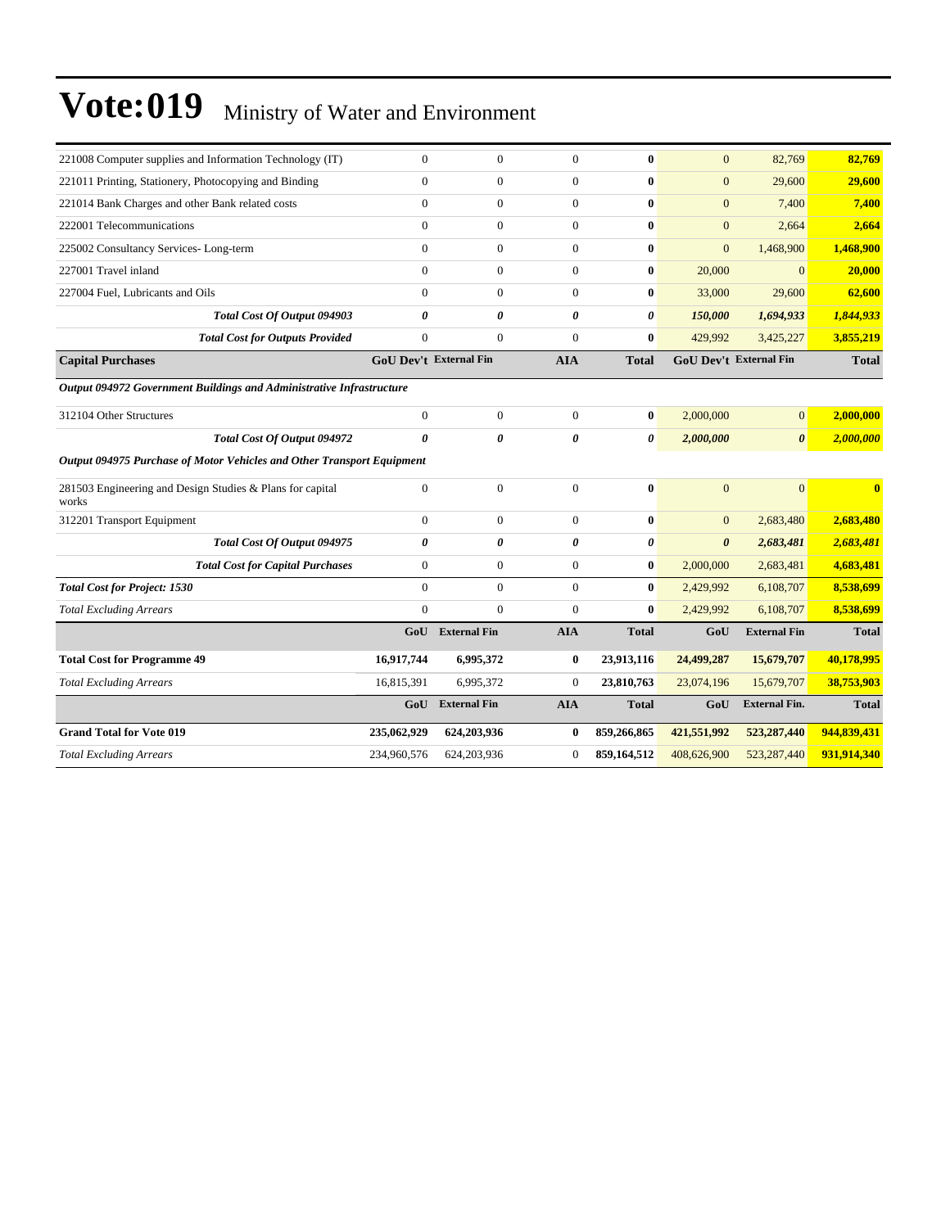| $\mathbf{0}$                                                           | $\mathbf{0}$                                                         | $\mathbf{0}$                  | $\bf{0}$              | $\mathbf{0}$          | 82,769                | 82,769                        |
|------------------------------------------------------------------------|----------------------------------------------------------------------|-------------------------------|-----------------------|-----------------------|-----------------------|-------------------------------|
| $\mathbf{0}$                                                           | $\overline{0}$                                                       | $\overline{0}$                | $\bf{0}$              | $\mathbf{0}$          | 29,600                | 29,600                        |
| $\mathbf{0}$                                                           | $\overline{0}$                                                       | $\overline{0}$                | $\bf{0}$              | $\mathbf{0}$          | 7,400                 | 7,400                         |
| $\Omega$                                                               | $\overline{0}$                                                       | $\theta$                      | $\bf{0}$              | $\mathbf{0}$          | 2,664                 | 2,664                         |
| $\boldsymbol{0}$                                                       | $\boldsymbol{0}$                                                     | $\overline{0}$                | $\bf{0}$              | $\mathbf{0}$          | 1,468,900             | 1,468,900                     |
| $\theta$                                                               | $\overline{0}$                                                       | $\overline{0}$                | $\bf{0}$              | 20,000                | $\Omega$              | 20,000                        |
| $\Omega$                                                               | $\overline{0}$                                                       | $\overline{0}$                | $\bf{0}$              | 33,000                | 29,600                | 62,600                        |
| $\boldsymbol{\theta}$                                                  | 0                                                                    | 0                             | $\boldsymbol{\theta}$ | 150,000               | 1,694,933             | 1,844,933                     |
| $\mathbf{0}$                                                           | $\overline{0}$                                                       | $\overline{0}$                | $\bf{0}$              | 429,992               | 3,425,227             | 3,855,219                     |
|                                                                        |                                                                      | <b>AIA</b>                    | <b>Total</b>          |                       |                       | <b>Total</b>                  |
|                                                                        |                                                                      |                               |                       |                       |                       |                               |
| $\boldsymbol{0}$                                                       | $\mathbf{0}$                                                         | $\overline{0}$                | $\bf{0}$              | 2,000,000             | $\mathbf{0}$          | 2,000,000                     |
| $\theta$                                                               | 0                                                                    | 0                             | 0                     | 2,000,000             | $\boldsymbol{\theta}$ | 2,000,000                     |
|                                                                        |                                                                      |                               |                       |                       |                       |                               |
| Output 094975 Purchase of Motor Vehicles and Other Transport Equipment |                                                                      |                               |                       |                       |                       |                               |
|                                                                        |                                                                      |                               |                       |                       |                       |                               |
| $\mathbf{0}$                                                           | $\mathbf{0}$                                                         | $\overline{0}$                | $\bf{0}$              | $\overline{0}$        | $\overline{0}$        | $\mathbf{0}$                  |
| $\mathbf{0}$                                                           | $\overline{0}$                                                       | $\overline{0}$                | $\bf{0}$              | $\mathbf{0}$          | 2,683,480             | 2,683,480                     |
| $\theta$                                                               | 0                                                                    | 0                             | $\boldsymbol{\theta}$ | $\boldsymbol{\theta}$ | 2,683,481             | 2,683,481                     |
| $\mathbf{0}$                                                           | $\boldsymbol{0}$                                                     | $\boldsymbol{0}$              | $\bf{0}$              | 2,000,000             | 2,683,481             | 4,683,481                     |
| $\theta$                                                               | $\Omega$                                                             | $\Omega$                      | $\mathbf{0}$          | 2,429,992             | 6,108,707             | 8,538,699                     |
| $\Omega$                                                               | $\overline{0}$                                                       | $\overline{0}$                | $\bf{0}$              | 2,429,992             | 6,108,707             | 8,538,699                     |
| GoU                                                                    | <b>External Fin</b>                                                  | <b>AIA</b>                    | <b>Total</b>          | GoU                   | <b>External Fin</b>   | <b>Total</b>                  |
| 16,917,744                                                             | 6,995,372                                                            | 0                             | 23,913,116            | 24,499,287            | 15,679,707            | 40,178,995                    |
| 16,815,391                                                             | 6,995,372                                                            | $\mathbf{0}$                  | 23,810,763            | 23,074,196            | 15,679,707            | 38,753,903                    |
| GoU                                                                    | <b>External Fin</b>                                                  | <b>AIA</b>                    | <b>Total</b>          | GoU                   | <b>External Fin.</b>  | <b>Total</b>                  |
| 235,062,929                                                            | 624,203,936                                                          | 0                             | 859,266,865           | 421,551,992           | 523,287,440           | 944,839,431                   |
|                                                                        | Output 094972 Government Buildings and Administrative Infrastructure | <b>GoU Dev't External Fin</b> |                       |                       |                       | <b>GoU Dev't External Fin</b> |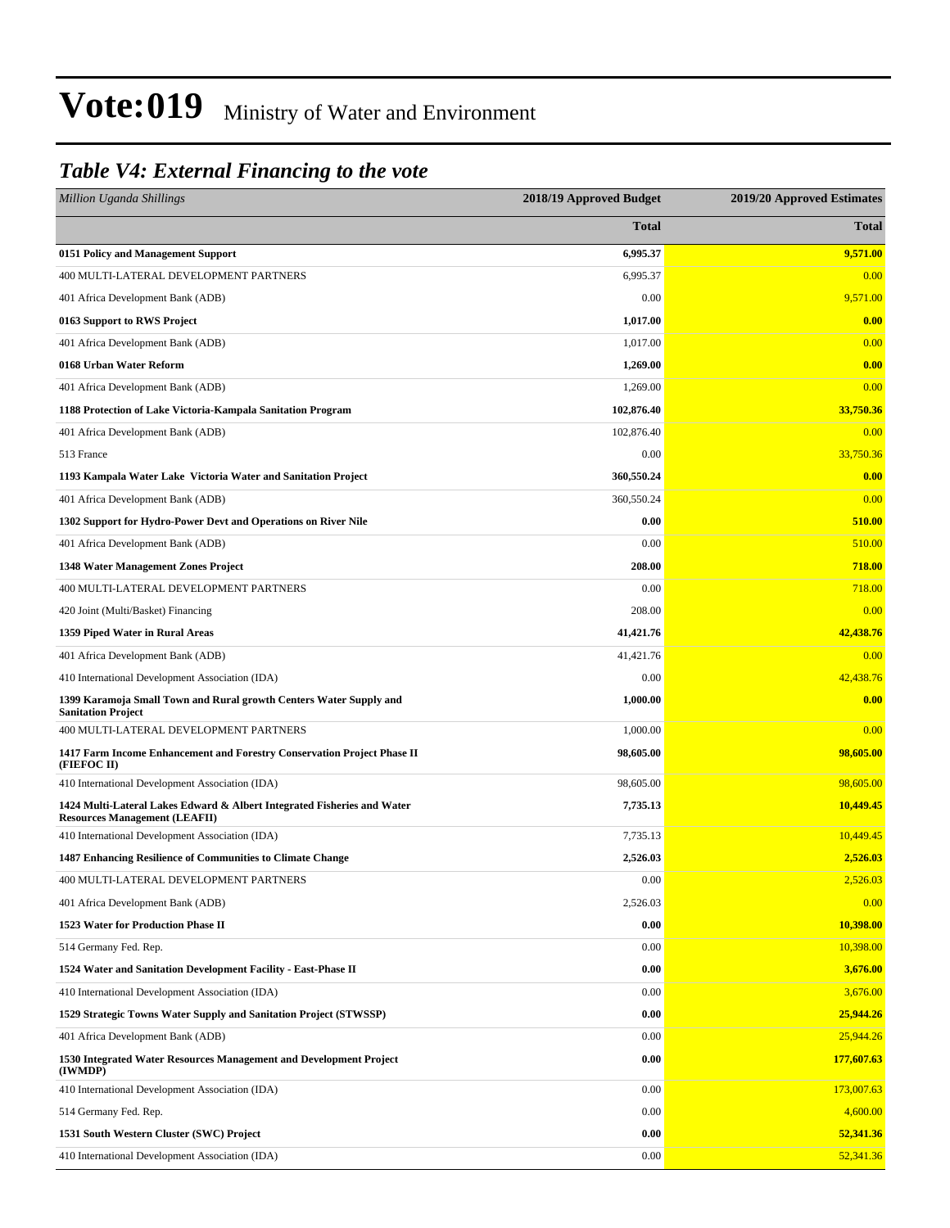### *Table V4: External Financing to the vote*

| <b>Million Uganda Shillings</b>                                                                                 | 2018/19 Approved Budget | 2019/20 Approved Estimates |
|-----------------------------------------------------------------------------------------------------------------|-------------------------|----------------------------|
|                                                                                                                 | <b>Total</b>            | <b>Total</b>               |
| 0151 Policy and Management Support                                                                              | 6,995.37                | 9,571.00                   |
| 400 MULTI-LATERAL DEVELOPMENT PARTNERS                                                                          | 6,995.37                | 0.00                       |
| 401 Africa Development Bank (ADB)                                                                               | 0.00                    | 9,571.00                   |
| 0163 Support to RWS Project                                                                                     | 1,017.00                | 0.00                       |
| 401 Africa Development Bank (ADB)                                                                               | 1,017.00                | 0.00                       |
| 0168 Urban Water Reform                                                                                         | 1,269.00                | 0.00                       |
| 401 Africa Development Bank (ADB)                                                                               | 1,269.00                | 0.00                       |
| 1188 Protection of Lake Victoria-Kampala Sanitation Program                                                     | 102,876.40              | 33,750.36                  |
| 401 Africa Development Bank (ADB)                                                                               | 102,876.40              | 0.00                       |
| 513 France                                                                                                      | 0.00                    | 33,750.36                  |
| 1193 Kampala Water Lake Victoria Water and Sanitation Project                                                   | 360,550.24              | 0.00                       |
| 401 Africa Development Bank (ADB)                                                                               | 360,550.24              | 0.00                       |
| 1302 Support for Hydro-Power Devt and Operations on River Nile                                                  | 0.00                    | 510.00                     |
| 401 Africa Development Bank (ADB)                                                                               | 0.00                    | 510.00                     |
| 1348 Water Management Zones Project                                                                             | 208.00                  | 718.00                     |
| 400 MULTI-LATERAL DEVELOPMENT PARTNERS                                                                          | 0.00                    | 718.00                     |
| 420 Joint (Multi/Basket) Financing                                                                              | 208.00                  | 0.00                       |
| 1359 Piped Water in Rural Areas                                                                                 | 41,421.76               | 42,438.76                  |
| 401 Africa Development Bank (ADB)                                                                               | 41,421.76               | 0.00                       |
| 410 International Development Association (IDA)                                                                 | 0.00                    | 42,438.76                  |
| 1399 Karamoja Small Town and Rural growth Centers Water Supply and<br><b>Sanitation Project</b>                 | 1,000.00                | 0.00                       |
| 400 MULTI-LATERAL DEVELOPMENT PARTNERS                                                                          | 1,000.00                | 0.00                       |
| 1417 Farm Income Enhancement and Forestry Conservation Project Phase II<br>(FIEFOC II)                          | 98,605.00               | 98,605.00                  |
| 410 International Development Association (IDA)                                                                 | 98,605.00               | 98,605.00                  |
| 1424 Multi-Lateral Lakes Edward & Albert Integrated Fisheries and Water<br><b>Resources Management (LEAFII)</b> | 7,735.13                | 10,449.45                  |
| 410 International Development Association (IDA)                                                                 | 7,735.13                | 10,449.45                  |
| 1487 Enhancing Resilience of Communities to Climate Change                                                      | 2,526.03                | 2,526.03                   |
| 400 MULTI-LATERAL DEVELOPMENT PARTNERS                                                                          | 0.00                    | 2,526.03                   |
| 401 Africa Development Bank (ADB)                                                                               | 2,526.03                | 0.00                       |
| 1523 Water for Production Phase II                                                                              | 0.00                    | 10,398.00                  |
| 514 Germany Fed. Rep.                                                                                           | 0.00                    | 10,398.00                  |
| 1524 Water and Sanitation Development Facility - East-Phase II                                                  | 0.00                    | 3,676.00                   |
| 410 International Development Association (IDA)                                                                 | 0.00                    | 3,676.00                   |
| 1529 Strategic Towns Water Supply and Sanitation Project (STWSSP)                                               | 0.00                    | 25,944.26                  |
| 401 Africa Development Bank (ADB)                                                                               | 0.00                    | 25,944.26                  |
| 1530 Integrated Water Resources Management and Development Project<br>(IWMDP)                                   | 0.00                    | 177,607.63                 |
| 410 International Development Association (IDA)                                                                 | 0.00                    | 173,007.63                 |
| 514 Germany Fed. Rep.                                                                                           | 0.00                    | 4,600.00                   |
| 1531 South Western Cluster (SWC) Project                                                                        | 0.00                    | 52,341.36                  |
| 410 International Development Association (IDA)                                                                 | 0.00                    | 52,341.36                  |